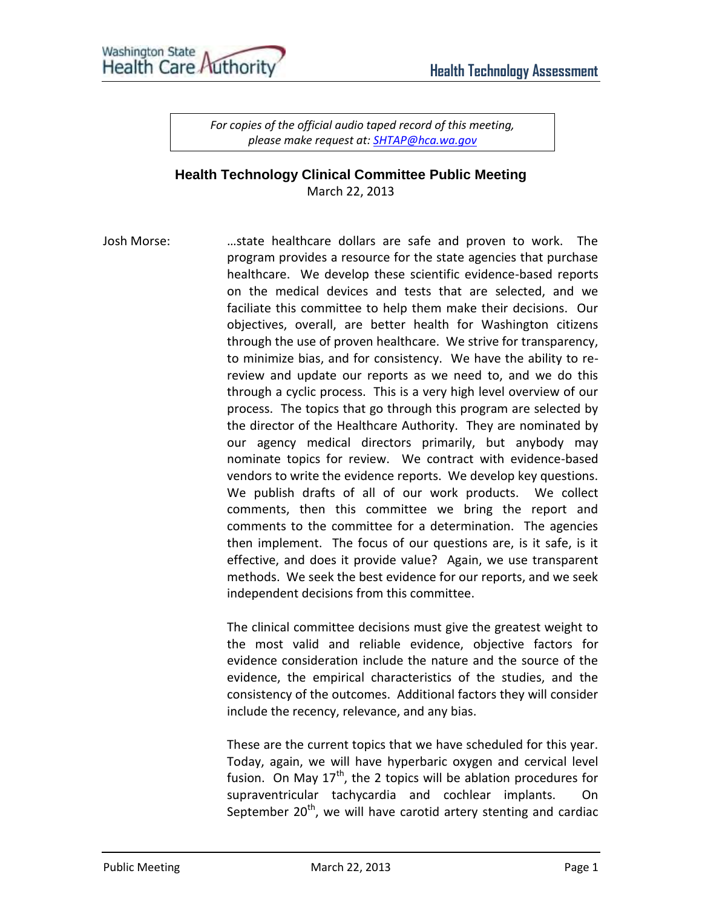*For copies of the official audio taped record of this meeting, please make request at[: SHTAP@hca.wa.gov](mailto:SHTAP@hca.wa.gov)*

## **Health Technology Clinical Committee Public Meeting**  March 22, 2013

Josh Morse: …state healthcare dollars are safe and proven to work. The program provides a resource for the state agencies that purchase healthcare. We develop these scientific evidence-based reports on the medical devices and tests that are selected, and we faciliate this committee to help them make their decisions. Our objectives, overall, are better health for Washington citizens through the use of proven healthcare. We strive for transparency, to minimize bias, and for consistency. We have the ability to rereview and update our reports as we need to, and we do this through a cyclic process. This is a very high level overview of our process. The topics that go through this program are selected by the director of the Healthcare Authority. They are nominated by our agency medical directors primarily, but anybody may nominate topics for review. We contract with evidence-based vendors to write the evidence reports. We develop key questions. We publish drafts of all of our work products. We collect comments, then this committee we bring the report and comments to the committee for a determination. The agencies then implement. The focus of our questions are, is it safe, is it effective, and does it provide value? Again, we use transparent methods. We seek the best evidence for our reports, and we seek independent decisions from this committee.

> The clinical committee decisions must give the greatest weight to the most valid and reliable evidence, objective factors for evidence consideration include the nature and the source of the evidence, the empirical characteristics of the studies, and the consistency of the outcomes. Additional factors they will consider include the recency, relevance, and any bias.

> These are the current topics that we have scheduled for this year. Today, again, we will have hyperbaric oxygen and cervical level fusion. On May  $17<sup>th</sup>$ , the 2 topics will be ablation procedures for supraventricular tachycardia and cochlear implants. On September  $20<sup>th</sup>$ , we will have carotid artery stenting and cardiac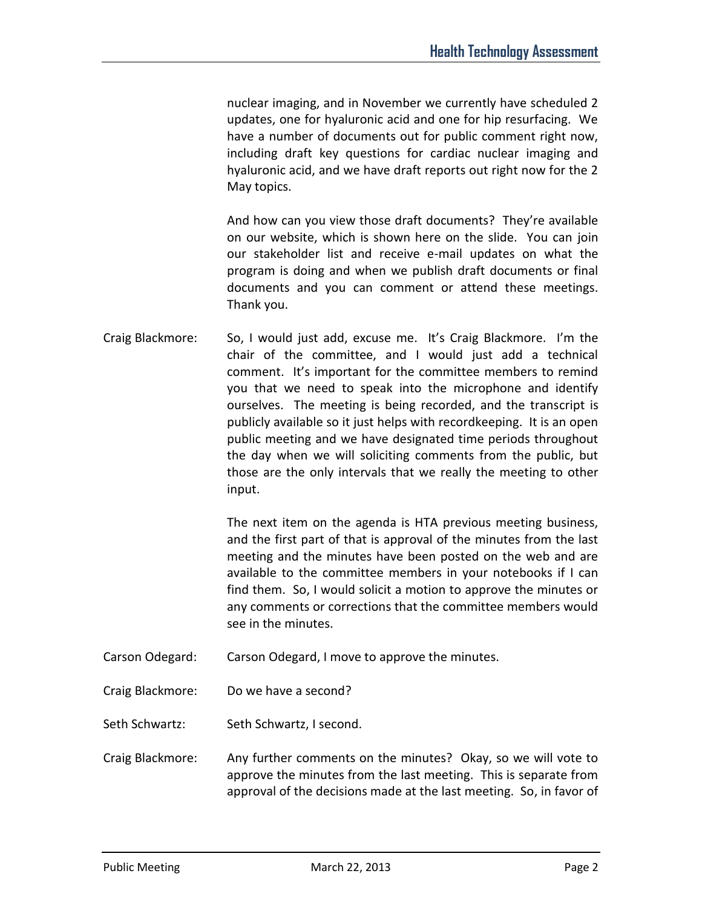nuclear imaging, and in November we currently have scheduled 2 updates, one for hyaluronic acid and one for hip resurfacing. We have a number of documents out for public comment right now, including draft key questions for cardiac nuclear imaging and hyaluronic acid, and we have draft reports out right now for the 2 May topics.

And how can you view those draft documents? They're available on our website, which is shown here on the slide. You can join our stakeholder list and receive e-mail updates on what the program is doing and when we publish draft documents or final documents and you can comment or attend these meetings. Thank you.

Craig Blackmore: So, I would just add, excuse me. It's Craig Blackmore. I'm the chair of the committee, and I would just add a technical comment. It's important for the committee members to remind you that we need to speak into the microphone and identify ourselves. The meeting is being recorded, and the transcript is publicly available so it just helps with recordkeeping. It is an open public meeting and we have designated time periods throughout the day when we will soliciting comments from the public, but those are the only intervals that we really the meeting to other input.

> The next item on the agenda is HTA previous meeting business, and the first part of that is approval of the minutes from the last meeting and the minutes have been posted on the web and are available to the committee members in your notebooks if I can find them. So, I would solicit a motion to approve the minutes or any comments or corrections that the committee members would see in the minutes.

- Carson Odegard: Carson Odegard, I move to approve the minutes.
- Craig Blackmore: Do we have a second?

Seth Schwartz: Seth Schwartz, I second.

Craig Blackmore: Any further comments on the minutes? Okay, so we will vote to approve the minutes from the last meeting. This is separate from approval of the decisions made at the last meeting. So, in favor of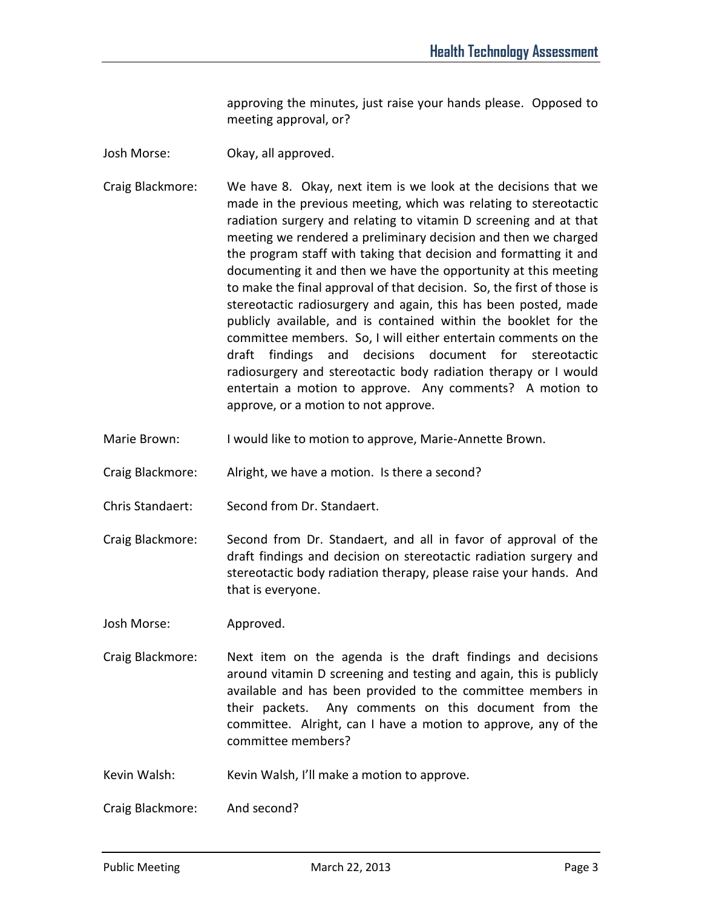approving the minutes, just raise your hands please. Opposed to meeting approval, or?

- Josh Morse: Okay, all approved.
- Craig Blackmore: We have 8. Okay, next item is we look at the decisions that we made in the previous meeting, which was relating to stereotactic radiation surgery and relating to vitamin D screening and at that meeting we rendered a preliminary decision and then we charged the program staff with taking that decision and formatting it and documenting it and then we have the opportunity at this meeting to make the final approval of that decision. So, the first of those is stereotactic radiosurgery and again, this has been posted, made publicly available, and is contained within the booklet for the committee members. So, I will either entertain comments on the draft findings and decisions document for stereotactic radiosurgery and stereotactic body radiation therapy or I would entertain a motion to approve. Any comments? A motion to approve, or a motion to not approve.
- Marie Brown: I would like to motion to approve, Marie-Annette Brown.
- Craig Blackmore: Alright, we have a motion. Is there a second?
- Chris Standaert: Second from Dr. Standaert.
- Craig Blackmore: Second from Dr. Standaert, and all in favor of approval of the draft findings and decision on stereotactic radiation surgery and stereotactic body radiation therapy, please raise your hands. And that is everyone.

Josh Morse: Approved.

- Craig Blackmore: Next item on the agenda is the draft findings and decisions around vitamin D screening and testing and again, this is publicly available and has been provided to the committee members in their packets. Any comments on this document from the committee. Alright, can I have a motion to approve, any of the committee members?
- Kevin Walsh: Kevin Walsh, I'll make a motion to approve.

Craig Blackmore: And second?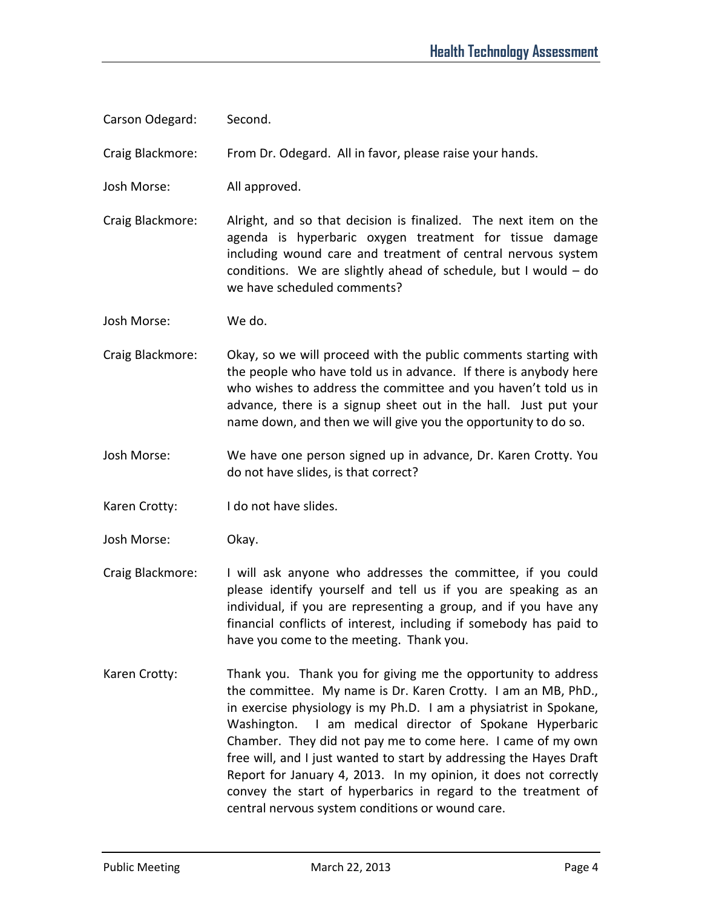Carson Odegard: Second.

Craig Blackmore: From Dr. Odegard. All in favor, please raise your hands.

Josh Morse: All approved.

Craig Blackmore: Alright, and so that decision is finalized. The next item on the agenda is hyperbaric oxygen treatment for tissue damage including wound care and treatment of central nervous system conditions. We are slightly ahead of schedule, but I would – do we have scheduled comments?

Josh Morse: We do.

- Craig Blackmore: Okay, so we will proceed with the public comments starting with the people who have told us in advance. If there is anybody here who wishes to address the committee and you haven't told us in advance, there is a signup sheet out in the hall. Just put your name down, and then we will give you the opportunity to do so.
- Josh Morse: We have one person signed up in advance, Dr. Karen Crotty. You do not have slides, is that correct?
- Karen Crotty: I do not have slides.
- Josh Morse: Okay.
- Craig Blackmore: I will ask anyone who addresses the committee, if you could please identify yourself and tell us if you are speaking as an individual, if you are representing a group, and if you have any financial conflicts of interest, including if somebody has paid to have you come to the meeting. Thank you.
- Karen Crotty: Thank you. Thank you for giving me the opportunity to address the committee. My name is Dr. Karen Crotty. I am an MB, PhD., in exercise physiology is my Ph.D. I am a physiatrist in Spokane, Washington. I am medical director of Spokane Hyperbaric Chamber. They did not pay me to come here. I came of my own free will, and I just wanted to start by addressing the Hayes Draft Report for January 4, 2013. In my opinion, it does not correctly convey the start of hyperbarics in regard to the treatment of central nervous system conditions or wound care.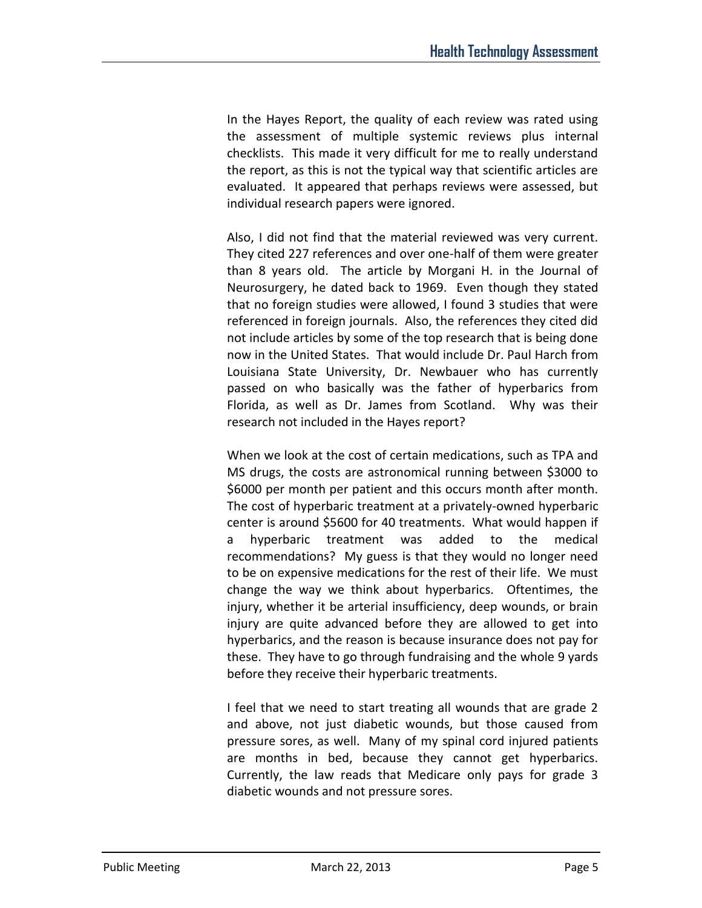In the Hayes Report, the quality of each review was rated using the assessment of multiple systemic reviews plus internal checklists. This made it very difficult for me to really understand the report, as this is not the typical way that scientific articles are evaluated. It appeared that perhaps reviews were assessed, but individual research papers were ignored.

Also, I did not find that the material reviewed was very current. They cited 227 references and over one-half of them were greater than 8 years old. The article by Morgani H. in the Journal of Neurosurgery, he dated back to 1969. Even though they stated that no foreign studies were allowed, I found 3 studies that were referenced in foreign journals. Also, the references they cited did not include articles by some of the top research that is being done now in the United States. That would include Dr. Paul Harch from Louisiana State University, Dr. Newbauer who has currently passed on who basically was the father of hyperbarics from Florida, as well as Dr. James from Scotland. Why was their research not included in the Hayes report?

When we look at the cost of certain medications, such as TPA and MS drugs, the costs are astronomical running between \$3000 to \$6000 per month per patient and this occurs month after month. The cost of hyperbaric treatment at a privately-owned hyperbaric center is around \$5600 for 40 treatments. What would happen if a hyperbaric treatment was added to the medical recommendations? My guess is that they would no longer need to be on expensive medications for the rest of their life. We must change the way we think about hyperbarics. Oftentimes, the injury, whether it be arterial insufficiency, deep wounds, or brain injury are quite advanced before they are allowed to get into hyperbarics, and the reason is because insurance does not pay for these. They have to go through fundraising and the whole 9 yards before they receive their hyperbaric treatments.

I feel that we need to start treating all wounds that are grade 2 and above, not just diabetic wounds, but those caused from pressure sores, as well. Many of my spinal cord injured patients are months in bed, because they cannot get hyperbarics. Currently, the law reads that Medicare only pays for grade 3 diabetic wounds and not pressure sores.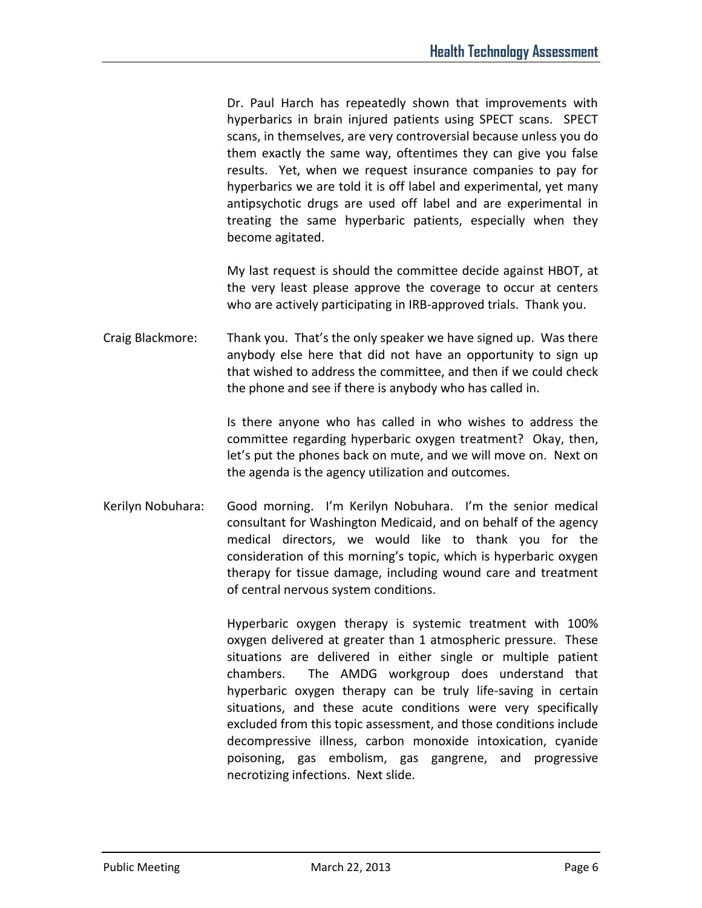Dr. Paul Harch has repeatedly shown that improvements with hyperbarics in brain injured patients using SPECT scans. SPECT scans, in themselves, are very controversial because unless you do them exactly the same way, oftentimes they can give you false results. Yet, when we request insurance companies to pay for hyperbarics we are told it is off label and experimental, yet many antipsychotic drugs are used off label and are experimental in treating the same hyperbaric patients, especially when they become agitated.

My last request is should the committee decide against HBOT, at the very least please approve the coverage to occur at centers who are actively participating in IRB-approved trials. Thank you.

Craig Blackmore: Thank you. That's the only speaker we have signed up. Was there anybody else here that did not have an opportunity to sign up that wished to address the committee, and then if we could check the phone and see if there is anybody who has called in.

> Is there anyone who has called in who wishes to address the committee regarding hyperbaric oxygen treatment? Okay, then, let's put the phones back on mute, and we will move on. Next on the agenda is the agency utilization and outcomes.

Kerilyn Nobuhara: Good morning. I'm Kerilyn Nobuhara. I'm the senior medical consultant for Washington Medicaid, and on behalf of the agency medical directors, we would like to thank you for the consideration of this morning's topic, which is hyperbaric oxygen therapy for tissue damage, including wound care and treatment of central nervous system conditions.

> Hyperbaric oxygen therapy is systemic treatment with 100% oxygen delivered at greater than 1 atmospheric pressure. These situations are delivered in either single or multiple patient chambers. The AMDG workgroup does understand that hyperbaric oxygen therapy can be truly life-saving in certain situations, and these acute conditions were very specifically excluded from this topic assessment, and those conditions include decompressive illness, carbon monoxide intoxication, cyanide poisoning, gas embolism, gas gangrene, and progressive necrotizing infections. Next slide.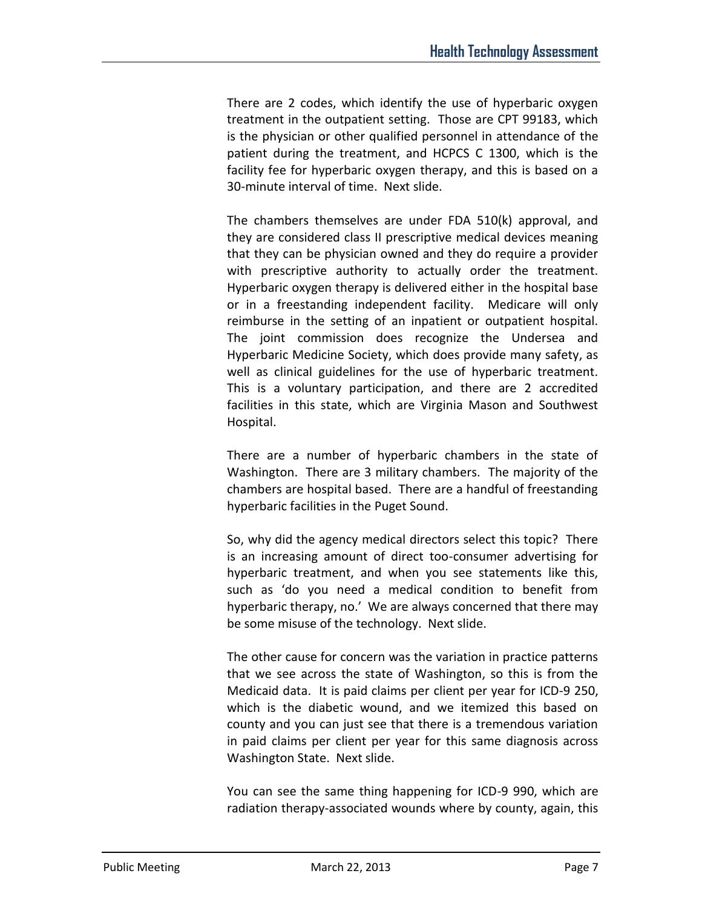There are 2 codes, which identify the use of hyperbaric oxygen treatment in the outpatient setting. Those are CPT 99183, which is the physician or other qualified personnel in attendance of the patient during the treatment, and HCPCS C 1300, which is the facility fee for hyperbaric oxygen therapy, and this is based on a 30-minute interval of time. Next slide.

The chambers themselves are under FDA 510(k) approval, and they are considered class II prescriptive medical devices meaning that they can be physician owned and they do require a provider with prescriptive authority to actually order the treatment. Hyperbaric oxygen therapy is delivered either in the hospital base or in a freestanding independent facility. Medicare will only reimburse in the setting of an inpatient or outpatient hospital. The joint commission does recognize the Undersea and Hyperbaric Medicine Society, which does provide many safety, as well as clinical guidelines for the use of hyperbaric treatment. This is a voluntary participation, and there are 2 accredited facilities in this state, which are Virginia Mason and Southwest Hospital.

There are a number of hyperbaric chambers in the state of Washington. There are 3 military chambers. The majority of the chambers are hospital based. There are a handful of freestanding hyperbaric facilities in the Puget Sound.

So, why did the agency medical directors select this topic? There is an increasing amount of direct too-consumer advertising for hyperbaric treatment, and when you see statements like this, such as 'do you need a medical condition to benefit from hyperbaric therapy, no.' We are always concerned that there may be some misuse of the technology. Next slide.

The other cause for concern was the variation in practice patterns that we see across the state of Washington, so this is from the Medicaid data. It is paid claims per client per year for ICD-9 250, which is the diabetic wound, and we itemized this based on county and you can just see that there is a tremendous variation in paid claims per client per year for this same diagnosis across Washington State. Next slide.

You can see the same thing happening for ICD-9 990, which are radiation therapy-associated wounds where by county, again, this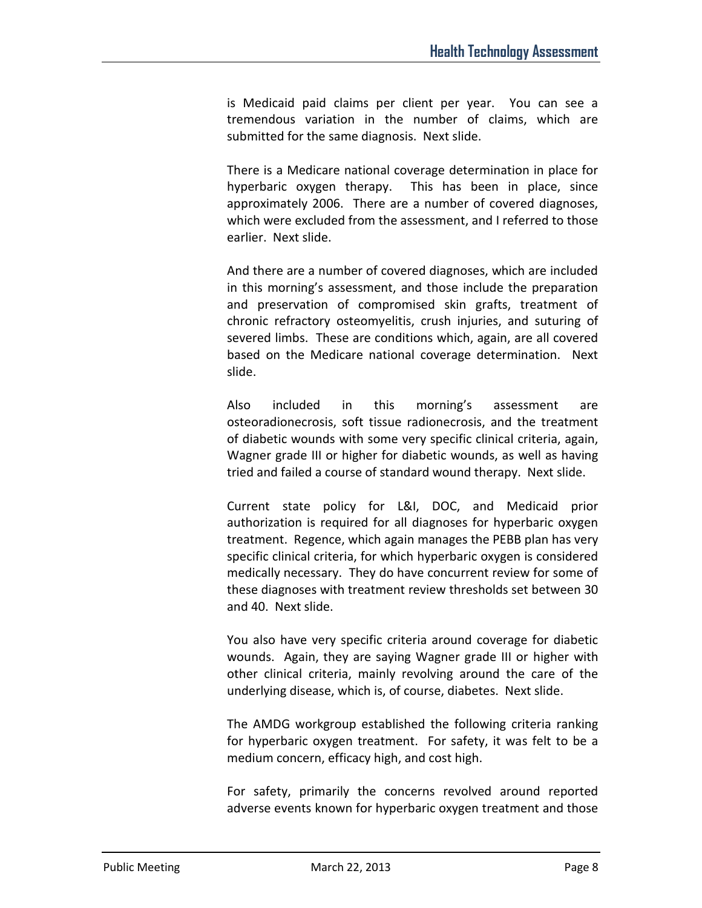is Medicaid paid claims per client per year. You can see a tremendous variation in the number of claims, which are submitted for the same diagnosis. Next slide.

There is a Medicare national coverage determination in place for hyperbaric oxygen therapy. This has been in place, since approximately 2006. There are a number of covered diagnoses, which were excluded from the assessment, and I referred to those earlier. Next slide.

And there are a number of covered diagnoses, which are included in this morning's assessment, and those include the preparation and preservation of compromised skin grafts, treatment of chronic refractory osteomyelitis, crush injuries, and suturing of severed limbs. These are conditions which, again, are all covered based on the Medicare national coverage determination. Next slide.

Also included in this morning's assessment are osteoradionecrosis, soft tissue radionecrosis, and the treatment of diabetic wounds with some very specific clinical criteria, again, Wagner grade III or higher for diabetic wounds, as well as having tried and failed a course of standard wound therapy. Next slide.

Current state policy for L&I, DOC, and Medicaid prior authorization is required for all diagnoses for hyperbaric oxygen treatment. Regence, which again manages the PEBB plan has very specific clinical criteria, for which hyperbaric oxygen is considered medically necessary. They do have concurrent review for some of these diagnoses with treatment review thresholds set between 30 and 40. Next slide.

You also have very specific criteria around coverage for diabetic wounds. Again, they are saying Wagner grade III or higher with other clinical criteria, mainly revolving around the care of the underlying disease, which is, of course, diabetes. Next slide.

The AMDG workgroup established the following criteria ranking for hyperbaric oxygen treatment. For safety, it was felt to be a medium concern, efficacy high, and cost high.

For safety, primarily the concerns revolved around reported adverse events known for hyperbaric oxygen treatment and those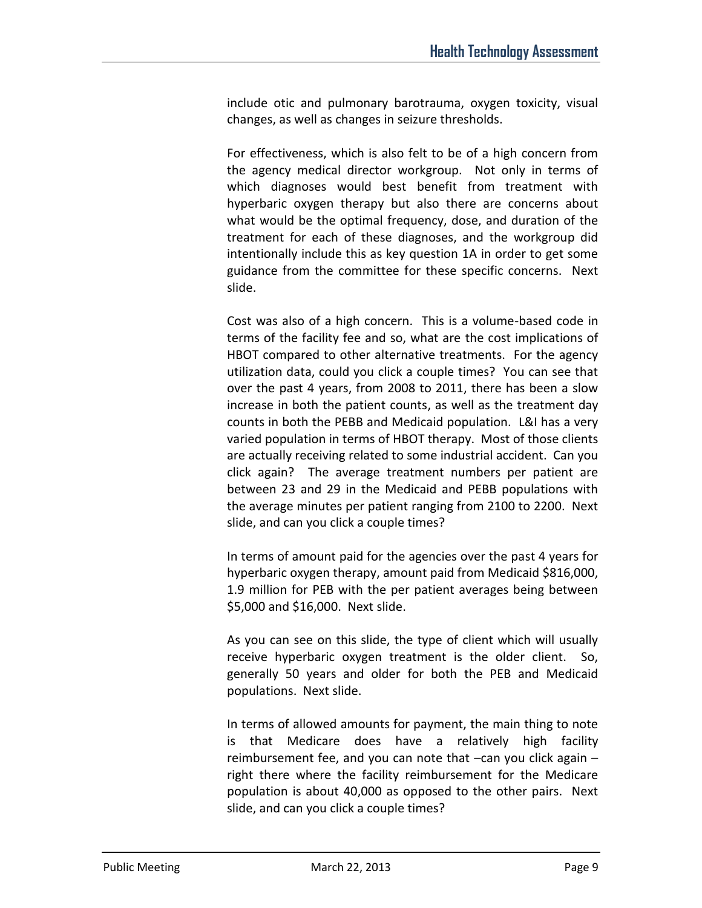include otic and pulmonary barotrauma, oxygen toxicity, visual changes, as well as changes in seizure thresholds.

For effectiveness, which is also felt to be of a high concern from the agency medical director workgroup. Not only in terms of which diagnoses would best benefit from treatment with hyperbaric oxygen therapy but also there are concerns about what would be the optimal frequency, dose, and duration of the treatment for each of these diagnoses, and the workgroup did intentionally include this as key question 1A in order to get some guidance from the committee for these specific concerns. Next slide.

Cost was also of a high concern. This is a volume-based code in terms of the facility fee and so, what are the cost implications of HBOT compared to other alternative treatments. For the agency utilization data, could you click a couple times? You can see that over the past 4 years, from 2008 to 2011, there has been a slow increase in both the patient counts, as well as the treatment day counts in both the PEBB and Medicaid population. L&I has a very varied population in terms of HBOT therapy. Most of those clients are actually receiving related to some industrial accident. Can you click again? The average treatment numbers per patient are between 23 and 29 in the Medicaid and PEBB populations with the average minutes per patient ranging from 2100 to 2200. Next slide, and can you click a couple times?

In terms of amount paid for the agencies over the past 4 years for hyperbaric oxygen therapy, amount paid from Medicaid \$816,000, 1.9 million for PEB with the per patient averages being between \$5,000 and \$16,000. Next slide.

As you can see on this slide, the type of client which will usually receive hyperbaric oxygen treatment is the older client. So, generally 50 years and older for both the PEB and Medicaid populations. Next slide.

In terms of allowed amounts for payment, the main thing to note is that Medicare does have a relatively high facility reimbursement fee, and you can note that –can you click again – right there where the facility reimbursement for the Medicare population is about 40,000 as opposed to the other pairs. Next slide, and can you click a couple times?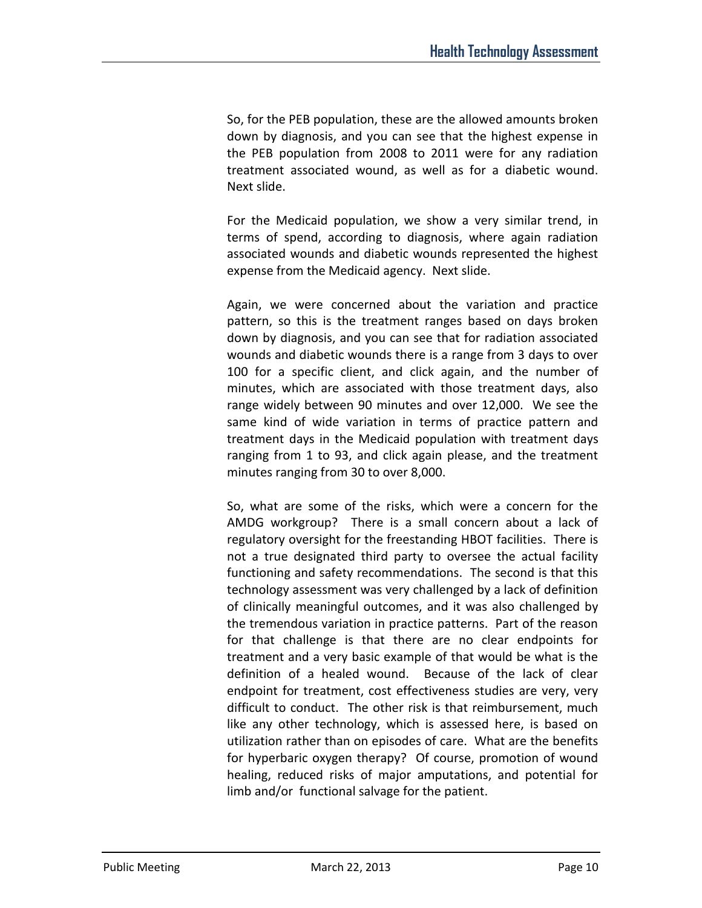So, for the PEB population, these are the allowed amounts broken down by diagnosis, and you can see that the highest expense in the PEB population from 2008 to 2011 were for any radiation treatment associated wound, as well as for a diabetic wound. Next slide.

For the Medicaid population, we show a very similar trend, in terms of spend, according to diagnosis, where again radiation associated wounds and diabetic wounds represented the highest expense from the Medicaid agency. Next slide.

Again, we were concerned about the variation and practice pattern, so this is the treatment ranges based on days broken down by diagnosis, and you can see that for radiation associated wounds and diabetic wounds there is a range from 3 days to over 100 for a specific client, and click again, and the number of minutes, which are associated with those treatment days, also range widely between 90 minutes and over 12,000. We see the same kind of wide variation in terms of practice pattern and treatment days in the Medicaid population with treatment days ranging from 1 to 93, and click again please, and the treatment minutes ranging from 30 to over 8,000.

So, what are some of the risks, which were a concern for the AMDG workgroup? There is a small concern about a lack of regulatory oversight for the freestanding HBOT facilities. There is not a true designated third party to oversee the actual facility functioning and safety recommendations. The second is that this technology assessment was very challenged by a lack of definition of clinically meaningful outcomes, and it was also challenged by the tremendous variation in practice patterns. Part of the reason for that challenge is that there are no clear endpoints for treatment and a very basic example of that would be what is the definition of a healed wound. Because of the lack of clear endpoint for treatment, cost effectiveness studies are very, very difficult to conduct. The other risk is that reimbursement, much like any other technology, which is assessed here, is based on utilization rather than on episodes of care. What are the benefits for hyperbaric oxygen therapy? Of course, promotion of wound healing, reduced risks of major amputations, and potential for limb and/or functional salvage for the patient.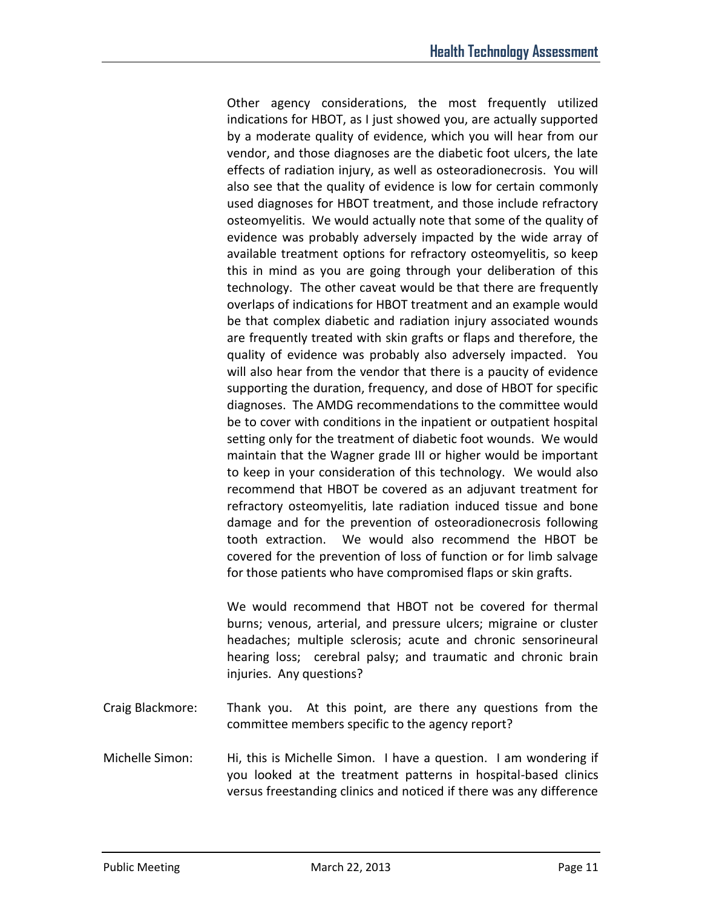Other agency considerations, the most frequently utilized indications for HBOT, as I just showed you, are actually supported by a moderate quality of evidence, which you will hear from our vendor, and those diagnoses are the diabetic foot ulcers, the late effects of radiation injury, as well as osteoradionecrosis. You will also see that the quality of evidence is low for certain commonly used diagnoses for HBOT treatment, and those include refractory osteomyelitis. We would actually note that some of the quality of evidence was probably adversely impacted by the wide array of available treatment options for refractory osteomyelitis, so keep this in mind as you are going through your deliberation of this technology. The other caveat would be that there are frequently overlaps of indications for HBOT treatment and an example would be that complex diabetic and radiation injury associated wounds are frequently treated with skin grafts or flaps and therefore, the quality of evidence was probably also adversely impacted. You will also hear from the vendor that there is a paucity of evidence supporting the duration, frequency, and dose of HBOT for specific diagnoses. The AMDG recommendations to the committee would be to cover with conditions in the inpatient or outpatient hospital setting only for the treatment of diabetic foot wounds. We would maintain that the Wagner grade III or higher would be important to keep in your consideration of this technology. We would also recommend that HBOT be covered as an adjuvant treatment for refractory osteomyelitis, late radiation induced tissue and bone damage and for the prevention of osteoradionecrosis following tooth extraction. We would also recommend the HBOT be covered for the prevention of loss of function or for limb salvage for those patients who have compromised flaps or skin grafts.

We would recommend that HBOT not be covered for thermal burns; venous, arterial, and pressure ulcers; migraine or cluster headaches; multiple sclerosis; acute and chronic sensorineural hearing loss; cerebral palsy; and traumatic and chronic brain injuries. Any questions?

- Craig Blackmore: Thank you. At this point, are there any questions from the committee members specific to the agency report?
- Michelle Simon: Hi, this is Michelle Simon. I have a question. I am wondering if you looked at the treatment patterns in hospital-based clinics versus freestanding clinics and noticed if there was any difference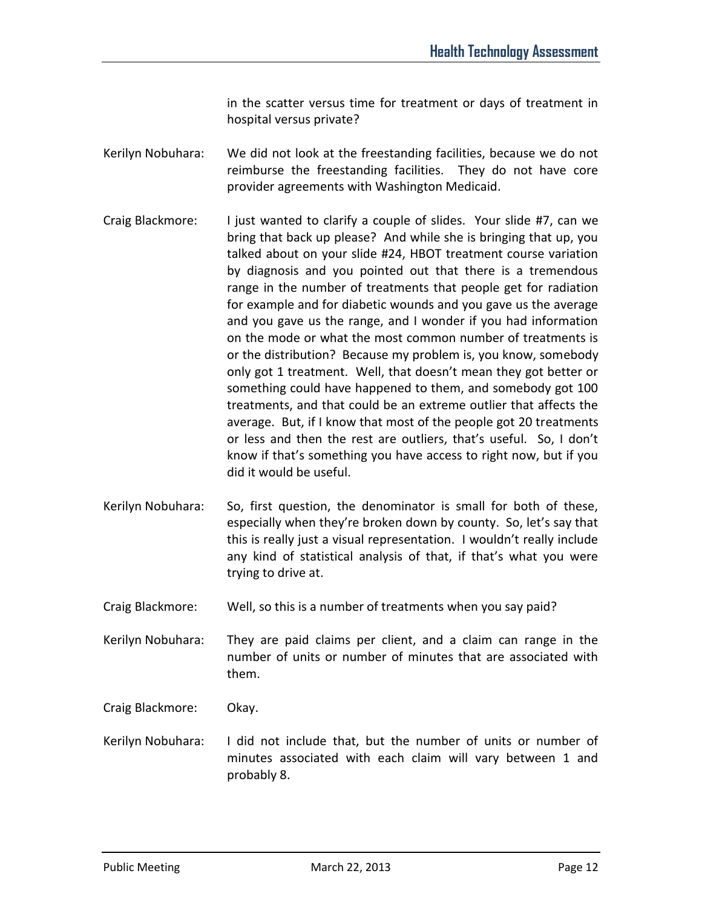in the scatter versus time for treatment or days of treatment in hospital versus private?

- Kerilyn Nobuhara: We did not look at the freestanding facilities, because we do not reimburse the freestanding facilities. They do not have core provider agreements with Washington Medicaid.
- Craig Blackmore: I just wanted to clarify a couple of slides. Your slide #7, can we bring that back up please? And while she is bringing that up, you talked about on your slide #24, HBOT treatment course variation by diagnosis and you pointed out that there is a tremendous range in the number of treatments that people get for radiation for example and for diabetic wounds and you gave us the average and you gave us the range, and I wonder if you had information on the mode or what the most common number of treatments is or the distribution? Because my problem is, you know, somebody only got 1 treatment. Well, that doesn't mean they got better or something could have happened to them, and somebody got 100 treatments, and that could be an extreme outlier that affects the average. But, if I know that most of the people got 20 treatments or less and then the rest are outliers, that's useful. So, I don't know if that's something you have access to right now, but if you did it would be useful.
- Kerilyn Nobuhara: So, first question, the denominator is small for both of these, especially when they're broken down by county. So, let's say that this is really just a visual representation. I wouldn't really include any kind of statistical analysis of that, if that's what you were trying to drive at.
- Craig Blackmore: Well, so this is a number of treatments when you say paid?
- Kerilyn Nobuhara: They are paid claims per client, and a claim can range in the number of units or number of minutes that are associated with them.

Craig Blackmore: Okay.

Kerilyn Nobuhara: I did not include that, but the number of units or number of minutes associated with each claim will vary between 1 and probably 8.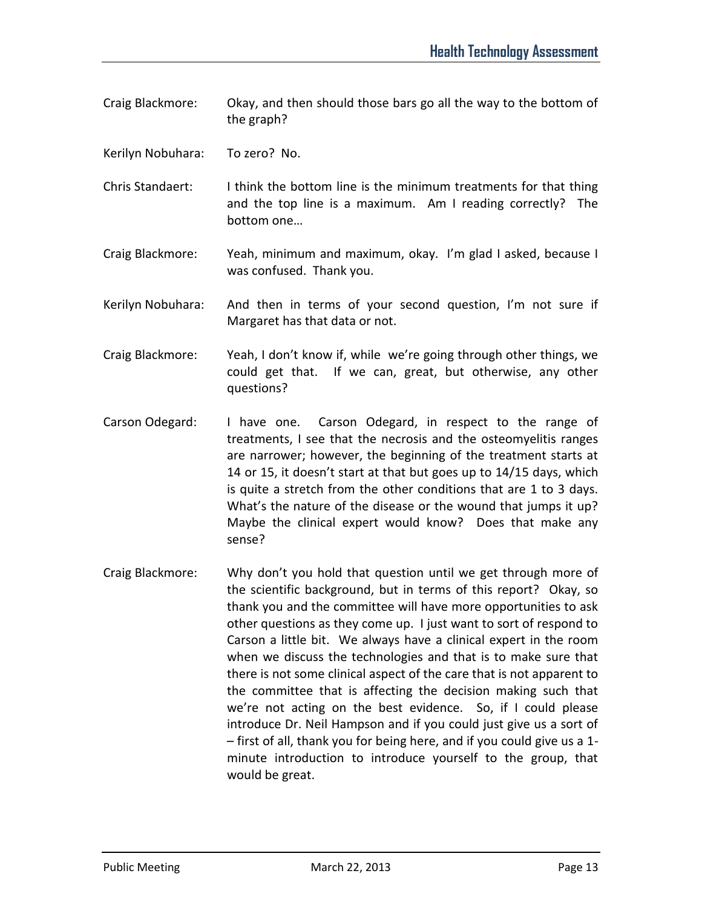- Craig Blackmore: Okay, and then should those bars go all the way to the bottom of the graph?
- Kerilyn Nobuhara: To zero? No.
- Chris Standaert: I think the bottom line is the minimum treatments for that thing and the top line is a maximum. Am I reading correctly? The bottom one…
- Craig Blackmore: Yeah, minimum and maximum, okay. I'm glad I asked, because I was confused. Thank you.
- Kerilyn Nobuhara: And then in terms of your second question, I'm not sure if Margaret has that data or not.
- Craig Blackmore: Yeah, I don't know if, while we're going through other things, we could get that. If we can, great, but otherwise, any other questions?
- Carson Odegard: I have one. Carson Odegard, in respect to the range of treatments, I see that the necrosis and the osteomyelitis ranges are narrower; however, the beginning of the treatment starts at 14 or 15, it doesn't start at that but goes up to 14/15 days, which is quite a stretch from the other conditions that are 1 to 3 days. What's the nature of the disease or the wound that jumps it up? Maybe the clinical expert would know? Does that make any sense?
- Craig Blackmore: Why don't you hold that question until we get through more of the scientific background, but in terms of this report? Okay, so thank you and the committee will have more opportunities to ask other questions as they come up. I just want to sort of respond to Carson a little bit. We always have a clinical expert in the room when we discuss the technologies and that is to make sure that there is not some clinical aspect of the care that is not apparent to the committee that is affecting the decision making such that we're not acting on the best evidence. So, if I could please introduce Dr. Neil Hampson and if you could just give us a sort of – first of all, thank you for being here, and if you could give us a 1 minute introduction to introduce yourself to the group, that would be great.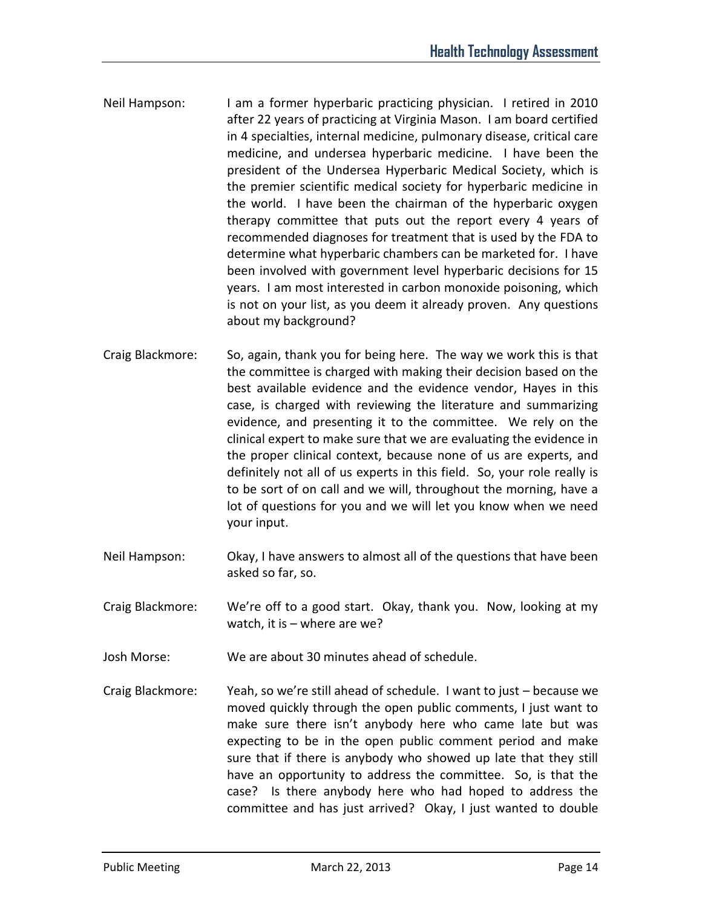- Neil Hampson: I am a former hyperbaric practicing physician. I retired in 2010 after 22 years of practicing at Virginia Mason. I am board certified in 4 specialties, internal medicine, pulmonary disease, critical care medicine, and undersea hyperbaric medicine. I have been the president of the Undersea Hyperbaric Medical Society, which is the premier scientific medical society for hyperbaric medicine in the world. I have been the chairman of the hyperbaric oxygen therapy committee that puts out the report every 4 years of recommended diagnoses for treatment that is used by the FDA to determine what hyperbaric chambers can be marketed for. I have been involved with government level hyperbaric decisions for 15 years. I am most interested in carbon monoxide poisoning, which is not on your list, as you deem it already proven. Any questions about my background?
- Craig Blackmore: So, again, thank you for being here. The way we work this is that the committee is charged with making their decision based on the best available evidence and the evidence vendor, Hayes in this case, is charged with reviewing the literature and summarizing evidence, and presenting it to the committee. We rely on the clinical expert to make sure that we are evaluating the evidence in the proper clinical context, because none of us are experts, and definitely not all of us experts in this field. So, your role really is to be sort of on call and we will, throughout the morning, have a lot of questions for you and we will let you know when we need your input.
- Neil Hampson: Okay, I have answers to almost all of the questions that have been asked so far, so.
- Craig Blackmore: We're off to a good start. Okay, thank you. Now, looking at my watch, it is – where are we?
- Josh Morse: We are about 30 minutes ahead of schedule.
- Craig Blackmore: Yeah, so we're still ahead of schedule. I want to just because we moved quickly through the open public comments, I just want to make sure there isn't anybody here who came late but was expecting to be in the open public comment period and make sure that if there is anybody who showed up late that they still have an opportunity to address the committee. So, is that the case? Is there anybody here who had hoped to address the committee and has just arrived? Okay, I just wanted to double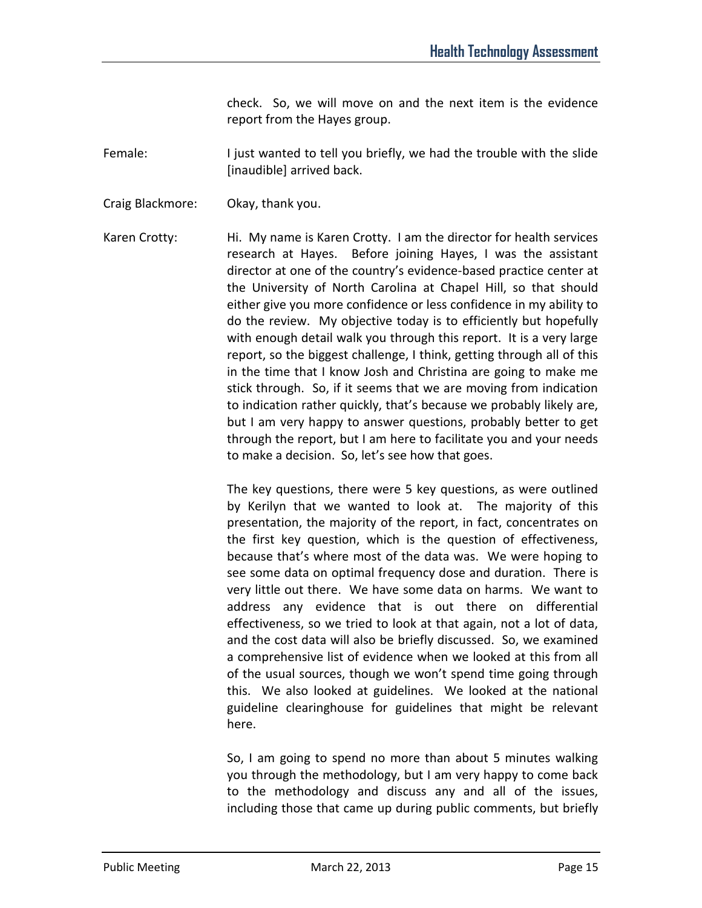check. So, we will move on and the next item is the evidence report from the Hayes group.

Female: I just wanted to tell you briefly, we had the trouble with the slide [inaudible] arrived back.

Craig Blackmore: Okay, thank you.

Karen Crotty: Hi. My name is Karen Crotty. I am the director for health services research at Hayes. Before joining Hayes, I was the assistant director at one of the country's evidence-based practice center at the University of North Carolina at Chapel Hill, so that should either give you more confidence or less confidence in my ability to do the review. My objective today is to efficiently but hopefully with enough detail walk you through this report. It is a very large report, so the biggest challenge, I think, getting through all of this in the time that I know Josh and Christina are going to make me stick through. So, if it seems that we are moving from indication to indication rather quickly, that's because we probably likely are, but I am very happy to answer questions, probably better to get through the report, but I am here to facilitate you and your needs to make a decision. So, let's see how that goes.

> The key questions, there were 5 key questions, as were outlined by Kerilyn that we wanted to look at. The majority of this presentation, the majority of the report, in fact, concentrates on the first key question, which is the question of effectiveness, because that's where most of the data was. We were hoping to see some data on optimal frequency dose and duration. There is very little out there. We have some data on harms. We want to address any evidence that is out there on differential effectiveness, so we tried to look at that again, not a lot of data, and the cost data will also be briefly discussed. So, we examined a comprehensive list of evidence when we looked at this from all of the usual sources, though we won't spend time going through this. We also looked at guidelines. We looked at the national guideline clearinghouse for guidelines that might be relevant here.

> So, I am going to spend no more than about 5 minutes walking you through the methodology, but I am very happy to come back to the methodology and discuss any and all of the issues, including those that came up during public comments, but briefly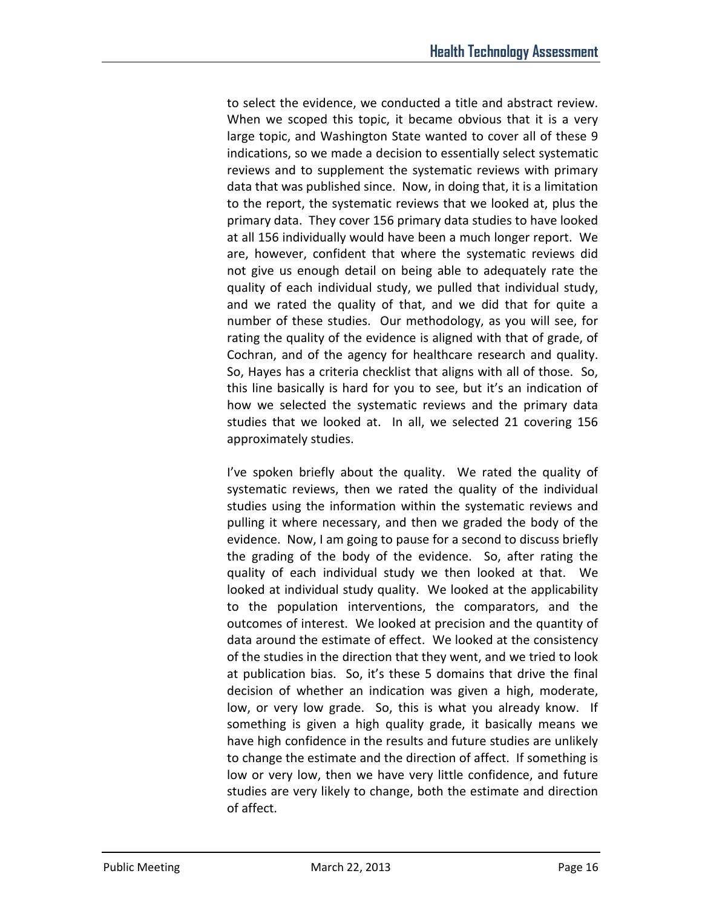to select the evidence, we conducted a title and abstract review. When we scoped this topic, it became obvious that it is a very large topic, and Washington State wanted to cover all of these 9 indications, so we made a decision to essentially select systematic reviews and to supplement the systematic reviews with primary data that was published since. Now, in doing that, it is a limitation to the report, the systematic reviews that we looked at, plus the primary data. They cover 156 primary data studies to have looked at all 156 individually would have been a much longer report. We are, however, confident that where the systematic reviews did not give us enough detail on being able to adequately rate the quality of each individual study, we pulled that individual study, and we rated the quality of that, and we did that for quite a number of these studies. Our methodology, as you will see, for rating the quality of the evidence is aligned with that of grade, of Cochran, and of the agency for healthcare research and quality. So, Hayes has a criteria checklist that aligns with all of those. So, this line basically is hard for you to see, but it's an indication of how we selected the systematic reviews and the primary data studies that we looked at. In all, we selected 21 covering 156 approximately studies.

I've spoken briefly about the quality. We rated the quality of systematic reviews, then we rated the quality of the individual studies using the information within the systematic reviews and pulling it where necessary, and then we graded the body of the evidence. Now, I am going to pause for a second to discuss briefly the grading of the body of the evidence. So, after rating the quality of each individual study we then looked at that. We looked at individual study quality. We looked at the applicability to the population interventions, the comparators, and the outcomes of interest. We looked at precision and the quantity of data around the estimate of effect. We looked at the consistency of the studies in the direction that they went, and we tried to look at publication bias. So, it's these 5 domains that drive the final decision of whether an indication was given a high, moderate, low, or very low grade. So, this is what you already know. If something is given a high quality grade, it basically means we have high confidence in the results and future studies are unlikely to change the estimate and the direction of affect. If something is low or very low, then we have very little confidence, and future studies are very likely to change, both the estimate and direction of affect.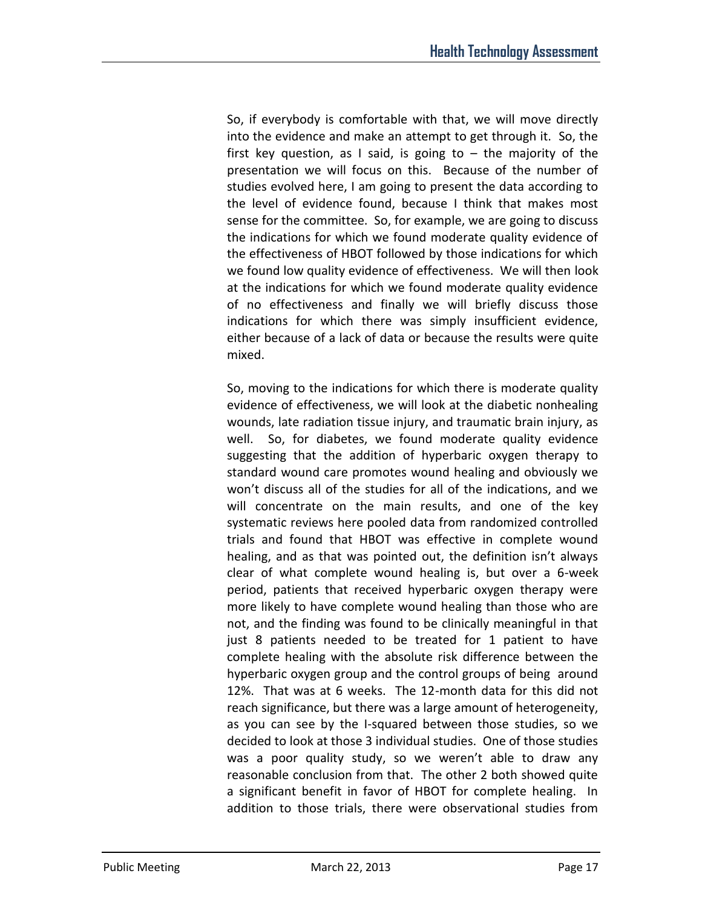So, if everybody is comfortable with that, we will move directly into the evidence and make an attempt to get through it. So, the first key question, as I said, is going to  $-$  the majority of the presentation we will focus on this. Because of the number of studies evolved here, I am going to present the data according to the level of evidence found, because I think that makes most sense for the committee. So, for example, we are going to discuss the indications for which we found moderate quality evidence of the effectiveness of HBOT followed by those indications for which we found low quality evidence of effectiveness. We will then look at the indications for which we found moderate quality evidence of no effectiveness and finally we will briefly discuss those indications for which there was simply insufficient evidence, either because of a lack of data or because the results were quite mixed.

So, moving to the indications for which there is moderate quality evidence of effectiveness, we will look at the diabetic nonhealing wounds, late radiation tissue injury, and traumatic brain injury, as well. So, for diabetes, we found moderate quality evidence suggesting that the addition of hyperbaric oxygen therapy to standard wound care promotes wound healing and obviously we won't discuss all of the studies for all of the indications, and we will concentrate on the main results, and one of the key systematic reviews here pooled data from randomized controlled trials and found that HBOT was effective in complete wound healing, and as that was pointed out, the definition isn't always clear of what complete wound healing is, but over a 6-week period, patients that received hyperbaric oxygen therapy were more likely to have complete wound healing than those who are not, and the finding was found to be clinically meaningful in that just 8 patients needed to be treated for 1 patient to have complete healing with the absolute risk difference between the hyperbaric oxygen group and the control groups of being around 12%. That was at 6 weeks. The 12-month data for this did not reach significance, but there was a large amount of heterogeneity, as you can see by the I-squared between those studies, so we decided to look at those 3 individual studies. One of those studies was a poor quality study, so we weren't able to draw any reasonable conclusion from that. The other 2 both showed quite a significant benefit in favor of HBOT for complete healing. In addition to those trials, there were observational studies from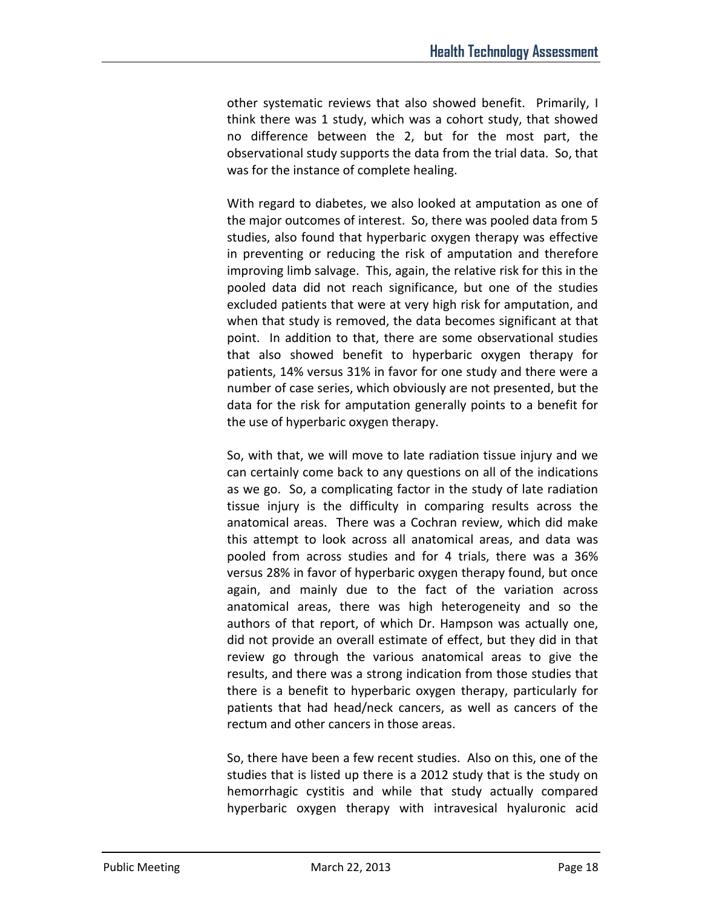other systematic reviews that also showed benefit. Primarily, I think there was 1 study, which was a cohort study, that showed no difference between the 2, but for the most part, the observational study supports the data from the trial data. So, that was for the instance of complete healing.

With regard to diabetes, we also looked at amputation as one of the major outcomes of interest. So, there was pooled data from 5 studies, also found that hyperbaric oxygen therapy was effective in preventing or reducing the risk of amputation and therefore improving limb salvage. This, again, the relative risk for this in the pooled data did not reach significance, but one of the studies excluded patients that were at very high risk for amputation, and when that study is removed, the data becomes significant at that point. In addition to that, there are some observational studies that also showed benefit to hyperbaric oxygen therapy for patients, 14% versus 31% in favor for one study and there were a number of case series, which obviously are not presented, but the data for the risk for amputation generally points to a benefit for the use of hyperbaric oxygen therapy.

So, with that, we will move to late radiation tissue injury and we can certainly come back to any questions on all of the indications as we go. So, a complicating factor in the study of late radiation tissue injury is the difficulty in comparing results across the anatomical areas. There was a Cochran review, which did make this attempt to look across all anatomical areas, and data was pooled from across studies and for 4 trials, there was a 36% versus 28% in favor of hyperbaric oxygen therapy found, but once again, and mainly due to the fact of the variation across anatomical areas, there was high heterogeneity and so the authors of that report, of which Dr. Hampson was actually one, did not provide an overall estimate of effect, but they did in that review go through the various anatomical areas to give the results, and there was a strong indication from those studies that there is a benefit to hyperbaric oxygen therapy, particularly for patients that had head/neck cancers, as well as cancers of the rectum and other cancers in those areas.

So, there have been a few recent studies. Also on this, one of the studies that is listed up there is a 2012 study that is the study on hemorrhagic cystitis and while that study actually compared hyperbaric oxygen therapy with intravesical hyaluronic acid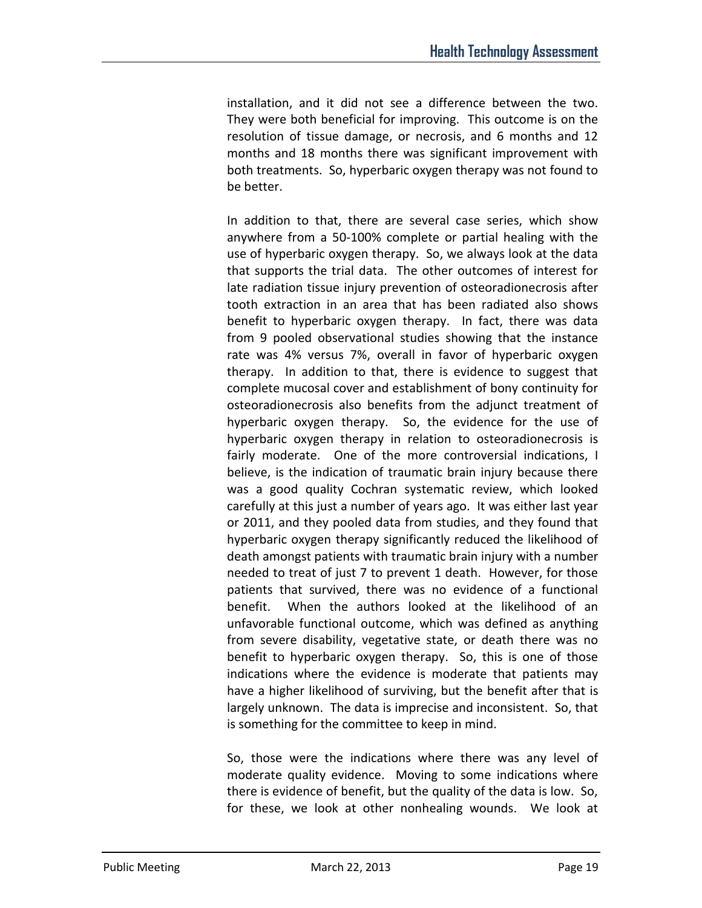installation, and it did not see a difference between the two. They were both beneficial for improving. This outcome is on the resolution of tissue damage, or necrosis, and 6 months and 12 months and 18 months there was significant improvement with both treatments. So, hyperbaric oxygen therapy was not found to be better.

In addition to that, there are several case series, which show anywhere from a 50-100% complete or partial healing with the use of hyperbaric oxygen therapy. So, we always look at the data that supports the trial data. The other outcomes of interest for late radiation tissue injury prevention of osteoradionecrosis after tooth extraction in an area that has been radiated also shows benefit to hyperbaric oxygen therapy. In fact, there was data from 9 pooled observational studies showing that the instance rate was 4% versus 7%, overall in favor of hyperbaric oxygen therapy. In addition to that, there is evidence to suggest that complete mucosal cover and establishment of bony continuity for osteoradionecrosis also benefits from the adjunct treatment of hyperbaric oxygen therapy. So, the evidence for the use of hyperbaric oxygen therapy in relation to osteoradionecrosis is fairly moderate. One of the more controversial indications, I believe, is the indication of traumatic brain injury because there was a good quality Cochran systematic review, which looked carefully at this just a number of years ago. It was either last year or 2011, and they pooled data from studies, and they found that hyperbaric oxygen therapy significantly reduced the likelihood of death amongst patients with traumatic brain injury with a number needed to treat of just 7 to prevent 1 death. However, for those patients that survived, there was no evidence of a functional benefit. When the authors looked at the likelihood of an unfavorable functional outcome, which was defined as anything from severe disability, vegetative state, or death there was no benefit to hyperbaric oxygen therapy. So, this is one of those indications where the evidence is moderate that patients may have a higher likelihood of surviving, but the benefit after that is largely unknown. The data is imprecise and inconsistent. So, that is something for the committee to keep in mind.

So, those were the indications where there was any level of moderate quality evidence. Moving to some indications where there is evidence of benefit, but the quality of the data is low. So, for these, we look at other nonhealing wounds. We look at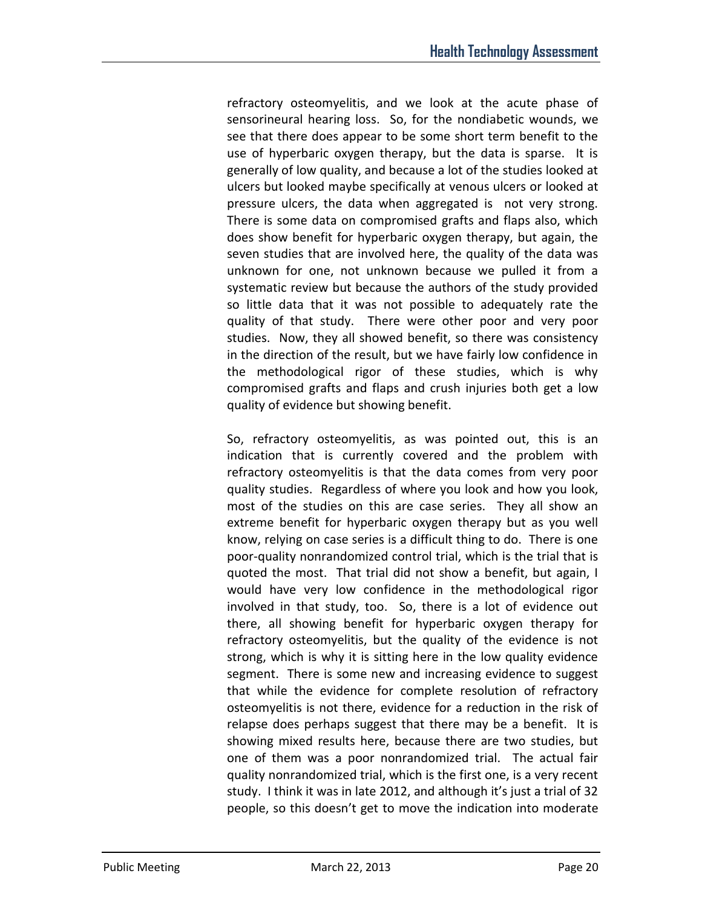refractory osteomyelitis, and we look at the acute phase of sensorineural hearing loss. So, for the nondiabetic wounds, we see that there does appear to be some short term benefit to the use of hyperbaric oxygen therapy, but the data is sparse. It is generally of low quality, and because a lot of the studies looked at ulcers but looked maybe specifically at venous ulcers or looked at pressure ulcers, the data when aggregated is not very strong. There is some data on compromised grafts and flaps also, which does show benefit for hyperbaric oxygen therapy, but again, the seven studies that are involved here, the quality of the data was unknown for one, not unknown because we pulled it from a systematic review but because the authors of the study provided so little data that it was not possible to adequately rate the quality of that study. There were other poor and very poor studies. Now, they all showed benefit, so there was consistency in the direction of the result, but we have fairly low confidence in the methodological rigor of these studies, which is why compromised grafts and flaps and crush injuries both get a low quality of evidence but showing benefit.

So, refractory osteomyelitis, as was pointed out, this is an indication that is currently covered and the problem with refractory osteomyelitis is that the data comes from very poor quality studies. Regardless of where you look and how you look, most of the studies on this are case series. They all show an extreme benefit for hyperbaric oxygen therapy but as you well know, relying on case series is a difficult thing to do. There is one poor-quality nonrandomized control trial, which is the trial that is quoted the most. That trial did not show a benefit, but again, I would have very low confidence in the methodological rigor involved in that study, too. So, there is a lot of evidence out there, all showing benefit for hyperbaric oxygen therapy for refractory osteomyelitis, but the quality of the evidence is not strong, which is why it is sitting here in the low quality evidence segment. There is some new and increasing evidence to suggest that while the evidence for complete resolution of refractory osteomyelitis is not there, evidence for a reduction in the risk of relapse does perhaps suggest that there may be a benefit. It is showing mixed results here, because there are two studies, but one of them was a poor nonrandomized trial. The actual fair quality nonrandomized trial, which is the first one, is a very recent study. I think it was in late 2012, and although it's just a trial of 32 people, so this doesn't get to move the indication into moderate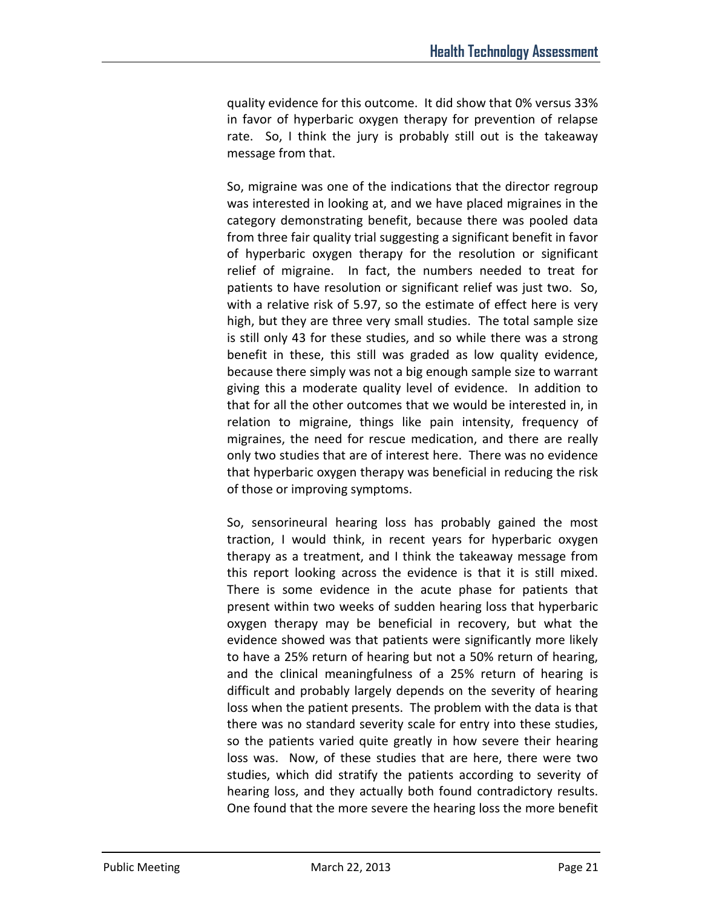quality evidence for this outcome. It did show that 0% versus 33% in favor of hyperbaric oxygen therapy for prevention of relapse rate. So, I think the jury is probably still out is the takeaway message from that.

So, migraine was one of the indications that the director regroup was interested in looking at, and we have placed migraines in the category demonstrating benefit, because there was pooled data from three fair quality trial suggesting a significant benefit in favor of hyperbaric oxygen therapy for the resolution or significant relief of migraine. In fact, the numbers needed to treat for patients to have resolution or significant relief was just two. So, with a relative risk of 5.97, so the estimate of effect here is very high, but they are three very small studies. The total sample size is still only 43 for these studies, and so while there was a strong benefit in these, this still was graded as low quality evidence, because there simply was not a big enough sample size to warrant giving this a moderate quality level of evidence. In addition to that for all the other outcomes that we would be interested in, in relation to migraine, things like pain intensity, frequency of migraines, the need for rescue medication, and there are really only two studies that are of interest here. There was no evidence that hyperbaric oxygen therapy was beneficial in reducing the risk of those or improving symptoms.

So, sensorineural hearing loss has probably gained the most traction, I would think, in recent years for hyperbaric oxygen therapy as a treatment, and I think the takeaway message from this report looking across the evidence is that it is still mixed. There is some evidence in the acute phase for patients that present within two weeks of sudden hearing loss that hyperbaric oxygen therapy may be beneficial in recovery, but what the evidence showed was that patients were significantly more likely to have a 25% return of hearing but not a 50% return of hearing, and the clinical meaningfulness of a 25% return of hearing is difficult and probably largely depends on the severity of hearing loss when the patient presents. The problem with the data is that there was no standard severity scale for entry into these studies, so the patients varied quite greatly in how severe their hearing loss was. Now, of these studies that are here, there were two studies, which did stratify the patients according to severity of hearing loss, and they actually both found contradictory results. One found that the more severe the hearing loss the more benefit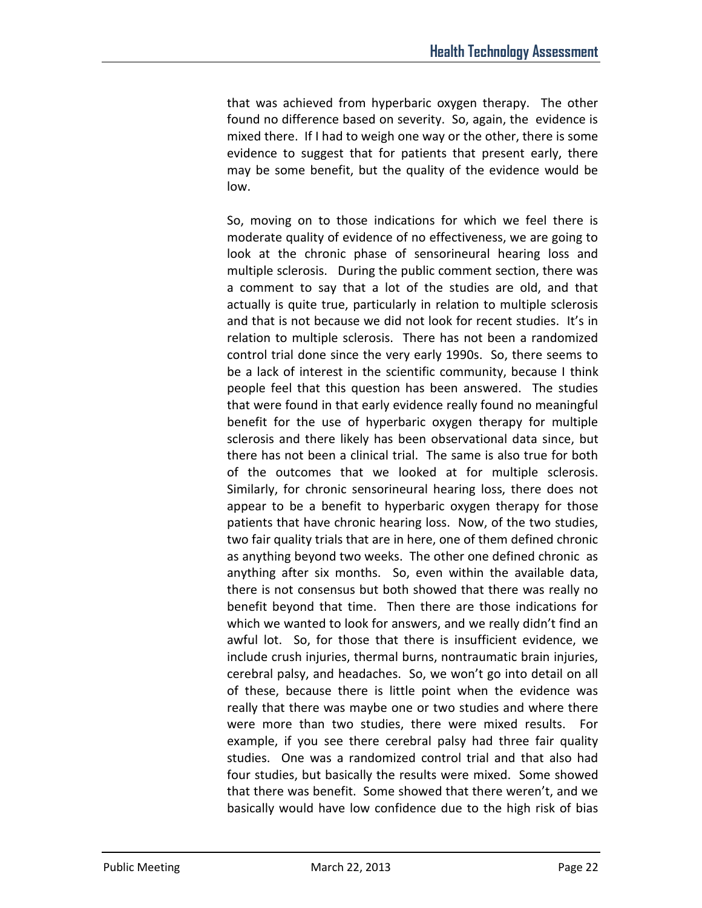that was achieved from hyperbaric oxygen therapy. The other found no difference based on severity. So, again, the evidence is mixed there. If I had to weigh one way or the other, there is some evidence to suggest that for patients that present early, there may be some benefit, but the quality of the evidence would be low.

So, moving on to those indications for which we feel there is moderate quality of evidence of no effectiveness, we are going to look at the chronic phase of sensorineural hearing loss and multiple sclerosis. During the public comment section, there was a comment to say that a lot of the studies are old, and that actually is quite true, particularly in relation to multiple sclerosis and that is not because we did not look for recent studies. It's in relation to multiple sclerosis. There has not been a randomized control trial done since the very early 1990s. So, there seems to be a lack of interest in the scientific community, because I think people feel that this question has been answered. The studies that were found in that early evidence really found no meaningful benefit for the use of hyperbaric oxygen therapy for multiple sclerosis and there likely has been observational data since, but there has not been a clinical trial. The same is also true for both of the outcomes that we looked at for multiple sclerosis. Similarly, for chronic sensorineural hearing loss, there does not appear to be a benefit to hyperbaric oxygen therapy for those patients that have chronic hearing loss. Now, of the two studies, two fair quality trials that are in here, one of them defined chronic as anything beyond two weeks. The other one defined chronic as anything after six months. So, even within the available data, there is not consensus but both showed that there was really no benefit beyond that time. Then there are those indications for which we wanted to look for answers, and we really didn't find an awful lot. So, for those that there is insufficient evidence, we include crush injuries, thermal burns, nontraumatic brain injuries, cerebral palsy, and headaches. So, we won't go into detail on all of these, because there is little point when the evidence was really that there was maybe one or two studies and where there were more than two studies, there were mixed results. For example, if you see there cerebral palsy had three fair quality studies. One was a randomized control trial and that also had four studies, but basically the results were mixed. Some showed that there was benefit. Some showed that there weren't, and we basically would have low confidence due to the high risk of bias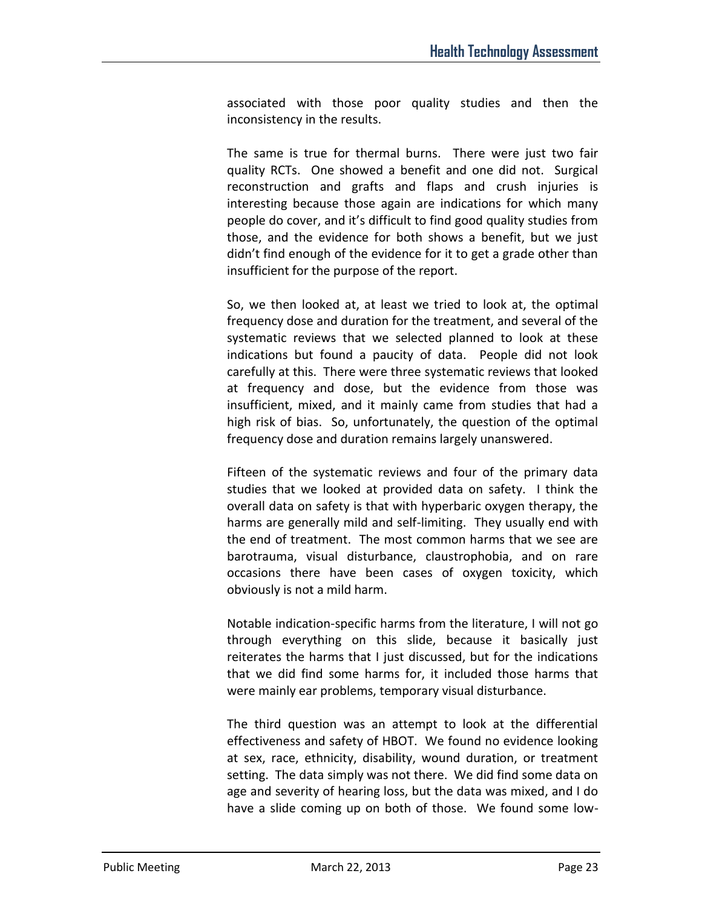associated with those poor quality studies and then the inconsistency in the results.

The same is true for thermal burns. There were just two fair quality RCTs. One showed a benefit and one did not. Surgical reconstruction and grafts and flaps and crush injuries is interesting because those again are indications for which many people do cover, and it's difficult to find good quality studies from those, and the evidence for both shows a benefit, but we just didn't find enough of the evidence for it to get a grade other than insufficient for the purpose of the report.

So, we then looked at, at least we tried to look at, the optimal frequency dose and duration for the treatment, and several of the systematic reviews that we selected planned to look at these indications but found a paucity of data. People did not look carefully at this. There were three systematic reviews that looked at frequency and dose, but the evidence from those was insufficient, mixed, and it mainly came from studies that had a high risk of bias. So, unfortunately, the question of the optimal frequency dose and duration remains largely unanswered.

Fifteen of the systematic reviews and four of the primary data studies that we looked at provided data on safety. I think the overall data on safety is that with hyperbaric oxygen therapy, the harms are generally mild and self-limiting. They usually end with the end of treatment. The most common harms that we see are barotrauma, visual disturbance, claustrophobia, and on rare occasions there have been cases of oxygen toxicity, which obviously is not a mild harm.

Notable indication-specific harms from the literature, I will not go through everything on this slide, because it basically just reiterates the harms that I just discussed, but for the indications that we did find some harms for, it included those harms that were mainly ear problems, temporary visual disturbance.

The third question was an attempt to look at the differential effectiveness and safety of HBOT. We found no evidence looking at sex, race, ethnicity, disability, wound duration, or treatment setting. The data simply was not there. We did find some data on age and severity of hearing loss, but the data was mixed, and I do have a slide coming up on both of those. We found some low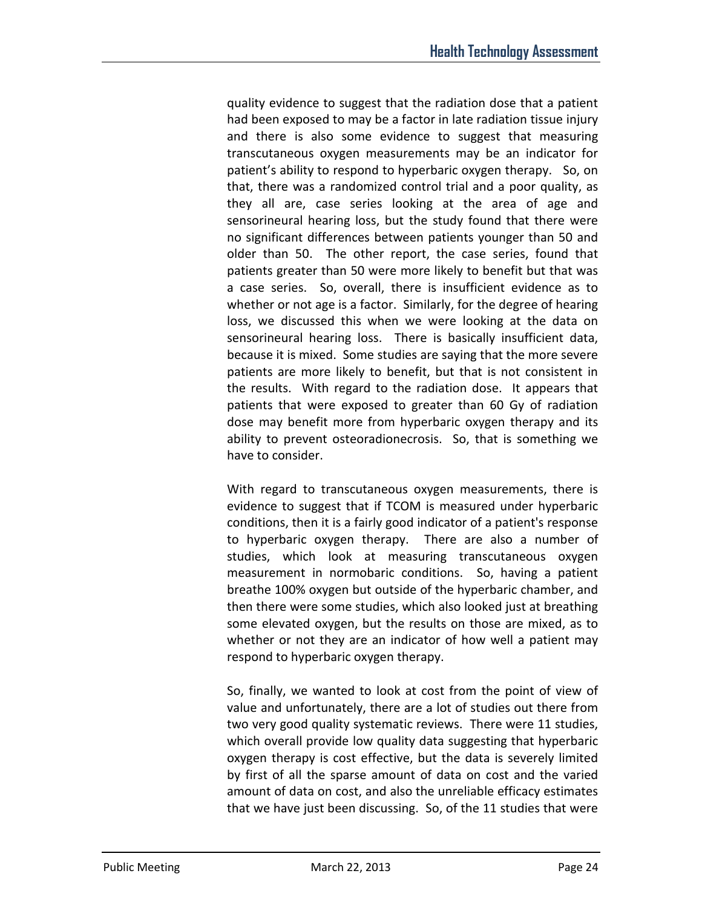quality evidence to suggest that the radiation dose that a patient had been exposed to may be a factor in late radiation tissue injury and there is also some evidence to suggest that measuring transcutaneous oxygen measurements may be an indicator for patient's ability to respond to hyperbaric oxygen therapy. So, on that, there was a randomized control trial and a poor quality, as they all are, case series looking at the area of age and sensorineural hearing loss, but the study found that there were no significant differences between patients younger than 50 and older than 50. The other report, the case series, found that patients greater than 50 were more likely to benefit but that was a case series. So, overall, there is insufficient evidence as to whether or not age is a factor. Similarly, for the degree of hearing loss, we discussed this when we were looking at the data on sensorineural hearing loss. There is basically insufficient data, because it is mixed. Some studies are saying that the more severe patients are more likely to benefit, but that is not consistent in the results. With regard to the radiation dose. It appears that patients that were exposed to greater than 60 Gy of radiation dose may benefit more from hyperbaric oxygen therapy and its ability to prevent osteoradionecrosis. So, that is something we have to consider.

With regard to transcutaneous oxygen measurements, there is evidence to suggest that if TCOM is measured under hyperbaric conditions, then it is a fairly good indicator of a patient's response to hyperbaric oxygen therapy. There are also a number of studies, which look at measuring transcutaneous oxygen measurement in normobaric conditions. So, having a patient breathe 100% oxygen but outside of the hyperbaric chamber, and then there were some studies, which also looked just at breathing some elevated oxygen, but the results on those are mixed, as to whether or not they are an indicator of how well a patient may respond to hyperbaric oxygen therapy.

So, finally, we wanted to look at cost from the point of view of value and unfortunately, there are a lot of studies out there from two very good quality systematic reviews. There were 11 studies, which overall provide low quality data suggesting that hyperbaric oxygen therapy is cost effective, but the data is severely limited by first of all the sparse amount of data on cost and the varied amount of data on cost, and also the unreliable efficacy estimates that we have just been discussing. So, of the 11 studies that were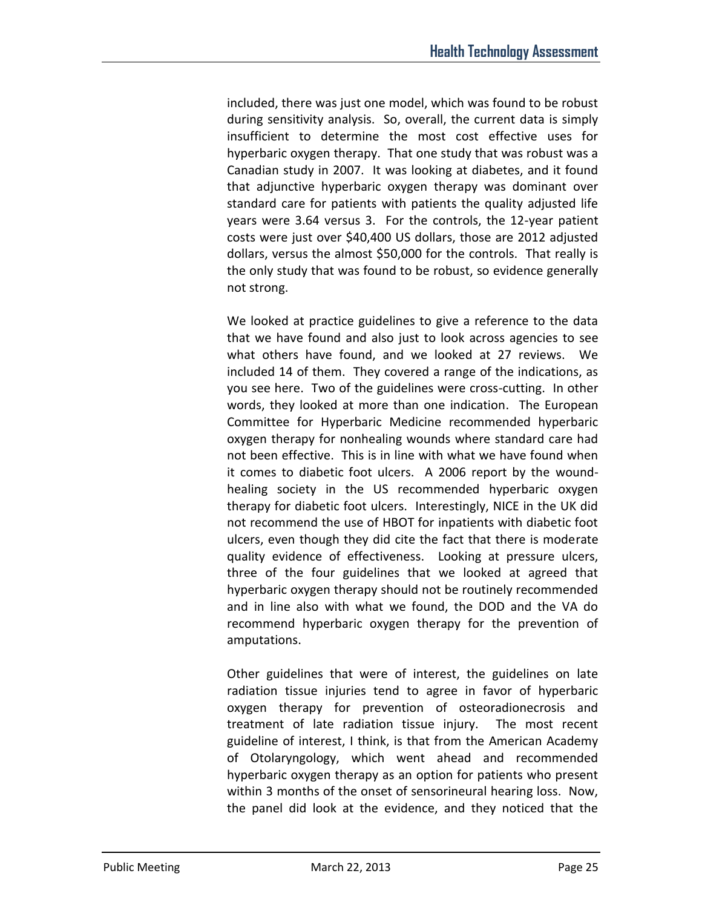included, there was just one model, which was found to be robust during sensitivity analysis. So, overall, the current data is simply insufficient to determine the most cost effective uses for hyperbaric oxygen therapy. That one study that was robust was a Canadian study in 2007. It was looking at diabetes, and it found that adjunctive hyperbaric oxygen therapy was dominant over standard care for patients with patients the quality adjusted life years were 3.64 versus 3. For the controls, the 12-year patient costs were just over \$40,400 US dollars, those are 2012 adjusted dollars, versus the almost \$50,000 for the controls. That really is the only study that was found to be robust, so evidence generally not strong.

We looked at practice guidelines to give a reference to the data that we have found and also just to look across agencies to see what others have found, and we looked at 27 reviews. We included 14 of them. They covered a range of the indications, as you see here. Two of the guidelines were cross-cutting. In other words, they looked at more than one indication. The European Committee for Hyperbaric Medicine recommended hyperbaric oxygen therapy for nonhealing wounds where standard care had not been effective. This is in line with what we have found when it comes to diabetic foot ulcers. A 2006 report by the woundhealing society in the US recommended hyperbaric oxygen therapy for diabetic foot ulcers. Interestingly, NICE in the UK did not recommend the use of HBOT for inpatients with diabetic foot ulcers, even though they did cite the fact that there is moderate quality evidence of effectiveness. Looking at pressure ulcers, three of the four guidelines that we looked at agreed that hyperbaric oxygen therapy should not be routinely recommended and in line also with what we found, the DOD and the VA do recommend hyperbaric oxygen therapy for the prevention of amputations.

Other guidelines that were of interest, the guidelines on late radiation tissue injuries tend to agree in favor of hyperbaric oxygen therapy for prevention of osteoradionecrosis and treatment of late radiation tissue injury. The most recent guideline of interest, I think, is that from the American Academy of Otolaryngology, which went ahead and recommended hyperbaric oxygen therapy as an option for patients who present within 3 months of the onset of sensorineural hearing loss. Now, the panel did look at the evidence, and they noticed that the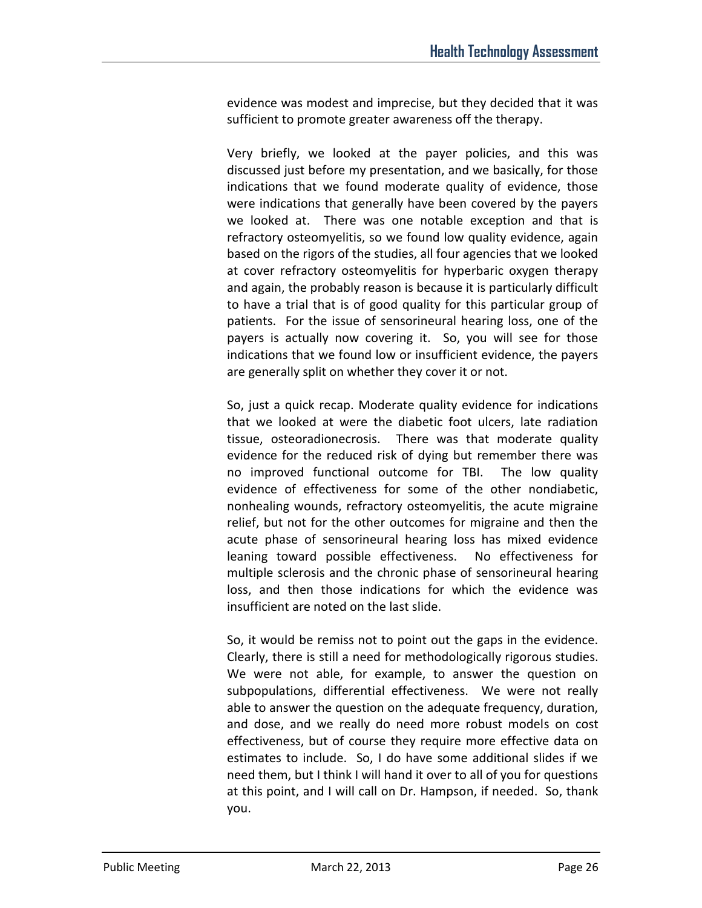evidence was modest and imprecise, but they decided that it was sufficient to promote greater awareness off the therapy.

Very briefly, we looked at the payer policies, and this was discussed just before my presentation, and we basically, for those indications that we found moderate quality of evidence, those were indications that generally have been covered by the payers we looked at. There was one notable exception and that is refractory osteomyelitis, so we found low quality evidence, again based on the rigors of the studies, all four agencies that we looked at cover refractory osteomyelitis for hyperbaric oxygen therapy and again, the probably reason is because it is particularly difficult to have a trial that is of good quality for this particular group of patients. For the issue of sensorineural hearing loss, one of the payers is actually now covering it. So, you will see for those indications that we found low or insufficient evidence, the payers are generally split on whether they cover it or not.

So, just a quick recap. Moderate quality evidence for indications that we looked at were the diabetic foot ulcers, late radiation tissue, osteoradionecrosis. There was that moderate quality evidence for the reduced risk of dying but remember there was no improved functional outcome for TBI. The low quality evidence of effectiveness for some of the other nondiabetic, nonhealing wounds, refractory osteomyelitis, the acute migraine relief, but not for the other outcomes for migraine and then the acute phase of sensorineural hearing loss has mixed evidence leaning toward possible effectiveness. No effectiveness for multiple sclerosis and the chronic phase of sensorineural hearing loss, and then those indications for which the evidence was insufficient are noted on the last slide.

So, it would be remiss not to point out the gaps in the evidence. Clearly, there is still a need for methodologically rigorous studies. We were not able, for example, to answer the question on subpopulations, differential effectiveness. We were not really able to answer the question on the adequate frequency, duration, and dose, and we really do need more robust models on cost effectiveness, but of course they require more effective data on estimates to include. So, I do have some additional slides if we need them, but I think I will hand it over to all of you for questions at this point, and I will call on Dr. Hampson, if needed. So, thank you.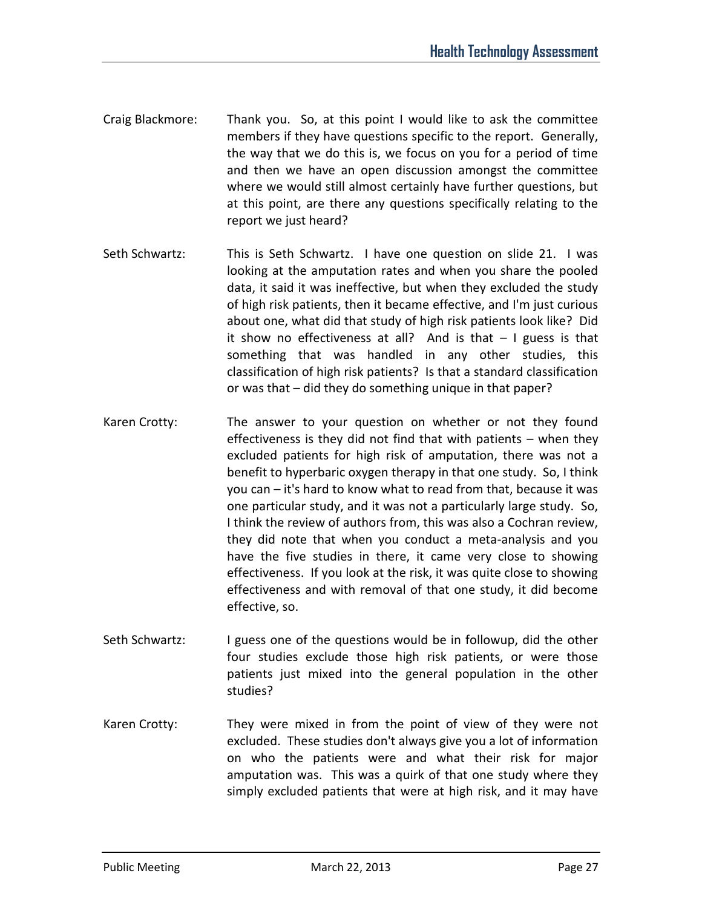- Craig Blackmore: Thank you. So, at this point I would like to ask the committee members if they have questions specific to the report. Generally, the way that we do this is, we focus on you for a period of time and then we have an open discussion amongst the committee where we would still almost certainly have further questions, but at this point, are there any questions specifically relating to the report we just heard?
- Seth Schwartz: This is Seth Schwartz. I have one question on slide 21. I was looking at the amputation rates and when you share the pooled data, it said it was ineffective, but when they excluded the study of high risk patients, then it became effective, and I'm just curious about one, what did that study of high risk patients look like? Did it show no effectiveness at all? And is that  $-1$  guess is that something that was handled in any other studies, this classification of high risk patients? Is that a standard classification or was that – did they do something unique in that paper?
- Karen Crotty: The answer to your question on whether or not they found effectiveness is they did not find that with patients – when they excluded patients for high risk of amputation, there was not a benefit to hyperbaric oxygen therapy in that one study. So, I think you can – it's hard to know what to read from that, because it was one particular study, and it was not a particularly large study. So, I think the review of authors from, this was also a Cochran review, they did note that when you conduct a meta-analysis and you have the five studies in there, it came very close to showing effectiveness. If you look at the risk, it was quite close to showing effectiveness and with removal of that one study, it did become effective, so.
- Seth Schwartz: I guess one of the questions would be in followup, did the other four studies exclude those high risk patients, or were those patients just mixed into the general population in the other studies?
- Karen Crotty: They were mixed in from the point of view of they were not excluded. These studies don't always give you a lot of information on who the patients were and what their risk for major amputation was. This was a quirk of that one study where they simply excluded patients that were at high risk, and it may have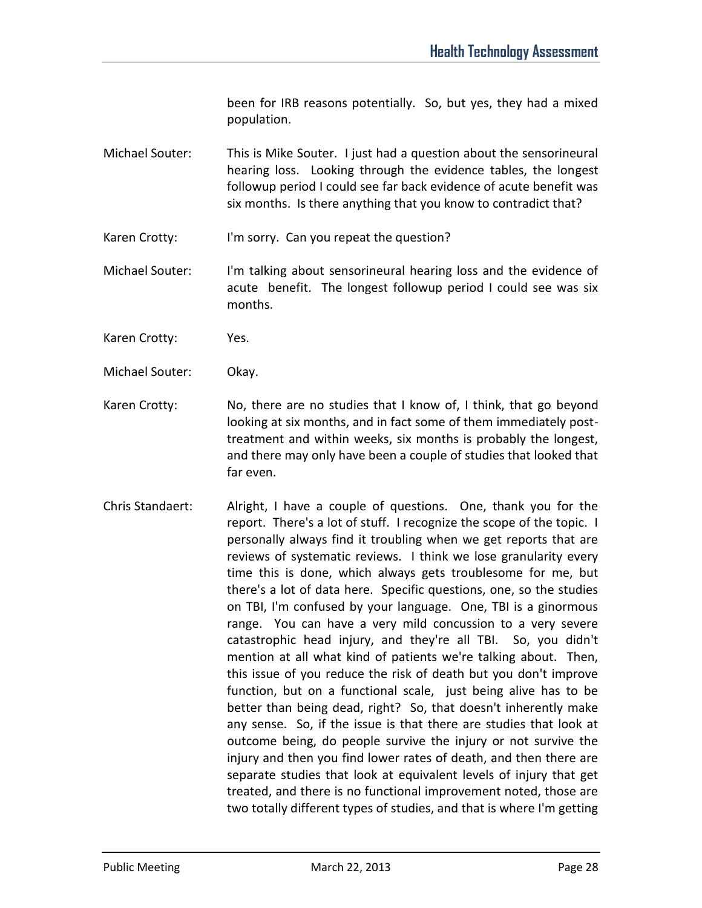been for IRB reasons potentially. So, but yes, they had a mixed population.

- Michael Souter: This is Mike Souter. I just had a question about the sensorineural hearing loss. Looking through the evidence tables, the longest followup period I could see far back evidence of acute benefit was six months. Is there anything that you know to contradict that?
- Karen Crotty: I'm sorry. Can you repeat the question?
- Michael Souter: I'm talking about sensorineural hearing loss and the evidence of acute benefit. The longest followup period I could see was six months.
- Karen Crotty: Yes.
- Michael Souter: Okay.
- Karen Crotty: No, there are no studies that I know of, I think, that go beyond looking at six months, and in fact some of them immediately posttreatment and within weeks, six months is probably the longest, and there may only have been a couple of studies that looked that far even.
- Chris Standaert: Alright, I have a couple of questions. One, thank you for the report. There's a lot of stuff. I recognize the scope of the topic. I personally always find it troubling when we get reports that are reviews of systematic reviews. I think we lose granularity every time this is done, which always gets troublesome for me, but there's a lot of data here. Specific questions, one, so the studies on TBI, I'm confused by your language. One, TBI is a ginormous range. You can have a very mild concussion to a very severe catastrophic head injury, and they're all TBI. So, you didn't mention at all what kind of patients we're talking about. Then, this issue of you reduce the risk of death but you don't improve function, but on a functional scale, just being alive has to be better than being dead, right? So, that doesn't inherently make any sense. So, if the issue is that there are studies that look at outcome being, do people survive the injury or not survive the injury and then you find lower rates of death, and then there are separate studies that look at equivalent levels of injury that get treated, and there is no functional improvement noted, those are two totally different types of studies, and that is where I'm getting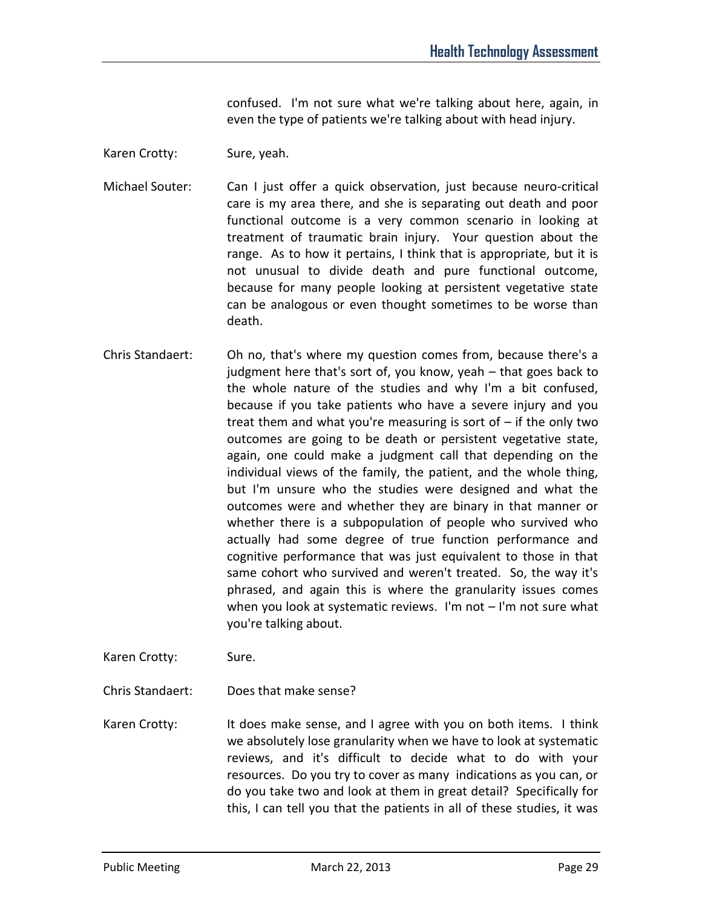confused. I'm not sure what we're talking about here, again, in even the type of patients we're talking about with head injury.

- Karen Crotty: Sure, yeah.
- Michael Souter: Can I just offer a quick observation, just because neuro-critical care is my area there, and she is separating out death and poor functional outcome is a very common scenario in looking at treatment of traumatic brain injury. Your question about the range. As to how it pertains, I think that is appropriate, but it is not unusual to divide death and pure functional outcome, because for many people looking at persistent vegetative state can be analogous or even thought sometimes to be worse than death.
- Chris Standaert: Oh no, that's where my question comes from, because there's a judgment here that's sort of, you know, yeah – that goes back to the whole nature of the studies and why I'm a bit confused, because if you take patients who have a severe injury and you treat them and what you're measuring is sort of – if the only two outcomes are going to be death or persistent vegetative state, again, one could make a judgment call that depending on the individual views of the family, the patient, and the whole thing, but I'm unsure who the studies were designed and what the outcomes were and whether they are binary in that manner or whether there is a subpopulation of people who survived who actually had some degree of true function performance and cognitive performance that was just equivalent to those in that same cohort who survived and weren't treated. So, the way it's phrased, and again this is where the granularity issues comes when you look at systematic reviews. I'm not – I'm not sure what you're talking about.
- Karen Crotty: Sure.
- Chris Standaert: Does that make sense?
- Karen Crotty: It does make sense, and I agree with you on both items. I think we absolutely lose granularity when we have to look at systematic reviews, and it's difficult to decide what to do with your resources. Do you try to cover as many indications as you can, or do you take two and look at them in great detail? Specifically for this, I can tell you that the patients in all of these studies, it was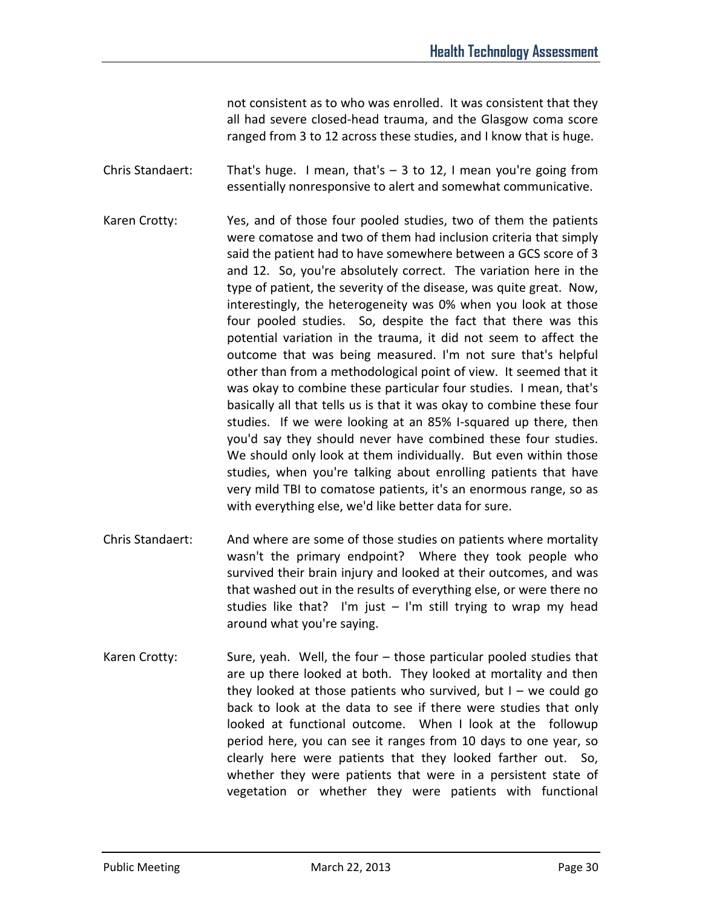not consistent as to who was enrolled. It was consistent that they all had severe closed-head trauma, and the Glasgow coma score ranged from 3 to 12 across these studies, and I know that is huge.

Chris Standaert: That's huge. I mean, that's  $-$  3 to 12, I mean you're going from essentially nonresponsive to alert and somewhat communicative.

- Karen Crotty: Yes, and of those four pooled studies, two of them the patients were comatose and two of them had inclusion criteria that simply said the patient had to have somewhere between a GCS score of 3 and 12. So, you're absolutely correct. The variation here in the type of patient, the severity of the disease, was quite great. Now, interestingly, the heterogeneity was 0% when you look at those four pooled studies. So, despite the fact that there was this potential variation in the trauma, it did not seem to affect the outcome that was being measured. I'm not sure that's helpful other than from a methodological point of view. It seemed that it was okay to combine these particular four studies. I mean, that's basically all that tells us is that it was okay to combine these four studies. If we were looking at an 85% I-squared up there, then you'd say they should never have combined these four studies. We should only look at them individually. But even within those studies, when you're talking about enrolling patients that have very mild TBI to comatose patients, it's an enormous range, so as with everything else, we'd like better data for sure.
- Chris Standaert: And where are some of those studies on patients where mortality wasn't the primary endpoint? Where they took people who survived their brain injury and looked at their outcomes, and was that washed out in the results of everything else, or were there no studies like that? I'm just  $-$  I'm still trying to wrap my head around what you're saying.
- Karen Crotty: Sure, yeah. Well, the four those particular pooled studies that are up there looked at both. They looked at mortality and then they looked at those patients who survived, but  $I -$  we could go back to look at the data to see if there were studies that only looked at functional outcome. When I look at the followup period here, you can see it ranges from 10 days to one year, so clearly here were patients that they looked farther out. So, whether they were patients that were in a persistent state of vegetation or whether they were patients with functional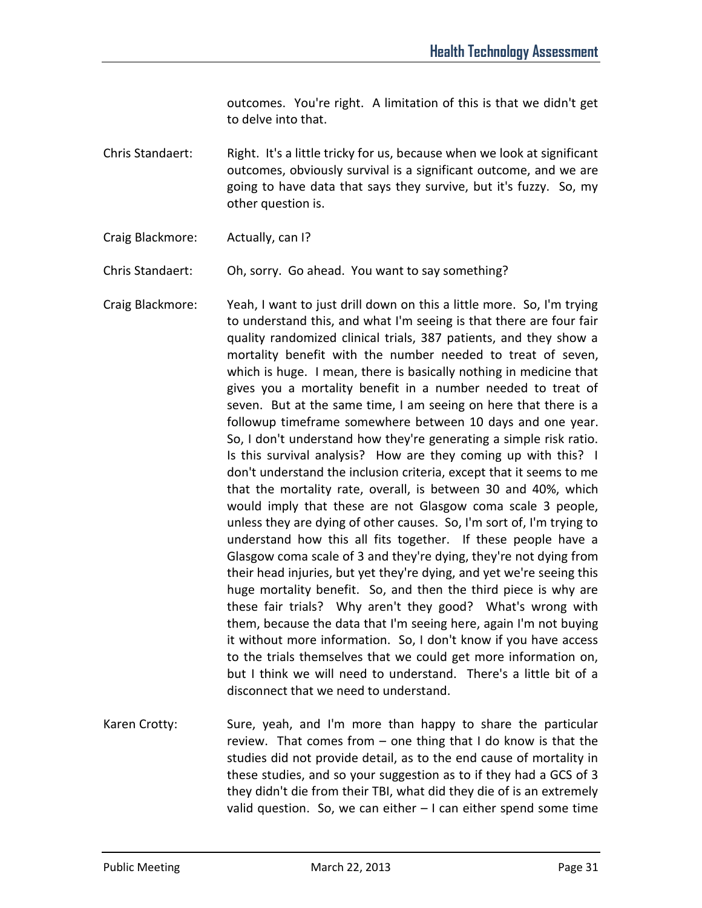outcomes. You're right. A limitation of this is that we didn't get to delve into that.

- Chris Standaert: Right. It's a little tricky for us, because when we look at significant outcomes, obviously survival is a significant outcome, and we are going to have data that says they survive, but it's fuzzy. So, my other question is.
- Craig Blackmore: Actually, can I?

Chris Standaert: Oh, sorry. Go ahead. You want to say something?

Craig Blackmore: Yeah, I want to just drill down on this a little more. So, I'm trying to understand this, and what I'm seeing is that there are four fair quality randomized clinical trials, 387 patients, and they show a mortality benefit with the number needed to treat of seven, which is huge. I mean, there is basically nothing in medicine that gives you a mortality benefit in a number needed to treat of seven. But at the same time, I am seeing on here that there is a followup timeframe somewhere between 10 days and one year. So, I don't understand how they're generating a simple risk ratio. Is this survival analysis? How are they coming up with this? I don't understand the inclusion criteria, except that it seems to me that the mortality rate, overall, is between 30 and 40%, which would imply that these are not Glasgow coma scale 3 people, unless they are dying of other causes. So, I'm sort of, I'm trying to understand how this all fits together. If these people have a Glasgow coma scale of 3 and they're dying, they're not dying from their head injuries, but yet they're dying, and yet we're seeing this huge mortality benefit. So, and then the third piece is why are these fair trials? Why aren't they good? What's wrong with them, because the data that I'm seeing here, again I'm not buying it without more information. So, I don't know if you have access to the trials themselves that we could get more information on, but I think we will need to understand. There's a little bit of a disconnect that we need to understand.

Karen Crotty: Sure, yeah, and I'm more than happy to share the particular review. That comes from – one thing that I do know is that the studies did not provide detail, as to the end cause of mortality in these studies, and so your suggestion as to if they had a GCS of 3 they didn't die from their TBI, what did they die of is an extremely valid question. So, we can either – I can either spend some time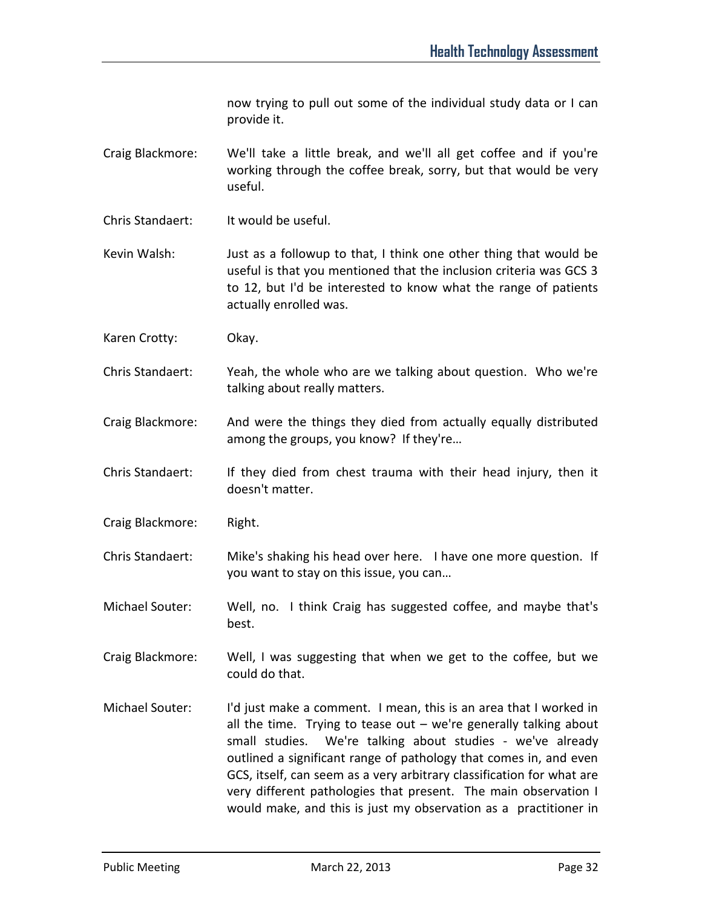now trying to pull out some of the individual study data or I can provide it.

- Craig Blackmore: We'll take a little break, and we'll all get coffee and if you're working through the coffee break, sorry, but that would be very useful.
- Chris Standaert: It would be useful.
- Kevin Walsh: Just as a followup to that, I think one other thing that would be useful is that you mentioned that the inclusion criteria was GCS 3 to 12, but I'd be interested to know what the range of patients actually enrolled was.
- Karen Crotty: Okay.
- Chris Standaert: Yeah, the whole who are we talking about question. Who we're talking about really matters.
- Craig Blackmore: And were the things they died from actually equally distributed among the groups, you know? If they're…
- Chris Standaert: If they died from chest trauma with their head injury, then it doesn't matter.
- Craig Blackmore: Right.
- Chris Standaert: Mike's shaking his head over here. I have one more question. If you want to stay on this issue, you can…
- Michael Souter: Well, no. I think Craig has suggested coffee, and maybe that's best.
- Craig Blackmore: Well, I was suggesting that when we get to the coffee, but we could do that.
- Michael Souter: I'd just make a comment. I mean, this is an area that I worked in all the time. Trying to tease out  $-$  we're generally talking about small studies. We're talking about studies - we've already outlined a significant range of pathology that comes in, and even GCS, itself, can seem as a very arbitrary classification for what are very different pathologies that present. The main observation I would make, and this is just my observation as a practitioner in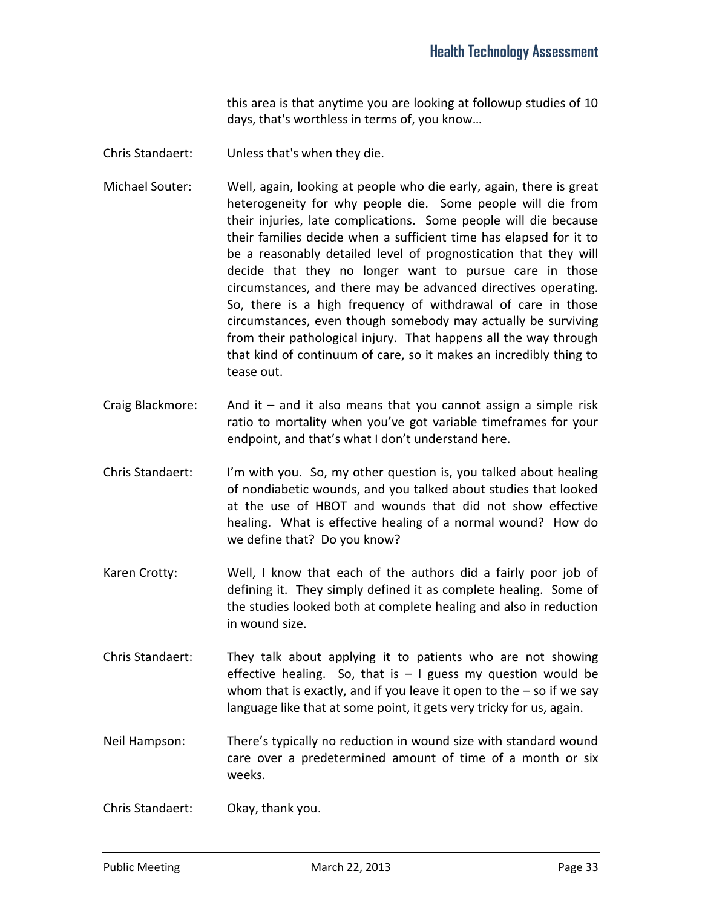this area is that anytime you are looking at followup studies of 10 days, that's worthless in terms of, you know…

- Chris Standaert: Unless that's when they die.
- Michael Souter: Well, again, looking at people who die early, again, there is great heterogeneity for why people die. Some people will die from their injuries, late complications. Some people will die because their families decide when a sufficient time has elapsed for it to be a reasonably detailed level of prognostication that they will decide that they no longer want to pursue care in those circumstances, and there may be advanced directives operating. So, there is a high frequency of withdrawal of care in those circumstances, even though somebody may actually be surviving from their pathological injury. That happens all the way through that kind of continuum of care, so it makes an incredibly thing to tease out.
- Craig Blackmore: And it and it also means that you cannot assign a simple risk ratio to mortality when you've got variable timeframes for your endpoint, and that's what I don't understand here.
- Chris Standaert: I'm with you. So, my other question is, you talked about healing of nondiabetic wounds, and you talked about studies that looked at the use of HBOT and wounds that did not show effective healing. What is effective healing of a normal wound? How do we define that? Do you know?
- Karen Crotty: Well, I know that each of the authors did a fairly poor job of defining it. They simply defined it as complete healing. Some of the studies looked both at complete healing and also in reduction in wound size.
- Chris Standaert: They talk about applying it to patients who are not showing effective healing. So, that is  $-1$  guess my question would be whom that is exactly, and if you leave it open to the  $-$  so if we say language like that at some point, it gets very tricky for us, again.
- Neil Hampson: There's typically no reduction in wound size with standard wound care over a predetermined amount of time of a month or six weeks.
- Chris Standaert: Okay, thank you.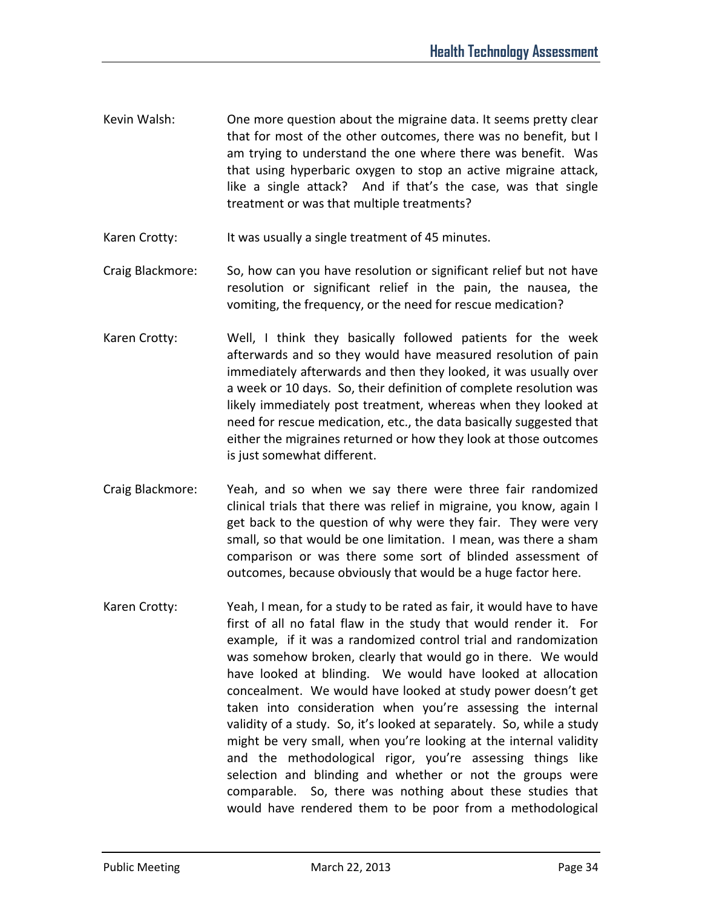- Kevin Walsh: One more question about the migraine data. It seems pretty clear that for most of the other outcomes, there was no benefit, but I am trying to understand the one where there was benefit. Was that using hyperbaric oxygen to stop an active migraine attack, like a single attack? And if that's the case, was that single treatment or was that multiple treatments?
- Karen Crotty: It was usually a single treatment of 45 minutes.
- Craig Blackmore: So, how can you have resolution or significant relief but not have resolution or significant relief in the pain, the nausea, the vomiting, the frequency, or the need for rescue medication?
- Karen Crotty: Well, I think they basically followed patients for the week afterwards and so they would have measured resolution of pain immediately afterwards and then they looked, it was usually over a week or 10 days. So, their definition of complete resolution was likely immediately post treatment, whereas when they looked at need for rescue medication, etc., the data basically suggested that either the migraines returned or how they look at those outcomes is just somewhat different.
- Craig Blackmore: Yeah, and so when we say there were three fair randomized clinical trials that there was relief in migraine, you know, again I get back to the question of why were they fair. They were very small, so that would be one limitation. I mean, was there a sham comparison or was there some sort of blinded assessment of outcomes, because obviously that would be a huge factor here.
- Karen Crotty: Yeah, I mean, for a study to be rated as fair, it would have to have first of all no fatal flaw in the study that would render it. For example, if it was a randomized control trial and randomization was somehow broken, clearly that would go in there. We would have looked at blinding. We would have looked at allocation concealment. We would have looked at study power doesn't get taken into consideration when you're assessing the internal validity of a study. So, it's looked at separately. So, while a study might be very small, when you're looking at the internal validity and the methodological rigor, you're assessing things like selection and blinding and whether or not the groups were comparable. So, there was nothing about these studies that would have rendered them to be poor from a methodological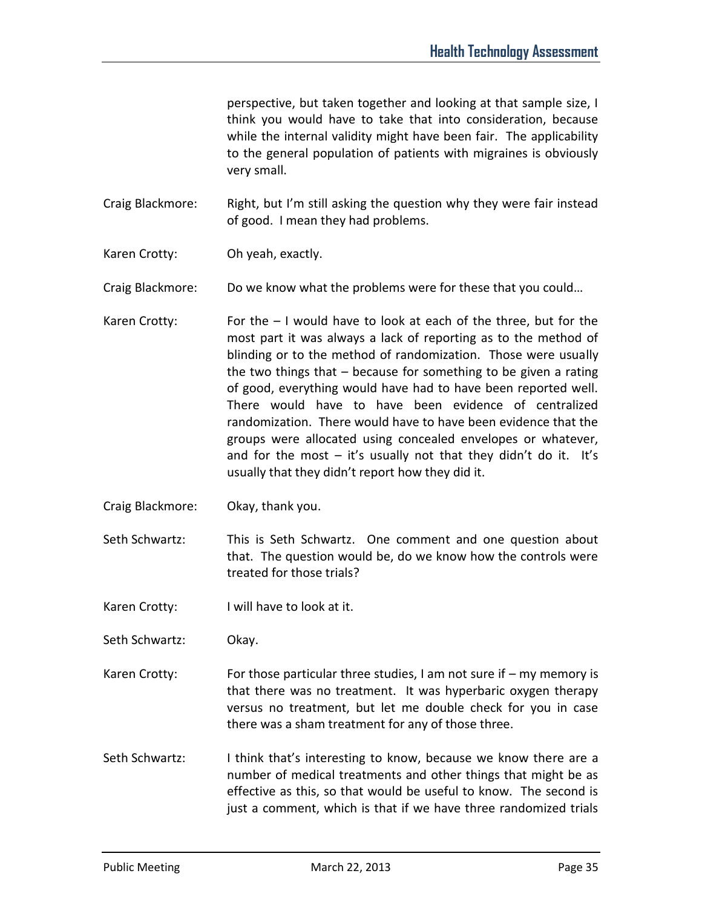perspective, but taken together and looking at that sample size, I think you would have to take that into consideration, because while the internal validity might have been fair. The applicability to the general population of patients with migraines is obviously very small.

Craig Blackmore: Right, but I'm still asking the question why they were fair instead of good. I mean they had problems.

Karen Crotty: Oh yeah, exactly.

Craig Blackmore: Do we know what the problems were for these that you could…

- Karen Crotty: For the  $-1$  would have to look at each of the three, but for the most part it was always a lack of reporting as to the method of blinding or to the method of randomization. Those were usually the two things that – because for something to be given a rating of good, everything would have had to have been reported well. There would have to have been evidence of centralized randomization. There would have to have been evidence that the groups were allocated using concealed envelopes or whatever, and for the most  $-$  it's usually not that they didn't do it. It's usually that they didn't report how they did it.
- Craig Blackmore: Okay, thank you.
- Seth Schwartz: This is Seth Schwartz. One comment and one question about that. The question would be, do we know how the controls were treated for those trials?
- Karen Crotty: I will have to look at it.
- Seth Schwartz: Okay.
- Karen Crotty: For those particular three studies, I am not sure if my memory is that there was no treatment. It was hyperbaric oxygen therapy versus no treatment, but let me double check for you in case there was a sham treatment for any of those three.
- Seth Schwartz: I think that's interesting to know, because we know there are a number of medical treatments and other things that might be as effective as this, so that would be useful to know. The second is just a comment, which is that if we have three randomized trials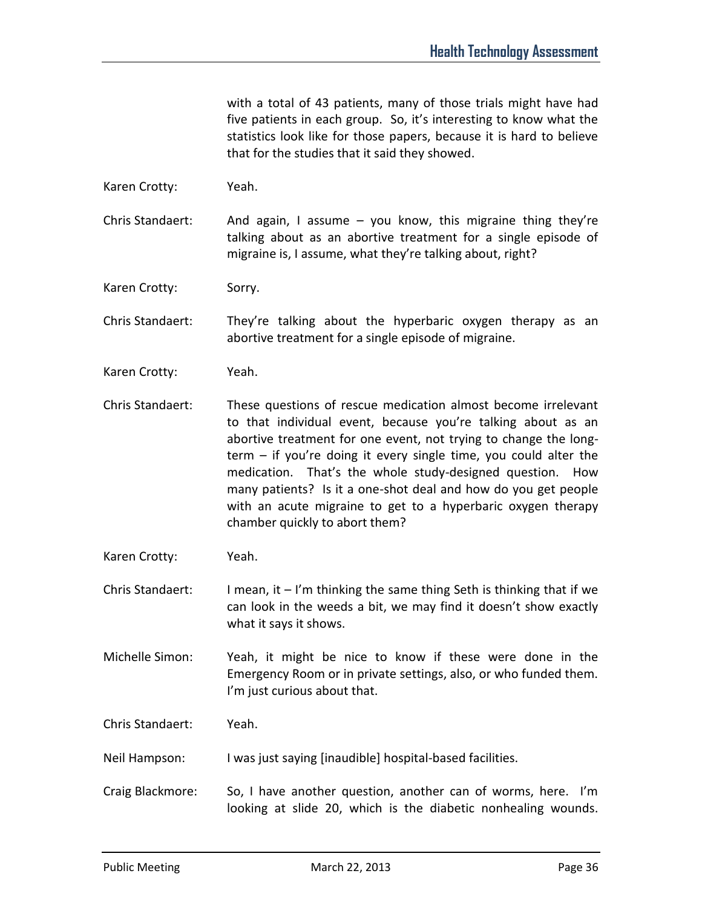with a total of 43 patients, many of those trials might have had five patients in each group. So, it's interesting to know what the statistics look like for those papers, because it is hard to believe that for the studies that it said they showed.

Karen Crotty: Yeah.

Chris Standaert: And again, I assume – you know, this migraine thing they're talking about as an abortive treatment for a single episode of migraine is, I assume, what they're talking about, right?

Karen Crotty: Sorry.

Chris Standaert: They're talking about the hyperbaric oxygen therapy as an abortive treatment for a single episode of migraine.

- Karen Crotty: Yeah.
- Chris Standaert: These questions of rescue medication almost become irrelevant to that individual event, because you're talking about as an abortive treatment for one event, not trying to change the longterm – if you're doing it every single time, you could alter the medication. That's the whole study-designed question. How many patients? Is it a one-shot deal and how do you get people with an acute migraine to get to a hyperbaric oxygen therapy chamber quickly to abort them?
- Karen Crotty: Yeah.

Chris Standaert: I mean, it – I'm thinking the same thing Seth is thinking that if we can look in the weeds a bit, we may find it doesn't show exactly what it says it shows.

Michelle Simon: Yeah, it might be nice to know if these were done in the Emergency Room or in private settings, also, or who funded them. I'm just curious about that.

Chris Standaert: Yeah.

Neil Hampson: I was just saying [inaudible] hospital-based facilities.

Craig Blackmore: So, I have another question, another can of worms, here. I'm looking at slide 20, which is the diabetic nonhealing wounds.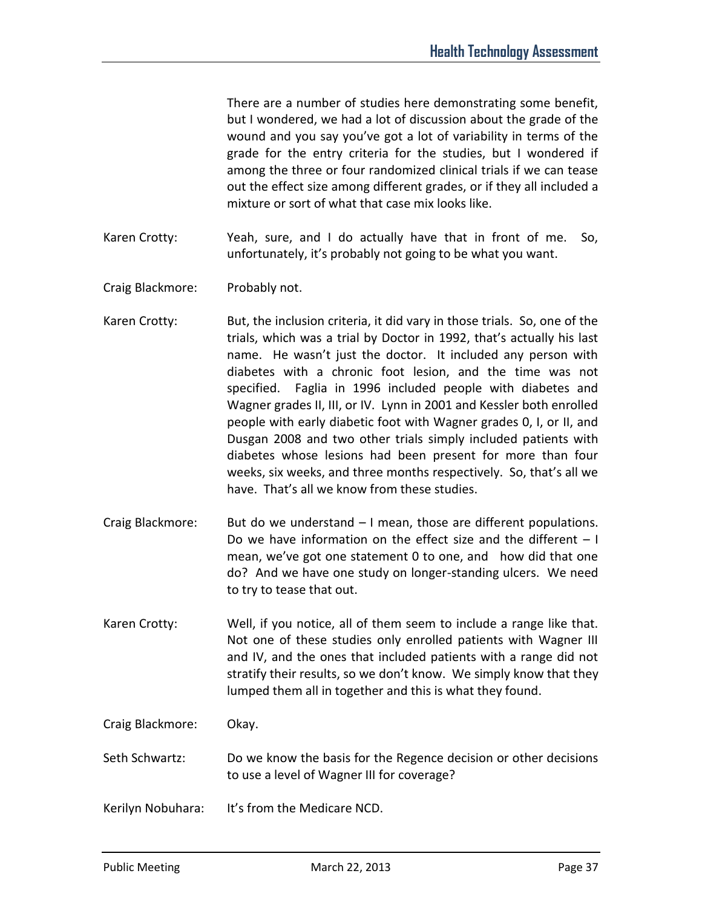There are a number of studies here demonstrating some benefit, but I wondered, we had a lot of discussion about the grade of the wound and you say you've got a lot of variability in terms of the grade for the entry criteria for the studies, but I wondered if among the three or four randomized clinical trials if we can tease out the effect size among different grades, or if they all included a mixture or sort of what that case mix looks like.

- Karen Crotty: Yeah, sure, and I do actually have that in front of me. So, unfortunately, it's probably not going to be what you want.
- Craig Blackmore: Probably not.
- Karen Crotty: But, the inclusion criteria, it did vary in those trials. So, one of the trials, which was a trial by Doctor in 1992, that's actually his last name. He wasn't just the doctor. It included any person with diabetes with a chronic foot lesion, and the time was not specified. Faglia in 1996 included people with diabetes and Wagner grades II, III, or IV. Lynn in 2001 and Kessler both enrolled people with early diabetic foot with Wagner grades 0, I, or II, and Dusgan 2008 and two other trials simply included patients with diabetes whose lesions had been present for more than four weeks, six weeks, and three months respectively. So, that's all we have. That's all we know from these studies.
- Craig Blackmore: But do we understand I mean, those are different populations. Do we have information on the effect size and the different  $-1$ mean, we've got one statement 0 to one, and how did that one do? And we have one study on longer-standing ulcers. We need to try to tease that out.
- Karen Crotty: Well, if you notice, all of them seem to include a range like that. Not one of these studies only enrolled patients with Wagner III and IV, and the ones that included patients with a range did not stratify their results, so we don't know. We simply know that they lumped them all in together and this is what they found.

Craig Blackmore: Okay.

- Seth Schwartz: Do we know the basis for the Regence decision or other decisions to use a level of Wagner III for coverage?
- Kerilyn Nobuhara: It's from the Medicare NCD.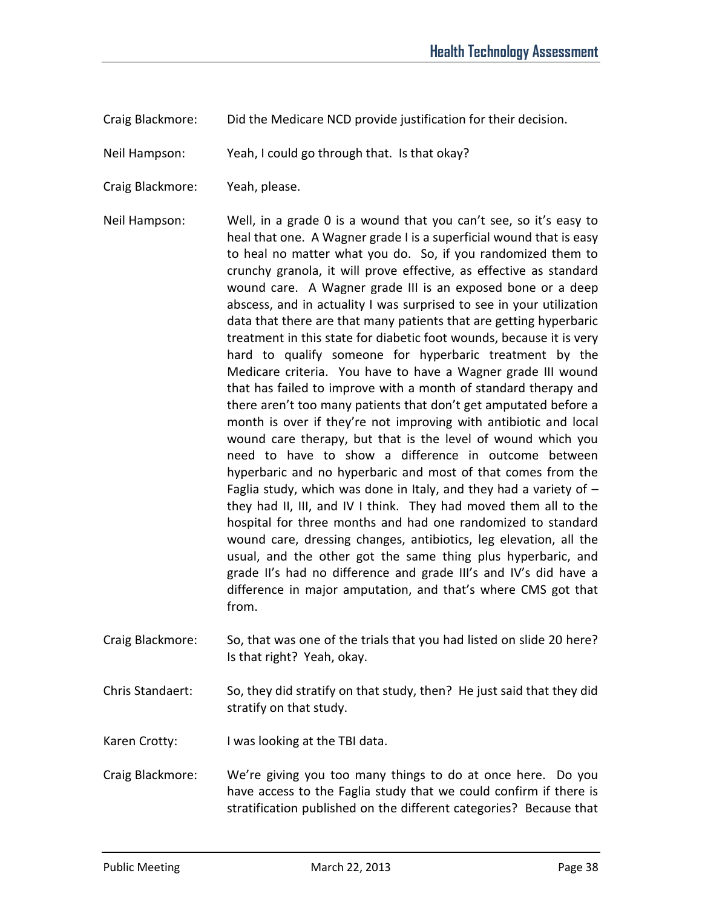Craig Blackmore: Did the Medicare NCD provide justification for their decision.

Neil Hampson: Yeah, I could go through that. Is that okay?

Craig Blackmore: Yeah, please.

Neil Hampson: Well, in a grade 0 is a wound that you can't see, so it's easy to heal that one. A Wagner grade I is a superficial wound that is easy to heal no matter what you do. So, if you randomized them to crunchy granola, it will prove effective, as effective as standard wound care. A Wagner grade III is an exposed bone or a deep abscess, and in actuality I was surprised to see in your utilization data that there are that many patients that are getting hyperbaric treatment in this state for diabetic foot wounds, because it is very hard to qualify someone for hyperbaric treatment by the Medicare criteria. You have to have a Wagner grade III wound that has failed to improve with a month of standard therapy and there aren't too many patients that don't get amputated before a month is over if they're not improving with antibiotic and local wound care therapy, but that is the level of wound which you need to have to show a difference in outcome between hyperbaric and no hyperbaric and most of that comes from the Faglia study, which was done in Italy, and they had a variety of  $$ they had II, III, and IV I think. They had moved them all to the hospital for three months and had one randomized to standard wound care, dressing changes, antibiotics, leg elevation, all the usual, and the other got the same thing plus hyperbaric, and grade II's had no difference and grade III's and IV's did have a difference in major amputation, and that's where CMS got that from.

- Craig Blackmore: So, that was one of the trials that you had listed on slide 20 here? Is that right? Yeah, okay.
- Chris Standaert: So, they did stratify on that study, then? He just said that they did stratify on that study.
- Karen Crotty: I was looking at the TBI data.
- Craig Blackmore: We're giving you too many things to do at once here. Do you have access to the Faglia study that we could confirm if there is stratification published on the different categories? Because that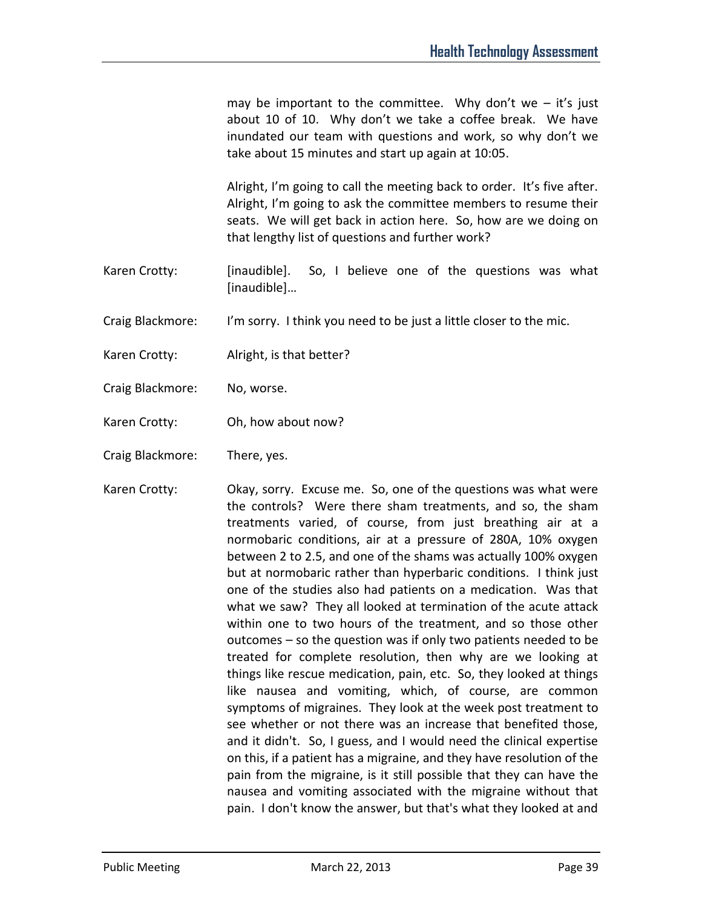may be important to the committee. Why don't we  $-$  it's just about 10 of 10. Why don't we take a coffee break. We have inundated our team with questions and work, so why don't we take about 15 minutes and start up again at 10:05.

Alright, I'm going to call the meeting back to order. It's five after. Alright, I'm going to ask the committee members to resume their seats. We will get back in action here. So, how are we doing on that lengthy list of questions and further work?

- Karen Crotty: [inaudible]. So, I believe one of the questions was what [inaudible]…
- Craig Blackmore: I'm sorry. I think you need to be just a little closer to the mic.
- Karen Crotty: Alright, is that better?
- Craig Blackmore: No, worse.
- Karen Crotty: Oh, how about now?
- Craig Blackmore: There, yes.
- Karen Crotty: Chay, sorry. Excuse me. So, one of the questions was what were the controls? Were there sham treatments, and so, the sham treatments varied, of course, from just breathing air at a normobaric conditions, air at a pressure of 280A, 10% oxygen between 2 to 2.5, and one of the shams was actually 100% oxygen but at normobaric rather than hyperbaric conditions. I think just one of the studies also had patients on a medication. Was that what we saw? They all looked at termination of the acute attack within one to two hours of the treatment, and so those other outcomes – so the question was if only two patients needed to be treated for complete resolution, then why are we looking at things like rescue medication, pain, etc. So, they looked at things like nausea and vomiting, which, of course, are common symptoms of migraines. They look at the week post treatment to see whether or not there was an increase that benefited those, and it didn't. So, I guess, and I would need the clinical expertise on this, if a patient has a migraine, and they have resolution of the pain from the migraine, is it still possible that they can have the nausea and vomiting associated with the migraine without that pain. I don't know the answer, but that's what they looked at and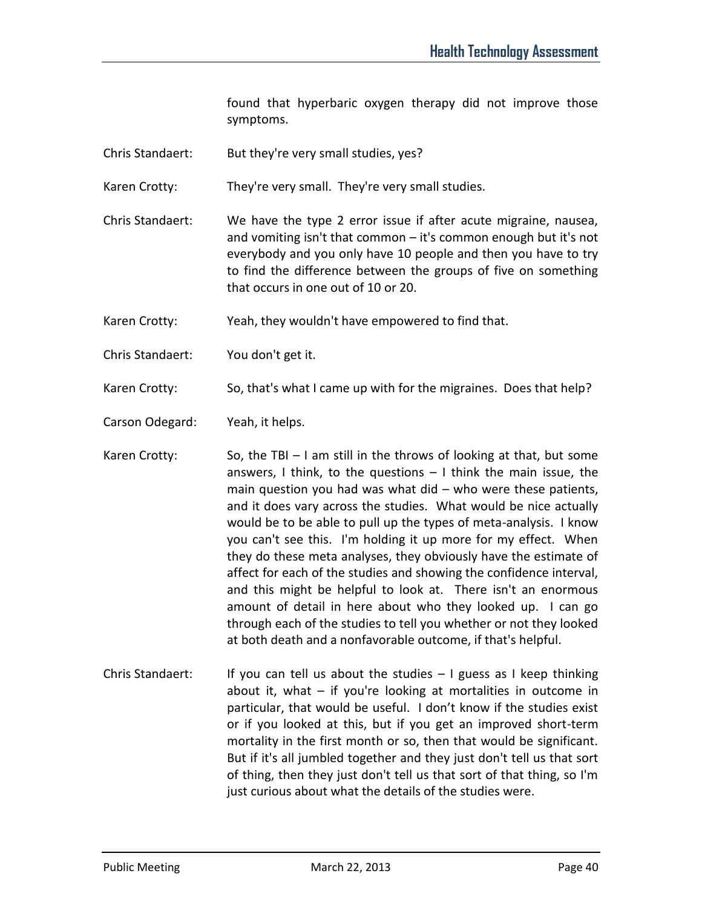found that hyperbaric oxygen therapy did not improve those symptoms.

Chris Standaert: But they're very small studies, yes?

Karen Crotty: They're very small. They're very small studies.

Chris Standaert: We have the type 2 error issue if after acute migraine, nausea, and vomiting isn't that common – it's common enough but it's not everybody and you only have 10 people and then you have to try to find the difference between the groups of five on something that occurs in one out of 10 or 20.

Karen Crotty: Yeah, they wouldn't have empowered to find that.

Chris Standaert: You don't get it.

Karen Crotty: So, that's what I came up with for the migraines. Does that help?

Carson Odegard: Yeah, it helps.

Karen Crotty: So, the TBI – I am still in the throws of looking at that, but some answers, I think, to the questions  $-1$  think the main issue, the main question you had was what did – who were these patients, and it does vary across the studies. What would be nice actually would be to be able to pull up the types of meta-analysis. I know you can't see this. I'm holding it up more for my effect. When they do these meta analyses, they obviously have the estimate of affect for each of the studies and showing the confidence interval, and this might be helpful to look at. There isn't an enormous amount of detail in here about who they looked up. I can go through each of the studies to tell you whether or not they looked at both death and a nonfavorable outcome, if that's helpful.

Chris Standaert: If you can tell us about the studies  $-1$  guess as I keep thinking about it, what – if you're looking at mortalities in outcome in particular, that would be useful. I don't know if the studies exist or if you looked at this, but if you get an improved short-term mortality in the first month or so, then that would be significant. But if it's all jumbled together and they just don't tell us that sort of thing, then they just don't tell us that sort of that thing, so I'm just curious about what the details of the studies were.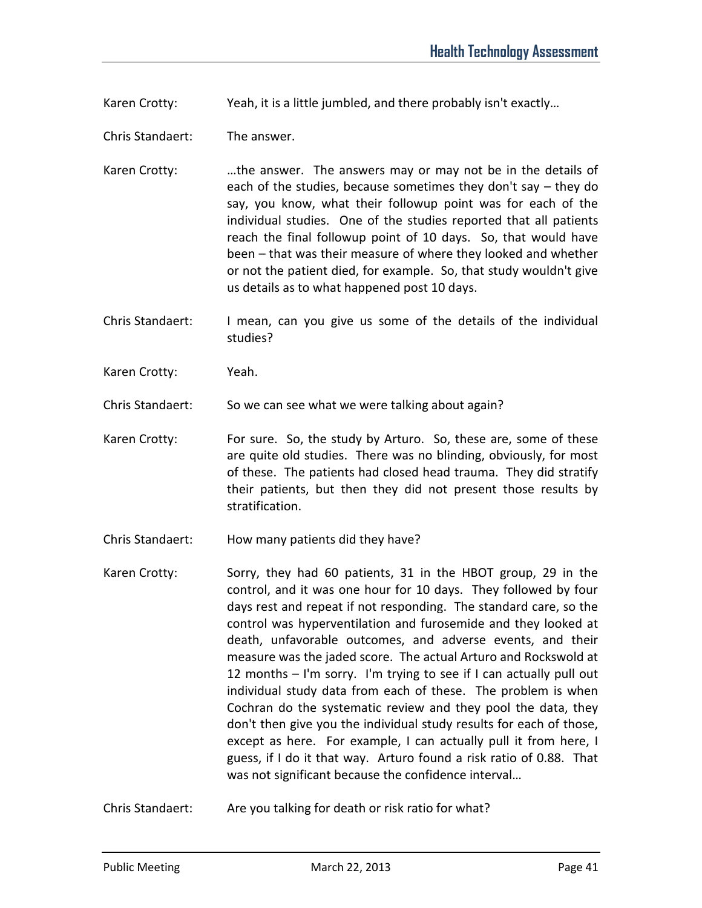Karen Crotty: Yeah, it is a little jumbled, and there probably isn't exactly...

Chris Standaert: The answer.

Karen Crotty: …the answer. The answers may or may not be in the details of each of the studies, because sometimes they don't say – they do say, you know, what their followup point was for each of the individual studies. One of the studies reported that all patients reach the final followup point of 10 days. So, that would have been – that was their measure of where they looked and whether or not the patient died, for example. So, that study wouldn't give us details as to what happened post 10 days.

Chris Standaert: I mean, can you give us some of the details of the individual studies?

Karen Crotty: Yeah.

Chris Standaert: So we can see what we were talking about again?

- Karen Crotty: For sure. So, the study by Arturo. So, these are, some of these are quite old studies. There was no blinding, obviously, for most of these. The patients had closed head trauma. They did stratify their patients, but then they did not present those results by stratification.
- Chris Standaert: How many patients did they have?
- Karen Crotty: Sorry, they had 60 patients, 31 in the HBOT group, 29 in the control, and it was one hour for 10 days. They followed by four days rest and repeat if not responding. The standard care, so the control was hyperventilation and furosemide and they looked at death, unfavorable outcomes, and adverse events, and their measure was the jaded score. The actual Arturo and Rockswold at 12 months – I'm sorry. I'm trying to see if I can actually pull out individual study data from each of these. The problem is when Cochran do the systematic review and they pool the data, they don't then give you the individual study results for each of those, except as here. For example, I can actually pull it from here, I guess, if I do it that way. Arturo found a risk ratio of 0.88. That was not significant because the confidence interval…

Chris Standaert: Are you talking for death or risk ratio for what?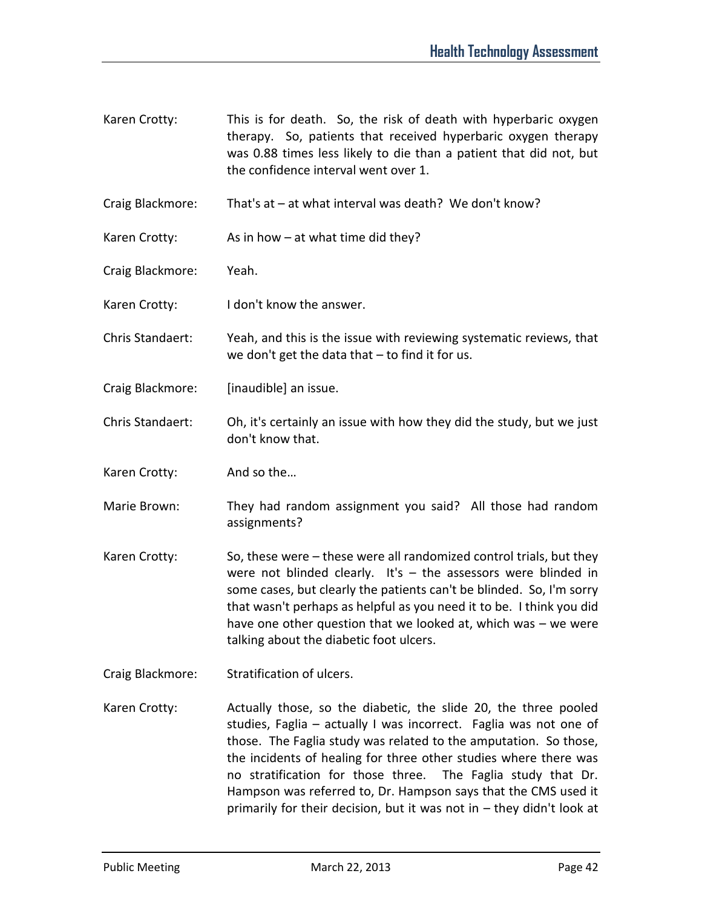- Karen Crotty: This is for death. So, the risk of death with hyperbaric oxygen therapy. So, patients that received hyperbaric oxygen therapy was 0.88 times less likely to die than a patient that did not, but the confidence interval went over 1.
- Craig Blackmore: That's at at what interval was death? We don't know?
- Karen Crotty:  $\qquad \qquad$  As in how at what time did they?
- Craig Blackmore: Yeah.
- Karen Crotty: I don't know the answer.
- Chris Standaert: Yeah, and this is the issue with reviewing systematic reviews, that we don't get the data that – to find it for us.
- Craig Blackmore: [inaudible] an issue.
- Chris Standaert: Oh, it's certainly an issue with how they did the study, but we just don't know that.
- Karen Crotty: And so the…
- Marie Brown: They had random assignment you said? All those had random assignments?
- Karen Crotty: So, these were these were all randomized control trials, but they were not blinded clearly. It's – the assessors were blinded in some cases, but clearly the patients can't be blinded. So, I'm sorry that wasn't perhaps as helpful as you need it to be. I think you did have one other question that we looked at, which was – we were talking about the diabetic foot ulcers.
- Craig Blackmore: Stratification of ulcers.
- Karen Crotty: Actually those, so the diabetic, the slide 20, the three pooled studies, Faglia – actually I was incorrect. Faglia was not one of those. The Faglia study was related to the amputation. So those, the incidents of healing for three other studies where there was no stratification for those three. The Faglia study that Dr. Hampson was referred to, Dr. Hampson says that the CMS used it primarily for their decision, but it was not in – they didn't look at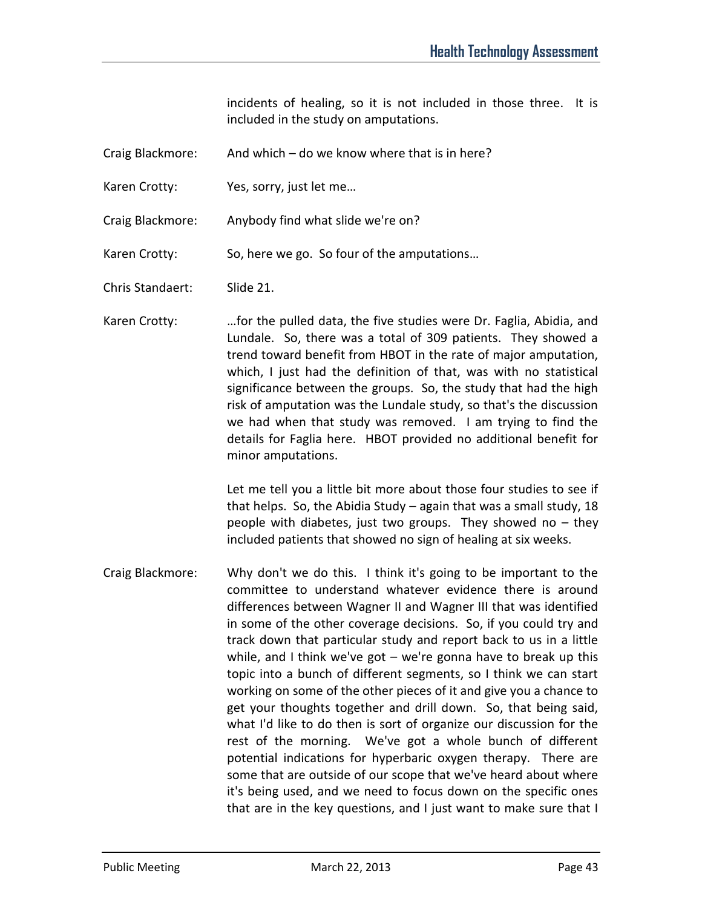incidents of healing, so it is not included in those three. It is included in the study on amputations.

- Craig Blackmore: And which do we know where that is in here?
- Karen Crotty: Yes, sorry, just let me...
- Craig Blackmore: Anybody find what slide we're on?
- Karen Crotty: So, here we go. So four of the amputations...

Chris Standaert: Slide 21.

Karen Crotty: …for the pulled data, the five studies were Dr. Faglia, Abidia, and Lundale. So, there was a total of 309 patients. They showed a trend toward benefit from HBOT in the rate of major amputation, which, I just had the definition of that, was with no statistical significance between the groups. So, the study that had the high risk of amputation was the Lundale study, so that's the discussion we had when that study was removed. I am trying to find the details for Faglia here. HBOT provided no additional benefit for minor amputations.

> Let me tell you a little bit more about those four studies to see if that helps. So, the Abidia Study – again that was a small study, 18 people with diabetes, just two groups. They showed no  $-$  they included patients that showed no sign of healing at six weeks.

Craig Blackmore: Why don't we do this. I think it's going to be important to the committee to understand whatever evidence there is around differences between Wagner II and Wagner III that was identified in some of the other coverage decisions. So, if you could try and track down that particular study and report back to us in a little while, and I think we've got  $-$  we're gonna have to break up this topic into a bunch of different segments, so I think we can start working on some of the other pieces of it and give you a chance to get your thoughts together and drill down. So, that being said, what I'd like to do then is sort of organize our discussion for the rest of the morning. We've got a whole bunch of different potential indications for hyperbaric oxygen therapy. There are some that are outside of our scope that we've heard about where it's being used, and we need to focus down on the specific ones that are in the key questions, and I just want to make sure that I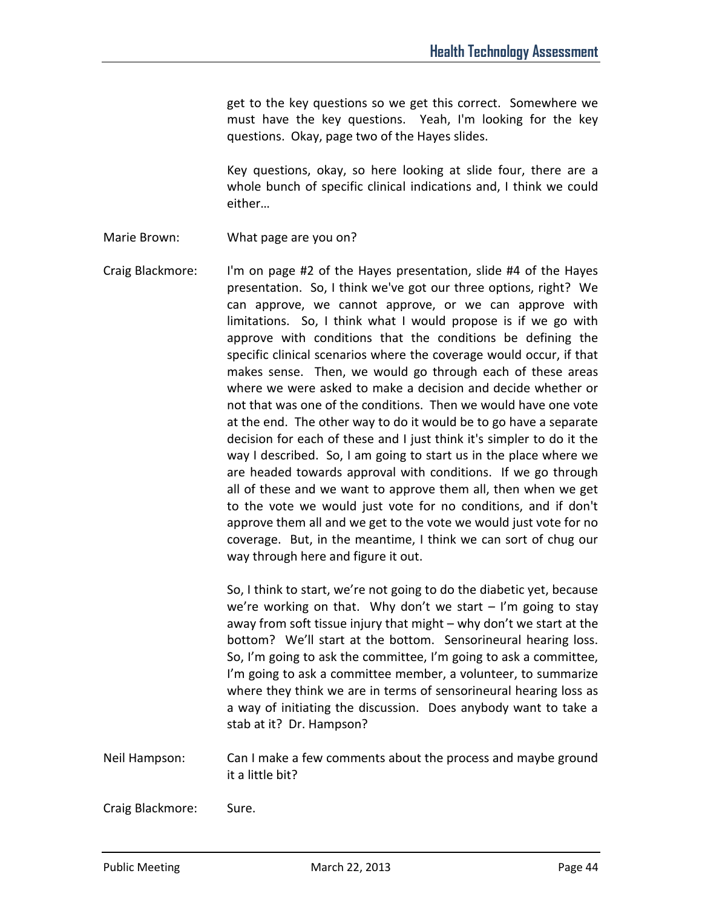get to the key questions so we get this correct. Somewhere we must have the key questions. Yeah, I'm looking for the key questions. Okay, page two of the Hayes slides.

Key questions, okay, so here looking at slide four, there are a whole bunch of specific clinical indications and, I think we could either…

Marie Brown: What page are you on?

Craig Blackmore: I'm on page #2 of the Hayes presentation, slide #4 of the Hayes presentation. So, I think we've got our three options, right? We can approve, we cannot approve, or we can approve with limitations. So, I think what I would propose is if we go with approve with conditions that the conditions be defining the specific clinical scenarios where the coverage would occur, if that makes sense. Then, we would go through each of these areas where we were asked to make a decision and decide whether or not that was one of the conditions. Then we would have one vote at the end. The other way to do it would be to go have a separate decision for each of these and I just think it's simpler to do it the way I described. So, I am going to start us in the place where we are headed towards approval with conditions. If we go through all of these and we want to approve them all, then when we get to the vote we would just vote for no conditions, and if don't approve them all and we get to the vote we would just vote for no coverage. But, in the meantime, I think we can sort of chug our way through here and figure it out.

> So, I think to start, we're not going to do the diabetic yet, because we're working on that. Why don't we start  $-$  I'm going to stay away from soft tissue injury that might – why don't we start at the bottom? We'll start at the bottom. Sensorineural hearing loss. So, I'm going to ask the committee, I'm going to ask a committee, I'm going to ask a committee member, a volunteer, to summarize where they think we are in terms of sensorineural hearing loss as a way of initiating the discussion. Does anybody want to take a stab at it? Dr. Hampson?

Neil Hampson: Can I make a few comments about the process and maybe ground it a little bit?

Craig Blackmore: Sure.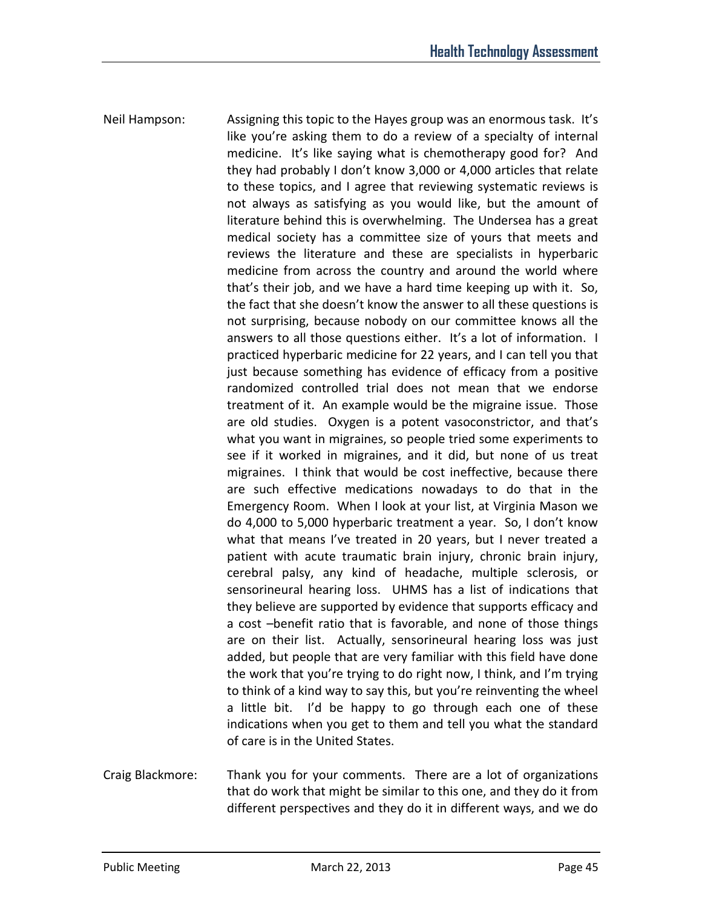- Neil Hampson: Assigning this topic to the Hayes group was an enormous task. It's like you're asking them to do a review of a specialty of internal medicine. It's like saying what is chemotherapy good for? And they had probably I don't know 3,000 or 4,000 articles that relate to these topics, and I agree that reviewing systematic reviews is not always as satisfying as you would like, but the amount of literature behind this is overwhelming. The Undersea has a great medical society has a committee size of yours that meets and reviews the literature and these are specialists in hyperbaric medicine from across the country and around the world where that's their job, and we have a hard time keeping up with it. So, the fact that she doesn't know the answer to all these questions is not surprising, because nobody on our committee knows all the answers to all those questions either. It's a lot of information. I practiced hyperbaric medicine for 22 years, and I can tell you that just because something has evidence of efficacy from a positive randomized controlled trial does not mean that we endorse treatment of it. An example would be the migraine issue. Those are old studies. Oxygen is a potent vasoconstrictor, and that's what you want in migraines, so people tried some experiments to see if it worked in migraines, and it did, but none of us treat migraines. I think that would be cost ineffective, because there are such effective medications nowadays to do that in the Emergency Room. When I look at your list, at Virginia Mason we do 4,000 to 5,000 hyperbaric treatment a year. So, I don't know what that means I've treated in 20 years, but I never treated a patient with acute traumatic brain injury, chronic brain injury, cerebral palsy, any kind of headache, multiple sclerosis, or sensorineural hearing loss. UHMS has a list of indications that they believe are supported by evidence that supports efficacy and a cost –benefit ratio that is favorable, and none of those things are on their list. Actually, sensorineural hearing loss was just added, but people that are very familiar with this field have done the work that you're trying to do right now, I think, and I'm trying to think of a kind way to say this, but you're reinventing the wheel a little bit. I'd be happy to go through each one of these indications when you get to them and tell you what the standard of care is in the United States.
- Craig Blackmore: Thank you for your comments. There are a lot of organizations that do work that might be similar to this one, and they do it from different perspectives and they do it in different ways, and we do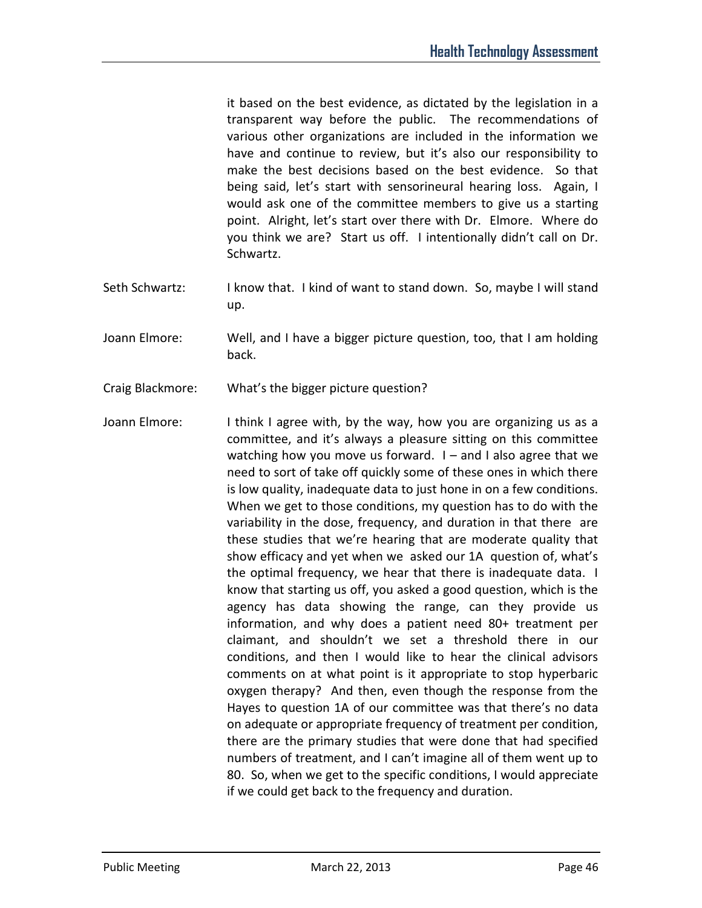it based on the best evidence, as dictated by the legislation in a transparent way before the public. The recommendations of various other organizations are included in the information we have and continue to review, but it's also our responsibility to make the best decisions based on the best evidence. So that being said, let's start with sensorineural hearing loss. Again, I would ask one of the committee members to give us a starting point. Alright, let's start over there with Dr. Elmore. Where do you think we are? Start us off. I intentionally didn't call on Dr. Schwartz.

- Seth Schwartz: I know that. I kind of want to stand down. So, maybe I will stand up.
- Joann Elmore: Well, and I have a bigger picture question, too, that I am holding back.
- Craig Blackmore: What's the bigger picture question?
- Joann Elmore: I think I agree with, by the way, how you are organizing us as a committee, and it's always a pleasure sitting on this committee watching how you move us forward.  $I -$  and I also agree that we need to sort of take off quickly some of these ones in which there is low quality, inadequate data to just hone in on a few conditions. When we get to those conditions, my question has to do with the variability in the dose, frequency, and duration in that there are these studies that we're hearing that are moderate quality that show efficacy and yet when we asked our 1A question of, what's the optimal frequency, we hear that there is inadequate data. I know that starting us off, you asked a good question, which is the agency has data showing the range, can they provide us information, and why does a patient need 80+ treatment per claimant, and shouldn't we set a threshold there in our conditions, and then I would like to hear the clinical advisors comments on at what point is it appropriate to stop hyperbaric oxygen therapy? And then, even though the response from the Hayes to question 1A of our committee was that there's no data on adequate or appropriate frequency of treatment per condition, there are the primary studies that were done that had specified numbers of treatment, and I can't imagine all of them went up to 80. So, when we get to the specific conditions, I would appreciate if we could get back to the frequency and duration.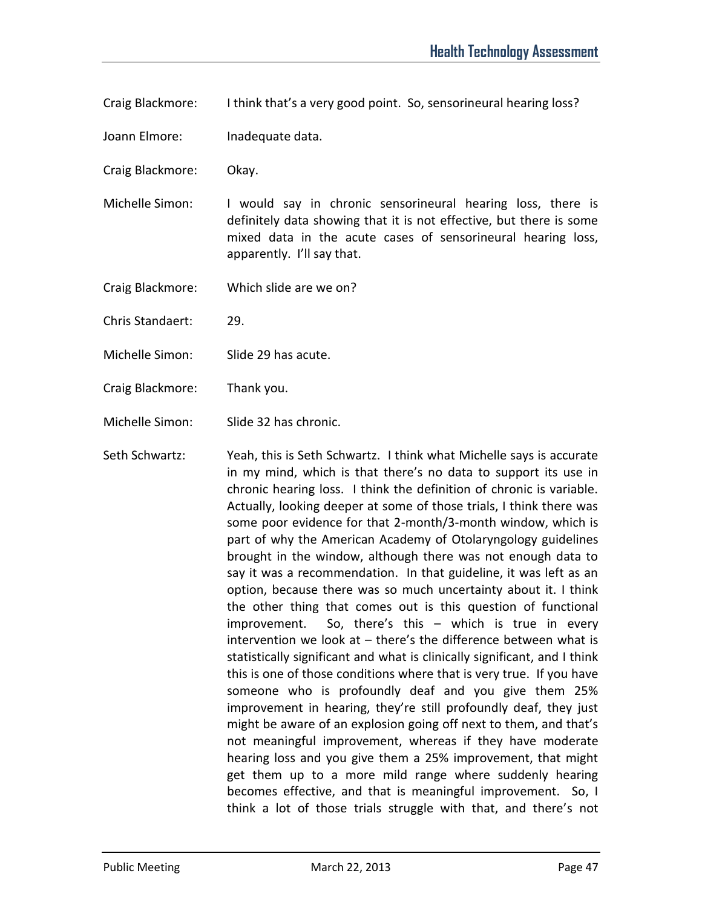Craig Blackmore: I think that's a very good point. So, sensorineural hearing loss?

Joann Elmore: Inadequate data.

- Craig Blackmore: Okay.
- Michelle Simon: I would say in chronic sensorineural hearing loss, there is definitely data showing that it is not effective, but there is some mixed data in the acute cases of sensorineural hearing loss, apparently. I'll say that.
- Craig Blackmore: Which slide are we on?
- Chris Standaert: 29.
- Michelle Simon: Slide 29 has acute.
- Craig Blackmore: Thank you.

Michelle Simon: Slide 32 has chronic.

Seth Schwartz: Yeah, this is Seth Schwartz. I think what Michelle says is accurate in my mind, which is that there's no data to support its use in chronic hearing loss. I think the definition of chronic is variable. Actually, looking deeper at some of those trials, I think there was some poor evidence for that 2-month/3-month window, which is part of why the American Academy of Otolaryngology guidelines brought in the window, although there was not enough data to say it was a recommendation. In that guideline, it was left as an option, because there was so much uncertainty about it. I think the other thing that comes out is this question of functional improvement. So, there's this – which is true in every intervention we look at – there's the difference between what is statistically significant and what is clinically significant, and I think this is one of those conditions where that is very true. If you have someone who is profoundly deaf and you give them 25% improvement in hearing, they're still profoundly deaf, they just might be aware of an explosion going off next to them, and that's not meaningful improvement, whereas if they have moderate hearing loss and you give them a 25% improvement, that might get them up to a more mild range where suddenly hearing becomes effective, and that is meaningful improvement. So, I think a lot of those trials struggle with that, and there's not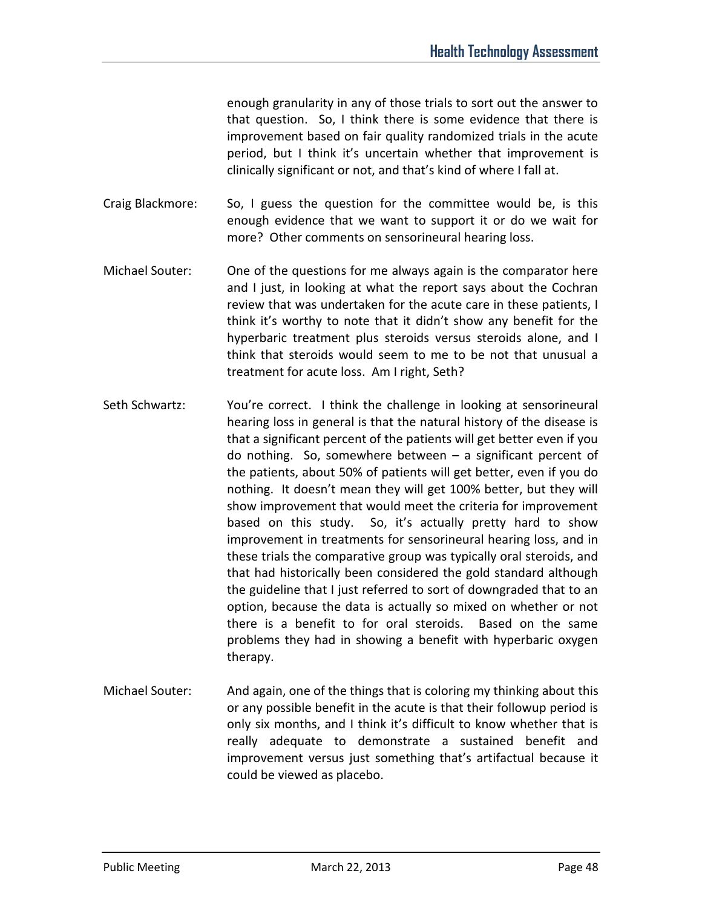enough granularity in any of those trials to sort out the answer to that question. So, I think there is some evidence that there is improvement based on fair quality randomized trials in the acute period, but I think it's uncertain whether that improvement is clinically significant or not, and that's kind of where I fall at.

Craig Blackmore: So, I guess the question for the committee would be, is this enough evidence that we want to support it or do we wait for more? Other comments on sensorineural hearing loss.

- Michael Souter: One of the questions for me always again is the comparator here and I just, in looking at what the report says about the Cochran review that was undertaken for the acute care in these patients, I think it's worthy to note that it didn't show any benefit for the hyperbaric treatment plus steroids versus steroids alone, and I think that steroids would seem to me to be not that unusual a treatment for acute loss. Am I right, Seth?
- Seth Schwartz: You're correct. I think the challenge in looking at sensorineural hearing loss in general is that the natural history of the disease is that a significant percent of the patients will get better even if you do nothing. So, somewhere between – a significant percent of the patients, about 50% of patients will get better, even if you do nothing. It doesn't mean they will get 100% better, but they will show improvement that would meet the criteria for improvement based on this study. So, it's actually pretty hard to show improvement in treatments for sensorineural hearing loss, and in these trials the comparative group was typically oral steroids, and that had historically been considered the gold standard although the guideline that I just referred to sort of downgraded that to an option, because the data is actually so mixed on whether or not there is a benefit to for oral steroids. Based on the same problems they had in showing a benefit with hyperbaric oxygen therapy.
- Michael Souter: And again, one of the things that is coloring my thinking about this or any possible benefit in the acute is that their followup period is only six months, and I think it's difficult to know whether that is really adequate to demonstrate a sustained benefit and improvement versus just something that's artifactual because it could be viewed as placebo.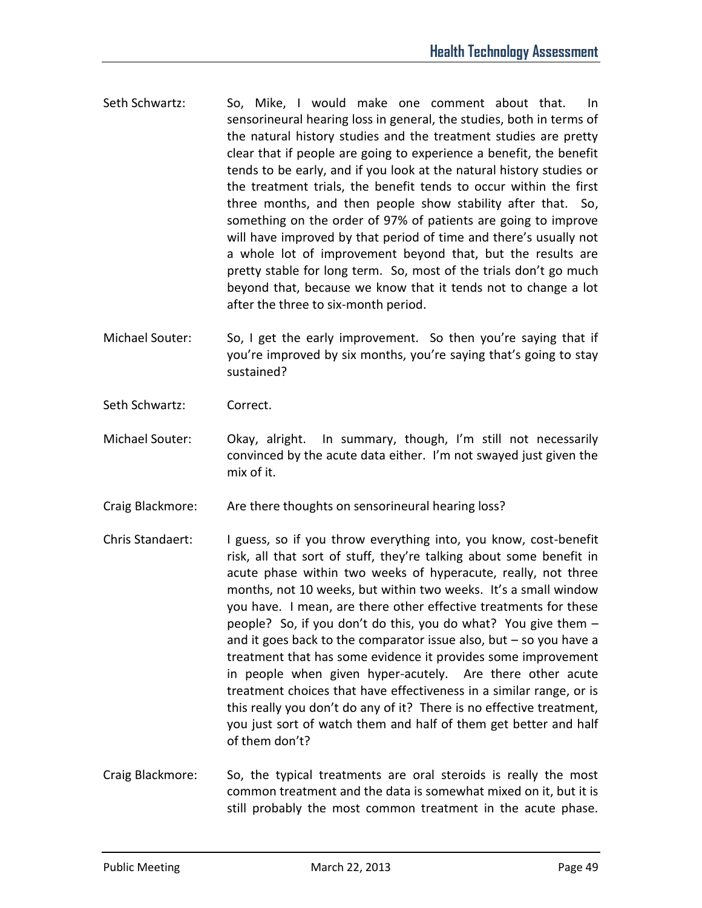- Seth Schwartz: So, Mike, I would make one comment about that. In sensorineural hearing loss in general, the studies, both in terms of the natural history studies and the treatment studies are pretty clear that if people are going to experience a benefit, the benefit tends to be early, and if you look at the natural history studies or the treatment trials, the benefit tends to occur within the first three months, and then people show stability after that. So, something on the order of 97% of patients are going to improve will have improved by that period of time and there's usually not a whole lot of improvement beyond that, but the results are pretty stable for long term. So, most of the trials don't go much beyond that, because we know that it tends not to change a lot after the three to six-month period.
- Michael Souter: So, I get the early improvement. So then you're saying that if you're improved by six months, you're saying that's going to stay sustained?
- Seth Schwartz: Correct.
- Michael Souter: Okay, alright. In summary, though, I'm still not necessarily convinced by the acute data either. I'm not swayed just given the mix of it.
- Craig Blackmore: Are there thoughts on sensorineural hearing loss?
- Chris Standaert: I guess, so if you throw everything into, you know, cost-benefit risk, all that sort of stuff, they're talking about some benefit in acute phase within two weeks of hyperacute, really, not three months, not 10 weeks, but within two weeks. It's a small window you have. I mean, are there other effective treatments for these people? So, if you don't do this, you do what? You give them – and it goes back to the comparator issue also, but  $-$  so you have a treatment that has some evidence it provides some improvement in people when given hyper-acutely. Are there other acute treatment choices that have effectiveness in a similar range, or is this really you don't do any of it? There is no effective treatment, you just sort of watch them and half of them get better and half of them don't?
- Craig Blackmore: So, the typical treatments are oral steroids is really the most common treatment and the data is somewhat mixed on it, but it is still probably the most common treatment in the acute phase.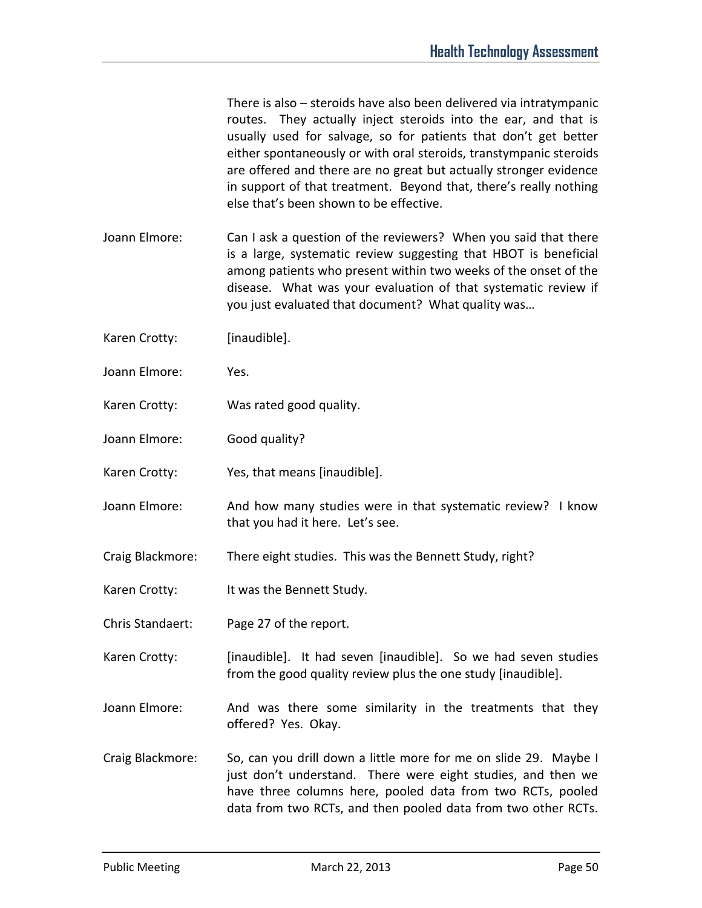There is also – steroids have also been delivered via intratympanic routes. They actually inject steroids into the ear, and that is usually used for salvage, so for patients that don't get better either spontaneously or with oral steroids, transtympanic steroids are offered and there are no great but actually stronger evidence in support of that treatment. Beyond that, there's really nothing else that's been shown to be effective.

- Joann Elmore: Can I ask a question of the reviewers? When you said that there is a large, systematic review suggesting that HBOT is beneficial among patients who present within two weeks of the onset of the disease. What was your evaluation of that systematic review if you just evaluated that document? What quality was…
- Karen Crotty: [inaudible].
- Joann Elmore: Yes.
- Karen Crotty: Was rated good quality.
- Joann Elmore: Good quality?
- Karen Crotty: Yes, that means [inaudible].
- Joann Elmore: And how many studies were in that systematic review? I know that you had it here. Let's see.
- Craig Blackmore: There eight studies. This was the Bennett Study, right?
- Karen Crotty: It was the Bennett Study.
- Chris Standaert: Page 27 of the report.
- Karen Crotty: [inaudible]. It had seven [inaudible]. So we had seven studies from the good quality review plus the one study [inaudible].
- Joann Elmore: And was there some similarity in the treatments that they offered? Yes. Okay.
- Craig Blackmore: So, can you drill down a little more for me on slide 29. Maybe I just don't understand. There were eight studies, and then we have three columns here, pooled data from two RCTs, pooled data from two RCTs, and then pooled data from two other RCTs.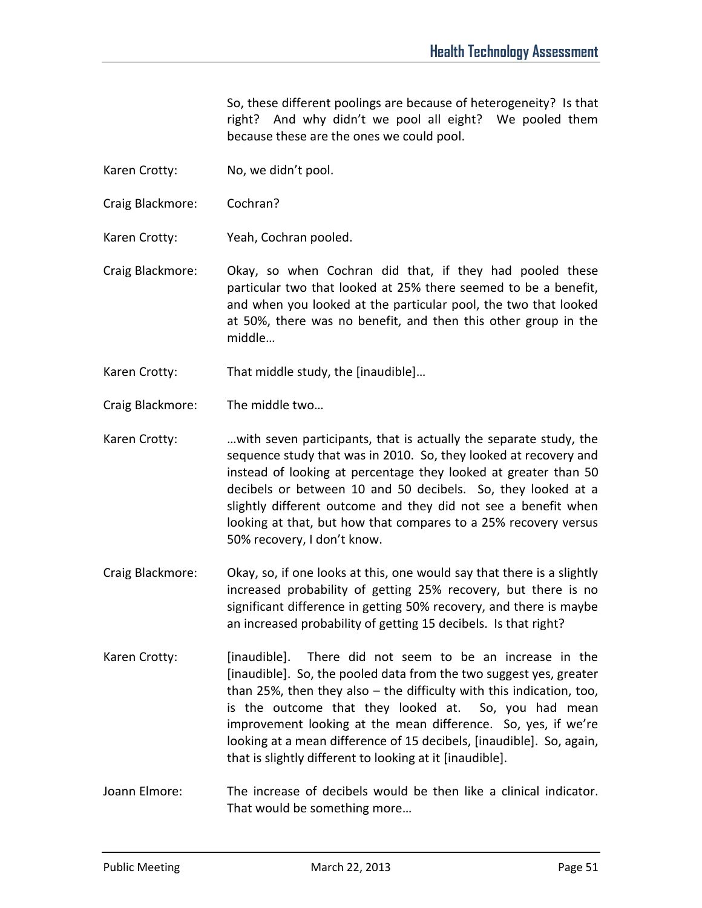So, these different poolings are because of heterogeneity? Is that right? And why didn't we pool all eight? We pooled them because these are the ones we could pool.

- Karen Crotty: No, we didn't pool.
- Craig Blackmore: Cochran?
- Karen Crotty: Yeah, Cochran pooled.
- Craig Blackmore: Okay, so when Cochran did that, if they had pooled these particular two that looked at 25% there seemed to be a benefit, and when you looked at the particular pool, the two that looked at 50%, there was no benefit, and then this other group in the middle…
- Karen Crotty: That middle study, the [inaudible]…
- Craig Blackmore: The middle two…
- Karen Crotty: …with seven participants, that is actually the separate study, the sequence study that was in 2010. So, they looked at recovery and instead of looking at percentage they looked at greater than 50 decibels or between 10 and 50 decibels. So, they looked at a slightly different outcome and they did not see a benefit when looking at that, but how that compares to a 25% recovery versus 50% recovery, I don't know.
- Craig Blackmore: Okay, so, if one looks at this, one would say that there is a slightly increased probability of getting 25% recovery, but there is no significant difference in getting 50% recovery, and there is maybe an increased probability of getting 15 decibels. Is that right?
- Karen Crotty: [inaudible]. There did not seem to be an increase in the [inaudible]. So, the pooled data from the two suggest yes, greater than 25%, then they also – the difficulty with this indication, too, is the outcome that they looked at. So, you had mean improvement looking at the mean difference. So, yes, if we're looking at a mean difference of 15 decibels, [inaudible]. So, again, that is slightly different to looking at it [inaudible].
- Joann Elmore: The increase of decibels would be then like a clinical indicator. That would be something more…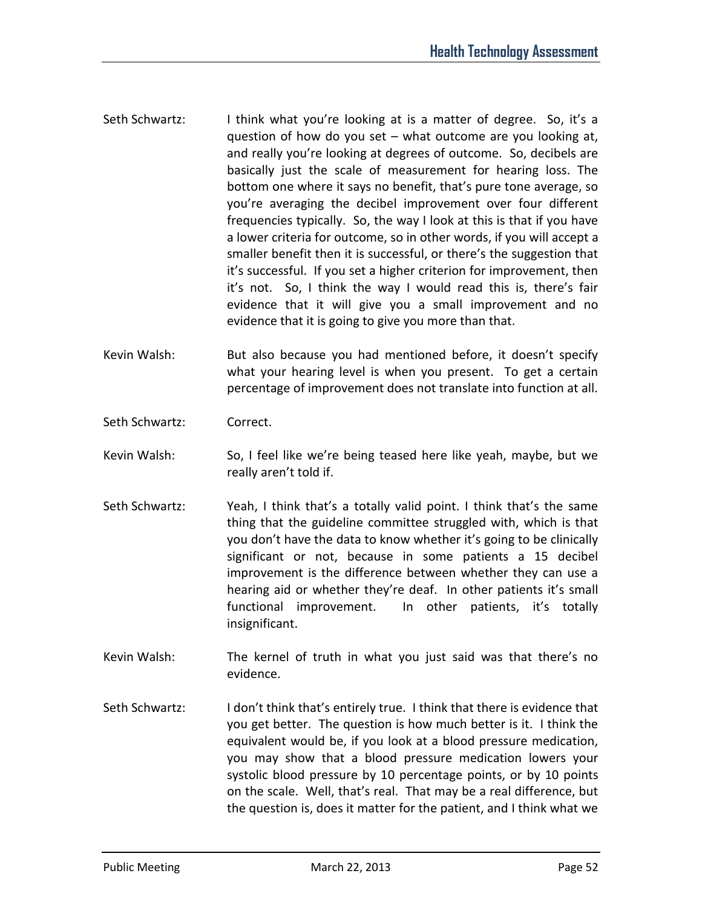- Seth Schwartz: I think what you're looking at is a matter of degree. So, it's a question of how do you set – what outcome are you looking at, and really you're looking at degrees of outcome. So, decibels are basically just the scale of measurement for hearing loss. The bottom one where it says no benefit, that's pure tone average, so you're averaging the decibel improvement over four different frequencies typically. So, the way I look at this is that if you have a lower criteria for outcome, so in other words, if you will accept a smaller benefit then it is successful, or there's the suggestion that it's successful. If you set a higher criterion for improvement, then it's not. So, I think the way I would read this is, there's fair evidence that it will give you a small improvement and no evidence that it is going to give you more than that.
- Kevin Walsh: But also because you had mentioned before, it doesn't specify what your hearing level is when you present. To get a certain percentage of improvement does not translate into function at all.
- Seth Schwartz: Correct.
- Kevin Walsh: So, I feel like we're being teased here like yeah, maybe, but we really aren't told if.
- Seth Schwartz: Yeah, I think that's a totally valid point. I think that's the same thing that the guideline committee struggled with, which is that you don't have the data to know whether it's going to be clinically significant or not, because in some patients a 15 decibel improvement is the difference between whether they can use a hearing aid or whether they're deaf. In other patients it's small functional improvement. In other patients, it's totally insignificant.
- Kevin Walsh: The kernel of truth in what you just said was that there's no evidence.
- Seth Schwartz: I don't think that's entirely true. I think that there is evidence that you get better. The question is how much better is it. I think the equivalent would be, if you look at a blood pressure medication, you may show that a blood pressure medication lowers your systolic blood pressure by 10 percentage points, or by 10 points on the scale. Well, that's real. That may be a real difference, but the question is, does it matter for the patient, and I think what we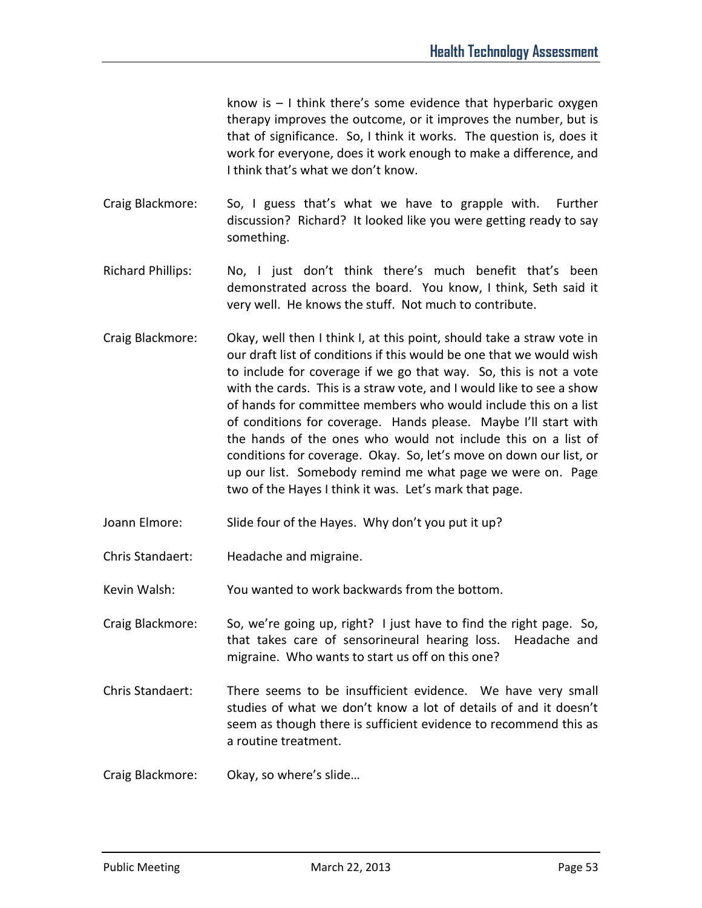know is – I think there's some evidence that hyperbaric oxygen therapy improves the outcome, or it improves the number, but is that of significance. So, I think it works. The question is, does it work for everyone, does it work enough to make a difference, and I think that's what we don't know.

- Craig Blackmore: So, I guess that's what we have to grapple with. Further discussion? Richard? It looked like you were getting ready to say something.
- Richard Phillips: No, I just don't think there's much benefit that's been demonstrated across the board. You know, I think, Seth said it very well. He knows the stuff. Not much to contribute.
- Craig Blackmore: Okay, well then I think I, at this point, should take a straw vote in our draft list of conditions if this would be one that we would wish to include for coverage if we go that way. So, this is not a vote with the cards. This is a straw vote, and I would like to see a show of hands for committee members who would include this on a list of conditions for coverage. Hands please. Maybe I'll start with the hands of the ones who would not include this on a list of conditions for coverage. Okay. So, let's move on down our list, or up our list. Somebody remind me what page we were on. Page two of the Hayes I think it was. Let's mark that page.
- Joann Elmore: Slide four of the Hayes. Why don't you put it up?
- Chris Standaert: Headache and migraine.

Kevin Walsh: You wanted to work backwards from the bottom.

- Craig Blackmore: So, we're going up, right? I just have to find the right page. So, that takes care of sensorineural hearing loss. Headache and migraine. Who wants to start us off on this one?
- Chris Standaert: There seems to be insufficient evidence. We have very small studies of what we don't know a lot of details of and it doesn't seem as though there is sufficient evidence to recommend this as a routine treatment.
- Craig Blackmore: Okay, so where's slide…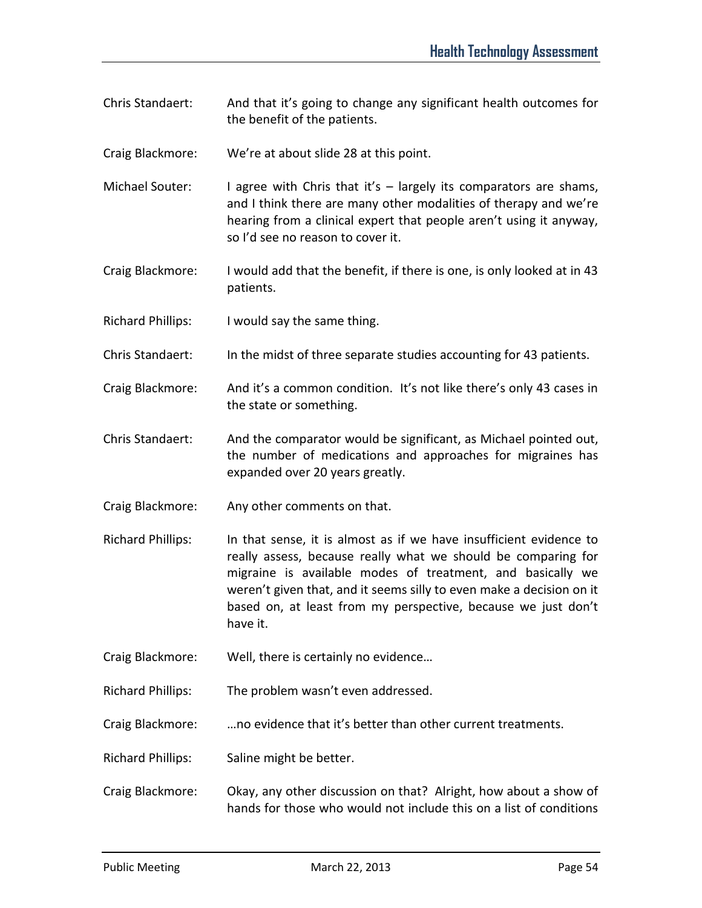- Chris Standaert: And that it's going to change any significant health outcomes for the benefit of the patients.
- Craig Blackmore: We're at about slide 28 at this point.
- Michael Souter: I agree with Chris that it's largely its comparators are shams, and I think there are many other modalities of therapy and we're hearing from a clinical expert that people aren't using it anyway, so I'd see no reason to cover it.
- Craig Blackmore: I would add that the benefit, if there is one, is only looked at in 43 patients.
- Richard Phillips: I would say the same thing.
- Chris Standaert: In the midst of three separate studies accounting for 43 patients.
- Craig Blackmore: And it's a common condition. It's not like there's only 43 cases in the state or something.
- Chris Standaert: And the comparator would be significant, as Michael pointed out, the number of medications and approaches for migraines has expanded over 20 years greatly.
- Craig Blackmore: Any other comments on that.
- Richard Phillips: In that sense, it is almost as if we have insufficient evidence to really assess, because really what we should be comparing for migraine is available modes of treatment, and basically we weren't given that, and it seems silly to even make a decision on it based on, at least from my perspective, because we just don't have it.
- Craig Blackmore: Well, there is certainly no evidence…

Richard Phillips: The problem wasn't even addressed.

- Craig Blackmore: …no evidence that it's better than other current treatments.
- Richard Phillips: Saline might be better.
- Craig Blackmore: Okay, any other discussion on that? Alright, how about a show of hands for those who would not include this on a list of conditions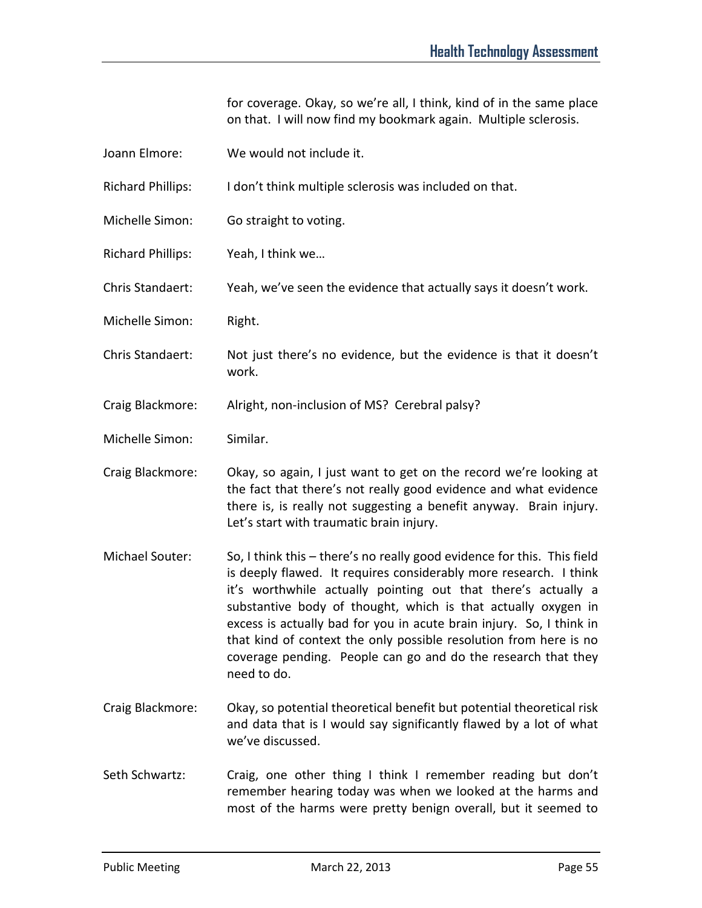for coverage. Okay, so we're all, I think, kind of in the same place on that. I will now find my bookmark again. Multiple sclerosis.

| Joann Elmore:            | We would not include it.                                                                                                                                                                                                                                                                                                                                                                                                                                                                                    |
|--------------------------|-------------------------------------------------------------------------------------------------------------------------------------------------------------------------------------------------------------------------------------------------------------------------------------------------------------------------------------------------------------------------------------------------------------------------------------------------------------------------------------------------------------|
| <b>Richard Phillips:</b> | I don't think multiple sclerosis was included on that.                                                                                                                                                                                                                                                                                                                                                                                                                                                      |
| Michelle Simon:          | Go straight to voting.                                                                                                                                                                                                                                                                                                                                                                                                                                                                                      |
| <b>Richard Phillips:</b> | Yeah, I think we                                                                                                                                                                                                                                                                                                                                                                                                                                                                                            |
| Chris Standaert:         | Yeah, we've seen the evidence that actually says it doesn't work.                                                                                                                                                                                                                                                                                                                                                                                                                                           |
| Michelle Simon:          | Right.                                                                                                                                                                                                                                                                                                                                                                                                                                                                                                      |
| Chris Standaert:         | Not just there's no evidence, but the evidence is that it doesn't<br>work.                                                                                                                                                                                                                                                                                                                                                                                                                                  |
| Craig Blackmore:         | Alright, non-inclusion of MS? Cerebral palsy?                                                                                                                                                                                                                                                                                                                                                                                                                                                               |
| Michelle Simon:          | Similar.                                                                                                                                                                                                                                                                                                                                                                                                                                                                                                    |
| Craig Blackmore:         | Okay, so again, I just want to get on the record we're looking at<br>the fact that there's not really good evidence and what evidence<br>there is, is really not suggesting a benefit anyway. Brain injury.<br>Let's start with traumatic brain injury.                                                                                                                                                                                                                                                     |
| Michael Souter:          | So, I think this - there's no really good evidence for this. This field<br>is deeply flawed. It requires considerably more research. I think<br>it's worthwhile actually pointing out that there's actually a<br>substantive body of thought, which is that actually oxygen in<br>excess is actually bad for you in acute brain injury. So, I think in<br>that kind of context the only possible resolution from here is no<br>coverage pending. People can go and do the research that they<br>need to do. |
| Craig Blackmore:         | Okay, so potential theoretical benefit but potential theoretical risk<br>and data that is I would say significantly flawed by a lot of what<br>we've discussed.                                                                                                                                                                                                                                                                                                                                             |
| Seth Schwartz:           | Craig, one other thing I think I remember reading but don't                                                                                                                                                                                                                                                                                                                                                                                                                                                 |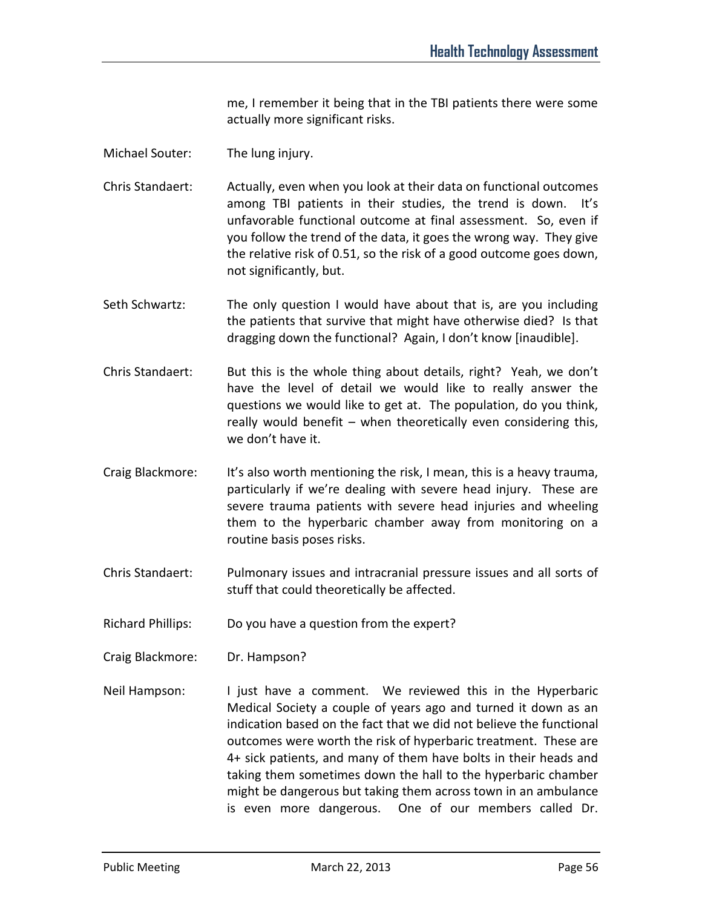me, I remember it being that in the TBI patients there were some actually more significant risks.

- Michael Souter: The lung injury.
- Chris Standaert: Actually, even when you look at their data on functional outcomes among TBI patients in their studies, the trend is down. It's unfavorable functional outcome at final assessment. So, even if you follow the trend of the data, it goes the wrong way. They give the relative risk of 0.51, so the risk of a good outcome goes down, not significantly, but.
- Seth Schwartz: The only question I would have about that is, are you including the patients that survive that might have otherwise died? Is that dragging down the functional? Again, I don't know [inaudible].
- Chris Standaert: But this is the whole thing about details, right? Yeah, we don't have the level of detail we would like to really answer the questions we would like to get at. The population, do you think, really would benefit – when theoretically even considering this, we don't have it.
- Craig Blackmore: It's also worth mentioning the risk, I mean, this is a heavy trauma, particularly if we're dealing with severe head injury. These are severe trauma patients with severe head injuries and wheeling them to the hyperbaric chamber away from monitoring on a routine basis poses risks.
- Chris Standaert: Pulmonary issues and intracranial pressure issues and all sorts of stuff that could theoretically be affected.
- Richard Phillips: Do you have a question from the expert?
- Craig Blackmore: Dr. Hampson?
- Neil Hampson: I just have a comment. We reviewed this in the Hyperbaric Medical Society a couple of years ago and turned it down as an indication based on the fact that we did not believe the functional outcomes were worth the risk of hyperbaric treatment. These are 4+ sick patients, and many of them have bolts in their heads and taking them sometimes down the hall to the hyperbaric chamber might be dangerous but taking them across town in an ambulance is even more dangerous. One of our members called Dr.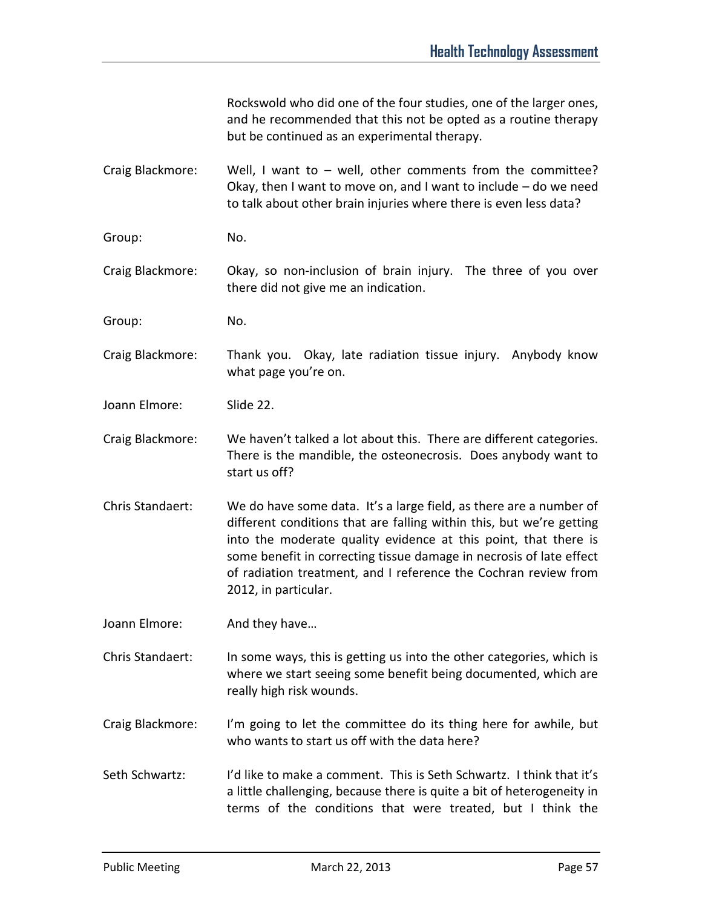Rockswold who did one of the four studies, one of the larger ones, and he recommended that this not be opted as a routine therapy but be continued as an experimental therapy.

Craig Blackmore: Well, I want to – well, other comments from the committee? Okay, then I want to move on, and I want to include – do we need to talk about other brain injuries where there is even less data?

Group: No.

Craig Blackmore: Okay, so non-inclusion of brain injury. The three of you over there did not give me an indication.

Group: No.

Craig Blackmore: Thank you. Okay, late radiation tissue injury. Anybody know what page you're on.

Joann Elmore: Slide 22.

Craig Blackmore: We haven't talked a lot about this. There are different categories. There is the mandible, the osteonecrosis. Does anybody want to start us off?

Chris Standaert: We do have some data. It's a large field, as there are a number of different conditions that are falling within this, but we're getting into the moderate quality evidence at this point, that there is some benefit in correcting tissue damage in necrosis of late effect of radiation treatment, and I reference the Cochran review from 2012, in particular.

Joann Elmore: And they have...

Chris Standaert: In some ways, this is getting us into the other categories, which is where we start seeing some benefit being documented, which are really high risk wounds.

Craig Blackmore: I'm going to let the committee do its thing here for awhile, but who wants to start us off with the data here?

Seth Schwartz: I'd like to make a comment. This is Seth Schwartz. I think that it's a little challenging, because there is quite a bit of heterogeneity in terms of the conditions that were treated, but I think the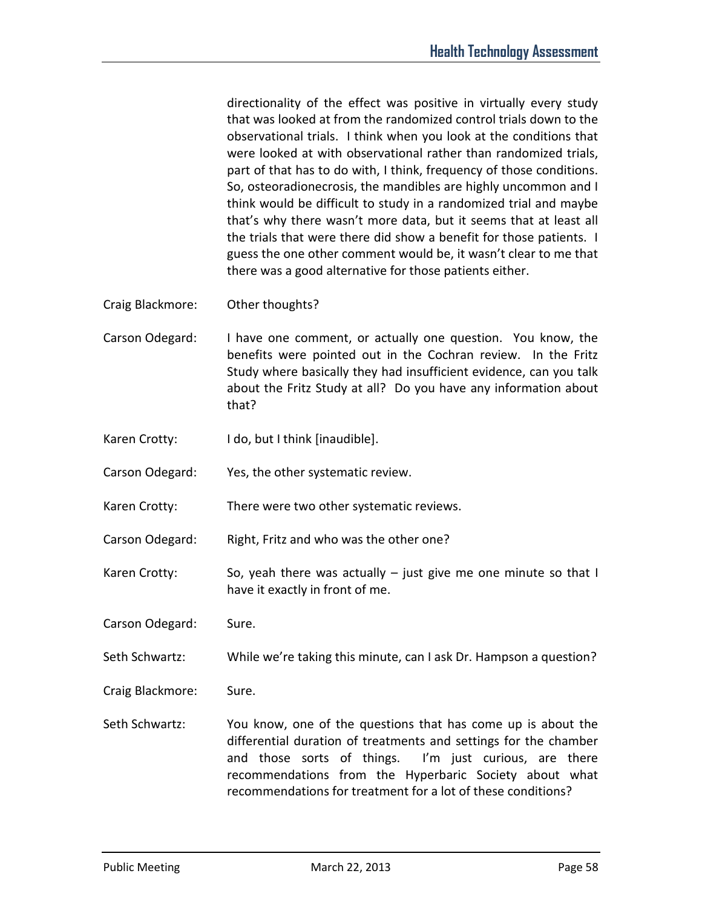directionality of the effect was positive in virtually every study that was looked at from the randomized control trials down to the observational trials. I think when you look at the conditions that were looked at with observational rather than randomized trials, part of that has to do with, I think, frequency of those conditions. So, osteoradionecrosis, the mandibles are highly uncommon and I think would be difficult to study in a randomized trial and maybe that's why there wasn't more data, but it seems that at least all the trials that were there did show a benefit for those patients. I guess the one other comment would be, it wasn't clear to me that there was a good alternative for those patients either.

- Craig Blackmore: Other thoughts?
- Carson Odegard: I have one comment, or actually one question. You know, the benefits were pointed out in the Cochran review. In the Fritz Study where basically they had insufficient evidence, can you talk about the Fritz Study at all? Do you have any information about that?
- Karen Crotty: I do, but I think [inaudible].
- Carson Odegard: Yes, the other systematic review.
- Karen Crotty: There were two other systematic reviews.
- Carson Odegard: Right, Fritz and who was the other one?
- Karen Crotty: So, yeah there was actually just give me one minute so that I have it exactly in front of me.
- Carson Odegard: Sure.
- Seth Schwartz: While we're taking this minute, can I ask Dr. Hampson a question?
- Craig Blackmore: Sure.
- Seth Schwartz: You know, one of the questions that has come up is about the differential duration of treatments and settings for the chamber and those sorts of things. I'm just curious, are there recommendations from the Hyperbaric Society about what recommendations for treatment for a lot of these conditions?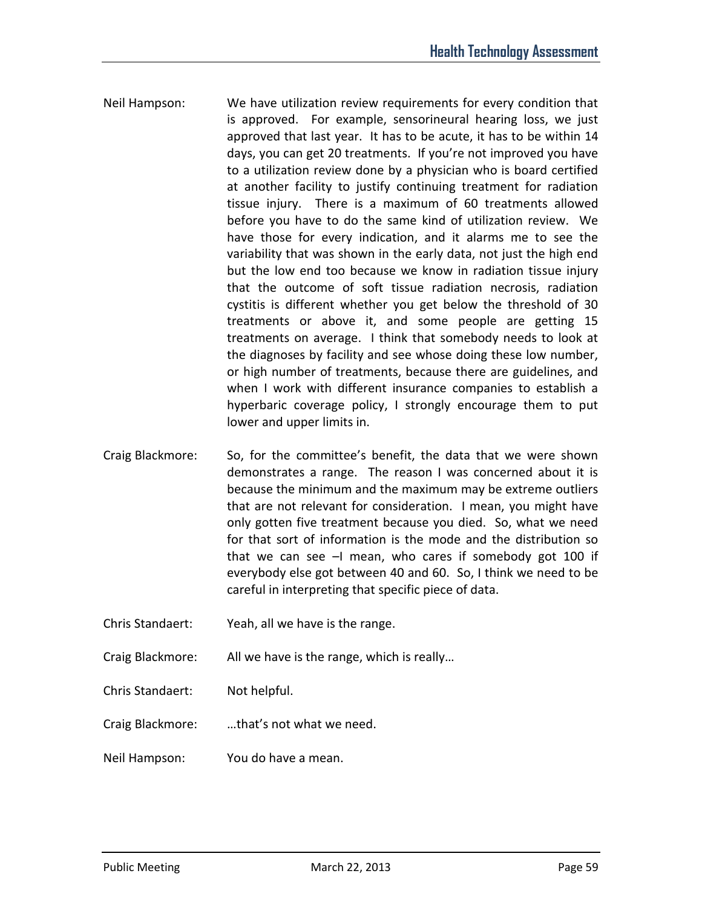- Neil Hampson: We have utilization review requirements for every condition that is approved. For example, sensorineural hearing loss, we just approved that last year. It has to be acute, it has to be within 14 days, you can get 20 treatments. If you're not improved you have to a utilization review done by a physician who is board certified at another facility to justify continuing treatment for radiation tissue injury. There is a maximum of 60 treatments allowed before you have to do the same kind of utilization review. We have those for every indication, and it alarms me to see the variability that was shown in the early data, not just the high end but the low end too because we know in radiation tissue injury that the outcome of soft tissue radiation necrosis, radiation cystitis is different whether you get below the threshold of 30 treatments or above it, and some people are getting 15 treatments on average. I think that somebody needs to look at the diagnoses by facility and see whose doing these low number, or high number of treatments, because there are guidelines, and when I work with different insurance companies to establish a hyperbaric coverage policy, I strongly encourage them to put lower and upper limits in.
- Craig Blackmore: So, for the committee's benefit, the data that we were shown demonstrates a range. The reason I was concerned about it is because the minimum and the maximum may be extreme outliers that are not relevant for consideration. I mean, you might have only gotten five treatment because you died. So, what we need for that sort of information is the mode and the distribution so that we can see  $-1$  mean, who cares if somebody got 100 if everybody else got between 40 and 60. So, I think we need to be careful in interpreting that specific piece of data.
- Chris Standaert: Yeah, all we have is the range.
- Craig Blackmore: All we have is the range, which is really…
- Chris Standaert: Not helpful.
- Craig Blackmore: …that's not what we need.
- Neil Hampson: You do have a mean.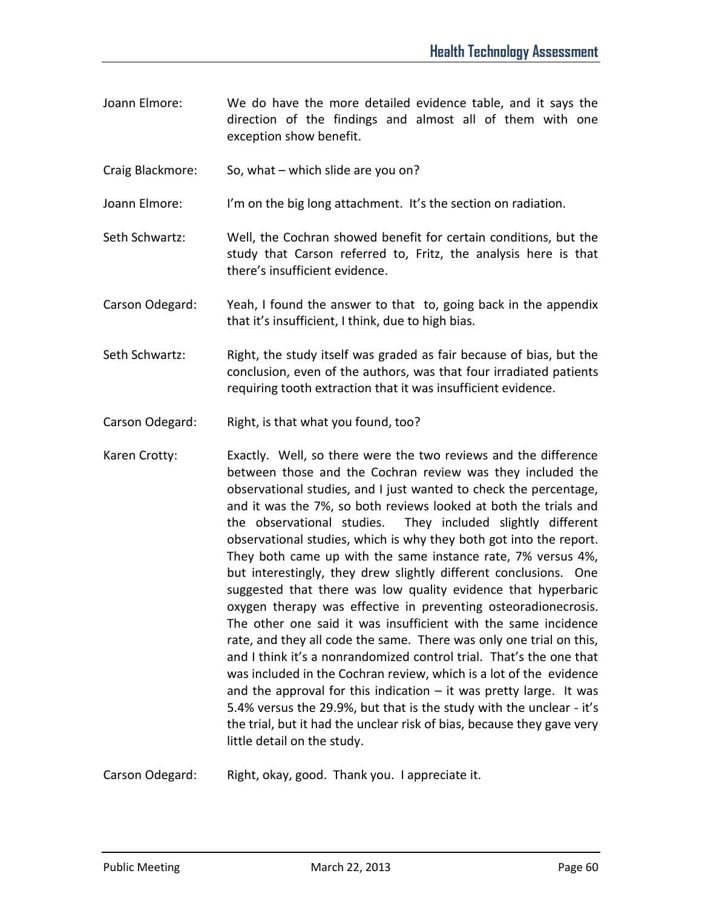- Joann Elmore: We do have the more detailed evidence table, and it says the direction of the findings and almost all of them with one exception show benefit.
- Craig Blackmore: So, what which slide are you on?
- Joann Elmore: I'm on the big long attachment. It's the section on radiation.
- Seth Schwartz: Well, the Cochran showed benefit for certain conditions, but the study that Carson referred to, Fritz, the analysis here is that there's insufficient evidence.
- Carson Odegard: Yeah, I found the answer to that to, going back in the appendix that it's insufficient, I think, due to high bias.
- Seth Schwartz: Right, the study itself was graded as fair because of bias, but the conclusion, even of the authors, was that four irradiated patients requiring tooth extraction that it was insufficient evidence.
- Carson Odegard: Right, is that what you found, too?
- Karen Crotty: Exactly. Well, so there were the two reviews and the difference between those and the Cochran review was they included the observational studies, and I just wanted to check the percentage, and it was the 7%, so both reviews looked at both the trials and the observational studies. They included slightly different observational studies, which is why they both got into the report. They both came up with the same instance rate, 7% versus 4%, but interestingly, they drew slightly different conclusions. One suggested that there was low quality evidence that hyperbaric oxygen therapy was effective in preventing osteoradionecrosis. The other one said it was insufficient with the same incidence rate, and they all code the same. There was only one trial on this, and I think it's a nonrandomized control trial. That's the one that was included in the Cochran review, which is a lot of the evidence and the approval for this indication  $-$  it was pretty large. It was 5.4% versus the 29.9%, but that is the study with the unclear - it's the trial, but it had the unclear risk of bias, because they gave very little detail on the study.
- Carson Odegard: Right, okay, good. Thank you. I appreciate it.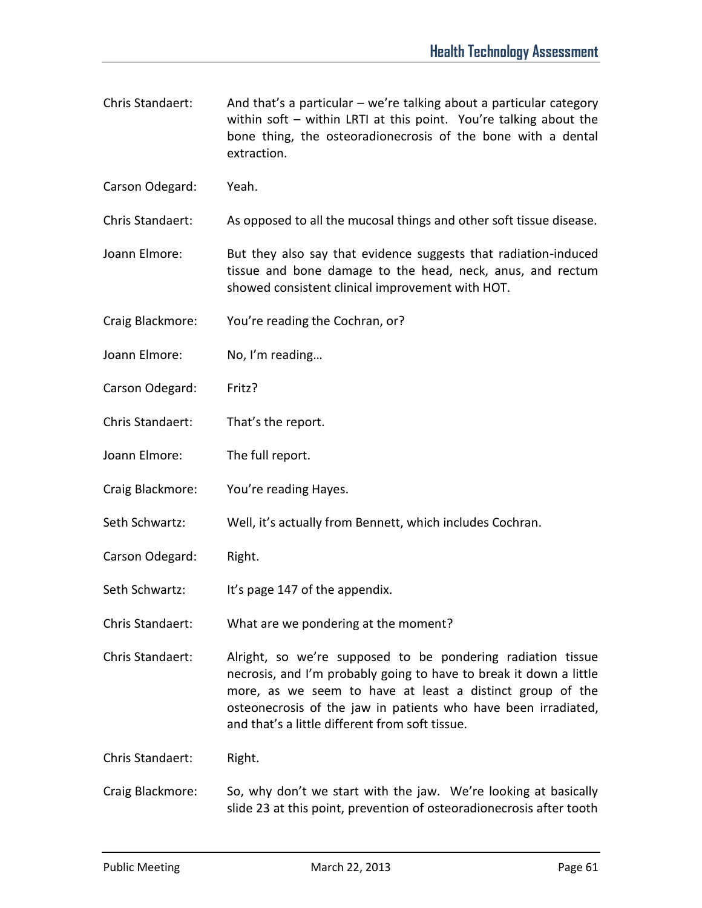- Chris Standaert: And that's a particular we're talking about a particular category within soft – within LRTI at this point. You're talking about the bone thing, the osteoradionecrosis of the bone with a dental extraction.
- Carson Odegard: Yeah.
- Chris Standaert: As opposed to all the mucosal things and other soft tissue disease.
- Joann Elmore: But they also say that evidence suggests that radiation-induced tissue and bone damage to the head, neck, anus, and rectum showed consistent clinical improvement with HOT.
- Craig Blackmore: You're reading the Cochran, or?
- Joann Elmore: No, I'm reading…
- Carson Odegard: Fritz?
- Chris Standaert: That's the report.
- Joann Elmore: The full report.
- Craig Blackmore: You're reading Hayes.
- Seth Schwartz: Well, it's actually from Bennett, which includes Cochran.
- Carson Odegard: Right.
- Seth Schwartz: It's page 147 of the appendix.
- Chris Standaert: What are we pondering at the moment?
- Chris Standaert: Alright, so we're supposed to be pondering radiation tissue necrosis, and I'm probably going to have to break it down a little more, as we seem to have at least a distinct group of the osteonecrosis of the jaw in patients who have been irradiated, and that's a little different from soft tissue.
- Chris Standaert: Right.
- Craig Blackmore: So, why don't we start with the jaw. We're looking at basically slide 23 at this point, prevention of osteoradionecrosis after tooth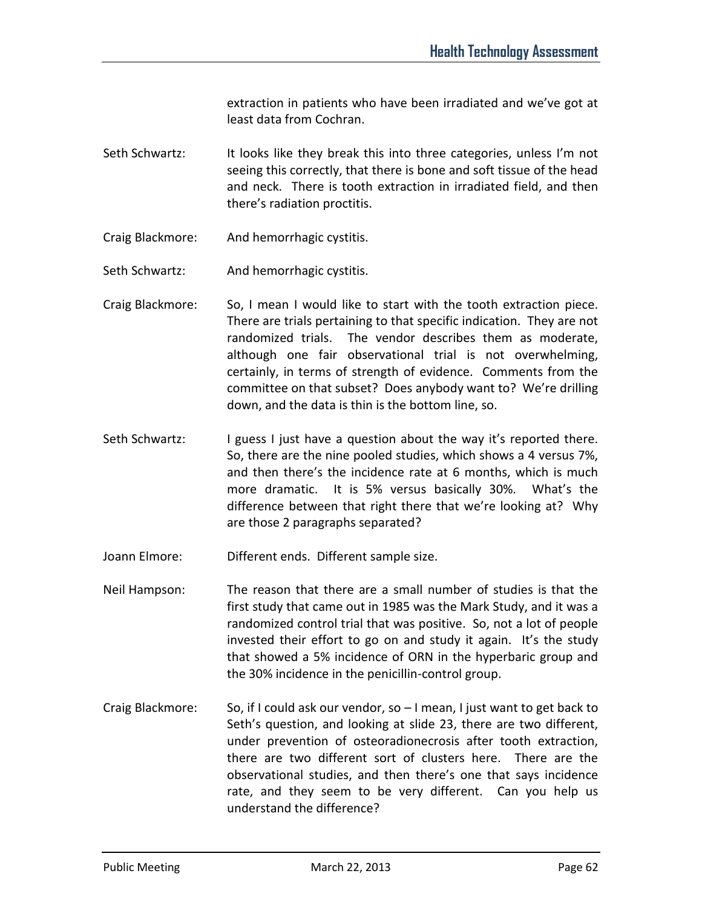extraction in patients who have been irradiated and we've got at least data from Cochran.

- Seth Schwartz: It looks like they break this into three categories, unless I'm not seeing this correctly, that there is bone and soft tissue of the head and neck. There is tooth extraction in irradiated field, and then there's radiation proctitis.
- Craig Blackmore: And hemorrhagic cystitis.
- Seth Schwartz: And hemorrhagic cystitis.
- Craig Blackmore: So, I mean I would like to start with the tooth extraction piece. There are trials pertaining to that specific indication. They are not randomized trials. The vendor describes them as moderate, although one fair observational trial is not overwhelming, certainly, in terms of strength of evidence. Comments from the committee on that subset? Does anybody want to? We're drilling down, and the data is thin is the bottom line, so.
- Seth Schwartz: I guess I just have a question about the way it's reported there. So, there are the nine pooled studies, which shows a 4 versus 7%, and then there's the incidence rate at 6 months, which is much more dramatic. It is 5% versus basically 30%. What's the difference between that right there that we're looking at? Why are those 2 paragraphs separated?
- Joann Elmore: Different ends. Different sample size.
- Neil Hampson: The reason that there are a small number of studies is that the first study that came out in 1985 was the Mark Study, and it was a randomized control trial that was positive. So, not a lot of people invested their effort to go on and study it again. It's the study that showed a 5% incidence of ORN in the hyperbaric group and the 30% incidence in the penicillin-control group.
- Craig Blackmore: So, if I could ask our vendor, so I mean, I just want to get back to Seth's question, and looking at slide 23, there are two different, under prevention of osteoradionecrosis after tooth extraction, there are two different sort of clusters here. There are the observational studies, and then there's one that says incidence rate, and they seem to be very different. Can you help us understand the difference?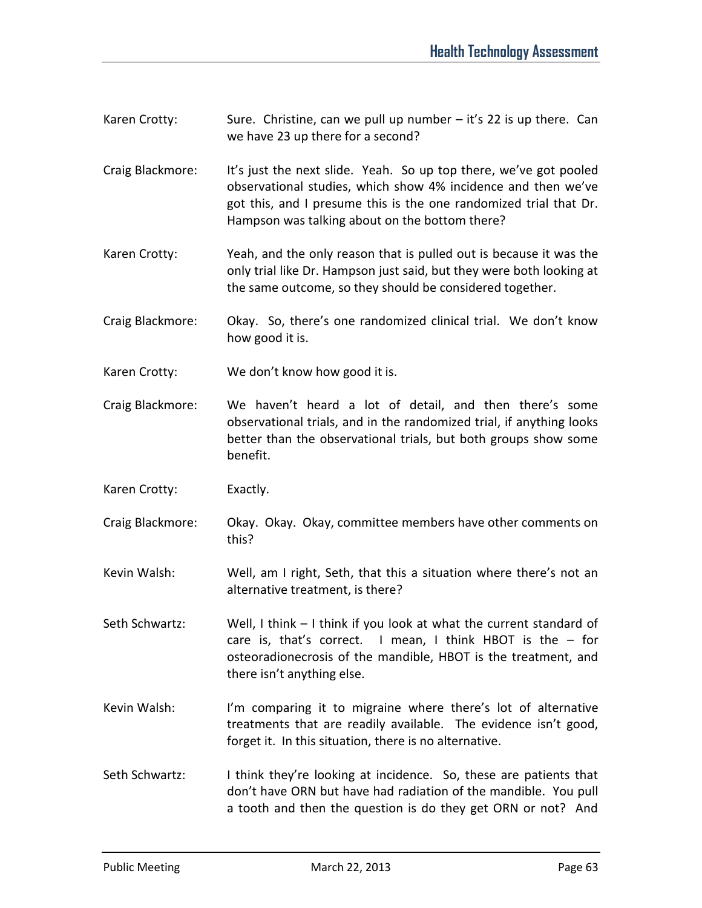- Karen Crotty: Sure. Christine, can we pull up number  $-$  it's 22 is up there. Can we have 23 up there for a second?
- Craig Blackmore: It's just the next slide. Yeah. So up top there, we've got pooled observational studies, which show 4% incidence and then we've got this, and I presume this is the one randomized trial that Dr. Hampson was talking about on the bottom there?
- Karen Crotty: Yeah, and the only reason that is pulled out is because it was the only trial like Dr. Hampson just said, but they were both looking at the same outcome, so they should be considered together.
- Craig Blackmore: Okay. So, there's one randomized clinical trial. We don't know how good it is.
- Karen Crotty: We don't know how good it is.
- Craig Blackmore: We haven't heard a lot of detail, and then there's some observational trials, and in the randomized trial, if anything looks better than the observational trials, but both groups show some benefit.
- Karen Crotty: Exactly.
- Craig Blackmore: Okay. Okay. Okay, committee members have other comments on this?
- Kevin Walsh: Well, am I right, Seth, that this a situation where there's not an alternative treatment, is there?
- Seth Schwartz: Well, I think I think if you look at what the current standard of care is, that's correct. I mean, I think HBOT is the – for osteoradionecrosis of the mandible, HBOT is the treatment, and there isn't anything else.
- Kevin Walsh: I'm comparing it to migraine where there's lot of alternative treatments that are readily available. The evidence isn't good, forget it. In this situation, there is no alternative.
- Seth Schwartz: I think they're looking at incidence. So, these are patients that don't have ORN but have had radiation of the mandible. You pull a tooth and then the question is do they get ORN or not? And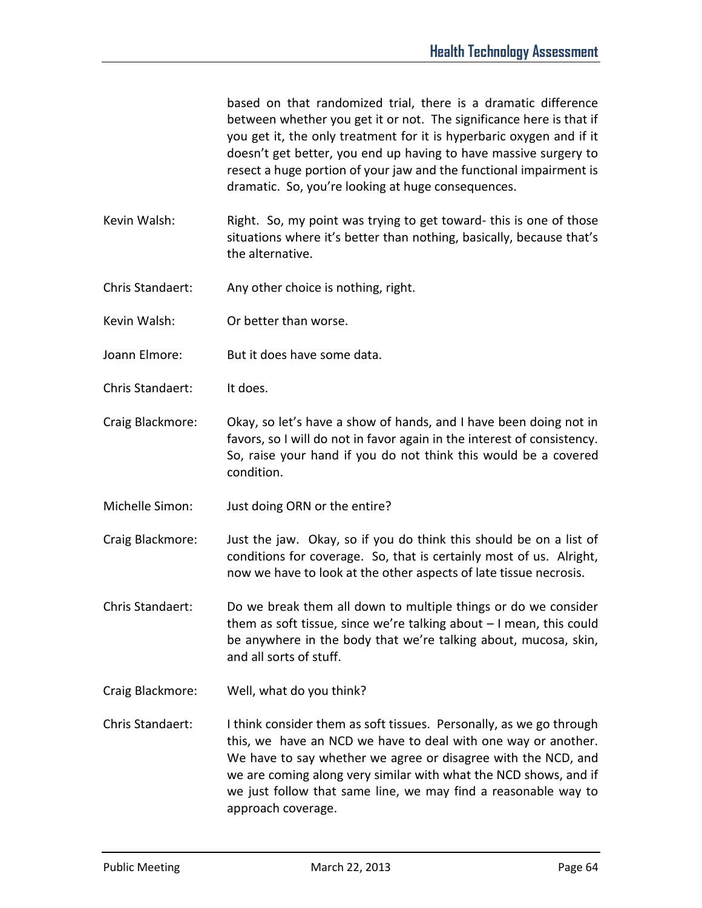based on that randomized trial, there is a dramatic difference between whether you get it or not. The significance here is that if you get it, the only treatment for it is hyperbaric oxygen and if it doesn't get better, you end up having to have massive surgery to resect a huge portion of your jaw and the functional impairment is dramatic. So, you're looking at huge consequences.

- Kevin Walsh: Right. So, my point was trying to get toward- this is one of those situations where it's better than nothing, basically, because that's the alternative.
- Chris Standaert: Any other choice is nothing, right.
- Kevin Walsh: Or better than worse.
- Joann Elmore: But it does have some data.
- Chris Standaert: It does.
- Craig Blackmore: Okay, so let's have a show of hands, and I have been doing not in favors, so I will do not in favor again in the interest of consistency. So, raise your hand if you do not think this would be a covered condition.
- Michelle Simon: Just doing ORN or the entire?
- Craig Blackmore: Just the jaw. Okay, so if you do think this should be on a list of conditions for coverage. So, that is certainly most of us. Alright, now we have to look at the other aspects of late tissue necrosis.
- Chris Standaert: Do we break them all down to multiple things or do we consider them as soft tissue, since we're talking about – I mean, this could be anywhere in the body that we're talking about, mucosa, skin, and all sorts of stuff.
- Craig Blackmore: Well, what do you think?
- Chris Standaert: I think consider them as soft tissues. Personally, as we go through this, we have an NCD we have to deal with one way or another. We have to say whether we agree or disagree with the NCD, and we are coming along very similar with what the NCD shows, and if we just follow that same line, we may find a reasonable way to approach coverage.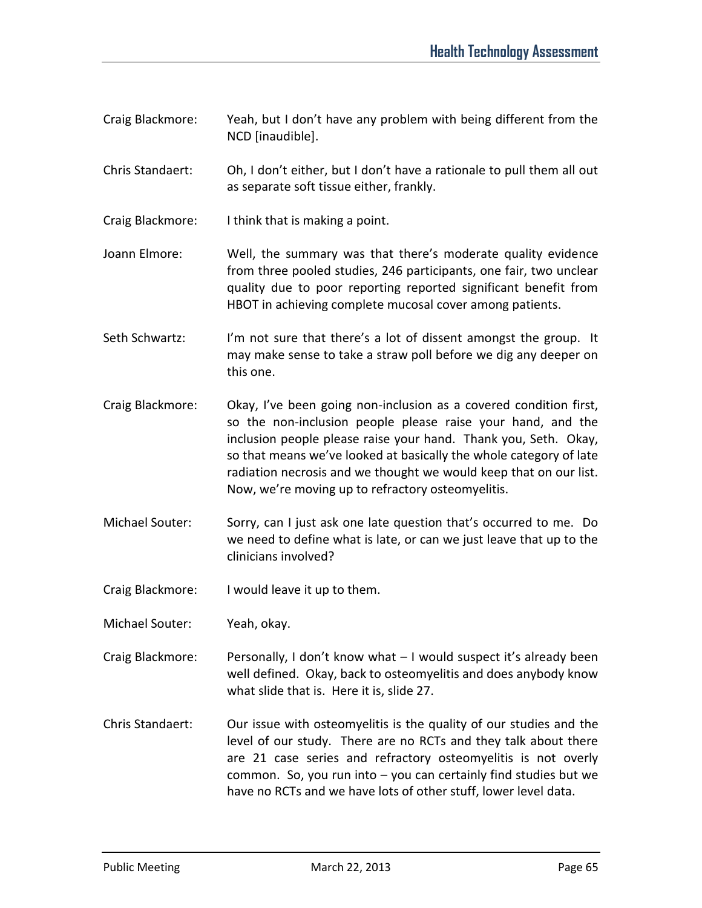- Craig Blackmore: Yeah, but I don't have any problem with being different from the NCD [inaudible].
- Chris Standaert: Oh, I don't either, but I don't have a rationale to pull them all out as separate soft tissue either, frankly.
- Craig Blackmore: I think that is making a point.
- Joann Elmore: Well, the summary was that there's moderate quality evidence from three pooled studies, 246 participants, one fair, two unclear quality due to poor reporting reported significant benefit from HBOT in achieving complete mucosal cover among patients.
- Seth Schwartz: I'm not sure that there's a lot of dissent amongst the group. It may make sense to take a straw poll before we dig any deeper on this one.
- Craig Blackmore: Okay, I've been going non-inclusion as a covered condition first, so the non-inclusion people please raise your hand, and the inclusion people please raise your hand. Thank you, Seth. Okay, so that means we've looked at basically the whole category of late radiation necrosis and we thought we would keep that on our list. Now, we're moving up to refractory osteomyelitis.
- Michael Souter: Sorry, can I just ask one late question that's occurred to me. Do we need to define what is late, or can we just leave that up to the clinicians involved?
- Craig Blackmore: I would leave it up to them.
- Michael Souter: Yeah, okay.
- Craig Blackmore: Personally, I don't know what I would suspect it's already been well defined. Okay, back to osteomyelitis and does anybody know what slide that is. Here it is, slide 27.
- Chris Standaert: Our issue with osteomyelitis is the quality of our studies and the level of our study. There are no RCTs and they talk about there are 21 case series and refractory osteomyelitis is not overly common. So, you run into – you can certainly find studies but we have no RCTs and we have lots of other stuff, lower level data.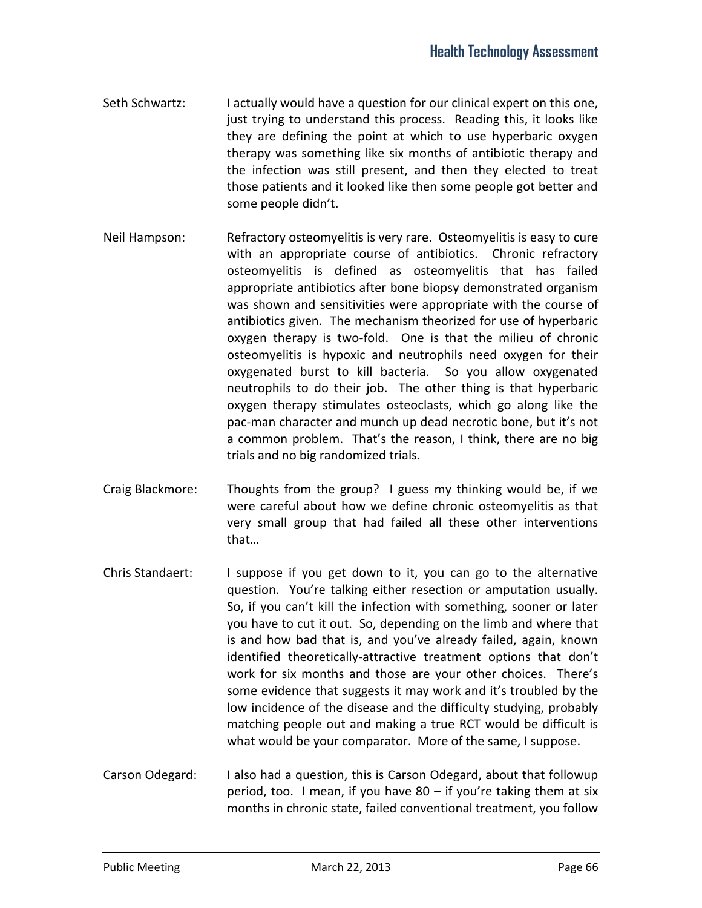- Seth Schwartz: I actually would have a question for our clinical expert on this one, just trying to understand this process. Reading this, it looks like they are defining the point at which to use hyperbaric oxygen therapy was something like six months of antibiotic therapy and the infection was still present, and then they elected to treat those patients and it looked like then some people got better and some people didn't.
- Neil Hampson: Refractory osteomyelitis is very rare. Osteomyelitis is easy to cure with an appropriate course of antibiotics. Chronic refractory osteomyelitis is defined as osteomyelitis that has failed appropriate antibiotics after bone biopsy demonstrated organism was shown and sensitivities were appropriate with the course of antibiotics given. The mechanism theorized for use of hyperbaric oxygen therapy is two-fold. One is that the milieu of chronic osteomyelitis is hypoxic and neutrophils need oxygen for their oxygenated burst to kill bacteria. So you allow oxygenated neutrophils to do their job. The other thing is that hyperbaric oxygen therapy stimulates osteoclasts, which go along like the pac-man character and munch up dead necrotic bone, but it's not a common problem. That's the reason, I think, there are no big trials and no big randomized trials.
- Craig Blackmore: Thoughts from the group? I guess my thinking would be, if we were careful about how we define chronic osteomyelitis as that very small group that had failed all these other interventions that…
- Chris Standaert: I suppose if you get down to it, you can go to the alternative question. You're talking either resection or amputation usually. So, if you can't kill the infection with something, sooner or later you have to cut it out. So, depending on the limb and where that is and how bad that is, and you've already failed, again, known identified theoretically-attractive treatment options that don't work for six months and those are your other choices. There's some evidence that suggests it may work and it's troubled by the low incidence of the disease and the difficulty studying, probably matching people out and making a true RCT would be difficult is what would be your comparator. More of the same, I suppose.
- Carson Odegard: I also had a question, this is Carson Odegard, about that followup period, too. I mean, if you have 80 – if you're taking them at six months in chronic state, failed conventional treatment, you follow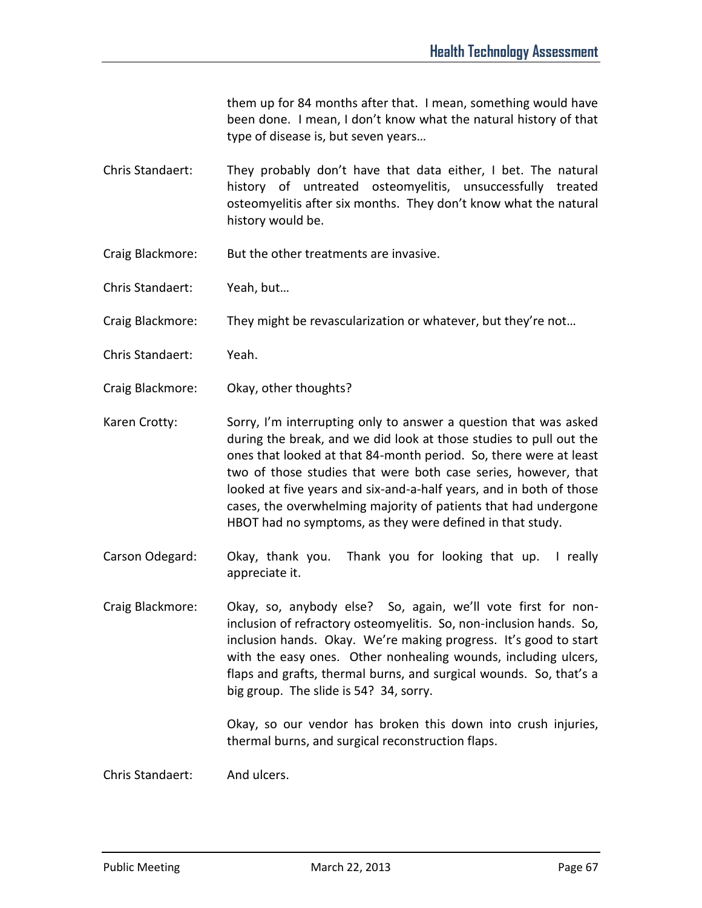them up for 84 months after that. I mean, something would have been done. I mean, I don't know what the natural history of that type of disease is, but seven years…

- Chris Standaert: They probably don't have that data either, I bet. The natural history of untreated osteomyelitis, unsuccessfully treated osteomyelitis after six months. They don't know what the natural history would be.
- Craig Blackmore: But the other treatments are invasive.
- Chris Standaert: Yeah, but…
- Craig Blackmore: They might be revascularization or whatever, but they're not…
- Chris Standaert: Yeah.
- Craig Blackmore: Okay, other thoughts?

Karen Crotty: Sorry, I'm interrupting only to answer a question that was asked during the break, and we did look at those studies to pull out the ones that looked at that 84-month period. So, there were at least two of those studies that were both case series, however, that looked at five years and six-and-a-half years, and in both of those cases, the overwhelming majority of patients that had undergone HBOT had no symptoms, as they were defined in that study.

Carson Odegard: Okay, thank you. Thank you for looking that up. I really appreciate it.

Craig Blackmore: Okay, so, anybody else? So, again, we'll vote first for noninclusion of refractory osteomyelitis. So, non-inclusion hands. So, inclusion hands. Okay. We're making progress. It's good to start with the easy ones. Other nonhealing wounds, including ulcers, flaps and grafts, thermal burns, and surgical wounds. So, that's a big group. The slide is 54? 34, sorry.

> Okay, so our vendor has broken this down into crush injuries, thermal burns, and surgical reconstruction flaps.

Chris Standaert: And ulcers.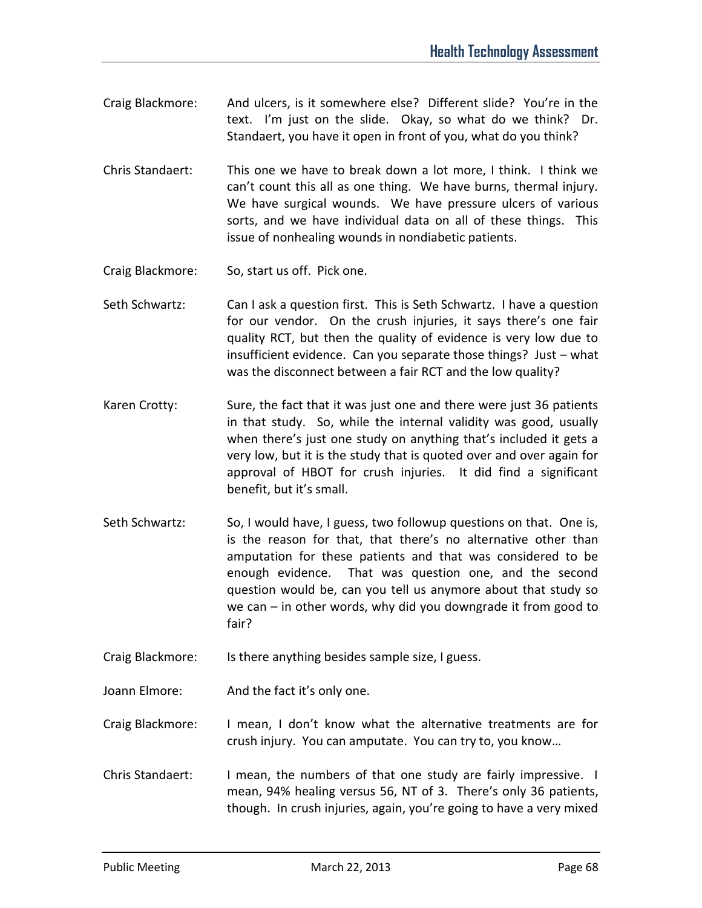- Craig Blackmore: And ulcers, is it somewhere else? Different slide? You're in the text. I'm just on the slide. Okay, so what do we think? Dr. Standaert, you have it open in front of you, what do you think?
- Chris Standaert: This one we have to break down a lot more, I think. I think we can't count this all as one thing. We have burns, thermal injury. We have surgical wounds. We have pressure ulcers of various sorts, and we have individual data on all of these things. This issue of nonhealing wounds in nondiabetic patients.
- Craig Blackmore: So, start us off. Pick one.
- Seth Schwartz: Can I ask a question first. This is Seth Schwartz. I have a question for our vendor. On the crush injuries, it says there's one fair quality RCT, but then the quality of evidence is very low due to insufficient evidence. Can you separate those things? Just – what was the disconnect between a fair RCT and the low quality?
- Karen Crotty: Sure, the fact that it was just one and there were just 36 patients in that study. So, while the internal validity was good, usually when there's just one study on anything that's included it gets a very low, but it is the study that is quoted over and over again for approval of HBOT for crush injuries. It did find a significant benefit, but it's small.
- Seth Schwartz: So, I would have, I guess, two followup questions on that. One is, is the reason for that, that there's no alternative other than amputation for these patients and that was considered to be enough evidence. That was question one, and the second question would be, can you tell us anymore about that study so we can – in other words, why did you downgrade it from good to fair?
- Craig Blackmore: Is there anything besides sample size, I guess.
- Joann Elmore: And the fact it's only one.
- Craig Blackmore: I mean, I don't know what the alternative treatments are for crush injury. You can amputate. You can try to, you know…
- Chris Standaert: I mean, the numbers of that one study are fairly impressive. I mean, 94% healing versus 56, NT of 3. There's only 36 patients, though. In crush injuries, again, you're going to have a very mixed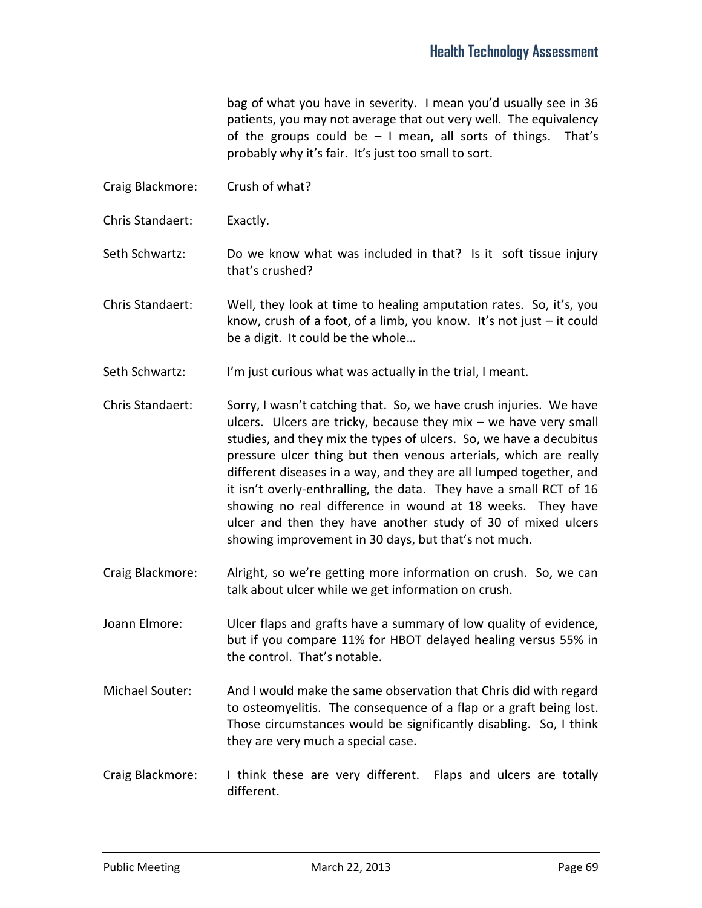bag of what you have in severity. I mean you'd usually see in 36 patients, you may not average that out very well. The equivalency of the groups could be – I mean, all sorts of things. That's probably why it's fair. It's just too small to sort.

- Craig Blackmore: Crush of what?
- Chris Standaert: Exactly.
- Seth Schwartz: Do we know what was included in that? Is it soft tissue injury that's crushed?
- Chris Standaert: Well, they look at time to healing amputation rates. So, it's, you know, crush of a foot, of a limb, you know. It's not just – it could be a digit. It could be the whole…
- Seth Schwartz: I'm just curious what was actually in the trial, I meant.
- Chris Standaert: Sorry, I wasn't catching that. So, we have crush injuries. We have ulcers. Ulcers are tricky, because they mix – we have very small studies, and they mix the types of ulcers. So, we have a decubitus pressure ulcer thing but then venous arterials, which are really different diseases in a way, and they are all lumped together, and it isn't overly-enthralling, the data. They have a small RCT of 16 showing no real difference in wound at 18 weeks. They have ulcer and then they have another study of 30 of mixed ulcers showing improvement in 30 days, but that's not much.
- Craig Blackmore: Alright, so we're getting more information on crush. So, we can talk about ulcer while we get information on crush.
- Joann Elmore: Ulcer flaps and grafts have a summary of low quality of evidence, but if you compare 11% for HBOT delayed healing versus 55% in the control. That's notable.
- Michael Souter: And I would make the same observation that Chris did with regard to osteomyelitis. The consequence of a flap or a graft being lost. Those circumstances would be significantly disabling. So, I think they are very much a special case.
- Craig Blackmore: I think these are very different. Flaps and ulcers are totally different.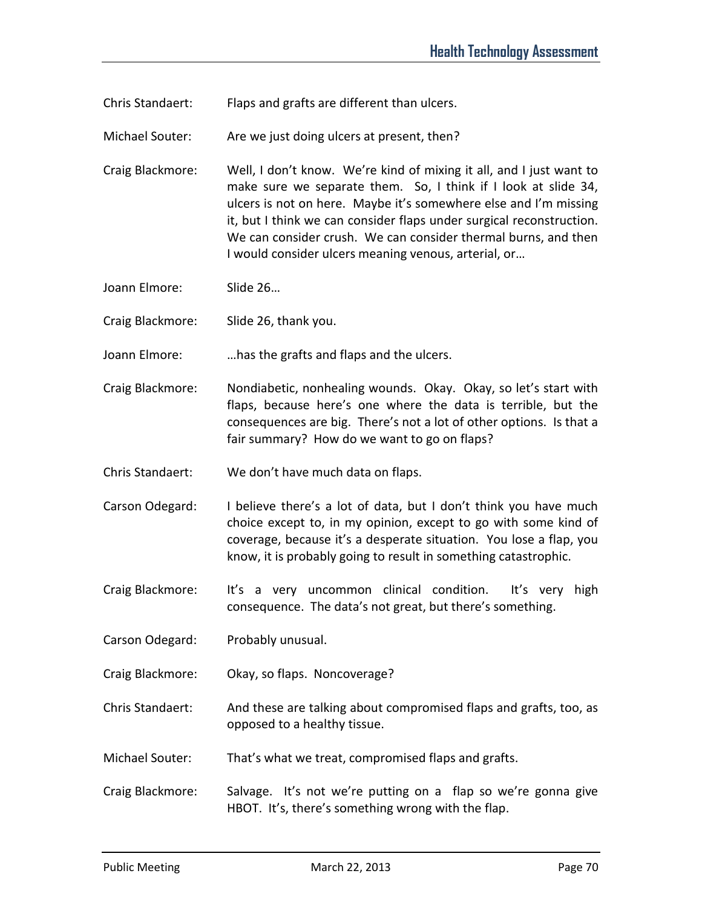Chris Standaert: Flaps and grafts are different than ulcers.

Michael Souter: Are we just doing ulcers at present, then?

- Craig Blackmore: Well, I don't know. We're kind of mixing it all, and I just want to make sure we separate them. So, I think if I look at slide 34, ulcers is not on here. Maybe it's somewhere else and I'm missing it, but I think we can consider flaps under surgical reconstruction. We can consider crush. We can consider thermal burns, and then I would consider ulcers meaning venous, arterial, or…
- Joann Elmore: Slide 26…

Craig Blackmore: Slide 26, thank you.

Joann Elmore: …has the grafts and flaps and the ulcers.

- Craig Blackmore: Nondiabetic, nonhealing wounds. Okay. Okay, so let's start with flaps, because here's one where the data is terrible, but the consequences are big. There's not a lot of other options. Is that a fair summary? How do we want to go on flaps?
- Chris Standaert: We don't have much data on flaps.
- Carson Odegard: I believe there's a lot of data, but I don't think you have much choice except to, in my opinion, except to go with some kind of coverage, because it's a desperate situation. You lose a flap, you know, it is probably going to result in something catastrophic.
- Craig Blackmore: It's a very uncommon clinical condition. It's very high consequence. The data's not great, but there's something.
- Carson Odegard: Probably unusual.
- Craig Blackmore: Okay, so flaps. Noncoverage?
- Chris Standaert: And these are talking about compromised flaps and grafts, too, as opposed to a healthy tissue.
- Michael Souter: That's what we treat, compromised flaps and grafts.
- Craig Blackmore: Salvage. It's not we're putting on a flap so we're gonna give HBOT. It's, there's something wrong with the flap.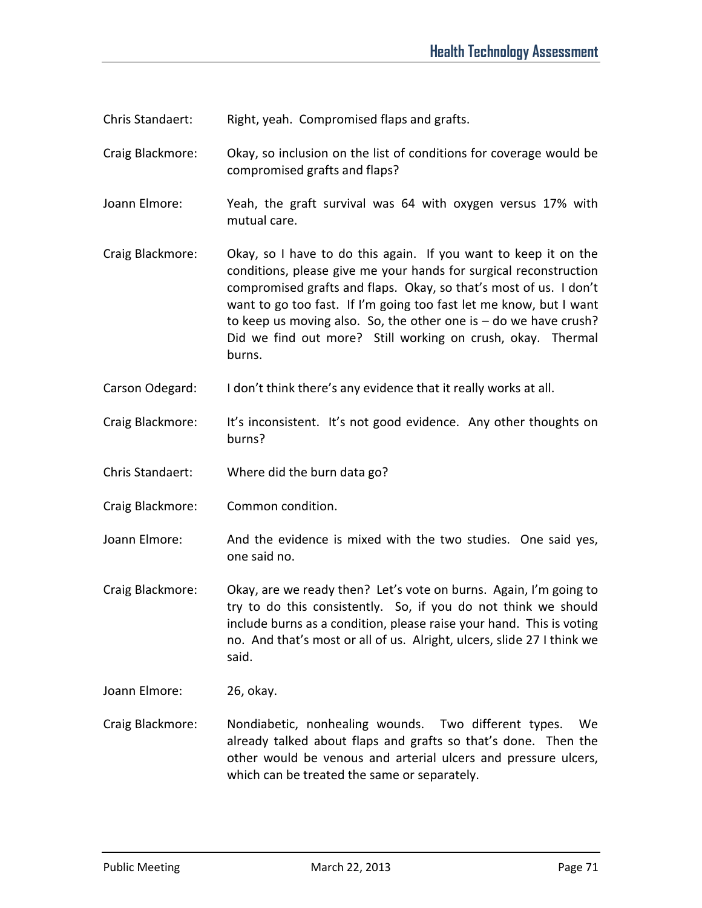Chris Standaert: Right, yeah. Compromised flaps and grafts.

Craig Blackmore: Okay, so inclusion on the list of conditions for coverage would be compromised grafts and flaps?

Joann Elmore: Yeah, the graft survival was 64 with oxygen versus 17% with mutual care.

- Craig Blackmore: Okay, so I have to do this again. If you want to keep it on the conditions, please give me your hands for surgical reconstruction compromised grafts and flaps. Okay, so that's most of us. I don't want to go too fast. If I'm going too fast let me know, but I want to keep us moving also. So, the other one is – do we have crush? Did we find out more? Still working on crush, okay. Thermal burns.
- Carson Odegard: I don't think there's any evidence that it really works at all.
- Craig Blackmore: It's inconsistent. It's not good evidence. Any other thoughts on burns?
- Chris Standaert: Where did the burn data go?
- Craig Blackmore: Common condition.
- Joann Elmore: And the evidence is mixed with the two studies. One said yes, one said no.
- Craig Blackmore: Okay, are we ready then? Let's vote on burns. Again, I'm going to try to do this consistently. So, if you do not think we should include burns as a condition, please raise your hand. This is voting no. And that's most or all of us. Alright, ulcers, slide 27 I think we said.
- Joann Elmore: 26, okay.
- Craig Blackmore: Nondiabetic, nonhealing wounds. Two different types. We already talked about flaps and grafts so that's done. Then the other would be venous and arterial ulcers and pressure ulcers, which can be treated the same or separately.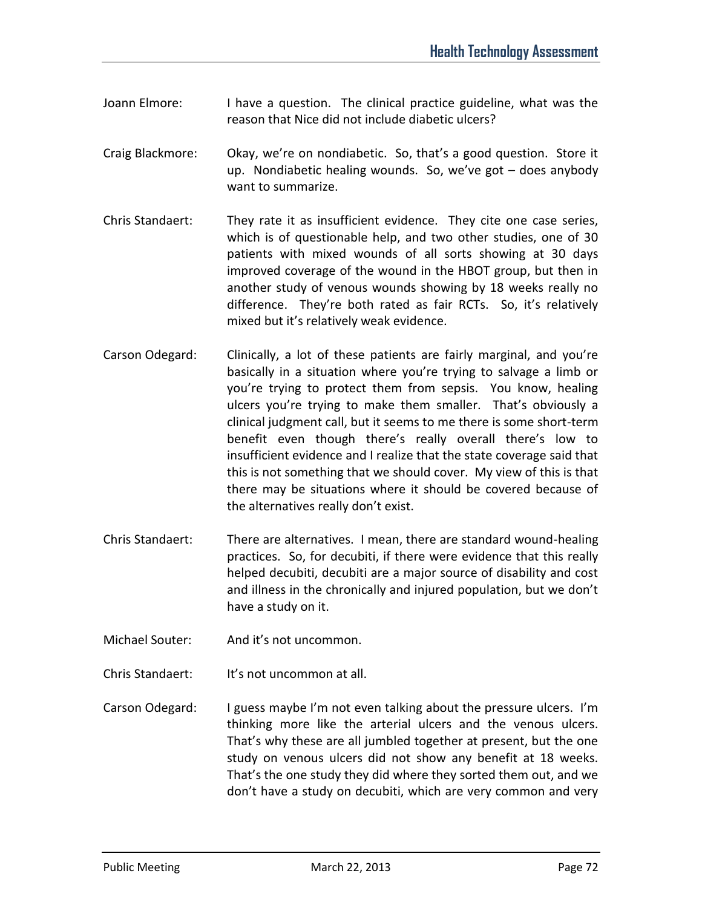- Joann Elmore: I have a question. The clinical practice guideline, what was the reason that Nice did not include diabetic ulcers?
- Craig Blackmore: Okay, we're on nondiabetic. So, that's a good question. Store it up. Nondiabetic healing wounds. So, we've got – does anybody want to summarize.
- Chris Standaert: They rate it as insufficient evidence. They cite one case series, which is of questionable help, and two other studies, one of 30 patients with mixed wounds of all sorts showing at 30 days improved coverage of the wound in the HBOT group, but then in another study of venous wounds showing by 18 weeks really no difference. They're both rated as fair RCTs. So, it's relatively mixed but it's relatively weak evidence.
- Carson Odegard: Clinically, a lot of these patients are fairly marginal, and you're basically in a situation where you're trying to salvage a limb or you're trying to protect them from sepsis. You know, healing ulcers you're trying to make them smaller. That's obviously a clinical judgment call, but it seems to me there is some short-term benefit even though there's really overall there's low to insufficient evidence and I realize that the state coverage said that this is not something that we should cover. My view of this is that there may be situations where it should be covered because of the alternatives really don't exist.
- Chris Standaert: There are alternatives. I mean, there are standard wound-healing practices. So, for decubiti, if there were evidence that this really helped decubiti, decubiti are a major source of disability and cost and illness in the chronically and injured population, but we don't have a study on it.
- Michael Souter: And it's not uncommon.
- Chris Standaert: It's not uncommon at all.
- Carson Odegard: I guess maybe I'm not even talking about the pressure ulcers. I'm thinking more like the arterial ulcers and the venous ulcers. That's why these are all jumbled together at present, but the one study on venous ulcers did not show any benefit at 18 weeks. That's the one study they did where they sorted them out, and we don't have a study on decubiti, which are very common and very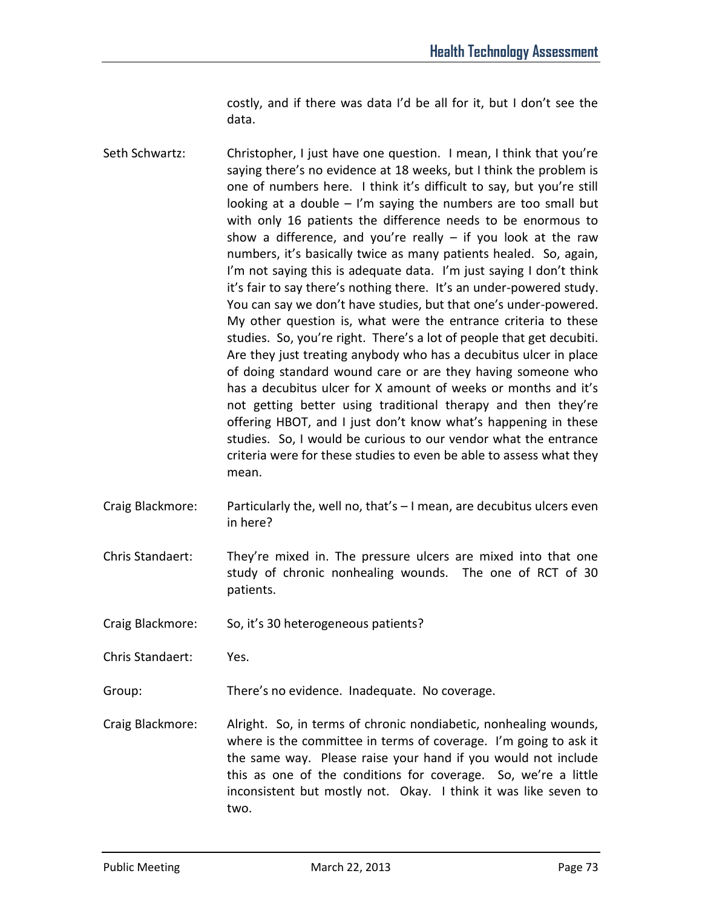costly, and if there was data I'd be all for it, but I don't see the data.

- Seth Schwartz: Christopher, I just have one question. I mean, I think that you're saying there's no evidence at 18 weeks, but I think the problem is one of numbers here. I think it's difficult to say, but you're still looking at a double  $-1$ 'm saying the numbers are too small but with only 16 patients the difference needs to be enormous to show a difference, and you're really  $-$  if you look at the raw numbers, it's basically twice as many patients healed. So, again, I'm not saying this is adequate data. I'm just saying I don't think it's fair to say there's nothing there. It's an under-powered study. You can say we don't have studies, but that one's under-powered. My other question is, what were the entrance criteria to these studies. So, you're right. There's a lot of people that get decubiti. Are they just treating anybody who has a decubitus ulcer in place of doing standard wound care or are they having someone who has a decubitus ulcer for X amount of weeks or months and it's not getting better using traditional therapy and then they're offering HBOT, and I just don't know what's happening in these studies. So, I would be curious to our vendor what the entrance criteria were for these studies to even be able to assess what they mean.
- Craig Blackmore: Particularly the, well no, that's I mean, are decubitus ulcers even in here?
- Chris Standaert: They're mixed in. The pressure ulcers are mixed into that one study of chronic nonhealing wounds. The one of RCT of 30 patients.
- Craig Blackmore: So, it's 30 heterogeneous patients?

Chris Standaert: Yes.

Group: There's no evidence. Inadequate. No coverage.

Craig Blackmore: Alright. So, in terms of chronic nondiabetic, nonhealing wounds, where is the committee in terms of coverage. I'm going to ask it the same way. Please raise your hand if you would not include this as one of the conditions for coverage. So, we're a little inconsistent but mostly not. Okay. I think it was like seven to two.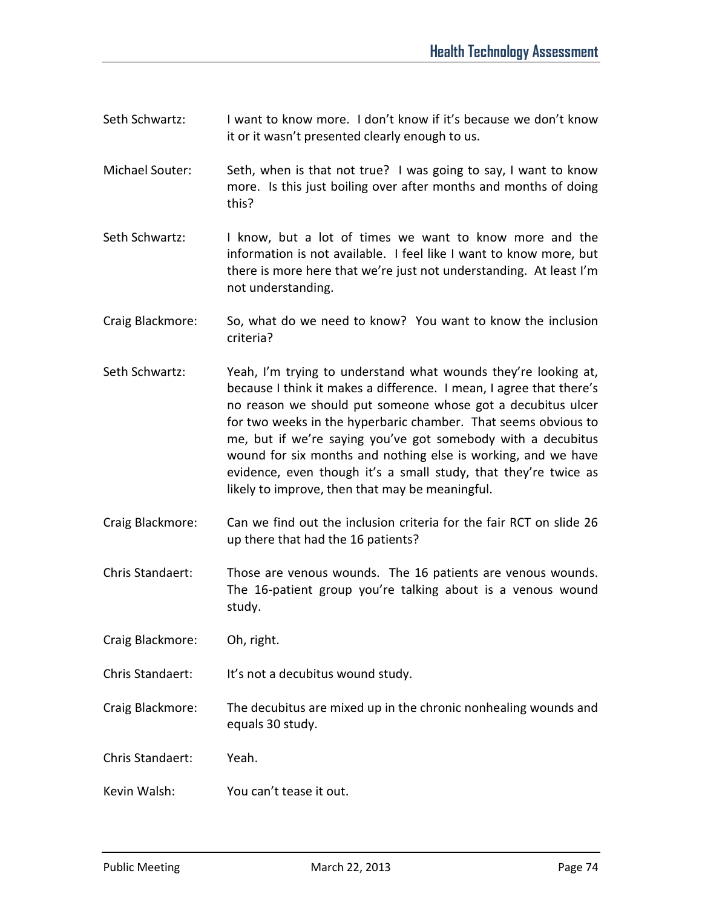- Seth Schwartz: I want to know more. I don't know if it's because we don't know it or it wasn't presented clearly enough to us.
- Michael Souter: Seth, when is that not true? I was going to say, I want to know more. Is this just boiling over after months and months of doing this?
- Seth Schwartz: I know, but a lot of times we want to know more and the information is not available. I feel like I want to know more, but there is more here that we're just not understanding. At least I'm not understanding.
- Craig Blackmore: So, what do we need to know? You want to know the inclusion criteria?
- Seth Schwartz: Yeah, I'm trying to understand what wounds they're looking at, because I think it makes a difference. I mean, I agree that there's no reason we should put someone whose got a decubitus ulcer for two weeks in the hyperbaric chamber. That seems obvious to me, but if we're saying you've got somebody with a decubitus wound for six months and nothing else is working, and we have evidence, even though it's a small study, that they're twice as likely to improve, then that may be meaningful.
- Craig Blackmore: Can we find out the inclusion criteria for the fair RCT on slide 26 up there that had the 16 patients?
- Chris Standaert: Those are venous wounds. The 16 patients are venous wounds. The 16-patient group you're talking about is a venous wound study.

Craig Blackmore: Oh, right.

Chris Standaert: It's not a decubitus wound study.

Craig Blackmore: The decubitus are mixed up in the chronic nonhealing wounds and equals 30 study.

Chris Standaert: Yeah.

Kevin Walsh: You can't tease it out.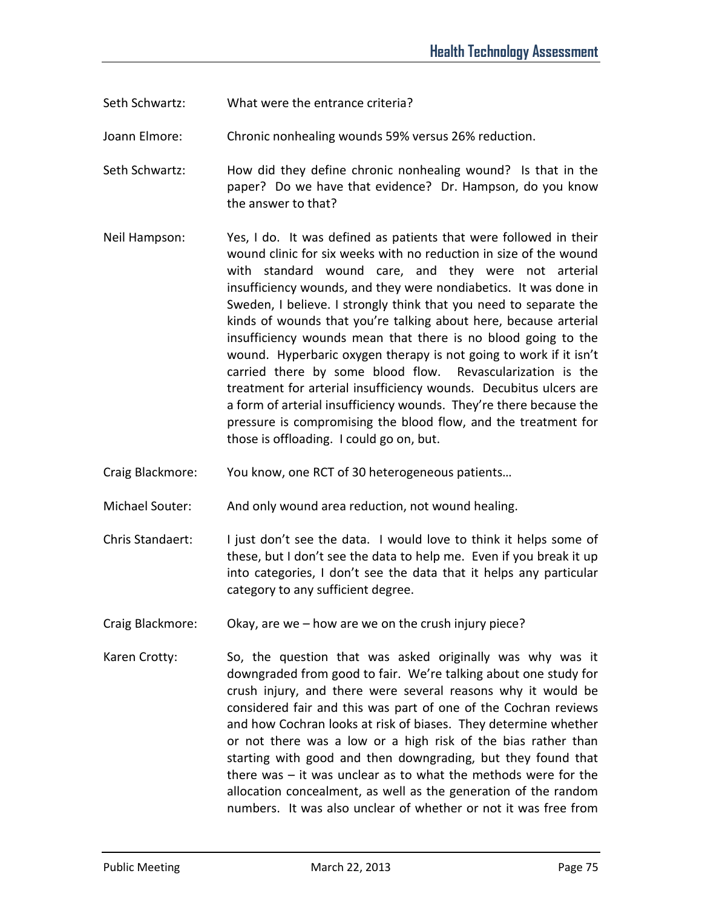- Seth Schwartz: What were the entrance criteria?
- Joann Elmore: Chronic nonhealing wounds 59% versus 26% reduction.
- Seth Schwartz: How did they define chronic nonhealing wound? Is that in the paper? Do we have that evidence? Dr. Hampson, do you know the answer to that?
- Neil Hampson: Yes, I do. It was defined as patients that were followed in their wound clinic for six weeks with no reduction in size of the wound with standard wound care, and they were not arterial insufficiency wounds, and they were nondiabetics. It was done in Sweden, I believe. I strongly think that you need to separate the kinds of wounds that you're talking about here, because arterial insufficiency wounds mean that there is no blood going to the wound. Hyperbaric oxygen therapy is not going to work if it isn't carried there by some blood flow. Revascularization is the treatment for arterial insufficiency wounds. Decubitus ulcers are a form of arterial insufficiency wounds. They're there because the pressure is compromising the blood flow, and the treatment for those is offloading. I could go on, but.
- Craig Blackmore: You know, one RCT of 30 heterogeneous patients…
- Michael Souter: And only wound area reduction, not wound healing.
- Chris Standaert: I just don't see the data. I would love to think it helps some of these, but I don't see the data to help me. Even if you break it up into categories, I don't see the data that it helps any particular category to any sufficient degree.
- Craig Blackmore: Okay, are we how are we on the crush injury piece?
- Karen Crotty: So, the question that was asked originally was why was it downgraded from good to fair. We're talking about one study for crush injury, and there were several reasons why it would be considered fair and this was part of one of the Cochran reviews and how Cochran looks at risk of biases. They determine whether or not there was a low or a high risk of the bias rather than starting with good and then downgrading, but they found that there was – it was unclear as to what the methods were for the allocation concealment, as well as the generation of the random numbers. It was also unclear of whether or not it was free from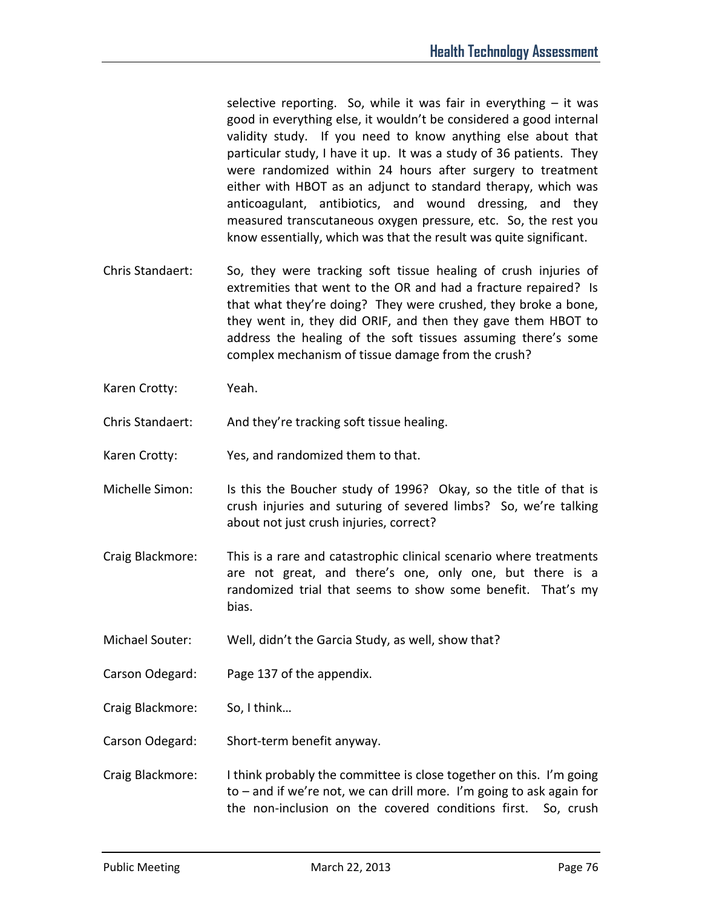selective reporting. So, while it was fair in everything  $-$  it was good in everything else, it wouldn't be considered a good internal validity study. If you need to know anything else about that particular study, I have it up. It was a study of 36 patients. They were randomized within 24 hours after surgery to treatment either with HBOT as an adjunct to standard therapy, which was anticoagulant, antibiotics, and wound dressing, and they measured transcutaneous oxygen pressure, etc. So, the rest you know essentially, which was that the result was quite significant.

- Chris Standaert: So, they were tracking soft tissue healing of crush injuries of extremities that went to the OR and had a fracture repaired? Is that what they're doing? They were crushed, they broke a bone, they went in, they did ORIF, and then they gave them HBOT to address the healing of the soft tissues assuming there's some complex mechanism of tissue damage from the crush?
- Karen Crotty: Yeah.

Chris Standaert: And they're tracking soft tissue healing.

Karen Crotty: Yes, and randomized them to that.

- Michelle Simon: Is this the Boucher study of 1996? Okay, so the title of that is crush injuries and suturing of severed limbs? So, we're talking about not just crush injuries, correct?
- Craig Blackmore: This is a rare and catastrophic clinical scenario where treatments are not great, and there's one, only one, but there is a randomized trial that seems to show some benefit. That's my bias.
- Michael Souter: Well, didn't the Garcia Study, as well, show that?
- Carson Odegard: Page 137 of the appendix.

Craig Blackmore: So, I think…

Carson Odegard: Short-term benefit anyway.

Craig Blackmore: I think probably the committee is close together on this. I'm going to – and if we're not, we can drill more. I'm going to ask again for the non-inclusion on the covered conditions first. So, crush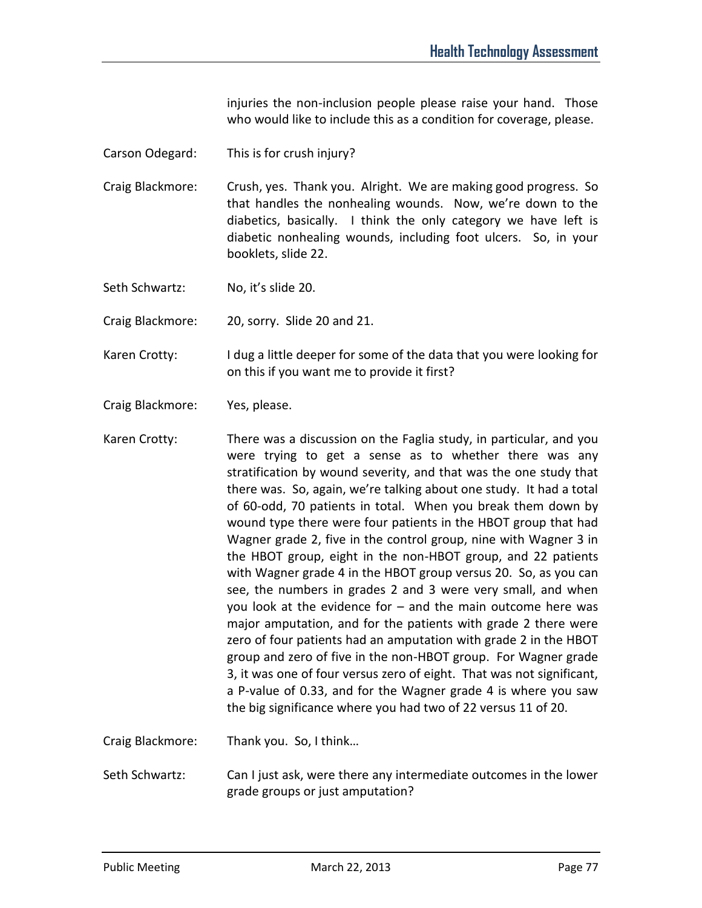injuries the non-inclusion people please raise your hand. Those who would like to include this as a condition for coverage, please.

- Carson Odegard: This is for crush injury?
- Craig Blackmore: Crush, yes. Thank you. Alright. We are making good progress. So that handles the nonhealing wounds. Now, we're down to the diabetics, basically. I think the only category we have left is diabetic nonhealing wounds, including foot ulcers. So, in your booklets, slide 22.
- Seth Schwartz: No, it's slide 20.

Craig Blackmore: 20, sorry. Slide 20 and 21.

- Karen Crotty: I dug a little deeper for some of the data that you were looking for on this if you want me to provide it first?
- Craig Blackmore: Yes, please.
- Karen Crotty: There was a discussion on the Faglia study, in particular, and you were trying to get a sense as to whether there was any stratification by wound severity, and that was the one study that there was. So, again, we're talking about one study. It had a total of 60-odd, 70 patients in total. When you break them down by wound type there were four patients in the HBOT group that had Wagner grade 2, five in the control group, nine with Wagner 3 in the HBOT group, eight in the non-HBOT group, and 22 patients with Wagner grade 4 in the HBOT group versus 20. So, as you can see, the numbers in grades 2 and 3 were very small, and when you look at the evidence for – and the main outcome here was major amputation, and for the patients with grade 2 there were zero of four patients had an amputation with grade 2 in the HBOT group and zero of five in the non-HBOT group. For Wagner grade 3, it was one of four versus zero of eight. That was not significant, a P-value of 0.33, and for the Wagner grade 4 is where you saw the big significance where you had two of 22 versus 11 of 20.

Craig Blackmore: Thank you. So, I think…

Seth Schwartz: Can I just ask, were there any intermediate outcomes in the lower grade groups or just amputation?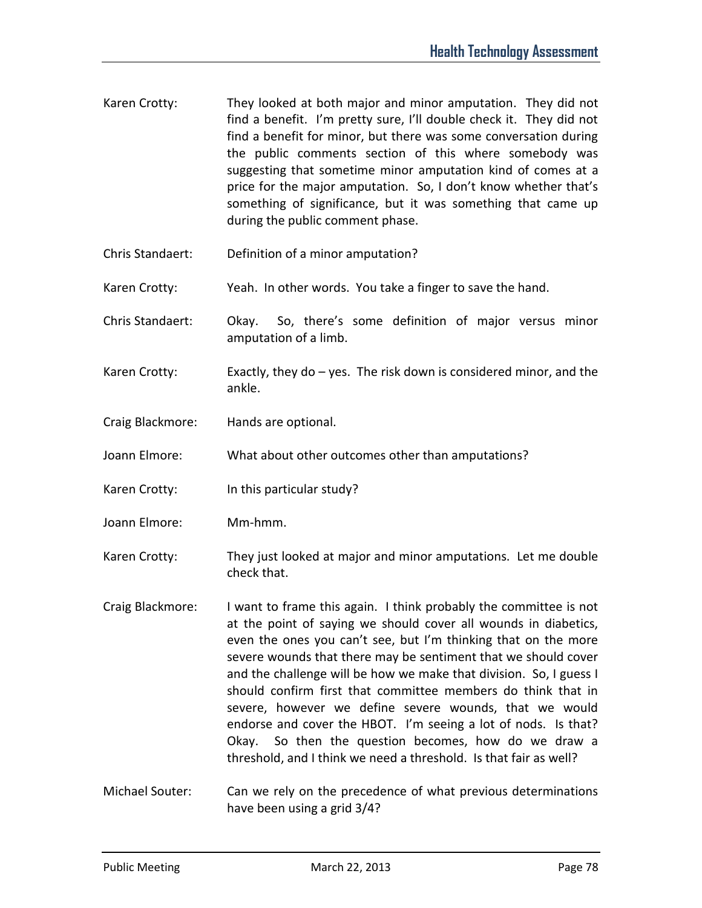- Karen Crotty: They looked at both major and minor amputation. They did not find a benefit. I'm pretty sure, I'll double check it. They did not find a benefit for minor, but there was some conversation during the public comments section of this where somebody was suggesting that sometime minor amputation kind of comes at a price for the major amputation. So, I don't know whether that's something of significance, but it was something that came up during the public comment phase.
- Chris Standaert: Definition of a minor amputation?
- Karen Crotty: Yeah. In other words. You take a finger to save the hand.
- Chris Standaert: Okay. So, there's some definition of major versus minor amputation of a limb.
- Karen Crotty: Exactly, they do yes. The risk down is considered minor, and the ankle.
- Craig Blackmore: Hands are optional.
- Joann Elmore: What about other outcomes other than amputations?
- Karen Crotty: In this particular study?
- Joann Elmore: Mm-hmm.
- Karen Crotty: They just looked at major and minor amputations. Let me double check that.
- Craig Blackmore: I want to frame this again. I think probably the committee is not at the point of saying we should cover all wounds in diabetics, even the ones you can't see, but I'm thinking that on the more severe wounds that there may be sentiment that we should cover and the challenge will be how we make that division. So, I guess I should confirm first that committee members do think that in severe, however we define severe wounds, that we would endorse and cover the HBOT. I'm seeing a lot of nods. Is that? Okay. So then the question becomes, how do we draw a threshold, and I think we need a threshold. Is that fair as well?
- Michael Souter: Can we rely on the precedence of what previous determinations have been using a grid 3/4?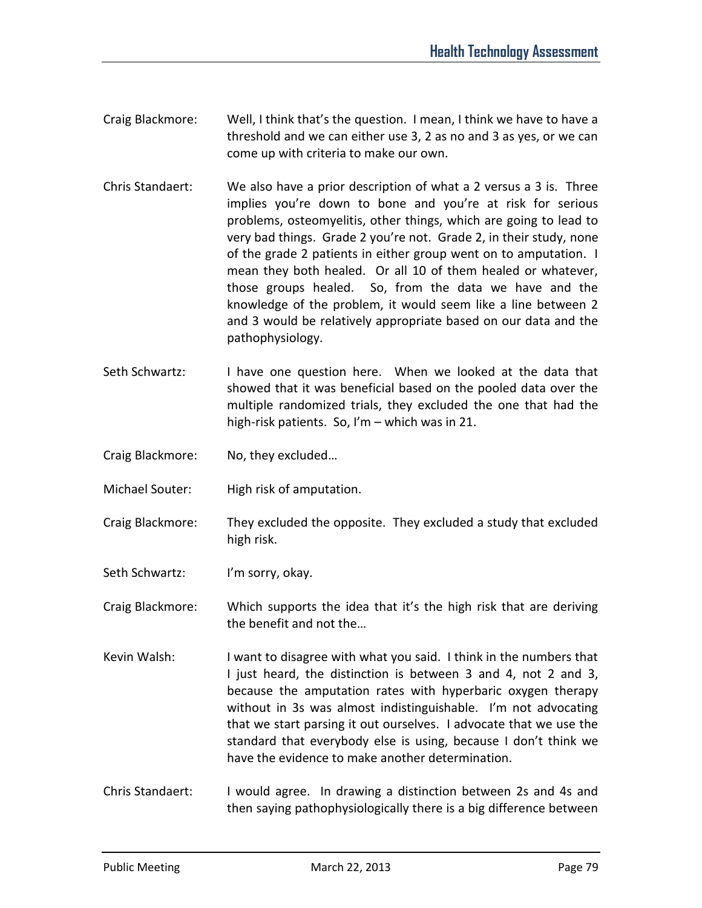- Craig Blackmore: Well, I think that's the question. I mean, I think we have to have a threshold and we can either use 3, 2 as no and 3 as yes, or we can come up with criteria to make our own.
- Chris Standaert: We also have a prior description of what a 2 versus a 3 is. Three implies you're down to bone and you're at risk for serious problems, osteomyelitis, other things, which are going to lead to very bad things. Grade 2 you're not. Grade 2, in their study, none of the grade 2 patients in either group went on to amputation. I mean they both healed. Or all 10 of them healed or whatever, those groups healed. So, from the data we have and the knowledge of the problem, it would seem like a line between 2 and 3 would be relatively appropriate based on our data and the pathophysiology.
- Seth Schwartz: I have one question here. When we looked at the data that showed that it was beneficial based on the pooled data over the multiple randomized trials, they excluded the one that had the high-risk patients. So, I'm – which was in 21.
- Craig Blackmore: No, they excluded…
- Michael Souter: High risk of amputation.
- Craig Blackmore: They excluded the opposite. They excluded a study that excluded high risk.
- Seth Schwartz: I'm sorry, okay.

Craig Blackmore: Which supports the idea that it's the high risk that are deriving the benefit and not the…

- Kevin Walsh: I want to disagree with what you said. I think in the numbers that I just heard, the distinction is between 3 and 4, not 2 and 3, because the amputation rates with hyperbaric oxygen therapy without in 3s was almost indistinguishable. I'm not advocating that we start parsing it out ourselves. I advocate that we use the standard that everybody else is using, because I don't think we have the evidence to make another determination.
- Chris Standaert: I would agree. In drawing a distinction between 2s and 4s and then saying pathophysiologically there is a big difference between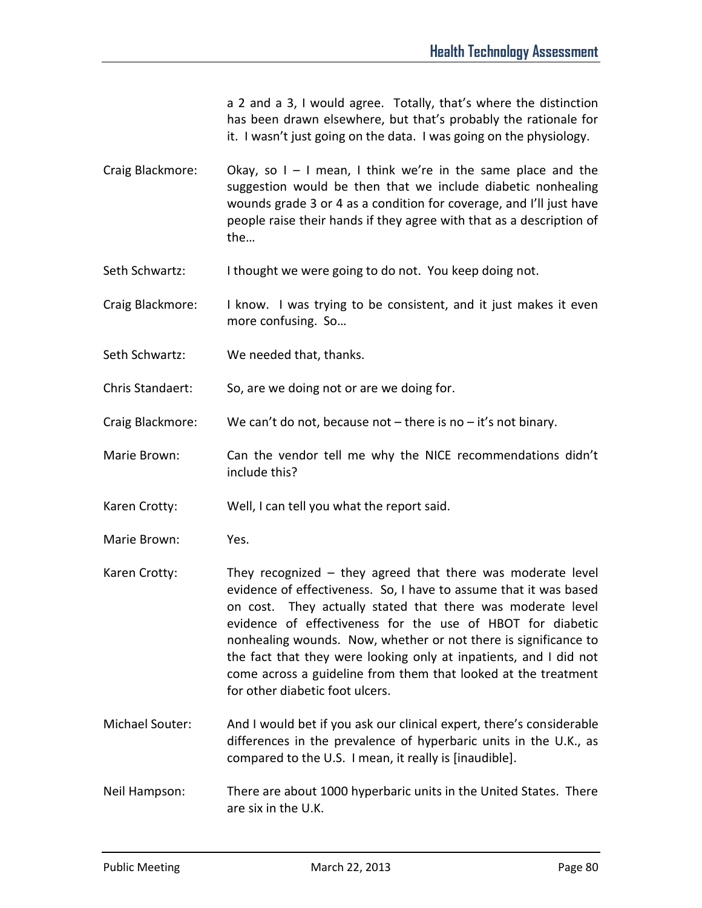a 2 and a 3, I would agree. Totally, that's where the distinction has been drawn elsewhere, but that's probably the rationale for it. I wasn't just going on the data. I was going on the physiology.

Craig Blackmore: Okay, so  $I - I$  mean, I think we're in the same place and the suggestion would be then that we include diabetic nonhealing wounds grade 3 or 4 as a condition for coverage, and I'll just have people raise their hands if they agree with that as a description of the…

- Seth Schwartz: I thought we were going to do not. You keep doing not.
- Craig Blackmore: I know. I was trying to be consistent, and it just makes it even more confusing. So…
- Seth Schwartz: We needed that, thanks.

Chris Standaert: So, are we doing not or are we doing for.

Craig Blackmore: We can't do not, because not  $-$  there is no  $-$  it's not binary.

Marie Brown: Can the vendor tell me why the NICE recommendations didn't include this?

Karen Crotty: Well, I can tell you what the report said.

- Marie Brown: Yes.
- Karen Crotty: They recognized they agreed that there was moderate level evidence of effectiveness. So, I have to assume that it was based on cost. They actually stated that there was moderate level evidence of effectiveness for the use of HBOT for diabetic nonhealing wounds. Now, whether or not there is significance to the fact that they were looking only at inpatients, and I did not come across a guideline from them that looked at the treatment for other diabetic foot ulcers.
- Michael Souter: And I would bet if you ask our clinical expert, there's considerable differences in the prevalence of hyperbaric units in the U.K., as compared to the U.S. I mean, it really is [inaudible].
- Neil Hampson: There are about 1000 hyperbaric units in the United States. There are six in the U.K.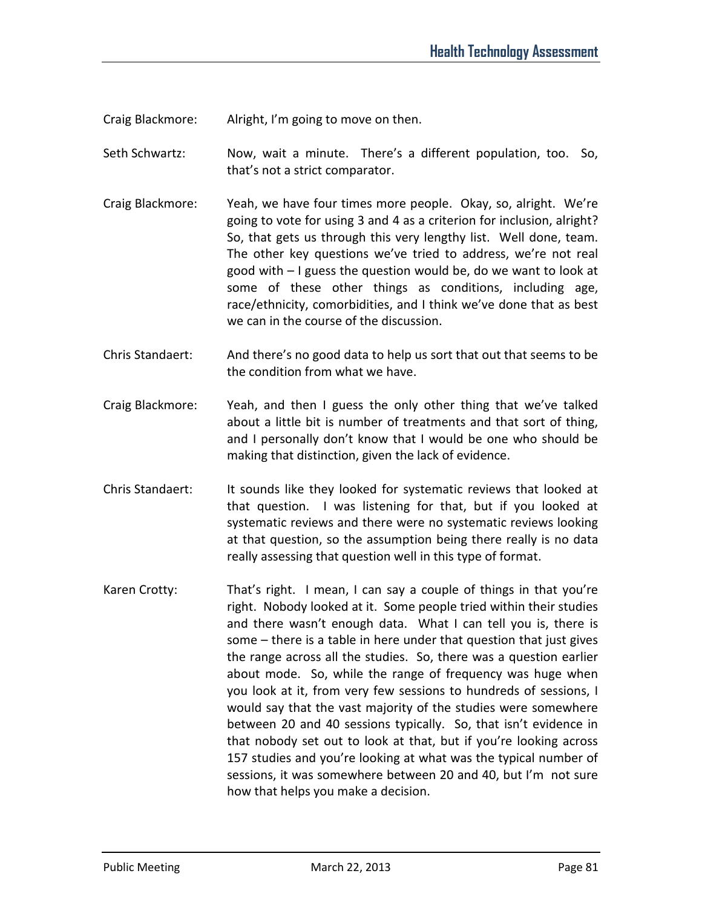Craig Blackmore: Alright, I'm going to move on then.

Seth Schwartz: Now, wait a minute. There's a different population, too. So, that's not a strict comparator.

- Craig Blackmore: Yeah, we have four times more people. Okay, so, alright. We're going to vote for using 3 and 4 as a criterion for inclusion, alright? So, that gets us through this very lengthy list. Well done, team. The other key questions we've tried to address, we're not real good with – I guess the question would be, do we want to look at some of these other things as conditions, including age, race/ethnicity, comorbidities, and I think we've done that as best we can in the course of the discussion.
- Chris Standaert: And there's no good data to help us sort that out that seems to be the condition from what we have.
- Craig Blackmore: Yeah, and then I guess the only other thing that we've talked about a little bit is number of treatments and that sort of thing, and I personally don't know that I would be one who should be making that distinction, given the lack of evidence.
- Chris Standaert: It sounds like they looked for systematic reviews that looked at that question. I was listening for that, but if you looked at systematic reviews and there were no systematic reviews looking at that question, so the assumption being there really is no data really assessing that question well in this type of format.
- Karen Crotty: That's right. I mean, I can say a couple of things in that you're right. Nobody looked at it. Some people tried within their studies and there wasn't enough data. What I can tell you is, there is some – there is a table in here under that question that just gives the range across all the studies. So, there was a question earlier about mode. So, while the range of frequency was huge when you look at it, from very few sessions to hundreds of sessions, I would say that the vast majority of the studies were somewhere between 20 and 40 sessions typically. So, that isn't evidence in that nobody set out to look at that, but if you're looking across 157 studies and you're looking at what was the typical number of sessions, it was somewhere between 20 and 40, but I'm not sure how that helps you make a decision.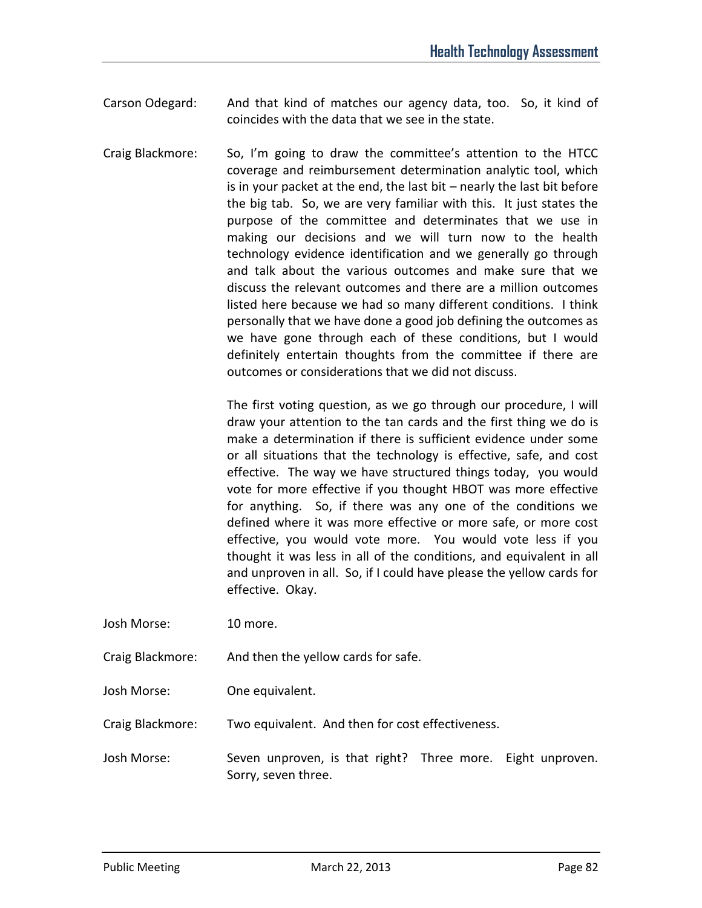- Carson Odegard: And that kind of matches our agency data, too. So, it kind of coincides with the data that we see in the state.
- Craig Blackmore: So, I'm going to draw the committee's attention to the HTCC coverage and reimbursement determination analytic tool, which is in your packet at the end, the last bit – nearly the last bit before the big tab. So, we are very familiar with this. It just states the purpose of the committee and determinates that we use in making our decisions and we will turn now to the health technology evidence identification and we generally go through and talk about the various outcomes and make sure that we discuss the relevant outcomes and there are a million outcomes listed here because we had so many different conditions. I think personally that we have done a good job defining the outcomes as we have gone through each of these conditions, but I would definitely entertain thoughts from the committee if there are outcomes or considerations that we did not discuss.

The first voting question, as we go through our procedure, I will draw your attention to the tan cards and the first thing we do is make a determination if there is sufficient evidence under some or all situations that the technology is effective, safe, and cost effective. The way we have structured things today, you would vote for more effective if you thought HBOT was more effective for anything. So, if there was any one of the conditions we defined where it was more effective or more safe, or more cost effective, you would vote more. You would vote less if you thought it was less in all of the conditions, and equivalent in all and unproven in all. So, if I could have please the yellow cards for effective. Okay.

- Josh Morse: 10 more.
- Craig Blackmore: And then the yellow cards for safe.
- Josh Morse: One equivalent.

Craig Blackmore: Two equivalent. And then for cost effectiveness.

Josh Morse: Seven unproven, is that right? Three more. Eight unproven. Sorry, seven three.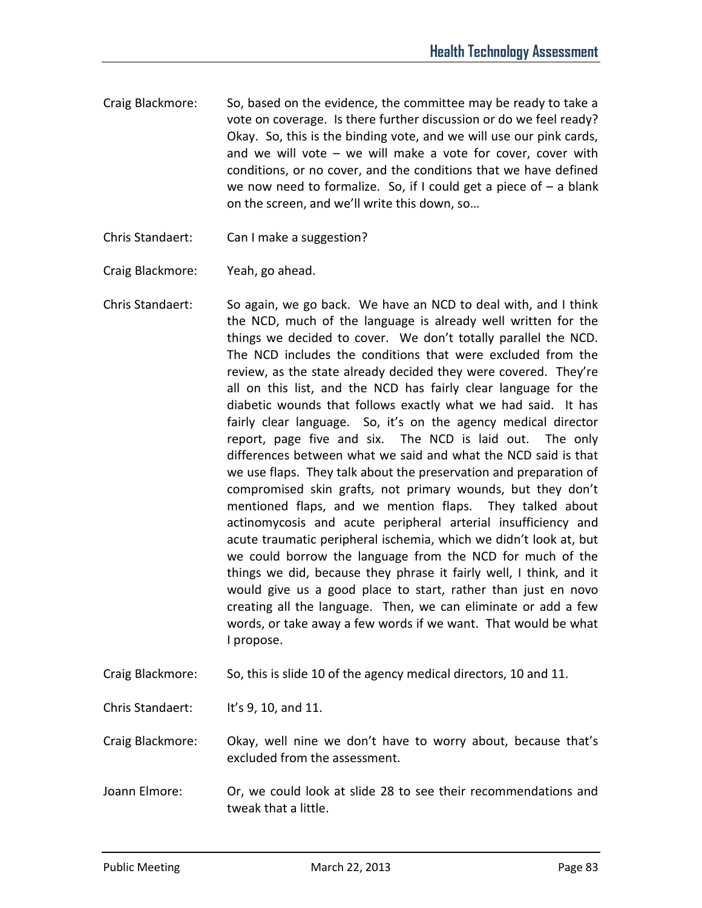- Craig Blackmore: So, based on the evidence, the committee may be ready to take a vote on coverage. Is there further discussion or do we feel ready? Okay. So, this is the binding vote, and we will use our pink cards, and we will vote – we will make a vote for cover, cover with conditions, or no cover, and the conditions that we have defined we now need to formalize. So, if I could get a piece of  $-$  a blank on the screen, and we'll write this down, so…
- Chris Standaert: Can I make a suggestion?
- Craig Blackmore: Yeah, go ahead.
- Chris Standaert: So again, we go back. We have an NCD to deal with, and I think the NCD, much of the language is already well written for the things we decided to cover. We don't totally parallel the NCD. The NCD includes the conditions that were excluded from the review, as the state already decided they were covered. They're all on this list, and the NCD has fairly clear language for the diabetic wounds that follows exactly what we had said. It has fairly clear language. So, it's on the agency medical director report, page five and six. The NCD is laid out. The only differences between what we said and what the NCD said is that we use flaps. They talk about the preservation and preparation of compromised skin grafts, not primary wounds, but they don't mentioned flaps, and we mention flaps. They talked about actinomycosis and acute peripheral arterial insufficiency and acute traumatic peripheral ischemia, which we didn't look at, but we could borrow the language from the NCD for much of the things we did, because they phrase it fairly well, I think, and it would give us a good place to start, rather than just en novo creating all the language. Then, we can eliminate or add a few words, or take away a few words if we want. That would be what I propose.
- Craig Blackmore: So, this is slide 10 of the agency medical directors, 10 and 11.
- Chris Standaert: It's 9, 10, and 11.

Craig Blackmore: Okay, well nine we don't have to worry about, because that's excluded from the assessment.

Joann Elmore: Or, we could look at slide 28 to see their recommendations and tweak that a little.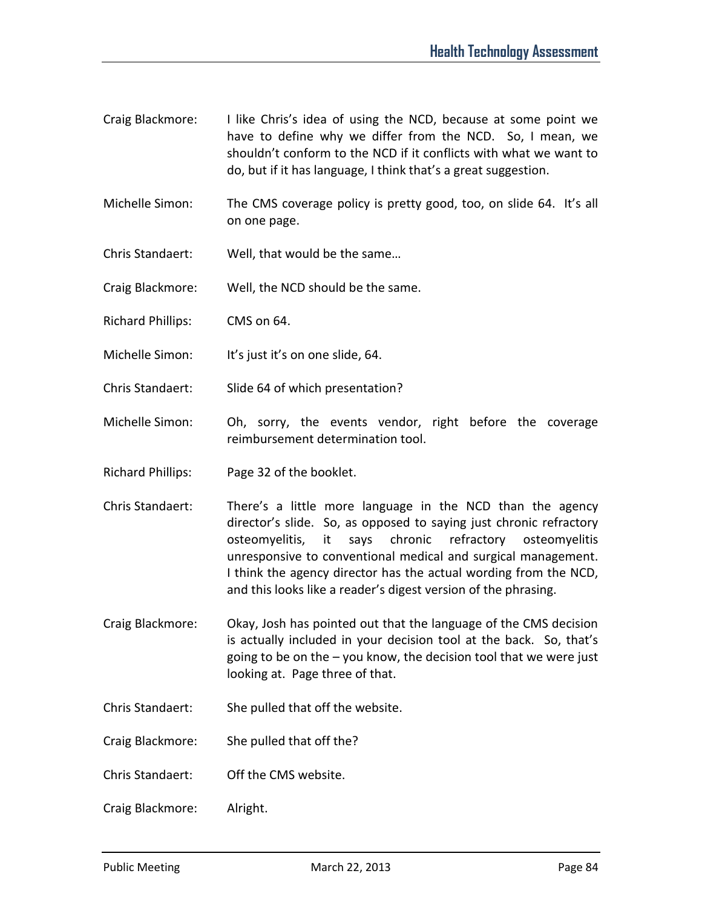- Craig Blackmore: I like Chris's idea of using the NCD, because at some point we have to define why we differ from the NCD. So, I mean, we shouldn't conform to the NCD if it conflicts with what we want to do, but if it has language, I think that's a great suggestion.
- Michelle Simon: The CMS coverage policy is pretty good, too, on slide 64. It's all on one page.
- Chris Standaert: Well, that would be the same…
- Craig Blackmore: Well, the NCD should be the same.
- Richard Phillips: CMS on 64.
- Michelle Simon: It's just it's on one slide, 64.
- Chris Standaert: Slide 64 of which presentation?
- Michelle Simon: Oh, sorry, the events vendor, right before the coverage reimbursement determination tool.
- Richard Phillips: Page 32 of the booklet.
- Chris Standaert: There's a little more language in the NCD than the agency director's slide. So, as opposed to saying just chronic refractory osteomyelitis, it says chronic refractory osteomyelitis unresponsive to conventional medical and surgical management. I think the agency director has the actual wording from the NCD, and this looks like a reader's digest version of the phrasing.
- Craig Blackmore: Okay, Josh has pointed out that the language of the CMS decision is actually included in your decision tool at the back. So, that's going to be on the – you know, the decision tool that we were just looking at. Page three of that.
- Chris Standaert: She pulled that off the website.
- Craig Blackmore: She pulled that off the?
- Chris Standaert: Off the CMS website.
- Craig Blackmore: Alright.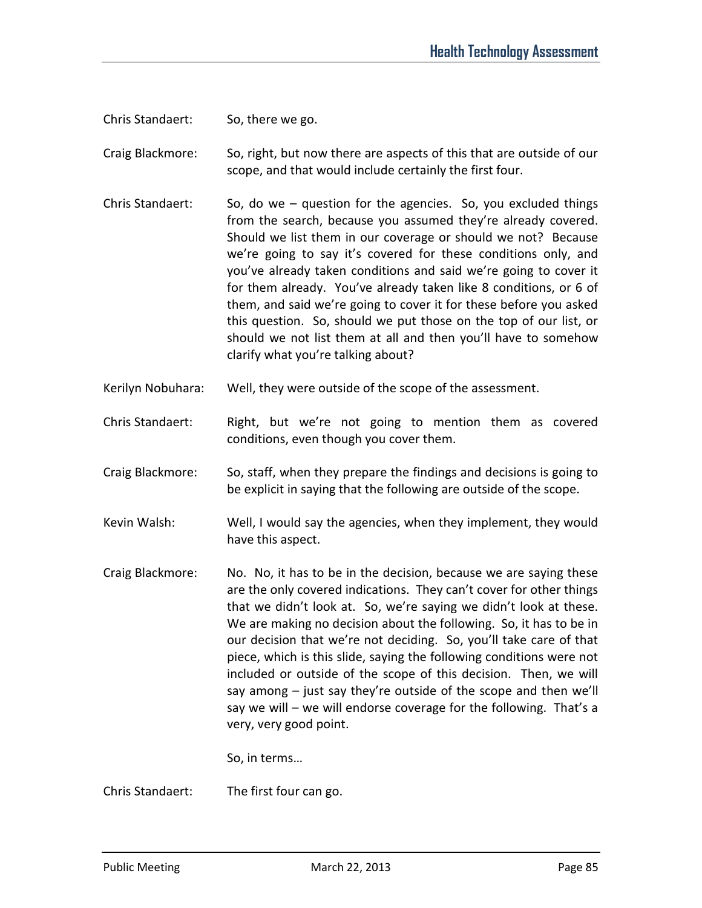Chris Standaert: So, there we go.

Craig Blackmore: So, right, but now there are aspects of this that are outside of our scope, and that would include certainly the first four.

- Chris Standaert: So, do we question for the agencies. So, you excluded things from the search, because you assumed they're already covered. Should we list them in our coverage or should we not? Because we're going to say it's covered for these conditions only, and you've already taken conditions and said we're going to cover it for them already. You've already taken like 8 conditions, or 6 of them, and said we're going to cover it for these before you asked this question. So, should we put those on the top of our list, or should we not list them at all and then you'll have to somehow clarify what you're talking about?
- Kerilyn Nobuhara: Well, they were outside of the scope of the assessment.
- Chris Standaert: Right, but we're not going to mention them as covered conditions, even though you cover them.
- Craig Blackmore: So, staff, when they prepare the findings and decisions is going to be explicit in saying that the following are outside of the scope.
- Kevin Walsh: Well, I would say the agencies, when they implement, they would have this aspect.
- Craig Blackmore: No. No, it has to be in the decision, because we are saying these are the only covered indications. They can't cover for other things that we didn't look at. So, we're saying we didn't look at these. We are making no decision about the following. So, it has to be in our decision that we're not deciding. So, you'll take care of that piece, which is this slide, saying the following conditions were not included or outside of the scope of this decision. Then, we will say among – just say they're outside of the scope and then we'll say we will – we will endorse coverage for the following. That's a very, very good point.

So, in terms…

Chris Standaert: The first four can go.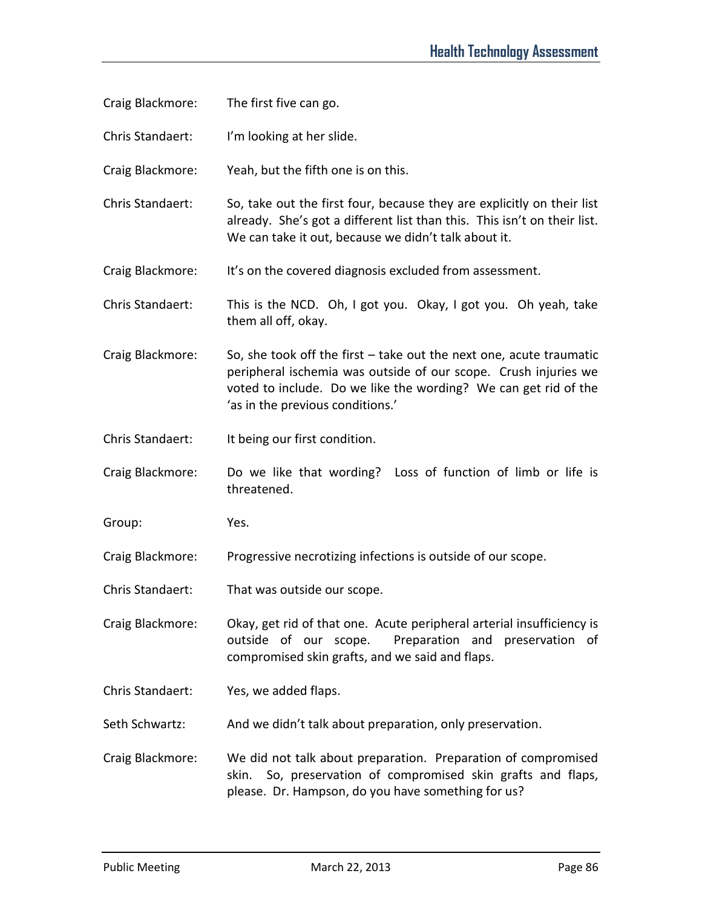- Craig Blackmore: The first five can go.
- Chris Standaert: I'm looking at her slide.
- Craig Blackmore: Yeah, but the fifth one is on this.
- Chris Standaert: So, take out the first four, because they are explicitly on their list already. She's got a different list than this. This isn't on their list. We can take it out, because we didn't talk about it.
- Craig Blackmore: It's on the covered diagnosis excluded from assessment.
- Chris Standaert: This is the NCD. Oh, I got you. Okay, I got you. Oh yeah, take them all off, okay.
- Craig Blackmore: So, she took off the first take out the next one, acute traumatic peripheral ischemia was outside of our scope. Crush injuries we voted to include. Do we like the wording? We can get rid of the 'as in the previous conditions.'
- Chris Standaert: It being our first condition.
- Craig Blackmore: Do we like that wording? Loss of function of limb or life is threatened.
- Group: Yes.
- Craig Blackmore: Progressive necrotizing infections is outside of our scope.
- Chris Standaert: That was outside our scope.
- Craig Blackmore: Okay, get rid of that one. Acute peripheral arterial insufficiency is outside of our scope. Preparation and preservation of compromised skin grafts, and we said and flaps.
- Chris Standaert: Yes, we added flaps.
- Seth Schwartz: And we didn't talk about preparation, only preservation.
- Craig Blackmore: We did not talk about preparation. Preparation of compromised skin. So, preservation of compromised skin grafts and flaps, please. Dr. Hampson, do you have something for us?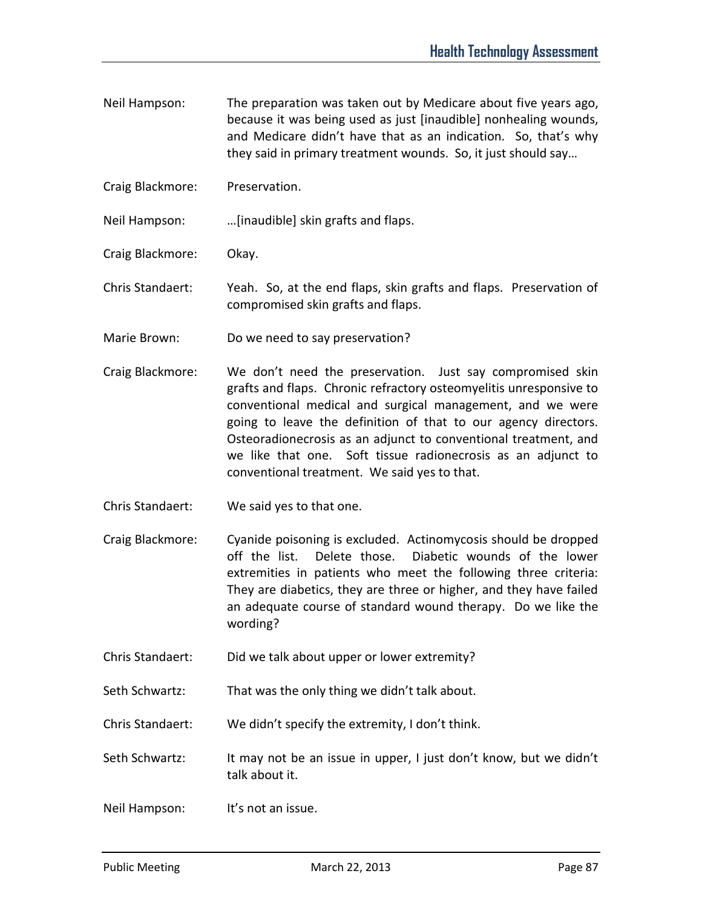- Neil Hampson: The preparation was taken out by Medicare about five years ago, because it was being used as just [inaudible] nonhealing wounds, and Medicare didn't have that as an indication. So, that's why they said in primary treatment wounds. So, it just should say…
- Craig Blackmore: Preservation.

Neil Hampson: …[inaudible] skin grafts and flaps.

Craig Blackmore: Okay.

Chris Standaert: Yeah. So, at the end flaps, skin grafts and flaps. Preservation of compromised skin grafts and flaps.

- Marie Brown: Do we need to say preservation?
- Craig Blackmore: We don't need the preservation. Just say compromised skin grafts and flaps. Chronic refractory osteomyelitis unresponsive to conventional medical and surgical management, and we were going to leave the definition of that to our agency directors. Osteoradionecrosis as an adjunct to conventional treatment, and we like that one. Soft tissue radionecrosis as an adjunct to conventional treatment. We said yes to that.
- Chris Standaert: We said yes to that one.
- Craig Blackmore: Cyanide poisoning is excluded. Actinomycosis should be dropped off the list. Delete those. Diabetic wounds of the lower extremities in patients who meet the following three criteria: They are diabetics, they are three or higher, and they have failed an adequate course of standard wound therapy. Do we like the wording?
- Chris Standaert: Did we talk about upper or lower extremity?

Seth Schwartz: That was the only thing we didn't talk about.

Chris Standaert: We didn't specify the extremity, I don't think.

Seth Schwartz: It may not be an issue in upper, I just don't know, but we didn't talk about it.

Neil Hampson: It's not an issue.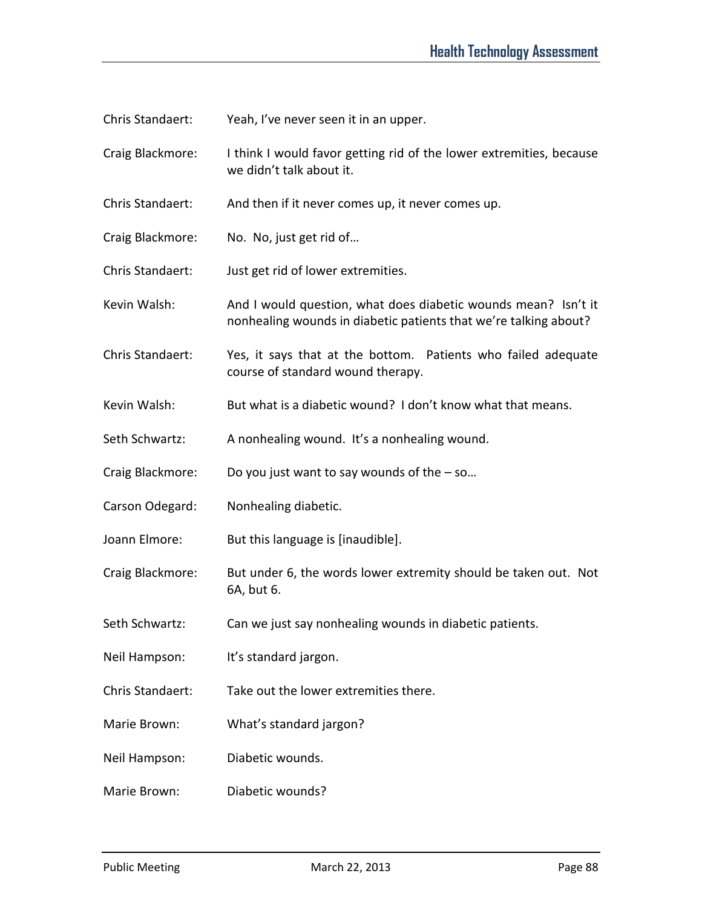- Chris Standaert: Yeah, I've never seen it in an upper.
- Craig Blackmore: I think I would favor getting rid of the lower extremities, because we didn't talk about it.
- Chris Standaert: And then if it never comes up, it never comes up.
- Craig Blackmore: No. No, just get rid of…
- Chris Standaert: Just get rid of lower extremities.
- Kevin Walsh: And I would question, what does diabetic wounds mean? Isn't it nonhealing wounds in diabetic patients that we're talking about?
- Chris Standaert: Yes, it says that at the bottom. Patients who failed adequate course of standard wound therapy.
- Kevin Walsh: But what is a diabetic wound? I don't know what that means.
- Seth Schwartz: A nonhealing wound. It's a nonhealing wound.
- Craig Blackmore: Do you just want to say wounds of the so…
- Carson Odegard: Nonhealing diabetic.
- Joann Elmore: But this language is [inaudible].
- Craig Blackmore: But under 6, the words lower extremity should be taken out. Not 6A, but 6.
- Seth Schwartz: Can we just say nonhealing wounds in diabetic patients.
- Neil Hampson: It's standard jargon.
- Chris Standaert: Take out the lower extremities there.
- Marie Brown: What's standard jargon?
- Neil Hampson: Diabetic wounds.
- Marie Brown: Diabetic wounds?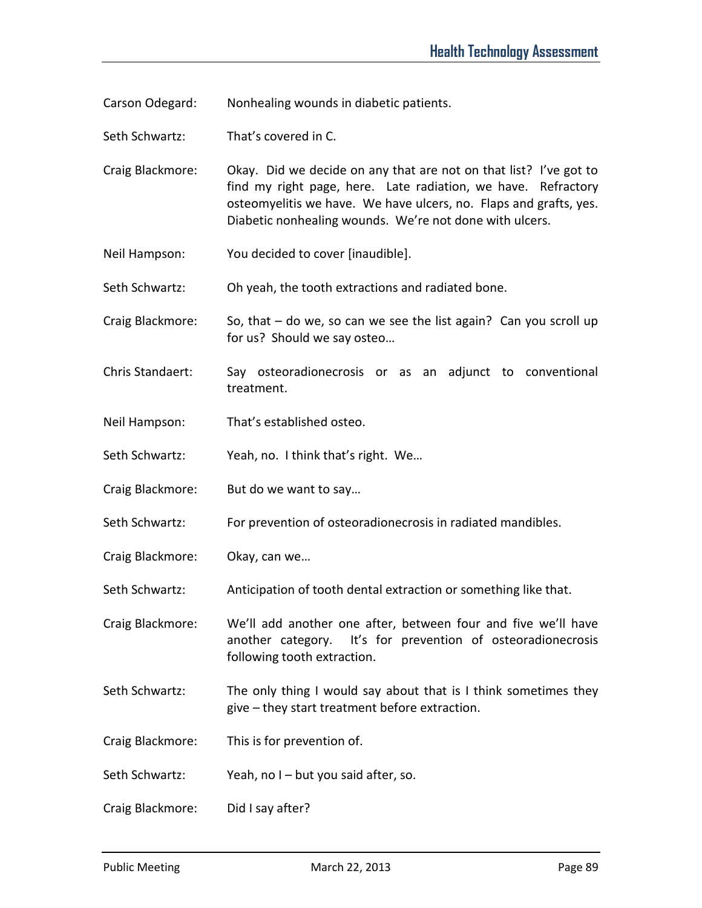Carson Odegard: Nonhealing wounds in diabetic patients.

Seth Schwartz: That's covered in C.

Craig Blackmore: Okay. Did we decide on any that are not on that list? I've got to find my right page, here. Late radiation, we have. Refractory osteomyelitis we have. We have ulcers, no. Flaps and grafts, yes. Diabetic nonhealing wounds. We're not done with ulcers.

Neil Hampson: You decided to cover [inaudible].

Seth Schwartz: Oh yeah, the tooth extractions and radiated bone.

Craig Blackmore: So, that – do we, so can we see the list again? Can you scroll up for us? Should we say osteo…

- Chris Standaert: Say osteoradionecrosis or as an adjunct to conventional treatment.
- Neil Hampson: That's established osteo.

Seth Schwartz: Yeah, no. I think that's right. We...

- Craig Blackmore: But do we want to say…
- Seth Schwartz: For prevention of osteoradionecrosis in radiated mandibles.
- Craig Blackmore: Okay, can we…

Seth Schwartz: Anticipation of tooth dental extraction or something like that.

Craig Blackmore: We'll add another one after, between four and five we'll have another category. It's for prevention of osteoradionecrosis following tooth extraction.

- Seth Schwartz: The only thing I would say about that is I think sometimes they give – they start treatment before extraction.
- Craig Blackmore: This is for prevention of.

Seth Schwartz: Yeah, no I – but you said after, so.

Craig Blackmore: Did I say after?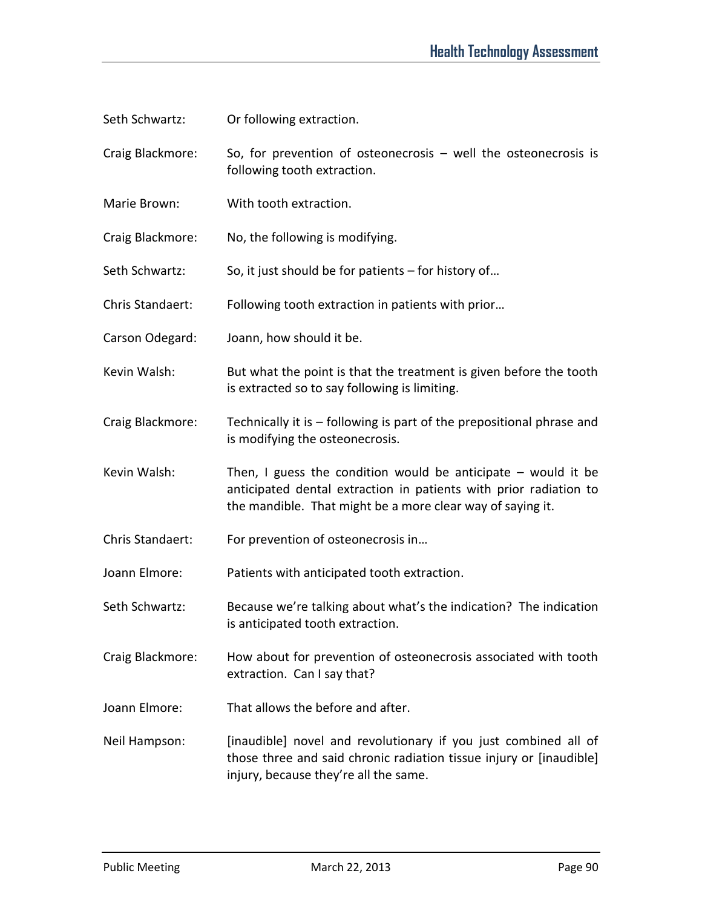- Seth Schwartz: Or following extraction.
- Craig Blackmore: So, for prevention of osteonecrosis well the osteonecrosis is following tooth extraction.
- Marie Brown: With tooth extraction.
- Craig Blackmore: No, the following is modifying.
- Seth Schwartz: So, it just should be for patients for history of...
- Chris Standaert: Following tooth extraction in patients with prior…
- Carson Odegard: Joann, how should it be.
- Kevin Walsh: But what the point is that the treatment is given before the tooth is extracted so to say following is limiting.
- Craig Blackmore: Technically it is following is part of the prepositional phrase and is modifying the osteonecrosis.
- Kevin Walsh: Then, I guess the condition would be anticipate  $-$  would it be anticipated dental extraction in patients with prior radiation to the mandible. That might be a more clear way of saying it.
- Chris Standaert: For prevention of osteonecrosis in…
- Joann Elmore: Patients with anticipated tooth extraction.
- Seth Schwartz: Because we're talking about what's the indication? The indication is anticipated tooth extraction.
- Craig Blackmore: How about for prevention of osteonecrosis associated with tooth extraction. Can I say that?
- Joann Elmore: That allows the before and after.
- Neil Hampson: [inaudible] novel and revolutionary if you just combined all of those three and said chronic radiation tissue injury or [inaudible] injury, because they're all the same.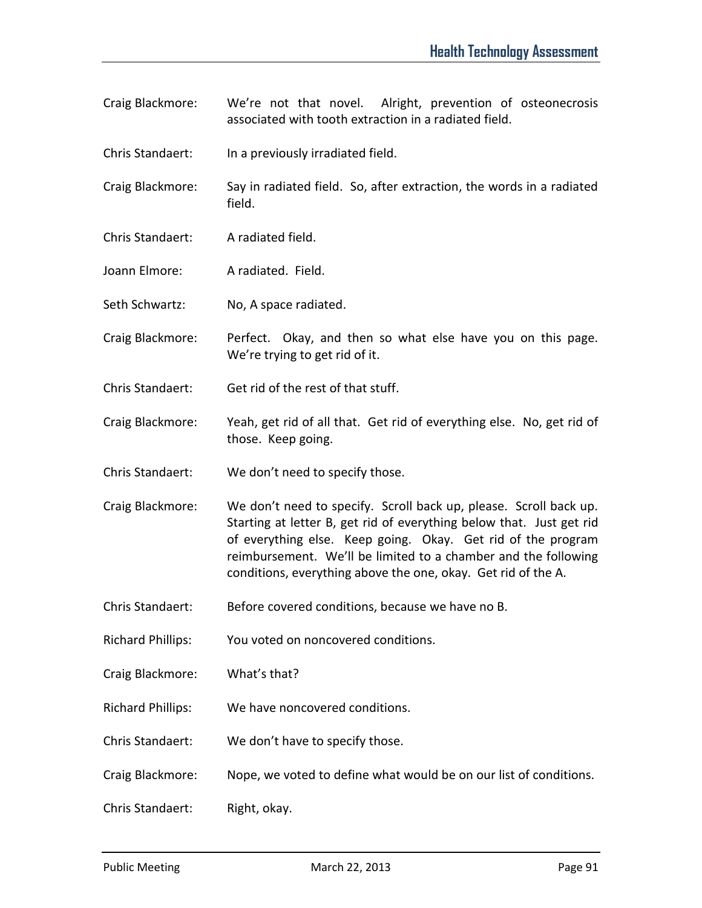- Craig Blackmore: We're not that novel. Alright, prevention of osteonecrosis associated with tooth extraction in a radiated field.
- Chris Standaert: In a previously irradiated field.
- Craig Blackmore: Say in radiated field. So, after extraction, the words in a radiated field.
- Chris Standaert: A radiated field.
- Joann Elmore: A radiated. Field.
- Seth Schwartz: No, A space radiated.
- Craig Blackmore: Perfect. Okay, and then so what else have you on this page. We're trying to get rid of it.
- Chris Standaert: Get rid of the rest of that stuff.
- Craig Blackmore: Yeah, get rid of all that. Get rid of everything else. No, get rid of those. Keep going.
- Chris Standaert: We don't need to specify those.
- Craig Blackmore: We don't need to specify. Scroll back up, please. Scroll back up. Starting at letter B, get rid of everything below that. Just get rid of everything else. Keep going. Okay. Get rid of the program reimbursement. We'll be limited to a chamber and the following conditions, everything above the one, okay. Get rid of the A.
- Chris Standaert: Before covered conditions, because we have no B.
- Richard Phillips: You voted on noncovered conditions.
- Craig Blackmore: What's that?
- Richard Phillips: We have noncovered conditions.
- Chris Standaert: We don't have to specify those.
- Craig Blackmore: Nope, we voted to define what would be on our list of conditions.
- Chris Standaert: Right, okay.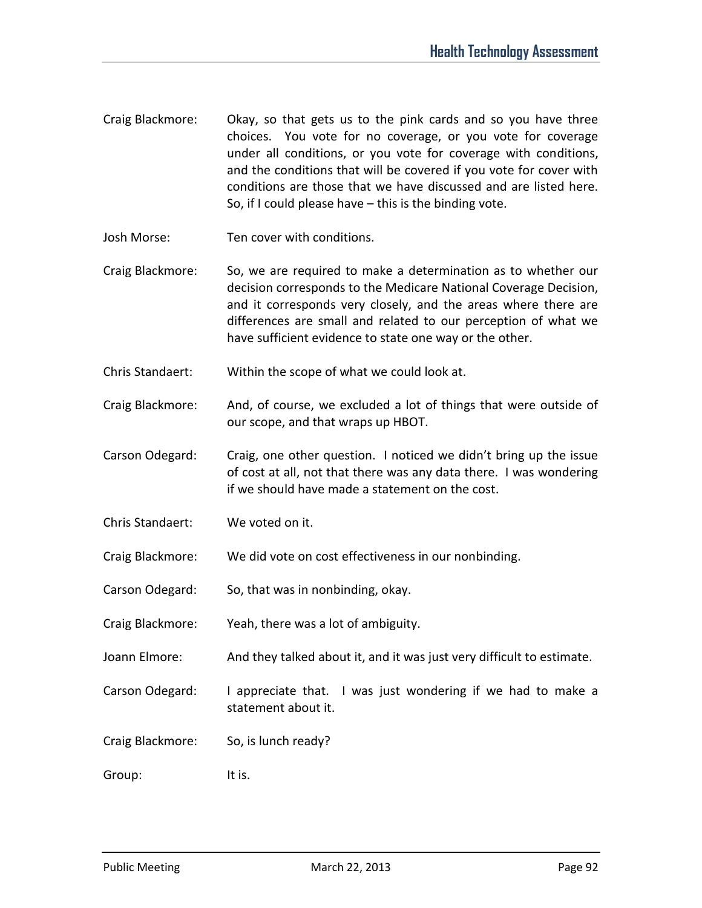- Craig Blackmore: Okay, so that gets us to the pink cards and so you have three choices. You vote for no coverage, or you vote for coverage under all conditions, or you vote for coverage with conditions, and the conditions that will be covered if you vote for cover with conditions are those that we have discussed and are listed here. So, if I could please have – this is the binding vote.
- Josh Morse: Ten cover with conditions.
- Craig Blackmore: So, we are required to make a determination as to whether our decision corresponds to the Medicare National Coverage Decision, and it corresponds very closely, and the areas where there are differences are small and related to our perception of what we have sufficient evidence to state one way or the other.
- Chris Standaert: Within the scope of what we could look at.
- Craig Blackmore: And, of course, we excluded a lot of things that were outside of our scope, and that wraps up HBOT.
- Carson Odegard: Craig, one other question. I noticed we didn't bring up the issue of cost at all, not that there was any data there. I was wondering if we should have made a statement on the cost.
- Chris Standaert: We voted on it.
- Craig Blackmore: We did vote on cost effectiveness in our nonbinding.
- Carson Odegard: So, that was in nonbinding, okay.
- Craig Blackmore: Yeah, there was a lot of ambiguity.
- Joann Elmore: And they talked about it, and it was just very difficult to estimate.
- Carson Odegard: I appreciate that. I was just wondering if we had to make a statement about it.
- Craig Blackmore: So, is lunch ready?
- Group: It is.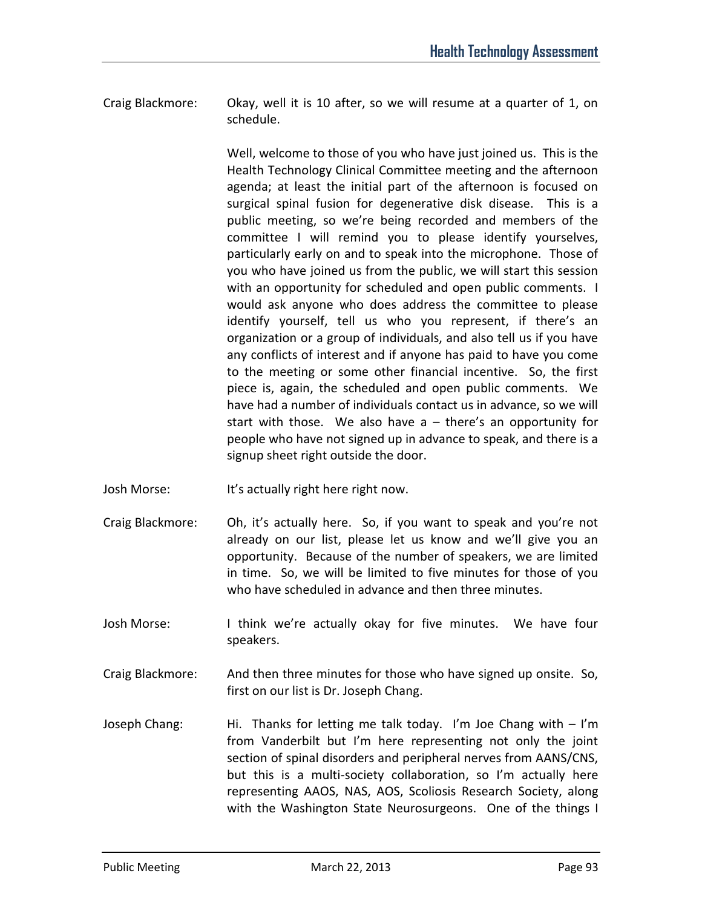Craig Blackmore: Okay, well it is 10 after, so we will resume at a quarter of 1, on schedule.

> Well, welcome to those of you who have just joined us. This is the Health Technology Clinical Committee meeting and the afternoon agenda; at least the initial part of the afternoon is focused on surgical spinal fusion for degenerative disk disease. This is a public meeting, so we're being recorded and members of the committee I will remind you to please identify yourselves, particularly early on and to speak into the microphone. Those of you who have joined us from the public, we will start this session with an opportunity for scheduled and open public comments. I would ask anyone who does address the committee to please identify yourself, tell us who you represent, if there's an organization or a group of individuals, and also tell us if you have any conflicts of interest and if anyone has paid to have you come to the meeting or some other financial incentive. So, the first piece is, again, the scheduled and open public comments. We have had a number of individuals contact us in advance, so we will start with those. We also have a – there's an opportunity for people who have not signed up in advance to speak, and there is a signup sheet right outside the door.

- Josh Morse: It's actually right here right now.
- Craig Blackmore: Oh, it's actually here. So, if you want to speak and you're not already on our list, please let us know and we'll give you an opportunity. Because of the number of speakers, we are limited in time. So, we will be limited to five minutes for those of you who have scheduled in advance and then three minutes.
- Josh Morse: I think we're actually okay for five minutes. We have four speakers.
- Craig Blackmore: And then three minutes for those who have signed up onsite. So, first on our list is Dr. Joseph Chang.
- Joseph Chang: Hi. Thanks for letting me talk today. I'm Joe Chang with I'm from Vanderbilt but I'm here representing not only the joint section of spinal disorders and peripheral nerves from AANS/CNS, but this is a multi-society collaboration, so I'm actually here representing AAOS, NAS, AOS, Scoliosis Research Society, along with the Washington State Neurosurgeons. One of the things I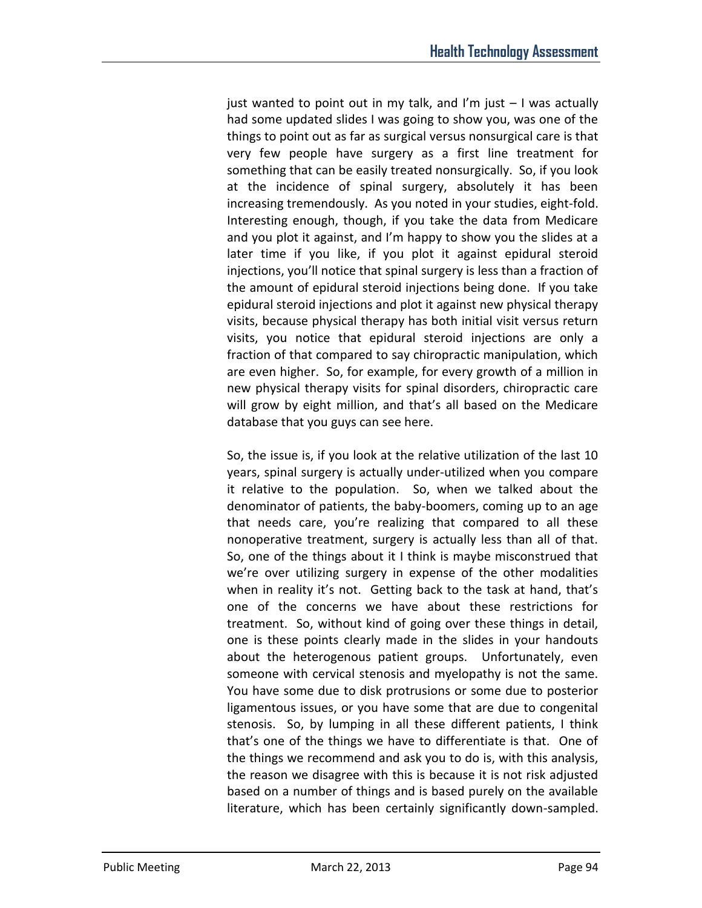just wanted to point out in my talk, and I'm just  $-1$  was actually had some updated slides I was going to show you, was one of the things to point out as far as surgical versus nonsurgical care is that very few people have surgery as a first line treatment for something that can be easily treated nonsurgically. So, if you look at the incidence of spinal surgery, absolutely it has been increasing tremendously. As you noted in your studies, eight-fold. Interesting enough, though, if you take the data from Medicare and you plot it against, and I'm happy to show you the slides at a later time if you like, if you plot it against epidural steroid injections, you'll notice that spinal surgery is less than a fraction of the amount of epidural steroid injections being done. If you take epidural steroid injections and plot it against new physical therapy visits, because physical therapy has both initial visit versus return visits, you notice that epidural steroid injections are only a fraction of that compared to say chiropractic manipulation, which are even higher. So, for example, for every growth of a million in new physical therapy visits for spinal disorders, chiropractic care will grow by eight million, and that's all based on the Medicare database that you guys can see here.

So, the issue is, if you look at the relative utilization of the last 10 years, spinal surgery is actually under-utilized when you compare it relative to the population. So, when we talked about the denominator of patients, the baby-boomers, coming up to an age that needs care, you're realizing that compared to all these nonoperative treatment, surgery is actually less than all of that. So, one of the things about it I think is maybe misconstrued that we're over utilizing surgery in expense of the other modalities when in reality it's not. Getting back to the task at hand, that's one of the concerns we have about these restrictions for treatment. So, without kind of going over these things in detail, one is these points clearly made in the slides in your handouts about the heterogenous patient groups. Unfortunately, even someone with cervical stenosis and myelopathy is not the same. You have some due to disk protrusions or some due to posterior ligamentous issues, or you have some that are due to congenital stenosis. So, by lumping in all these different patients, I think that's one of the things we have to differentiate is that. One of the things we recommend and ask you to do is, with this analysis, the reason we disagree with this is because it is not risk adjusted based on a number of things and is based purely on the available literature, which has been certainly significantly down-sampled.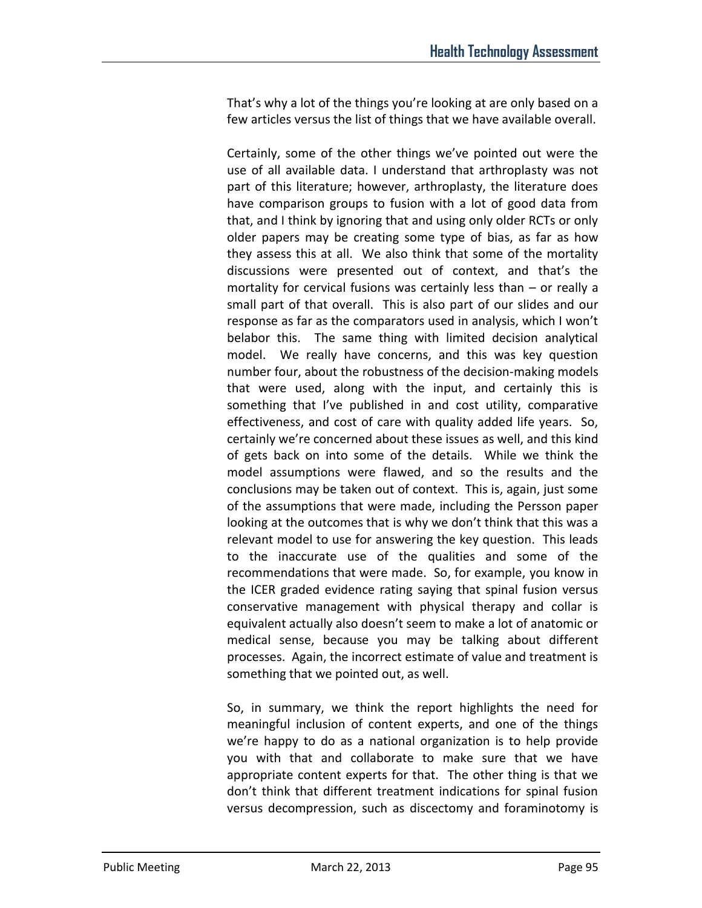That's why a lot of the things you're looking at are only based on a few articles versus the list of things that we have available overall.

Certainly, some of the other things we've pointed out were the use of all available data. I understand that arthroplasty was not part of this literature; however, arthroplasty, the literature does have comparison groups to fusion with a lot of good data from that, and I think by ignoring that and using only older RCTs or only older papers may be creating some type of bias, as far as how they assess this at all. We also think that some of the mortality discussions were presented out of context, and that's the mortality for cervical fusions was certainly less than – or really a small part of that overall. This is also part of our slides and our response as far as the comparators used in analysis, which I won't belabor this. The same thing with limited decision analytical model. We really have concerns, and this was key question number four, about the robustness of the decision-making models that were used, along with the input, and certainly this is something that I've published in and cost utility, comparative effectiveness, and cost of care with quality added life years. So, certainly we're concerned about these issues as well, and this kind of gets back on into some of the details. While we think the model assumptions were flawed, and so the results and the conclusions may be taken out of context. This is, again, just some of the assumptions that were made, including the Persson paper looking at the outcomes that is why we don't think that this was a relevant model to use for answering the key question. This leads to the inaccurate use of the qualities and some of the recommendations that were made. So, for example, you know in the ICER graded evidence rating saying that spinal fusion versus conservative management with physical therapy and collar is equivalent actually also doesn't seem to make a lot of anatomic or medical sense, because you may be talking about different processes. Again, the incorrect estimate of value and treatment is something that we pointed out, as well.

So, in summary, we think the report highlights the need for meaningful inclusion of content experts, and one of the things we're happy to do as a national organization is to help provide you with that and collaborate to make sure that we have appropriate content experts for that. The other thing is that we don't think that different treatment indications for spinal fusion versus decompression, such as discectomy and foraminotomy is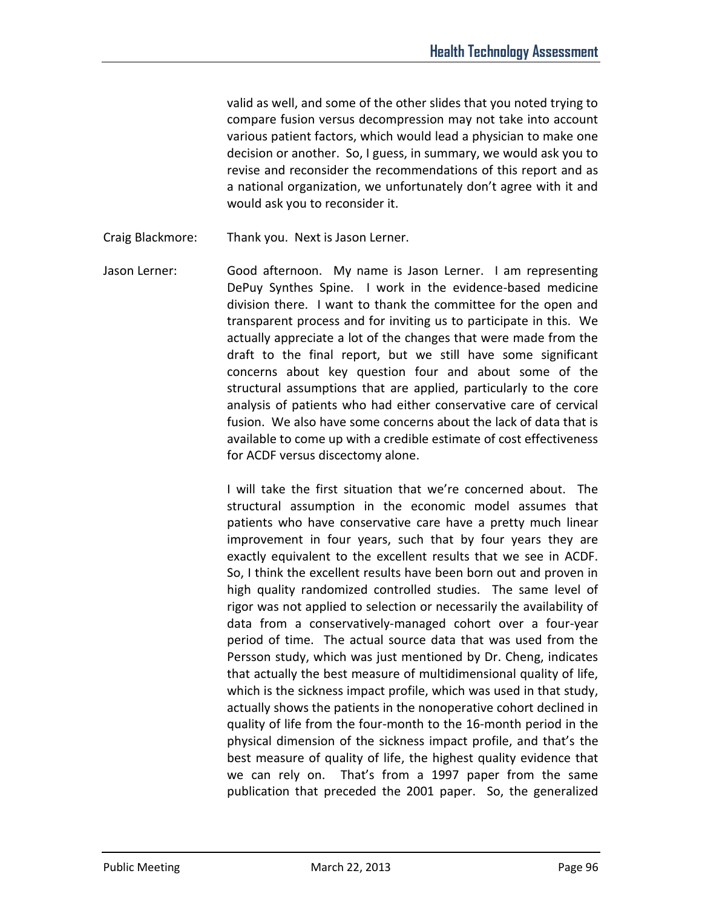valid as well, and some of the other slides that you noted trying to compare fusion versus decompression may not take into account various patient factors, which would lead a physician to make one decision or another. So, I guess, in summary, we would ask you to revise and reconsider the recommendations of this report and as a national organization, we unfortunately don't agree with it and would ask you to reconsider it.

- Craig Blackmore: Thank you. Next is Jason Lerner.
- Jason Lerner: Good afternoon. My name is Jason Lerner. I am representing DePuy Synthes Spine. I work in the evidence-based medicine division there. I want to thank the committee for the open and transparent process and for inviting us to participate in this. We actually appreciate a lot of the changes that were made from the draft to the final report, but we still have some significant concerns about key question four and about some of the structural assumptions that are applied, particularly to the core analysis of patients who had either conservative care of cervical fusion. We also have some concerns about the lack of data that is available to come up with a credible estimate of cost effectiveness for ACDF versus discectomy alone.

I will take the first situation that we're concerned about. The structural assumption in the economic model assumes that patients who have conservative care have a pretty much linear improvement in four years, such that by four years they are exactly equivalent to the excellent results that we see in ACDF. So, I think the excellent results have been born out and proven in high quality randomized controlled studies. The same level of rigor was not applied to selection or necessarily the availability of data from a conservatively-managed cohort over a four-year period of time. The actual source data that was used from the Persson study, which was just mentioned by Dr. Cheng, indicates that actually the best measure of multidimensional quality of life, which is the sickness impact profile, which was used in that study, actually shows the patients in the nonoperative cohort declined in quality of life from the four-month to the 16-month period in the physical dimension of the sickness impact profile, and that's the best measure of quality of life, the highest quality evidence that we can rely on. That's from a 1997 paper from the same publication that preceded the 2001 paper. So, the generalized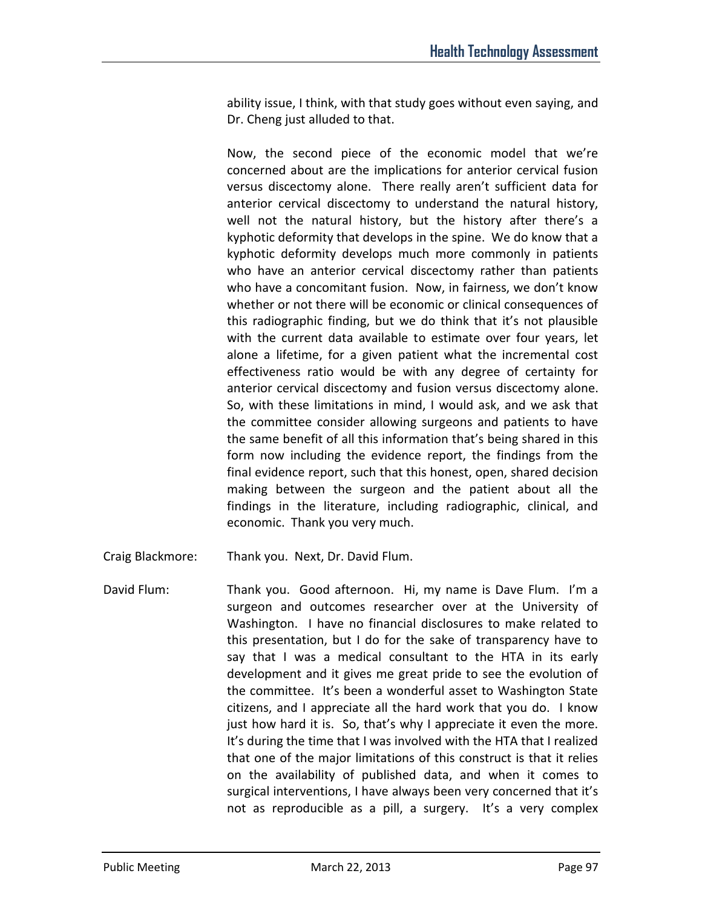ability issue, I think, with that study goes without even saying, and Dr. Cheng just alluded to that.

Now, the second piece of the economic model that we're concerned about are the implications for anterior cervical fusion versus discectomy alone. There really aren't sufficient data for anterior cervical discectomy to understand the natural history, well not the natural history, but the history after there's a kyphotic deformity that develops in the spine. We do know that a kyphotic deformity develops much more commonly in patients who have an anterior cervical discectomy rather than patients who have a concomitant fusion. Now, in fairness, we don't know whether or not there will be economic or clinical consequences of this radiographic finding, but we do think that it's not plausible with the current data available to estimate over four years, let alone a lifetime, for a given patient what the incremental cost effectiveness ratio would be with any degree of certainty for anterior cervical discectomy and fusion versus discectomy alone. So, with these limitations in mind, I would ask, and we ask that the committee consider allowing surgeons and patients to have the same benefit of all this information that's being shared in this form now including the evidence report, the findings from the final evidence report, such that this honest, open, shared decision making between the surgeon and the patient about all the findings in the literature, including radiographic, clinical, and economic. Thank you very much.

- Craig Blackmore: Thank you. Next, Dr. David Flum.
- David Flum: Thank you. Good afternoon. Hi, my name is Dave Flum. I'm a surgeon and outcomes researcher over at the University of Washington. I have no financial disclosures to make related to this presentation, but I do for the sake of transparency have to say that I was a medical consultant to the HTA in its early development and it gives me great pride to see the evolution of the committee. It's been a wonderful asset to Washington State citizens, and I appreciate all the hard work that you do. I know just how hard it is. So, that's why I appreciate it even the more. It's during the time that I was involved with the HTA that I realized that one of the major limitations of this construct is that it relies on the availability of published data, and when it comes to surgical interventions, I have always been very concerned that it's not as reproducible as a pill, a surgery. It's a very complex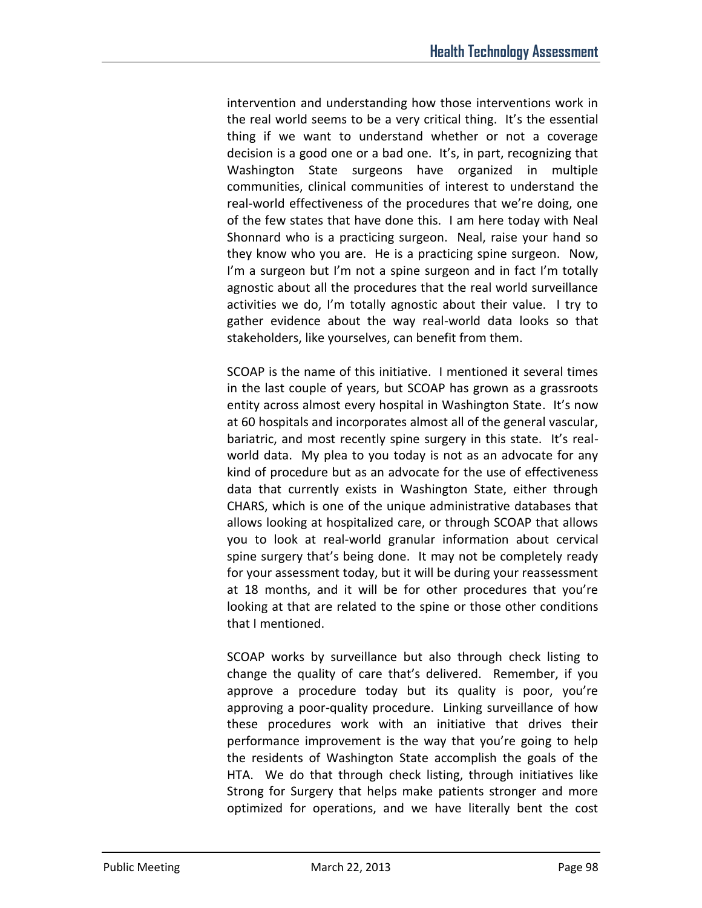intervention and understanding how those interventions work in the real world seems to be a very critical thing. It's the essential thing if we want to understand whether or not a coverage decision is a good one or a bad one. It's, in part, recognizing that Washington State surgeons have organized in multiple communities, clinical communities of interest to understand the real-world effectiveness of the procedures that we're doing, one of the few states that have done this. I am here today with Neal Shonnard who is a practicing surgeon. Neal, raise your hand so they know who you are. He is a practicing spine surgeon. Now, I'm a surgeon but I'm not a spine surgeon and in fact I'm totally agnostic about all the procedures that the real world surveillance activities we do, I'm totally agnostic about their value. I try to gather evidence about the way real-world data looks so that stakeholders, like yourselves, can benefit from them.

SCOAP is the name of this initiative. I mentioned it several times in the last couple of years, but SCOAP has grown as a grassroots entity across almost every hospital in Washington State. It's now at 60 hospitals and incorporates almost all of the general vascular, bariatric, and most recently spine surgery in this state. It's realworld data. My plea to you today is not as an advocate for any kind of procedure but as an advocate for the use of effectiveness data that currently exists in Washington State, either through CHARS, which is one of the unique administrative databases that allows looking at hospitalized care, or through SCOAP that allows you to look at real-world granular information about cervical spine surgery that's being done. It may not be completely ready for your assessment today, but it will be during your reassessment at 18 months, and it will be for other procedures that you're looking at that are related to the spine or those other conditions that I mentioned.

SCOAP works by surveillance but also through check listing to change the quality of care that's delivered. Remember, if you approve a procedure today but its quality is poor, you're approving a poor-quality procedure. Linking surveillance of how these procedures work with an initiative that drives their performance improvement is the way that you're going to help the residents of Washington State accomplish the goals of the HTA. We do that through check listing, through initiatives like Strong for Surgery that helps make patients stronger and more optimized for operations, and we have literally bent the cost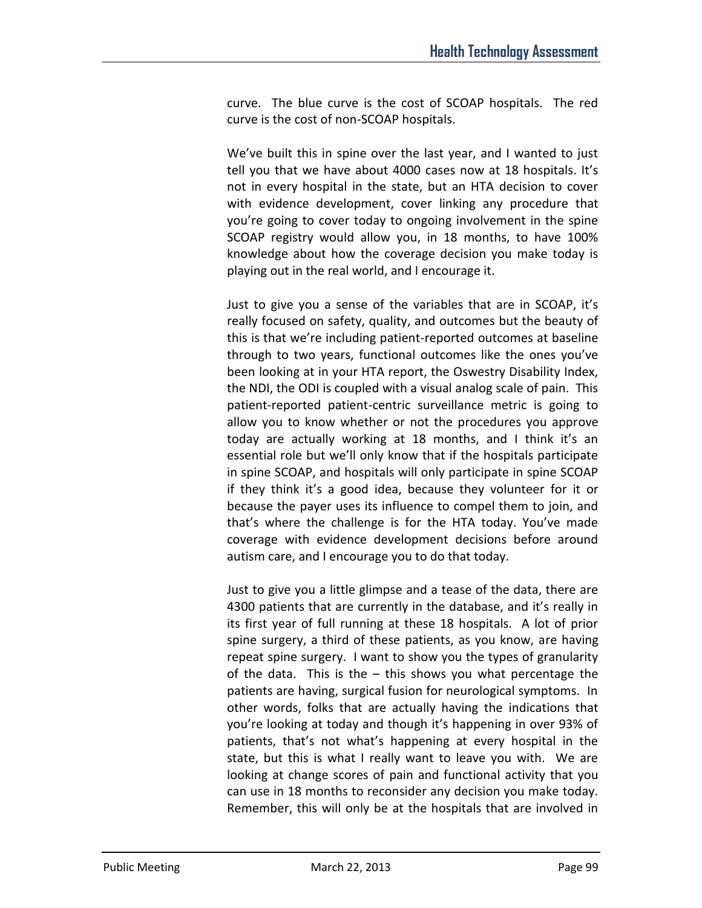curve. The blue curve is the cost of SCOAP hospitals. The red curve is the cost of non-SCOAP hospitals.

We've built this in spine over the last year, and I wanted to just tell you that we have about 4000 cases now at 18 hospitals. It's not in every hospital in the state, but an HTA decision to cover with evidence development, cover linking any procedure that you're going to cover today to ongoing involvement in the spine SCOAP registry would allow you, in 18 months, to have 100% knowledge about how the coverage decision you make today is playing out in the real world, and I encourage it.

Just to give you a sense of the variables that are in SCOAP, it's really focused on safety, quality, and outcomes but the beauty of this is that we're including patient-reported outcomes at baseline through to two years, functional outcomes like the ones you've been looking at in your HTA report, the Oswestry Disability Index, the NDI, the ODI is coupled with a visual analog scale of pain. This patient-reported patient-centric surveillance metric is going to allow you to know whether or not the procedures you approve today are actually working at 18 months, and I think it's an essential role but we'll only know that if the hospitals participate in spine SCOAP, and hospitals will only participate in spine SCOAP if they think it's a good idea, because they volunteer for it or because the payer uses its influence to compel them to join, and that's where the challenge is for the HTA today. You've made coverage with evidence development decisions before around autism care, and I encourage you to do that today.

Just to give you a little glimpse and a tease of the data, there are 4300 patients that are currently in the database, and it's really in its first year of full running at these 18 hospitals. A lot of prior spine surgery, a third of these patients, as you know, are having repeat spine surgery. I want to show you the types of granularity of the data. This is the  $-$  this shows you what percentage the patients are having, surgical fusion for neurological symptoms. In other words, folks that are actually having the indications that you're looking at today and though it's happening in over 93% of patients, that's not what's happening at every hospital in the state, but this is what I really want to leave you with. We are looking at change scores of pain and functional activity that you can use in 18 months to reconsider any decision you make today. Remember, this will only be at the hospitals that are involved in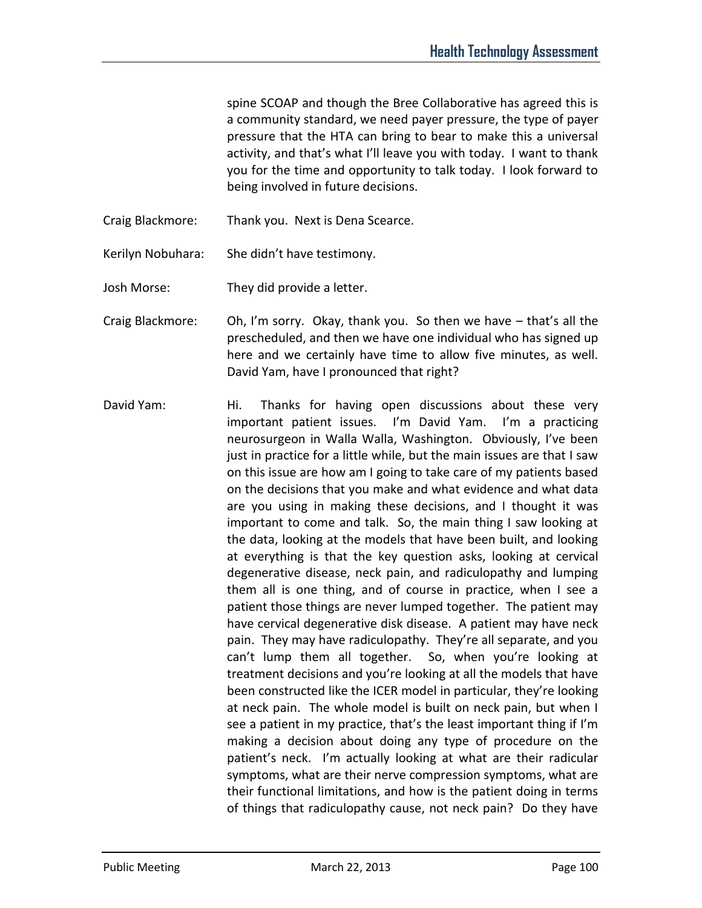spine SCOAP and though the Bree Collaborative has agreed this is a community standard, we need payer pressure, the type of payer pressure that the HTA can bring to bear to make this a universal activity, and that's what I'll leave you with today. I want to thank you for the time and opportunity to talk today. I look forward to being involved in future decisions.

Craig Blackmore: Thank you. Next is Dena Scearce.

Kerilyn Nobuhara: She didn't have testimony.

Josh Morse: They did provide a letter.

- Craig Blackmore: Oh, I'm sorry. Okay, thank you. So then we have that's all the prescheduled, and then we have one individual who has signed up here and we certainly have time to allow five minutes, as well. David Yam, have I pronounced that right?
- David Yam: Hi. Thanks for having open discussions about these very important patient issues. I'm David Yam. I'm a practicing neurosurgeon in Walla Walla, Washington. Obviously, I've been just in practice for a little while, but the main issues are that I saw on this issue are how am I going to take care of my patients based on the decisions that you make and what evidence and what data are you using in making these decisions, and I thought it was important to come and talk. So, the main thing I saw looking at the data, looking at the models that have been built, and looking at everything is that the key question asks, looking at cervical degenerative disease, neck pain, and radiculopathy and lumping them all is one thing, and of course in practice, when I see a patient those things are never lumped together. The patient may have cervical degenerative disk disease. A patient may have neck pain. They may have radiculopathy. They're all separate, and you can't lump them all together. So, when you're looking at treatment decisions and you're looking at all the models that have been constructed like the ICER model in particular, they're looking at neck pain. The whole model is built on neck pain, but when I see a patient in my practice, that's the least important thing if I'm making a decision about doing any type of procedure on the patient's neck. I'm actually looking at what are their radicular symptoms, what are their nerve compression symptoms, what are their functional limitations, and how is the patient doing in terms of things that radiculopathy cause, not neck pain? Do they have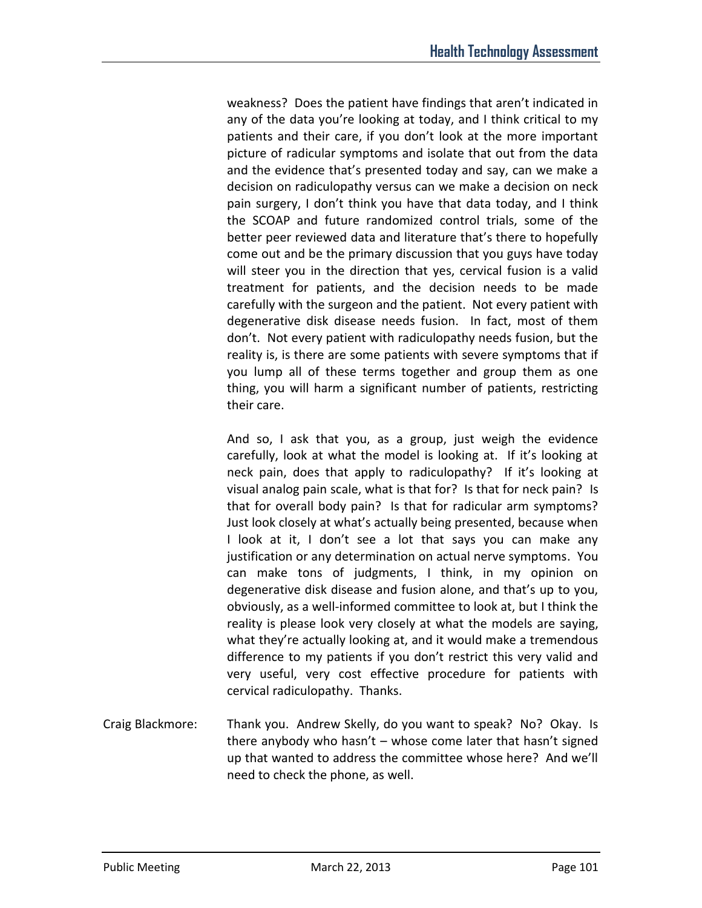weakness? Does the patient have findings that aren't indicated in any of the data you're looking at today, and I think critical to my patients and their care, if you don't look at the more important picture of radicular symptoms and isolate that out from the data and the evidence that's presented today and say, can we make a decision on radiculopathy versus can we make a decision on neck pain surgery, I don't think you have that data today, and I think the SCOAP and future randomized control trials, some of the better peer reviewed data and literature that's there to hopefully come out and be the primary discussion that you guys have today will steer you in the direction that yes, cervical fusion is a valid treatment for patients, and the decision needs to be made carefully with the surgeon and the patient. Not every patient with degenerative disk disease needs fusion. In fact, most of them don't. Not every patient with radiculopathy needs fusion, but the reality is, is there are some patients with severe symptoms that if you lump all of these terms together and group them as one thing, you will harm a significant number of patients, restricting their care.

And so, I ask that you, as a group, just weigh the evidence carefully, look at what the model is looking at. If it's looking at neck pain, does that apply to radiculopathy? If it's looking at visual analog pain scale, what is that for? Is that for neck pain? Is that for overall body pain? Is that for radicular arm symptoms? Just look closely at what's actually being presented, because when I look at it, I don't see a lot that says you can make any justification or any determination on actual nerve symptoms. You can make tons of judgments, I think, in my opinion on degenerative disk disease and fusion alone, and that's up to you, obviously, as a well-informed committee to look at, but I think the reality is please look very closely at what the models are saying, what they're actually looking at, and it would make a tremendous difference to my patients if you don't restrict this very valid and very useful, very cost effective procedure for patients with cervical radiculopathy. Thanks.

Craig Blackmore: Thank you. Andrew Skelly, do you want to speak? No? Okay. Is there anybody who hasn't – whose come later that hasn't signed up that wanted to address the committee whose here? And we'll need to check the phone, as well.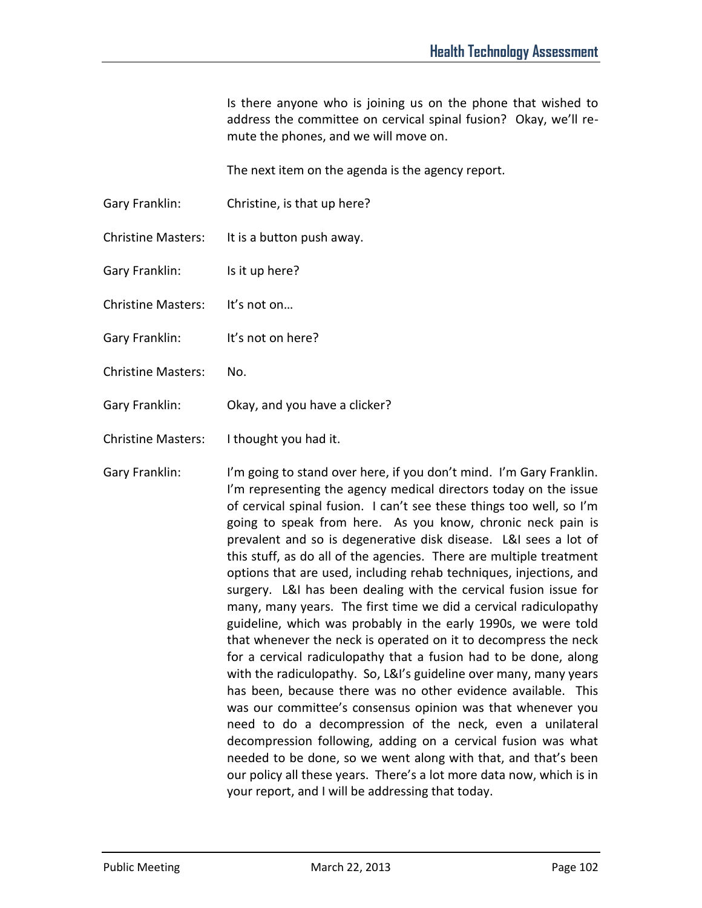Is there anyone who is joining us on the phone that wished to address the committee on cervical spinal fusion? Okay, we'll remute the phones, and we will move on.

The next item on the agenda is the agency report.

- Gary Franklin: Christine, is that up here?
- Christine Masters: It is a button push away.
- Gary Franklin: Is it up here?
- Christine Masters: It's not on…
- Gary Franklin: It's not on here?
- Christine Masters: No.
- Gary Franklin: Okay, and you have a clicker?
- Christine Masters: I thought you had it.
- Gary Franklin: I'm going to stand over here, if you don't mind. I'm Gary Franklin. I'm representing the agency medical directors today on the issue of cervical spinal fusion. I can't see these things too well, so I'm going to speak from here. As you know, chronic neck pain is prevalent and so is degenerative disk disease. L&I sees a lot of this stuff, as do all of the agencies. There are multiple treatment options that are used, including rehab techniques, injections, and surgery. L&I has been dealing with the cervical fusion issue for many, many years. The first time we did a cervical radiculopathy guideline, which was probably in the early 1990s, we were told that whenever the neck is operated on it to decompress the neck for a cervical radiculopathy that a fusion had to be done, along with the radiculopathy. So, L&I's guideline over many, many years has been, because there was no other evidence available. This was our committee's consensus opinion was that whenever you need to do a decompression of the neck, even a unilateral decompression following, adding on a cervical fusion was what needed to be done, so we went along with that, and that's been our policy all these years. There's a lot more data now, which is in your report, and I will be addressing that today.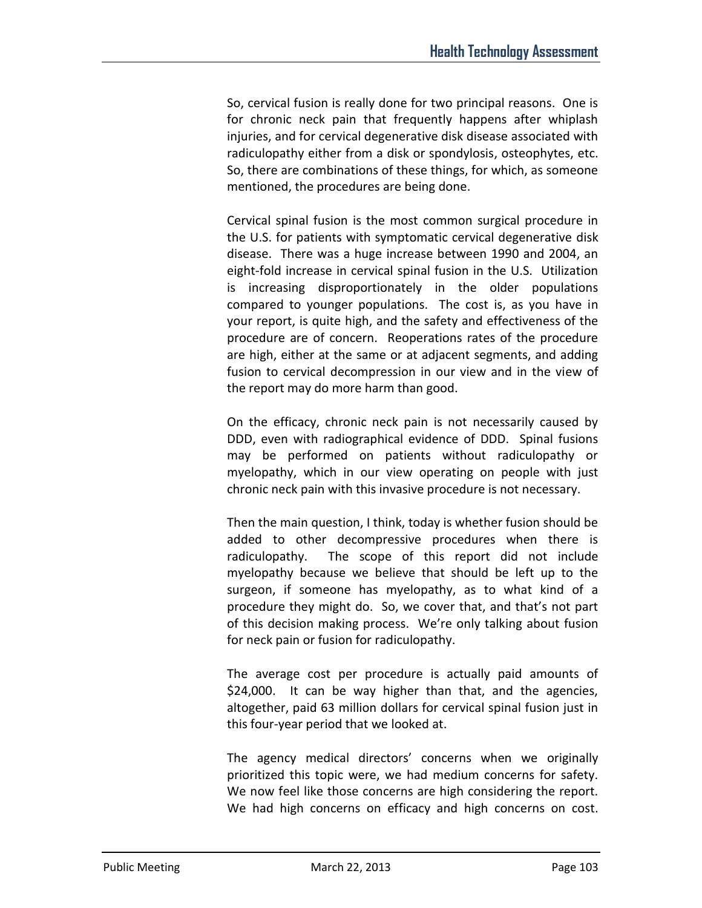So, cervical fusion is really done for two principal reasons. One is for chronic neck pain that frequently happens after whiplash injuries, and for cervical degenerative disk disease associated with radiculopathy either from a disk or spondylosis, osteophytes, etc. So, there are combinations of these things, for which, as someone mentioned, the procedures are being done.

Cervical spinal fusion is the most common surgical procedure in the U.S. for patients with symptomatic cervical degenerative disk disease. There was a huge increase between 1990 and 2004, an eight-fold increase in cervical spinal fusion in the U.S. Utilization is increasing disproportionately in the older populations compared to younger populations. The cost is, as you have in your report, is quite high, and the safety and effectiveness of the procedure are of concern. Reoperations rates of the procedure are high, either at the same or at adjacent segments, and adding fusion to cervical decompression in our view and in the view of the report may do more harm than good.

On the efficacy, chronic neck pain is not necessarily caused by DDD, even with radiographical evidence of DDD. Spinal fusions may be performed on patients without radiculopathy or myelopathy, which in our view operating on people with just chronic neck pain with this invasive procedure is not necessary.

Then the main question, I think, today is whether fusion should be added to other decompressive procedures when there is radiculopathy. The scope of this report did not include myelopathy because we believe that should be left up to the surgeon, if someone has myelopathy, as to what kind of a procedure they might do. So, we cover that, and that's not part of this decision making process. We're only talking about fusion for neck pain or fusion for radiculopathy.

The average cost per procedure is actually paid amounts of \$24,000. It can be way higher than that, and the agencies, altogether, paid 63 million dollars for cervical spinal fusion just in this four-year period that we looked at.

The agency medical directors' concerns when we originally prioritized this topic were, we had medium concerns for safety. We now feel like those concerns are high considering the report. We had high concerns on efficacy and high concerns on cost.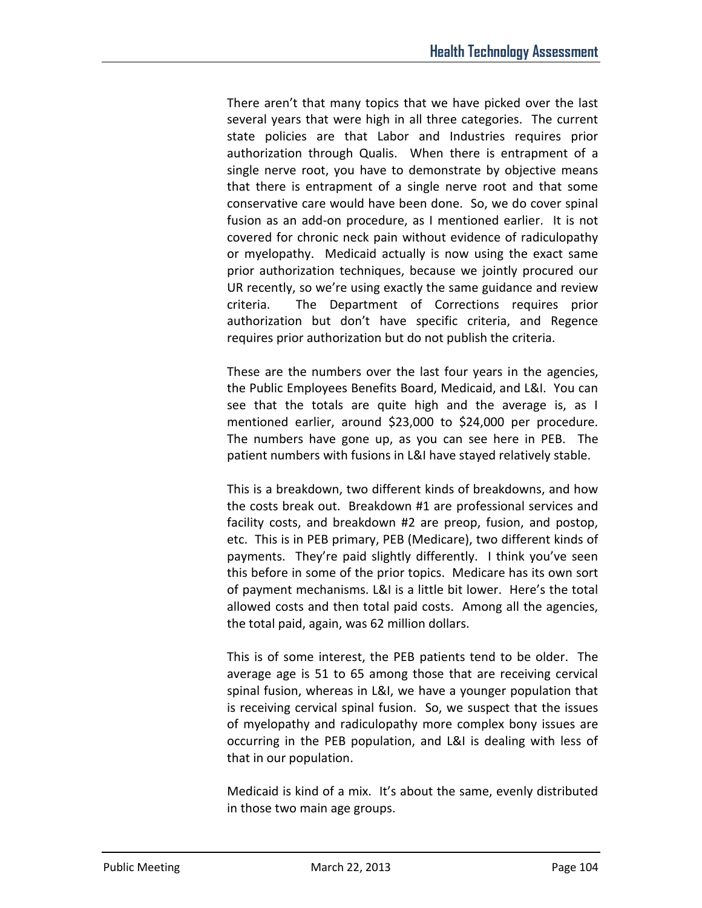There aren't that many topics that we have picked over the last several years that were high in all three categories. The current state policies are that Labor and Industries requires prior authorization through Qualis. When there is entrapment of a single nerve root, you have to demonstrate by objective means that there is entrapment of a single nerve root and that some conservative care would have been done. So, we do cover spinal fusion as an add-on procedure, as I mentioned earlier. It is not covered for chronic neck pain without evidence of radiculopathy or myelopathy. Medicaid actually is now using the exact same prior authorization techniques, because we jointly procured our UR recently, so we're using exactly the same guidance and review criteria. The Department of Corrections requires prior authorization but don't have specific criteria, and Regence requires prior authorization but do not publish the criteria.

These are the numbers over the last four years in the agencies, the Public Employees Benefits Board, Medicaid, and L&I. You can see that the totals are quite high and the average is, as I mentioned earlier, around \$23,000 to \$24,000 per procedure. The numbers have gone up, as you can see here in PEB. The patient numbers with fusions in L&I have stayed relatively stable.

This is a breakdown, two different kinds of breakdowns, and how the costs break out. Breakdown #1 are professional services and facility costs, and breakdown #2 are preop, fusion, and postop, etc. This is in PEB primary, PEB (Medicare), two different kinds of payments. They're paid slightly differently. I think you've seen this before in some of the prior topics. Medicare has its own sort of payment mechanisms. L&I is a little bit lower. Here's the total allowed costs and then total paid costs. Among all the agencies, the total paid, again, was 62 million dollars.

This is of some interest, the PEB patients tend to be older. The average age is 51 to 65 among those that are receiving cervical spinal fusion, whereas in L&I, we have a younger population that is receiving cervical spinal fusion. So, we suspect that the issues of myelopathy and radiculopathy more complex bony issues are occurring in the PEB population, and L&I is dealing with less of that in our population.

Medicaid is kind of a mix. It's about the same, evenly distributed in those two main age groups.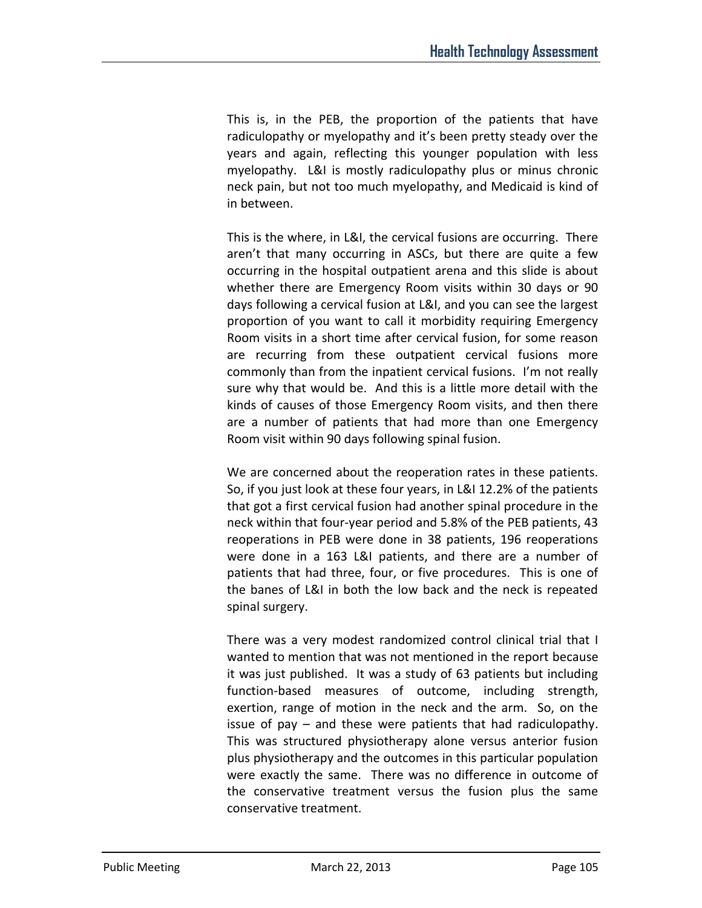This is, in the PEB, the proportion of the patients that have radiculopathy or myelopathy and it's been pretty steady over the years and again, reflecting this younger population with less myelopathy. L&I is mostly radiculopathy plus or minus chronic neck pain, but not too much myelopathy, and Medicaid is kind of in between.

This is the where, in L&I, the cervical fusions are occurring. There aren't that many occurring in ASCs, but there are quite a few occurring in the hospital outpatient arena and this slide is about whether there are Emergency Room visits within 30 days or 90 days following a cervical fusion at L&I, and you can see the largest proportion of you want to call it morbidity requiring Emergency Room visits in a short time after cervical fusion, for some reason are recurring from these outpatient cervical fusions more commonly than from the inpatient cervical fusions. I'm not really sure why that would be. And this is a little more detail with the kinds of causes of those Emergency Room visits, and then there are a number of patients that had more than one Emergency Room visit within 90 days following spinal fusion.

We are concerned about the reoperation rates in these patients. So, if you just look at these four years, in L&I 12.2% of the patients that got a first cervical fusion had another spinal procedure in the neck within that four-year period and 5.8% of the PEB patients, 43 reoperations in PEB were done in 38 patients, 196 reoperations were done in a 163 L&I patients, and there are a number of patients that had three, four, or five procedures. This is one of the banes of L&I in both the low back and the neck is repeated spinal surgery.

There was a very modest randomized control clinical trial that I wanted to mention that was not mentioned in the report because it was just published. It was a study of 63 patients but including function-based measures of outcome, including strength, exertion, range of motion in the neck and the arm. So, on the issue of pay – and these were patients that had radiculopathy. This was structured physiotherapy alone versus anterior fusion plus physiotherapy and the outcomes in this particular population were exactly the same. There was no difference in outcome of the conservative treatment versus the fusion plus the same conservative treatment.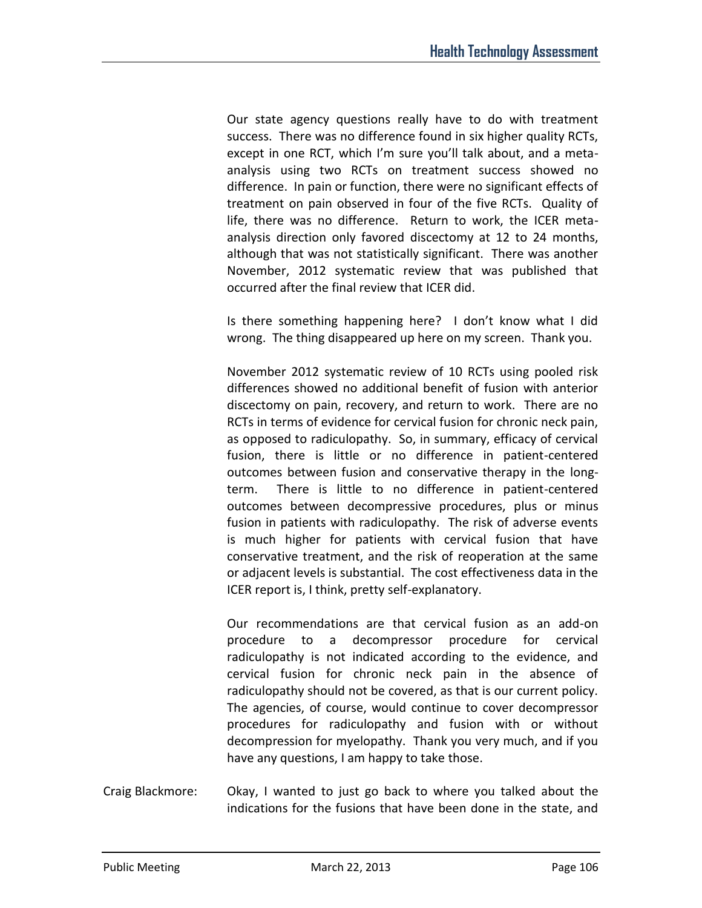Our state agency questions really have to do with treatment success. There was no difference found in six higher quality RCTs, except in one RCT, which I'm sure you'll talk about, and a metaanalysis using two RCTs on treatment success showed no difference. In pain or function, there were no significant effects of treatment on pain observed in four of the five RCTs. Quality of life, there was no difference. Return to work, the ICER metaanalysis direction only favored discectomy at 12 to 24 months, although that was not statistically significant. There was another November, 2012 systematic review that was published that occurred after the final review that ICER did.

Is there something happening here? I don't know what I did wrong. The thing disappeared up here on my screen. Thank you.

November 2012 systematic review of 10 RCTs using pooled risk differences showed no additional benefit of fusion with anterior discectomy on pain, recovery, and return to work. There are no RCTs in terms of evidence for cervical fusion for chronic neck pain, as opposed to radiculopathy. So, in summary, efficacy of cervical fusion, there is little or no difference in patient-centered outcomes between fusion and conservative therapy in the longterm. There is little to no difference in patient-centered outcomes between decompressive procedures, plus or minus fusion in patients with radiculopathy. The risk of adverse events is much higher for patients with cervical fusion that have conservative treatment, and the risk of reoperation at the same or adjacent levels is substantial. The cost effectiveness data in the ICER report is, I think, pretty self-explanatory.

Our recommendations are that cervical fusion as an add-on procedure to a decompressor procedure for cervical radiculopathy is not indicated according to the evidence, and cervical fusion for chronic neck pain in the absence of radiculopathy should not be covered, as that is our current policy. The agencies, of course, would continue to cover decompressor procedures for radiculopathy and fusion with or without decompression for myelopathy. Thank you very much, and if you have any questions, I am happy to take those.

Craig Blackmore: Okay, I wanted to just go back to where you talked about the indications for the fusions that have been done in the state, and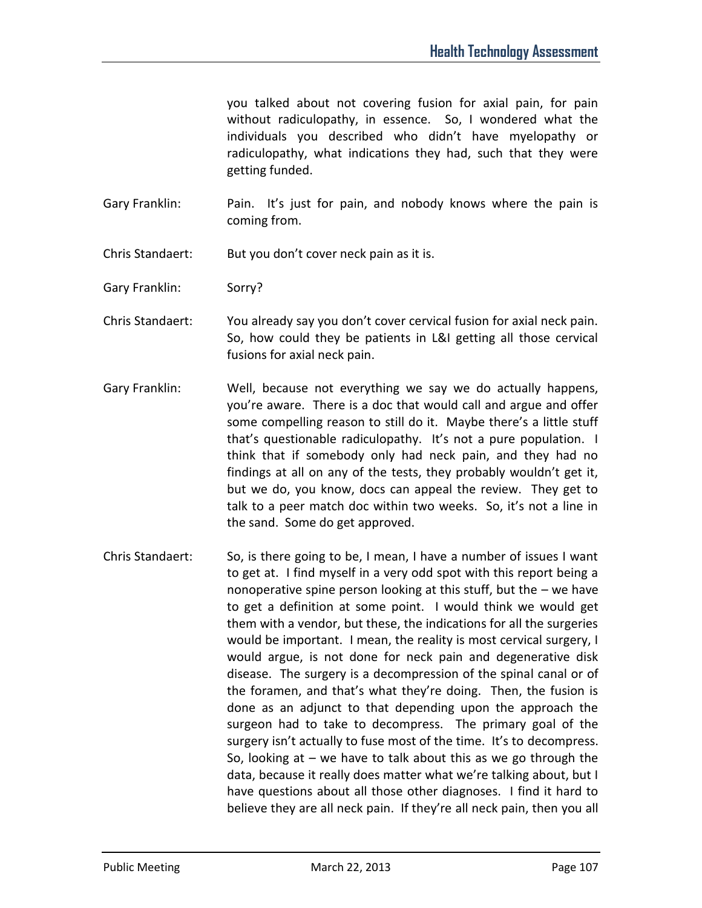you talked about not covering fusion for axial pain, for pain without radiculopathy, in essence. So, I wondered what the individuals you described who didn't have myelopathy or radiculopathy, what indications they had, such that they were getting funded.

- Gary Franklin: Pain. It's just for pain, and nobody knows where the pain is coming from.
- Chris Standaert: But you don't cover neck pain as it is.
- Gary Franklin: Sorry?
- Chris Standaert: You already say you don't cover cervical fusion for axial neck pain. So, how could they be patients in L&I getting all those cervical fusions for axial neck pain.
- Gary Franklin: Well, because not everything we say we do actually happens, you're aware. There is a doc that would call and argue and offer some compelling reason to still do it. Maybe there's a little stuff that's questionable radiculopathy. It's not a pure population. I think that if somebody only had neck pain, and they had no findings at all on any of the tests, they probably wouldn't get it, but we do, you know, docs can appeal the review. They get to talk to a peer match doc within two weeks. So, it's not a line in the sand. Some do get approved.
- Chris Standaert: So, is there going to be, I mean, I have a number of issues I want to get at. I find myself in a very odd spot with this report being a nonoperative spine person looking at this stuff, but the – we have to get a definition at some point. I would think we would get them with a vendor, but these, the indications for all the surgeries would be important. I mean, the reality is most cervical surgery, I would argue, is not done for neck pain and degenerative disk disease. The surgery is a decompression of the spinal canal or of the foramen, and that's what they're doing. Then, the fusion is done as an adjunct to that depending upon the approach the surgeon had to take to decompress. The primary goal of the surgery isn't actually to fuse most of the time. It's to decompress. So, looking at  $-$  we have to talk about this as we go through the data, because it really does matter what we're talking about, but I have questions about all those other diagnoses. I find it hard to believe they are all neck pain. If they're all neck pain, then you all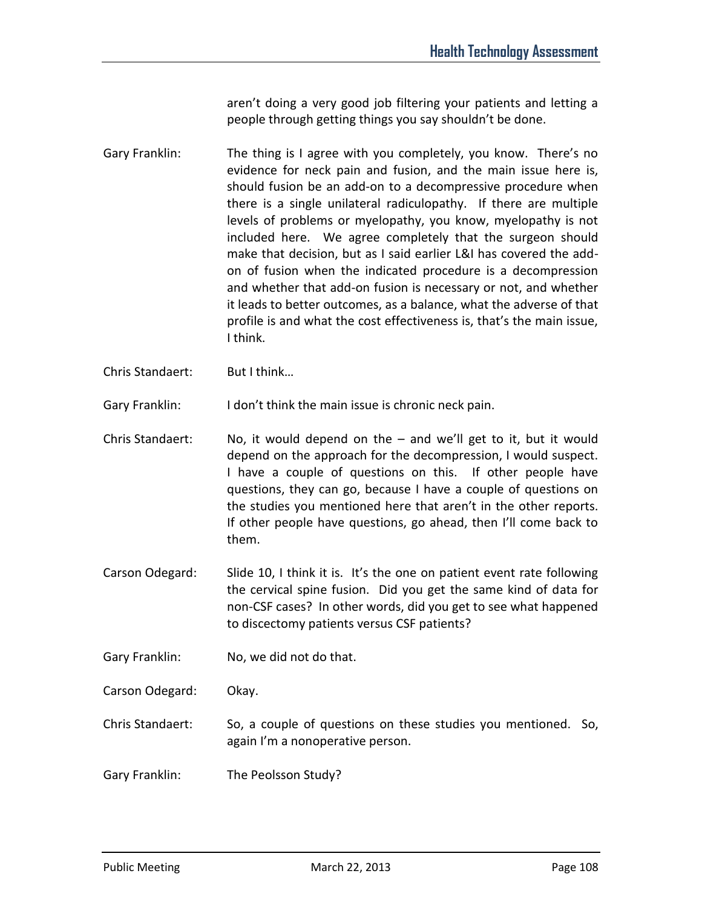aren't doing a very good job filtering your patients and letting a people through getting things you say shouldn't be done.

- Gary Franklin: The thing is I agree with you completely, you know. There's no evidence for neck pain and fusion, and the main issue here is, should fusion be an add-on to a decompressive procedure when there is a single unilateral radiculopathy. If there are multiple levels of problems or myelopathy, you know, myelopathy is not included here. We agree completely that the surgeon should make that decision, but as I said earlier L&I has covered the addon of fusion when the indicated procedure is a decompression and whether that add-on fusion is necessary or not, and whether it leads to better outcomes, as a balance, what the adverse of that profile is and what the cost effectiveness is, that's the main issue, I think.
- Chris Standaert: But I think…

Gary Franklin: I don't think the main issue is chronic neck pain.

- Chris Standaert: No, it would depend on the  $-$  and we'll get to it, but it would depend on the approach for the decompression, I would suspect. I have a couple of questions on this. If other people have questions, they can go, because I have a couple of questions on the studies you mentioned here that aren't in the other reports. If other people have questions, go ahead, then I'll come back to them.
- Carson Odegard: Slide 10, I think it is. It's the one on patient event rate following the cervical spine fusion. Did you get the same kind of data for non-CSF cases? In other words, did you get to see what happened to discectomy patients versus CSF patients?

Gary Franklin: No, we did not do that.

Carson Odegard: Okay.

- Chris Standaert: So, a couple of questions on these studies you mentioned. So, again I'm a nonoperative person.
- Gary Franklin: The Peolsson Study?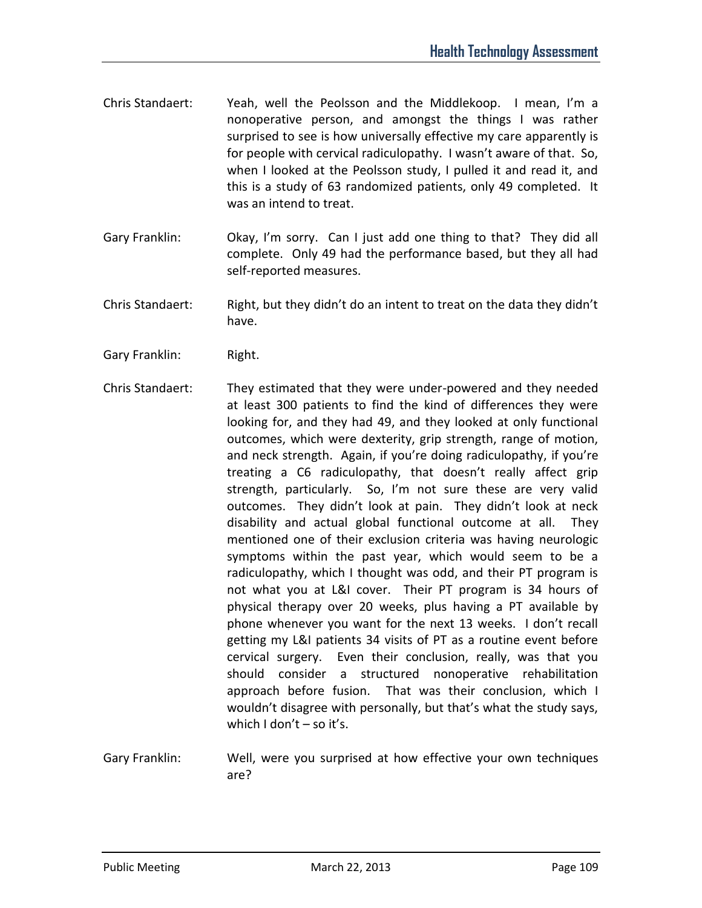- Chris Standaert: Yeah, well the Peolsson and the Middlekoop. I mean, I'm a nonoperative person, and amongst the things I was rather surprised to see is how universally effective my care apparently is for people with cervical radiculopathy. I wasn't aware of that. So, when I looked at the Peolsson study, I pulled it and read it, and this is a study of 63 randomized patients, only 49 completed. It was an intend to treat.
- Gary Franklin: Okay, I'm sorry. Can I just add one thing to that? They did all complete. Only 49 had the performance based, but they all had self-reported measures.
- Chris Standaert: Right, but they didn't do an intent to treat on the data they didn't have.
- Gary Franklin: Right.
- Chris Standaert: They estimated that they were under-powered and they needed at least 300 patients to find the kind of differences they were looking for, and they had 49, and they looked at only functional outcomes, which were dexterity, grip strength, range of motion, and neck strength. Again, if you're doing radiculopathy, if you're treating a C6 radiculopathy, that doesn't really affect grip strength, particularly. So, I'm not sure these are very valid outcomes. They didn't look at pain. They didn't look at neck disability and actual global functional outcome at all. They mentioned one of their exclusion criteria was having neurologic symptoms within the past year, which would seem to be a radiculopathy, which I thought was odd, and their PT program is not what you at L&I cover. Their PT program is 34 hours of physical therapy over 20 weeks, plus having a PT available by phone whenever you want for the next 13 weeks. I don't recall getting my L&I patients 34 visits of PT as a routine event before cervical surgery. Even their conclusion, really, was that you should consider a structured nonoperative rehabilitation approach before fusion. That was their conclusion, which I wouldn't disagree with personally, but that's what the study says, which  $Idon't - so it's.$
- Gary Franklin: Well, were you surprised at how effective your own techniques are?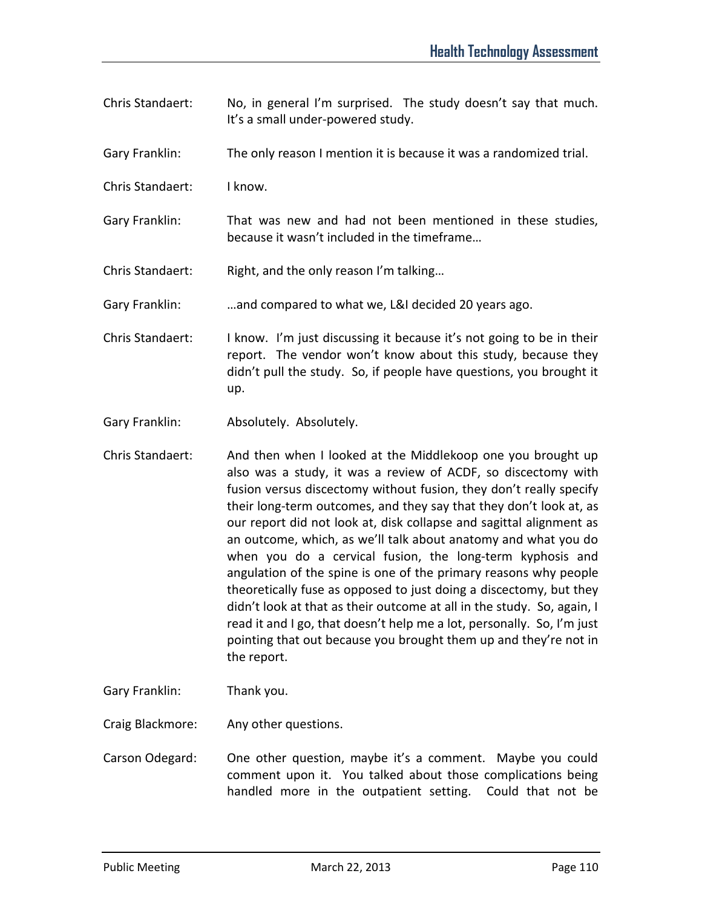- Chris Standaert: No, in general I'm surprised. The study doesn't say that much. It's a small under-powered study.
- Gary Franklin: The only reason I mention it is because it was a randomized trial.
- Chris Standaert: I know.
- Gary Franklin: That was new and had not been mentioned in these studies, because it wasn't included in the timeframe…

Chris Standaert: Right, and the only reason I'm talking...

Gary Franklin: …and compared to what we, L&I decided 20 years ago.

- Chris Standaert: I know. I'm just discussing it because it's not going to be in their report. The vendor won't know about this study, because they didn't pull the study. So, if people have questions, you brought it up.
- Gary Franklin: Absolutely. Absolutely.
- Chris Standaert: And then when I looked at the Middlekoop one you brought up also was a study, it was a review of ACDF, so discectomy with fusion versus discectomy without fusion, they don't really specify their long-term outcomes, and they say that they don't look at, as our report did not look at, disk collapse and sagittal alignment as an outcome, which, as we'll talk about anatomy and what you do when you do a cervical fusion, the long-term kyphosis and angulation of the spine is one of the primary reasons why people theoretically fuse as opposed to just doing a discectomy, but they didn't look at that as their outcome at all in the study. So, again, I read it and I go, that doesn't help me a lot, personally. So, I'm just pointing that out because you brought them up and they're not in the report.
- Gary Franklin: Thank you.
- Craig Blackmore: Any other questions.
- Carson Odegard: One other question, maybe it's a comment. Maybe you could comment upon it. You talked about those complications being handled more in the outpatient setting. Could that not be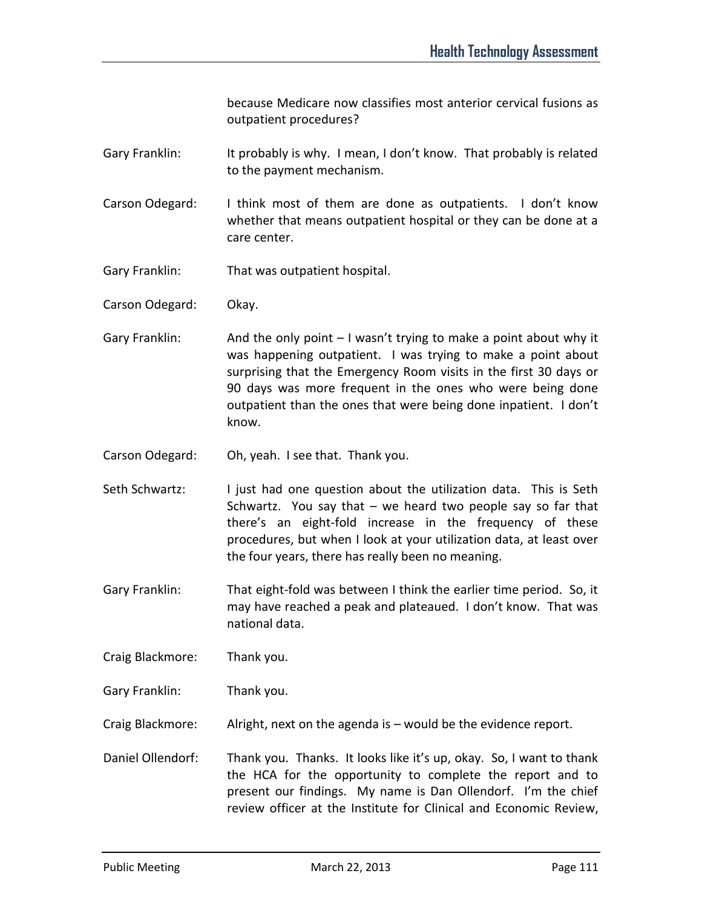because Medicare now classifies most anterior cervical fusions as outpatient procedures?

- Gary Franklin: It probably is why. I mean, I don't know. That probably is related to the payment mechanism.
- Carson Odegard: I think most of them are done as outpatients. I don't know whether that means outpatient hospital or they can be done at a care center.
- Gary Franklin: That was outpatient hospital.
- Carson Odegard: Okay.
- Gary Franklin: And the only point  $-1$  wasn't trying to make a point about why it was happening outpatient. I was trying to make a point about surprising that the Emergency Room visits in the first 30 days or 90 days was more frequent in the ones who were being done outpatient than the ones that were being done inpatient. I don't know.
- Carson Odegard: Oh, yeah. I see that. Thank you.
- Seth Schwartz: I just had one question about the utilization data. This is Seth Schwartz. You say that – we heard two people say so far that there's an eight-fold increase in the frequency of these procedures, but when I look at your utilization data, at least over the four years, there has really been no meaning.
- Gary Franklin: That eight-fold was between I think the earlier time period. So, it may have reached a peak and plateaued. I don't know. That was national data.
- Craig Blackmore: Thank you.
- Gary Franklin: Thank you.
- Craig Blackmore: Alright, next on the agenda is would be the evidence report.
- Daniel Ollendorf: Thank you. Thanks. It looks like it's up, okay. So, I want to thank the HCA for the opportunity to complete the report and to present our findings. My name is Dan Ollendorf. I'm the chief review officer at the Institute for Clinical and Economic Review,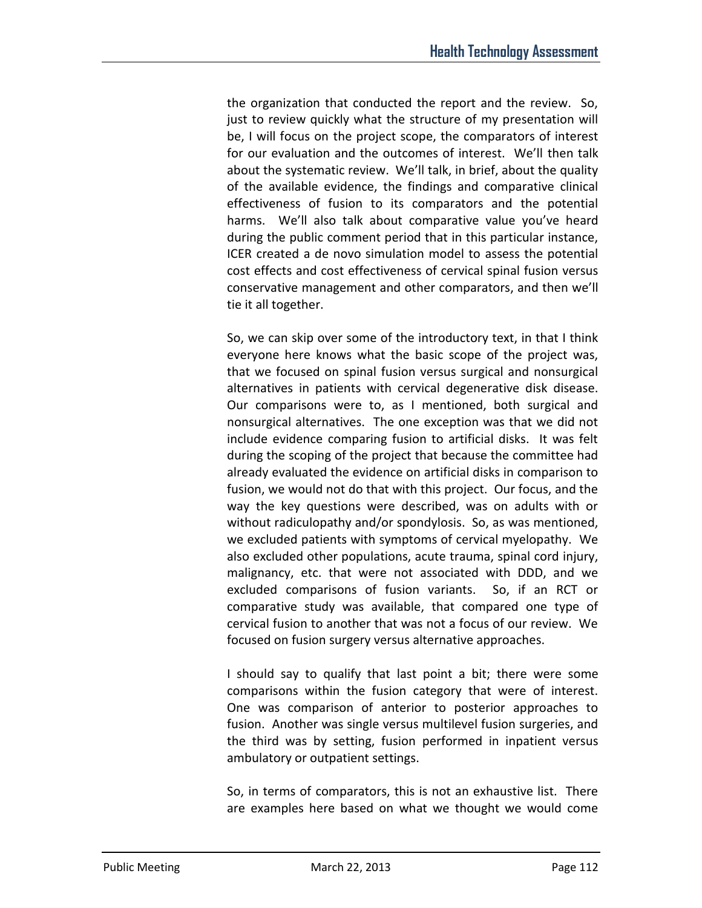the organization that conducted the report and the review. So, just to review quickly what the structure of my presentation will be, I will focus on the project scope, the comparators of interest for our evaluation and the outcomes of interest. We'll then talk about the systematic review. We'll talk, in brief, about the quality of the available evidence, the findings and comparative clinical effectiveness of fusion to its comparators and the potential harms. We'll also talk about comparative value you've heard during the public comment period that in this particular instance, ICER created a de novo simulation model to assess the potential cost effects and cost effectiveness of cervical spinal fusion versus conservative management and other comparators, and then we'll tie it all together.

So, we can skip over some of the introductory text, in that I think everyone here knows what the basic scope of the project was, that we focused on spinal fusion versus surgical and nonsurgical alternatives in patients with cervical degenerative disk disease. Our comparisons were to, as I mentioned, both surgical and nonsurgical alternatives. The one exception was that we did not include evidence comparing fusion to artificial disks. It was felt during the scoping of the project that because the committee had already evaluated the evidence on artificial disks in comparison to fusion, we would not do that with this project. Our focus, and the way the key questions were described, was on adults with or without radiculopathy and/or spondylosis. So, as was mentioned, we excluded patients with symptoms of cervical myelopathy. We also excluded other populations, acute trauma, spinal cord injury, malignancy, etc. that were not associated with DDD, and we excluded comparisons of fusion variants. So, if an RCT or comparative study was available, that compared one type of cervical fusion to another that was not a focus of our review. We focused on fusion surgery versus alternative approaches.

I should say to qualify that last point a bit; there were some comparisons within the fusion category that were of interest. One was comparison of anterior to posterior approaches to fusion. Another was single versus multilevel fusion surgeries, and the third was by setting, fusion performed in inpatient versus ambulatory or outpatient settings.

So, in terms of comparators, this is not an exhaustive list. There are examples here based on what we thought we would come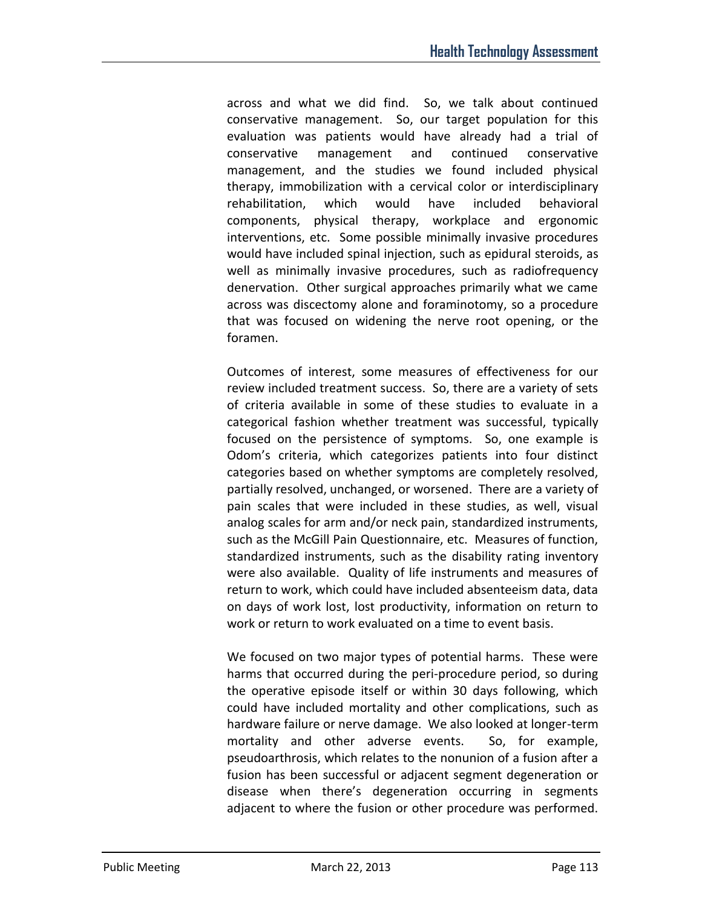across and what we did find. So, we talk about continued conservative management. So, our target population for this evaluation was patients would have already had a trial of conservative management and continued conservative management, and the studies we found included physical therapy, immobilization with a cervical color or interdisciplinary rehabilitation, which would have included behavioral components, physical therapy, workplace and ergonomic interventions, etc. Some possible minimally invasive procedures would have included spinal injection, such as epidural steroids, as well as minimally invasive procedures, such as radiofrequency denervation. Other surgical approaches primarily what we came across was discectomy alone and foraminotomy, so a procedure that was focused on widening the nerve root opening, or the foramen.

Outcomes of interest, some measures of effectiveness for our review included treatment success. So, there are a variety of sets of criteria available in some of these studies to evaluate in a categorical fashion whether treatment was successful, typically focused on the persistence of symptoms. So, one example is Odom's criteria, which categorizes patients into four distinct categories based on whether symptoms are completely resolved, partially resolved, unchanged, or worsened. There are a variety of pain scales that were included in these studies, as well, visual analog scales for arm and/or neck pain, standardized instruments, such as the McGill Pain Questionnaire, etc. Measures of function, standardized instruments, such as the disability rating inventory were also available. Quality of life instruments and measures of return to work, which could have included absenteeism data, data on days of work lost, lost productivity, information on return to work or return to work evaluated on a time to event basis.

We focused on two major types of potential harms. These were harms that occurred during the peri-procedure period, so during the operative episode itself or within 30 days following, which could have included mortality and other complications, such as hardware failure or nerve damage. We also looked at longer-term mortality and other adverse events. So, for example, pseudoarthrosis, which relates to the nonunion of a fusion after a fusion has been successful or adjacent segment degeneration or disease when there's degeneration occurring in segments adjacent to where the fusion or other procedure was performed.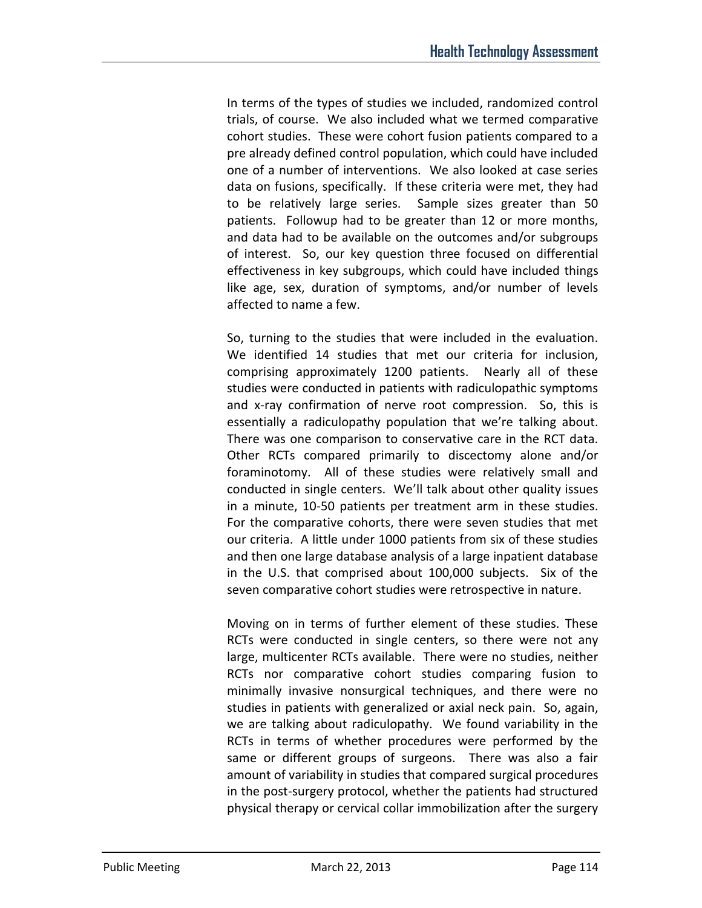In terms of the types of studies we included, randomized control trials, of course. We also included what we termed comparative cohort studies. These were cohort fusion patients compared to a pre already defined control population, which could have included one of a number of interventions. We also looked at case series data on fusions, specifically. If these criteria were met, they had to be relatively large series. Sample sizes greater than 50 patients. Followup had to be greater than 12 or more months, and data had to be available on the outcomes and/or subgroups of interest. So, our key question three focused on differential effectiveness in key subgroups, which could have included things like age, sex, duration of symptoms, and/or number of levels affected to name a few.

So, turning to the studies that were included in the evaluation. We identified 14 studies that met our criteria for inclusion, comprising approximately 1200 patients. Nearly all of these studies were conducted in patients with radiculopathic symptoms and x-ray confirmation of nerve root compression. So, this is essentially a radiculopathy population that we're talking about. There was one comparison to conservative care in the RCT data. Other RCTs compared primarily to discectomy alone and/or foraminotomy. All of these studies were relatively small and conducted in single centers. We'll talk about other quality issues in a minute, 10-50 patients per treatment arm in these studies. For the comparative cohorts, there were seven studies that met our criteria. A little under 1000 patients from six of these studies and then one large database analysis of a large inpatient database in the U.S. that comprised about 100,000 subjects. Six of the seven comparative cohort studies were retrospective in nature.

Moving on in terms of further element of these studies. These RCTs were conducted in single centers, so there were not any large, multicenter RCTs available. There were no studies, neither RCTs nor comparative cohort studies comparing fusion to minimally invasive nonsurgical techniques, and there were no studies in patients with generalized or axial neck pain. So, again, we are talking about radiculopathy. We found variability in the RCTs in terms of whether procedures were performed by the same or different groups of surgeons. There was also a fair amount of variability in studies that compared surgical procedures in the post-surgery protocol, whether the patients had structured physical therapy or cervical collar immobilization after the surgery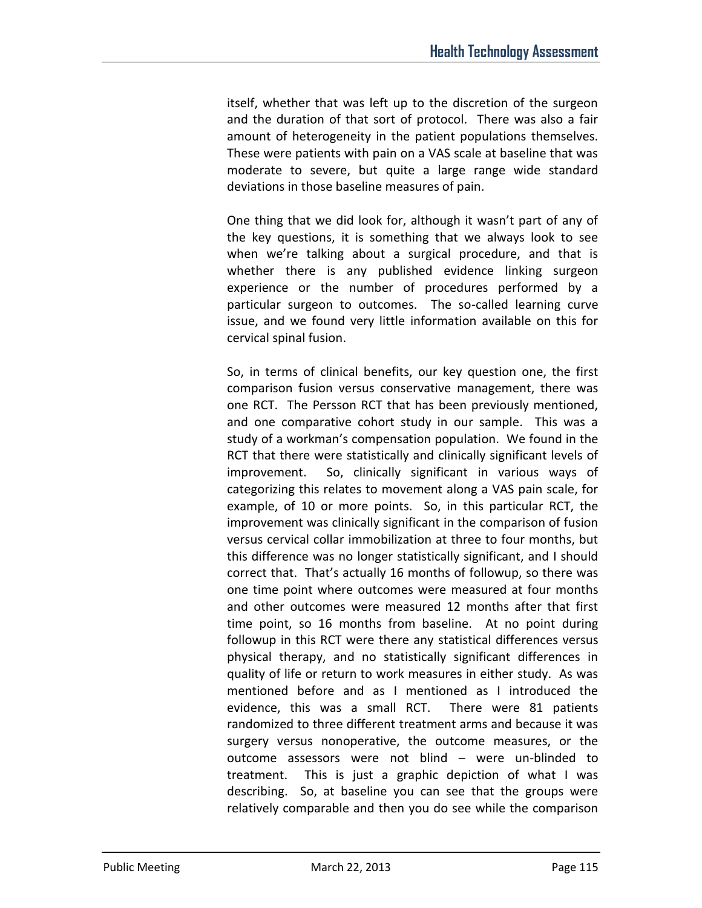itself, whether that was left up to the discretion of the surgeon and the duration of that sort of protocol. There was also a fair amount of heterogeneity in the patient populations themselves. These were patients with pain on a VAS scale at baseline that was moderate to severe, but quite a large range wide standard deviations in those baseline measures of pain.

One thing that we did look for, although it wasn't part of any of the key questions, it is something that we always look to see when we're talking about a surgical procedure, and that is whether there is any published evidence linking surgeon experience or the number of procedures performed by a particular surgeon to outcomes. The so-called learning curve issue, and we found very little information available on this for cervical spinal fusion.

So, in terms of clinical benefits, our key question one, the first comparison fusion versus conservative management, there was one RCT. The Persson RCT that has been previously mentioned, and one comparative cohort study in our sample. This was a study of a workman's compensation population. We found in the RCT that there were statistically and clinically significant levels of improvement. So, clinically significant in various ways of categorizing this relates to movement along a VAS pain scale, for example, of 10 or more points. So, in this particular RCT, the improvement was clinically significant in the comparison of fusion versus cervical collar immobilization at three to four months, but this difference was no longer statistically significant, and I should correct that. That's actually 16 months of followup, so there was one time point where outcomes were measured at four months and other outcomes were measured 12 months after that first time point, so 16 months from baseline. At no point during followup in this RCT were there any statistical differences versus physical therapy, and no statistically significant differences in quality of life or return to work measures in either study. As was mentioned before and as I mentioned as I introduced the evidence, this was a small RCT. There were 81 patients randomized to three different treatment arms and because it was surgery versus nonoperative, the outcome measures, or the outcome assessors were not blind – were un-blinded to treatment. This is just a graphic depiction of what I was describing. So, at baseline you can see that the groups were relatively comparable and then you do see while the comparison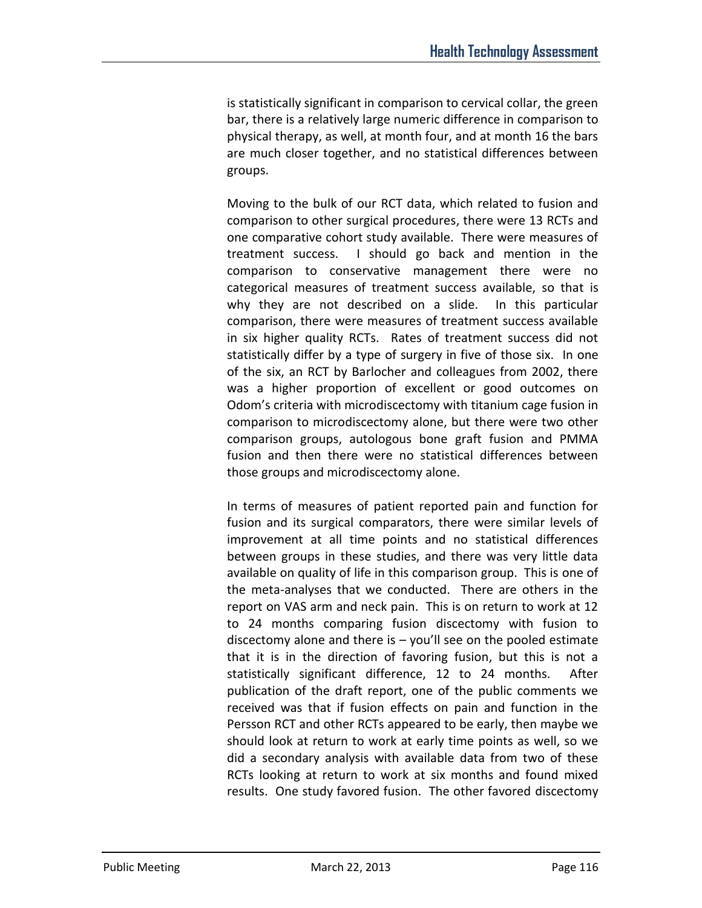is statistically significant in comparison to cervical collar, the green bar, there is a relatively large numeric difference in comparison to physical therapy, as well, at month four, and at month 16 the bars are much closer together, and no statistical differences between groups.

Moving to the bulk of our RCT data, which related to fusion and comparison to other surgical procedures, there were 13 RCTs and one comparative cohort study available. There were measures of treatment success. I should go back and mention in the comparison to conservative management there were no categorical measures of treatment success available, so that is why they are not described on a slide. In this particular comparison, there were measures of treatment success available in six higher quality RCTs. Rates of treatment success did not statistically differ by a type of surgery in five of those six. In one of the six, an RCT by Barlocher and colleagues from 2002, there was a higher proportion of excellent or good outcomes on Odom's criteria with microdiscectomy with titanium cage fusion in comparison to microdiscectomy alone, but there were two other comparison groups, autologous bone graft fusion and PMMA fusion and then there were no statistical differences between those groups and microdiscectomy alone.

In terms of measures of patient reported pain and function for fusion and its surgical comparators, there were similar levels of improvement at all time points and no statistical differences between groups in these studies, and there was very little data available on quality of life in this comparison group. This is one of the meta-analyses that we conducted. There are others in the report on VAS arm and neck pain. This is on return to work at 12 to 24 months comparing fusion discectomy with fusion to discectomy alone and there is  $-$  you'll see on the pooled estimate that it is in the direction of favoring fusion, but this is not a statistically significant difference, 12 to 24 months. After publication of the draft report, one of the public comments we received was that if fusion effects on pain and function in the Persson RCT and other RCTs appeared to be early, then maybe we should look at return to work at early time points as well, so we did a secondary analysis with available data from two of these RCTs looking at return to work at six months and found mixed results. One study favored fusion. The other favored discectomy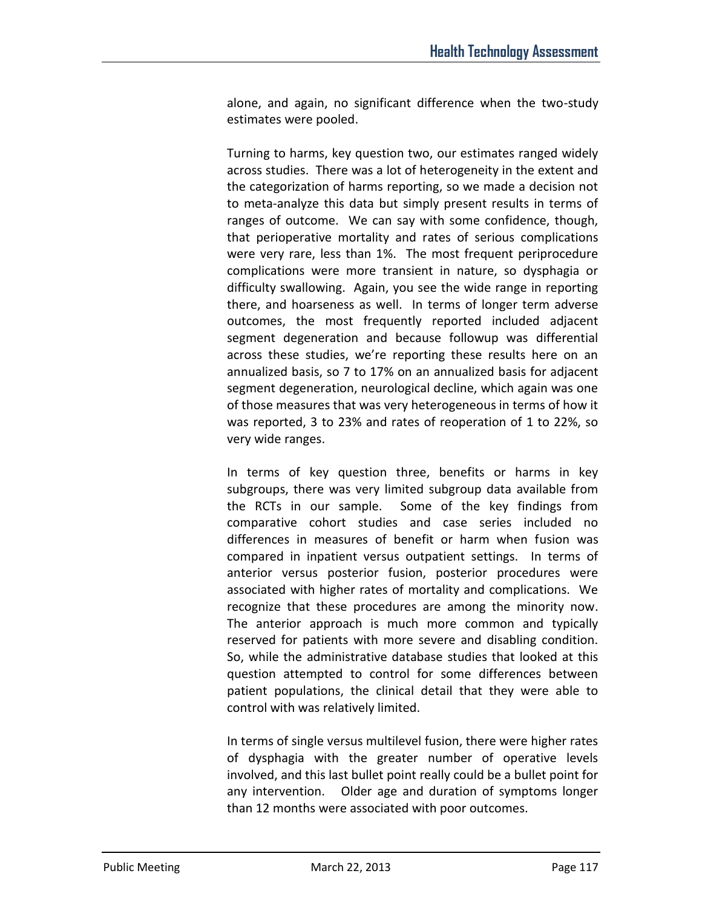alone, and again, no significant difference when the two-study estimates were pooled.

Turning to harms, key question two, our estimates ranged widely across studies. There was a lot of heterogeneity in the extent and the categorization of harms reporting, so we made a decision not to meta-analyze this data but simply present results in terms of ranges of outcome. We can say with some confidence, though, that perioperative mortality and rates of serious complications were very rare, less than 1%. The most frequent periprocedure complications were more transient in nature, so dysphagia or difficulty swallowing. Again, you see the wide range in reporting there, and hoarseness as well. In terms of longer term adverse outcomes, the most frequently reported included adjacent segment degeneration and because followup was differential across these studies, we're reporting these results here on an annualized basis, so 7 to 17% on an annualized basis for adjacent segment degeneration, neurological decline, which again was one of those measures that was very heterogeneous in terms of how it was reported, 3 to 23% and rates of reoperation of 1 to 22%, so very wide ranges.

In terms of key question three, benefits or harms in key subgroups, there was very limited subgroup data available from the RCTs in our sample. Some of the key findings from comparative cohort studies and case series included no differences in measures of benefit or harm when fusion was compared in inpatient versus outpatient settings. In terms of anterior versus posterior fusion, posterior procedures were associated with higher rates of mortality and complications. We recognize that these procedures are among the minority now. The anterior approach is much more common and typically reserved for patients with more severe and disabling condition. So, while the administrative database studies that looked at this question attempted to control for some differences between patient populations, the clinical detail that they were able to control with was relatively limited.

In terms of single versus multilevel fusion, there were higher rates of dysphagia with the greater number of operative levels involved, and this last bullet point really could be a bullet point for any intervention. Older age and duration of symptoms longer than 12 months were associated with poor outcomes.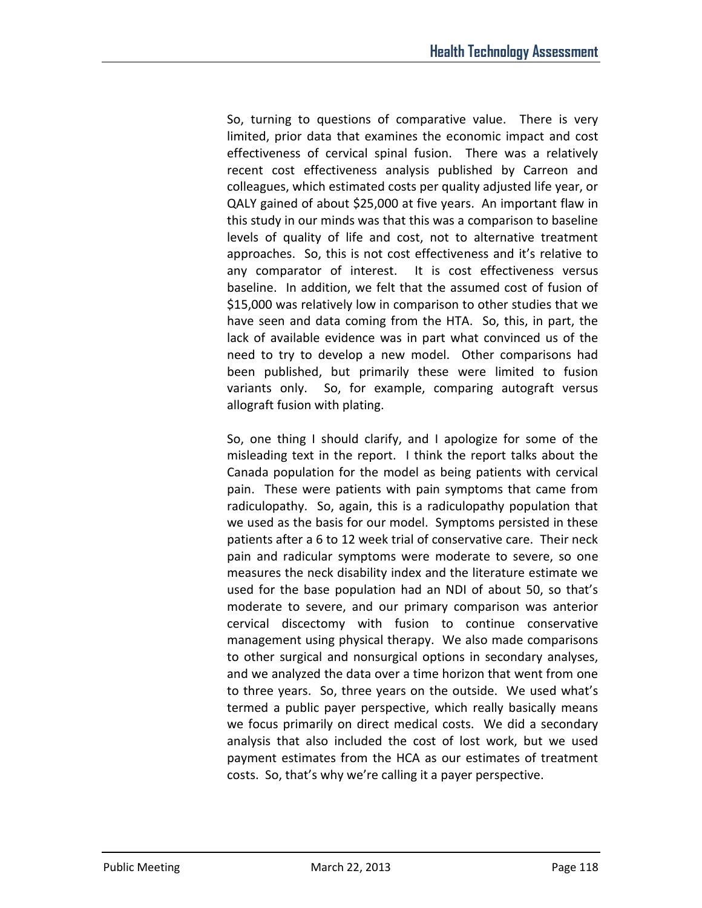So, turning to questions of comparative value. There is very limited, prior data that examines the economic impact and cost effectiveness of cervical spinal fusion. There was a relatively recent cost effectiveness analysis published by Carreon and colleagues, which estimated costs per quality adjusted life year, or QALY gained of about \$25,000 at five years. An important flaw in this study in our minds was that this was a comparison to baseline levels of quality of life and cost, not to alternative treatment approaches. So, this is not cost effectiveness and it's relative to any comparator of interest. It is cost effectiveness versus baseline. In addition, we felt that the assumed cost of fusion of \$15,000 was relatively low in comparison to other studies that we have seen and data coming from the HTA. So, this, in part, the lack of available evidence was in part what convinced us of the need to try to develop a new model. Other comparisons had been published, but primarily these were limited to fusion variants only. So, for example, comparing autograft versus allograft fusion with plating.

So, one thing I should clarify, and I apologize for some of the misleading text in the report. I think the report talks about the Canada population for the model as being patients with cervical pain. These were patients with pain symptoms that came from radiculopathy. So, again, this is a radiculopathy population that we used as the basis for our model. Symptoms persisted in these patients after a 6 to 12 week trial of conservative care. Their neck pain and radicular symptoms were moderate to severe, so one measures the neck disability index and the literature estimate we used for the base population had an NDI of about 50, so that's moderate to severe, and our primary comparison was anterior cervical discectomy with fusion to continue conservative management using physical therapy. We also made comparisons to other surgical and nonsurgical options in secondary analyses, and we analyzed the data over a time horizon that went from one to three years. So, three years on the outside. We used what's termed a public payer perspective, which really basically means we focus primarily on direct medical costs. We did a secondary analysis that also included the cost of lost work, but we used payment estimates from the HCA as our estimates of treatment costs. So, that's why we're calling it a payer perspective.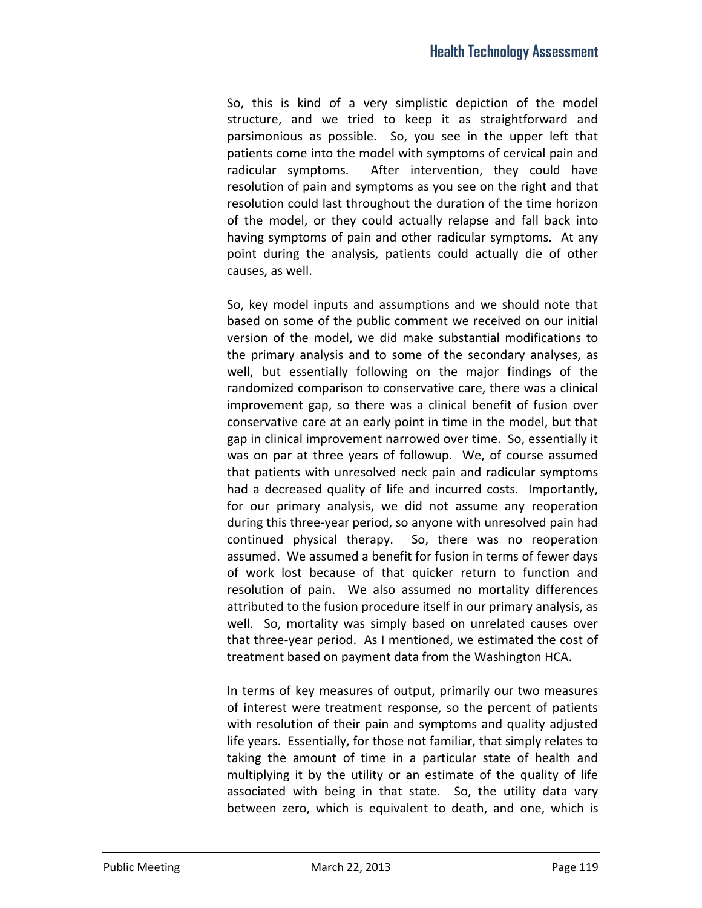So, this is kind of a very simplistic depiction of the model structure, and we tried to keep it as straightforward and parsimonious as possible. So, you see in the upper left that patients come into the model with symptoms of cervical pain and radicular symptoms. After intervention, they could have resolution of pain and symptoms as you see on the right and that resolution could last throughout the duration of the time horizon of the model, or they could actually relapse and fall back into having symptoms of pain and other radicular symptoms. At any point during the analysis, patients could actually die of other causes, as well.

So, key model inputs and assumptions and we should note that based on some of the public comment we received on our initial version of the model, we did make substantial modifications to the primary analysis and to some of the secondary analyses, as well, but essentially following on the major findings of the randomized comparison to conservative care, there was a clinical improvement gap, so there was a clinical benefit of fusion over conservative care at an early point in time in the model, but that gap in clinical improvement narrowed over time. So, essentially it was on par at three years of followup. We, of course assumed that patients with unresolved neck pain and radicular symptoms had a decreased quality of life and incurred costs. Importantly, for our primary analysis, we did not assume any reoperation during this three-year period, so anyone with unresolved pain had continued physical therapy. So, there was no reoperation assumed. We assumed a benefit for fusion in terms of fewer days of work lost because of that quicker return to function and resolution of pain. We also assumed no mortality differences attributed to the fusion procedure itself in our primary analysis, as well. So, mortality was simply based on unrelated causes over that three-year period. As I mentioned, we estimated the cost of treatment based on payment data from the Washington HCA.

In terms of key measures of output, primarily our two measures of interest were treatment response, so the percent of patients with resolution of their pain and symptoms and quality adjusted life years. Essentially, for those not familiar, that simply relates to taking the amount of time in a particular state of health and multiplying it by the utility or an estimate of the quality of life associated with being in that state. So, the utility data vary between zero, which is equivalent to death, and one, which is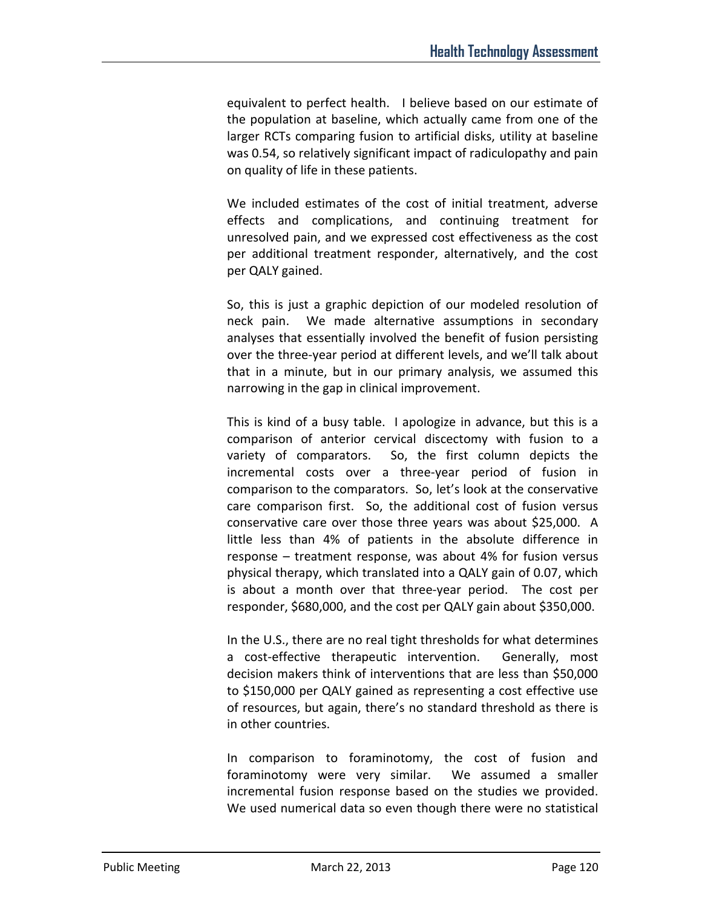equivalent to perfect health. I believe based on our estimate of the population at baseline, which actually came from one of the larger RCTs comparing fusion to artificial disks, utility at baseline was 0.54, so relatively significant impact of radiculopathy and pain on quality of life in these patients.

We included estimates of the cost of initial treatment, adverse effects and complications, and continuing treatment for unresolved pain, and we expressed cost effectiveness as the cost per additional treatment responder, alternatively, and the cost per QALY gained.

So, this is just a graphic depiction of our modeled resolution of neck pain. We made alternative assumptions in secondary analyses that essentially involved the benefit of fusion persisting over the three-year period at different levels, and we'll talk about that in a minute, but in our primary analysis, we assumed this narrowing in the gap in clinical improvement.

This is kind of a busy table. I apologize in advance, but this is a comparison of anterior cervical discectomy with fusion to a variety of comparators. So, the first column depicts the incremental costs over a three-year period of fusion in comparison to the comparators. So, let's look at the conservative care comparison first. So, the additional cost of fusion versus conservative care over those three years was about \$25,000. A little less than 4% of patients in the absolute difference in response – treatment response, was about 4% for fusion versus physical therapy, which translated into a QALY gain of 0.07, which is about a month over that three-year period. The cost per responder, \$680,000, and the cost per QALY gain about \$350,000.

In the U.S., there are no real tight thresholds for what determines a cost-effective therapeutic intervention. Generally, most decision makers think of interventions that are less than \$50,000 to \$150,000 per QALY gained as representing a cost effective use of resources, but again, there's no standard threshold as there is in other countries.

In comparison to foraminotomy, the cost of fusion and foraminotomy were very similar. We assumed a smaller incremental fusion response based on the studies we provided. We used numerical data so even though there were no statistical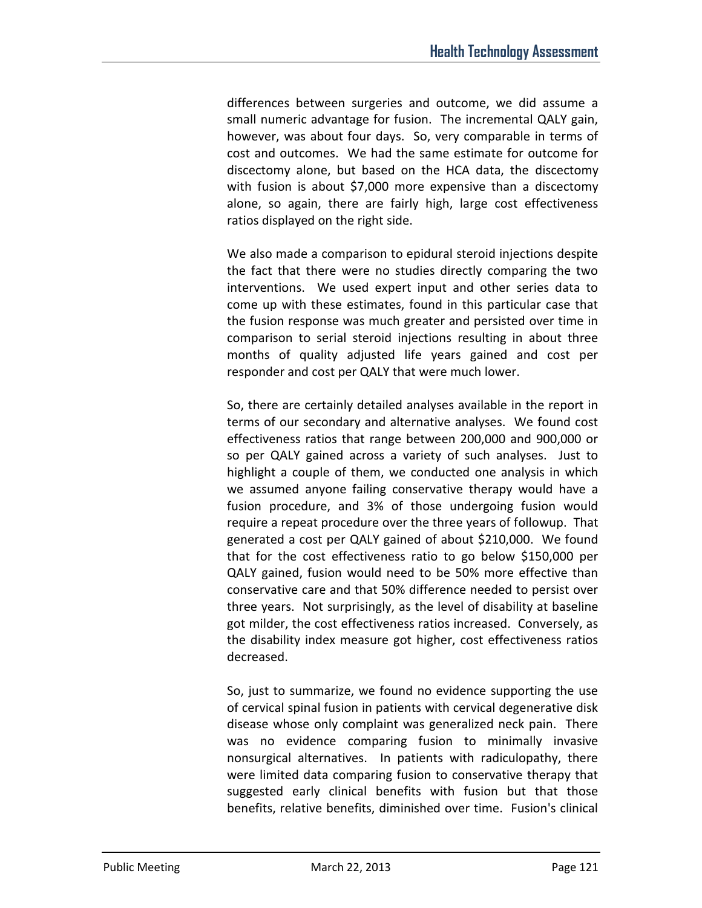differences between surgeries and outcome, we did assume a small numeric advantage for fusion. The incremental QALY gain, however, was about four days. So, very comparable in terms of cost and outcomes. We had the same estimate for outcome for discectomy alone, but based on the HCA data, the discectomy with fusion is about \$7,000 more expensive than a discectomy alone, so again, there are fairly high, large cost effectiveness ratios displayed on the right side.

We also made a comparison to epidural steroid injections despite the fact that there were no studies directly comparing the two interventions. We used expert input and other series data to come up with these estimates, found in this particular case that the fusion response was much greater and persisted over time in comparison to serial steroid injections resulting in about three months of quality adjusted life years gained and cost per responder and cost per QALY that were much lower.

So, there are certainly detailed analyses available in the report in terms of our secondary and alternative analyses. We found cost effectiveness ratios that range between 200,000 and 900,000 or so per QALY gained across a variety of such analyses. Just to highlight a couple of them, we conducted one analysis in which we assumed anyone failing conservative therapy would have a fusion procedure, and 3% of those undergoing fusion would require a repeat procedure over the three years of followup. That generated a cost per QALY gained of about \$210,000. We found that for the cost effectiveness ratio to go below \$150,000 per QALY gained, fusion would need to be 50% more effective than conservative care and that 50% difference needed to persist over three years. Not surprisingly, as the level of disability at baseline got milder, the cost effectiveness ratios increased. Conversely, as the disability index measure got higher, cost effectiveness ratios decreased.

So, just to summarize, we found no evidence supporting the use of cervical spinal fusion in patients with cervical degenerative disk disease whose only complaint was generalized neck pain. There was no evidence comparing fusion to minimally invasive nonsurgical alternatives. In patients with radiculopathy, there were limited data comparing fusion to conservative therapy that suggested early clinical benefits with fusion but that those benefits, relative benefits, diminished over time. Fusion's clinical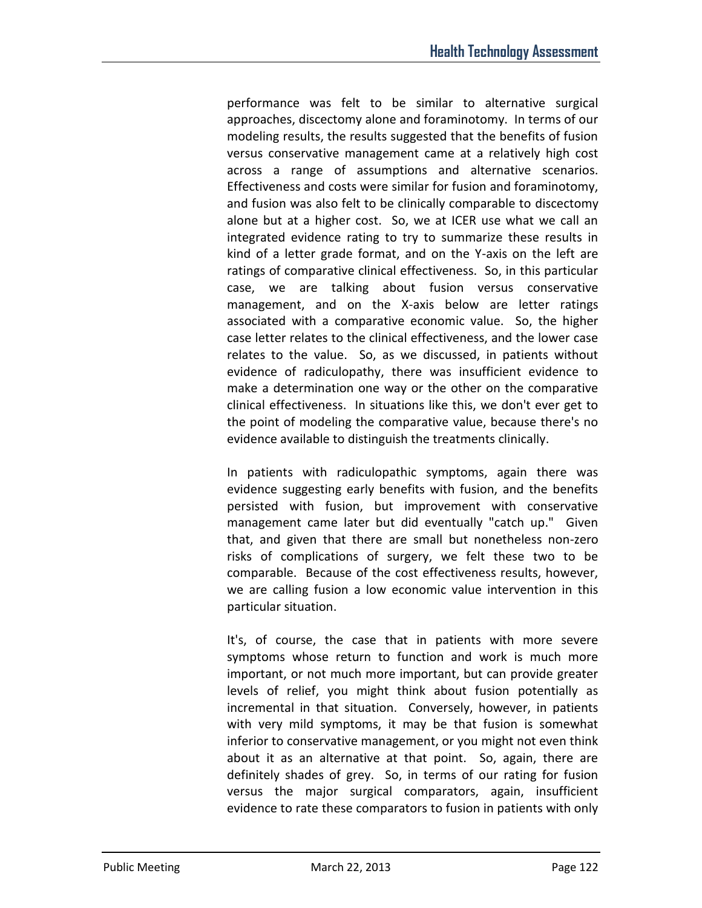performance was felt to be similar to alternative surgical approaches, discectomy alone and foraminotomy. In terms of our modeling results, the results suggested that the benefits of fusion versus conservative management came at a relatively high cost across a range of assumptions and alternative scenarios. Effectiveness and costs were similar for fusion and foraminotomy, and fusion was also felt to be clinically comparable to discectomy alone but at a higher cost. So, we at ICER use what we call an integrated evidence rating to try to summarize these results in kind of a letter grade format, and on the Y-axis on the left are ratings of comparative clinical effectiveness. So, in this particular case, we are talking about fusion versus conservative management, and on the X-axis below are letter ratings associated with a comparative economic value. So, the higher case letter relates to the clinical effectiveness, and the lower case relates to the value. So, as we discussed, in patients without evidence of radiculopathy, there was insufficient evidence to make a determination one way or the other on the comparative clinical effectiveness. In situations like this, we don't ever get to the point of modeling the comparative value, because there's no evidence available to distinguish the treatments clinically.

In patients with radiculopathic symptoms, again there was evidence suggesting early benefits with fusion, and the benefits persisted with fusion, but improvement with conservative management came later but did eventually "catch up." Given that, and given that there are small but nonetheless non-zero risks of complications of surgery, we felt these two to be comparable. Because of the cost effectiveness results, however, we are calling fusion a low economic value intervention in this particular situation.

It's, of course, the case that in patients with more severe symptoms whose return to function and work is much more important, or not much more important, but can provide greater levels of relief, you might think about fusion potentially as incremental in that situation. Conversely, however, in patients with very mild symptoms, it may be that fusion is somewhat inferior to conservative management, or you might not even think about it as an alternative at that point. So, again, there are definitely shades of grey. So, in terms of our rating for fusion versus the major surgical comparators, again, insufficient evidence to rate these comparators to fusion in patients with only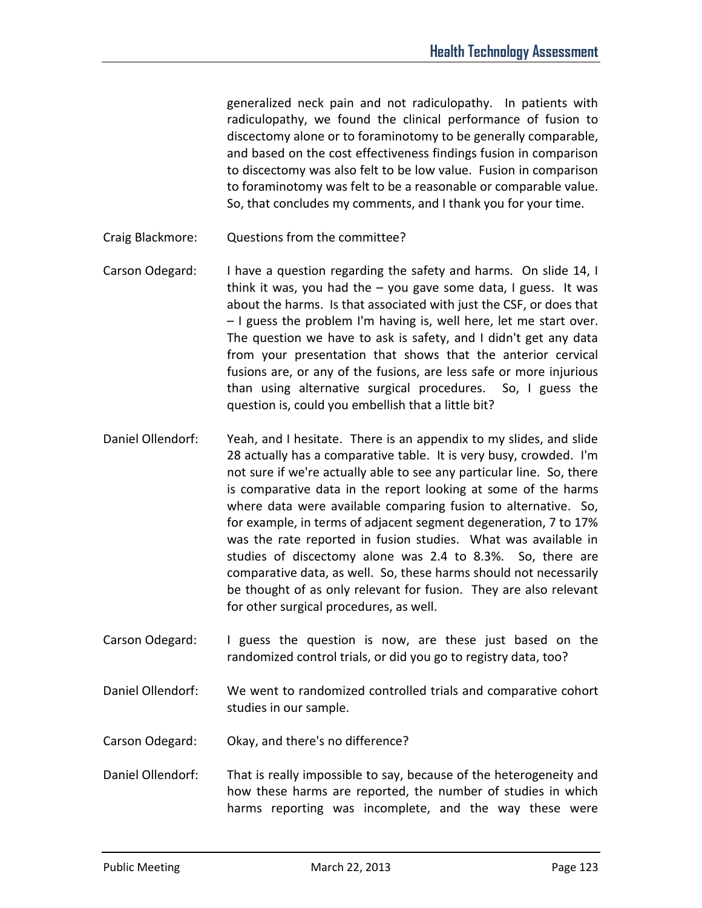generalized neck pain and not radiculopathy. In patients with radiculopathy, we found the clinical performance of fusion to discectomy alone or to foraminotomy to be generally comparable, and based on the cost effectiveness findings fusion in comparison to discectomy was also felt to be low value. Fusion in comparison to foraminotomy was felt to be a reasonable or comparable value. So, that concludes my comments, and I thank you for your time.

Craig Blackmore: Questions from the committee?

- Carson Odegard: I have a question regarding the safety and harms. On slide 14, I think it was, you had the – you gave some data, I guess. It was about the harms. Is that associated with just the CSF, or does that – I guess the problem I'm having is, well here, let me start over. The question we have to ask is safety, and I didn't get any data from your presentation that shows that the anterior cervical fusions are, or any of the fusions, are less safe or more injurious than using alternative surgical procedures. So, I guess the question is, could you embellish that a little bit?
- Daniel Ollendorf: Yeah, and I hesitate. There is an appendix to my slides, and slide 28 actually has a comparative table. It is very busy, crowded. I'm not sure if we're actually able to see any particular line. So, there is comparative data in the report looking at some of the harms where data were available comparing fusion to alternative. So, for example, in terms of adjacent segment degeneration, 7 to 17% was the rate reported in fusion studies. What was available in studies of discectomy alone was 2.4 to 8.3%. So, there are comparative data, as well. So, these harms should not necessarily be thought of as only relevant for fusion. They are also relevant for other surgical procedures, as well.
- Carson Odegard: I guess the question is now, are these just based on the randomized control trials, or did you go to registry data, too?
- Daniel Ollendorf: We went to randomized controlled trials and comparative cohort studies in our sample.
- Carson Odegard: Okay, and there's no difference?
- Daniel Ollendorf: That is really impossible to say, because of the heterogeneity and how these harms are reported, the number of studies in which harms reporting was incomplete, and the way these were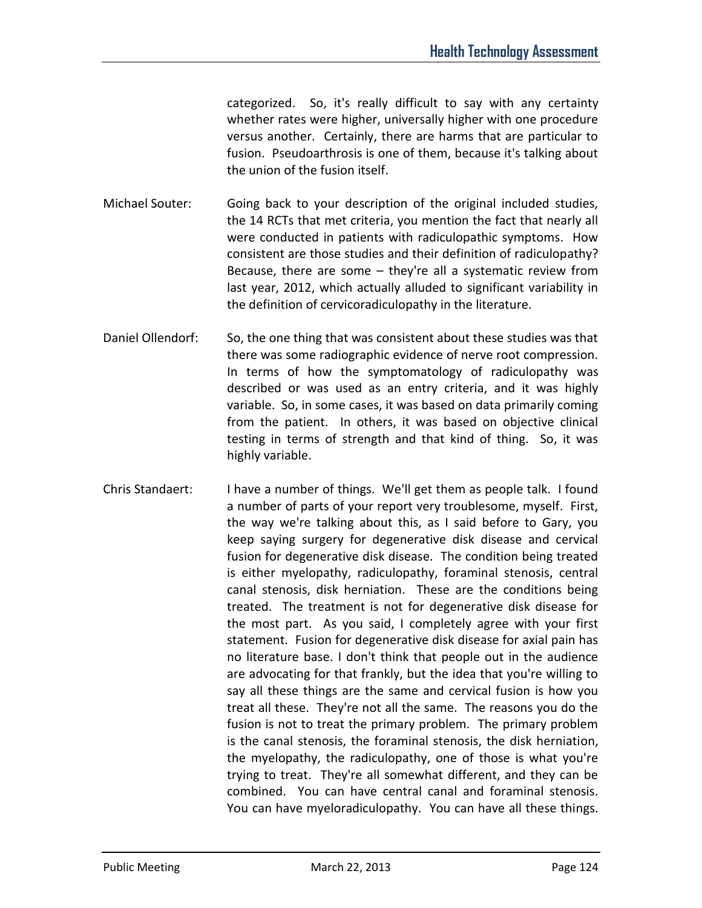categorized. So, it's really difficult to say with any certainty whether rates were higher, universally higher with one procedure versus another. Certainly, there are harms that are particular to fusion. Pseudoarthrosis is one of them, because it's talking about the union of the fusion itself.

- Michael Souter: Going back to your description of the original included studies, the 14 RCTs that met criteria, you mention the fact that nearly all were conducted in patients with radiculopathic symptoms. How consistent are those studies and their definition of radiculopathy? Because, there are some – they're all a systematic review from last year, 2012, which actually alluded to significant variability in the definition of cervicoradiculopathy in the literature.
- Daniel Ollendorf: So, the one thing that was consistent about these studies was that there was some radiographic evidence of nerve root compression. In terms of how the symptomatology of radiculopathy was described or was used as an entry criteria, and it was highly variable. So, in some cases, it was based on data primarily coming from the patient. In others, it was based on objective clinical testing in terms of strength and that kind of thing. So, it was highly variable.
- Chris Standaert: I have a number of things. We'll get them as people talk. I found a number of parts of your report very troublesome, myself. First, the way we're talking about this, as I said before to Gary, you keep saying surgery for degenerative disk disease and cervical fusion for degenerative disk disease. The condition being treated is either myelopathy, radiculopathy, foraminal stenosis, central canal stenosis, disk herniation. These are the conditions being treated. The treatment is not for degenerative disk disease for the most part. As you said, I completely agree with your first statement. Fusion for degenerative disk disease for axial pain has no literature base. I don't think that people out in the audience are advocating for that frankly, but the idea that you're willing to say all these things are the same and cervical fusion is how you treat all these. They're not all the same. The reasons you do the fusion is not to treat the primary problem. The primary problem is the canal stenosis, the foraminal stenosis, the disk herniation, the myelopathy, the radiculopathy, one of those is what you're trying to treat. They're all somewhat different, and they can be combined. You can have central canal and foraminal stenosis. You can have myeloradiculopathy. You can have all these things.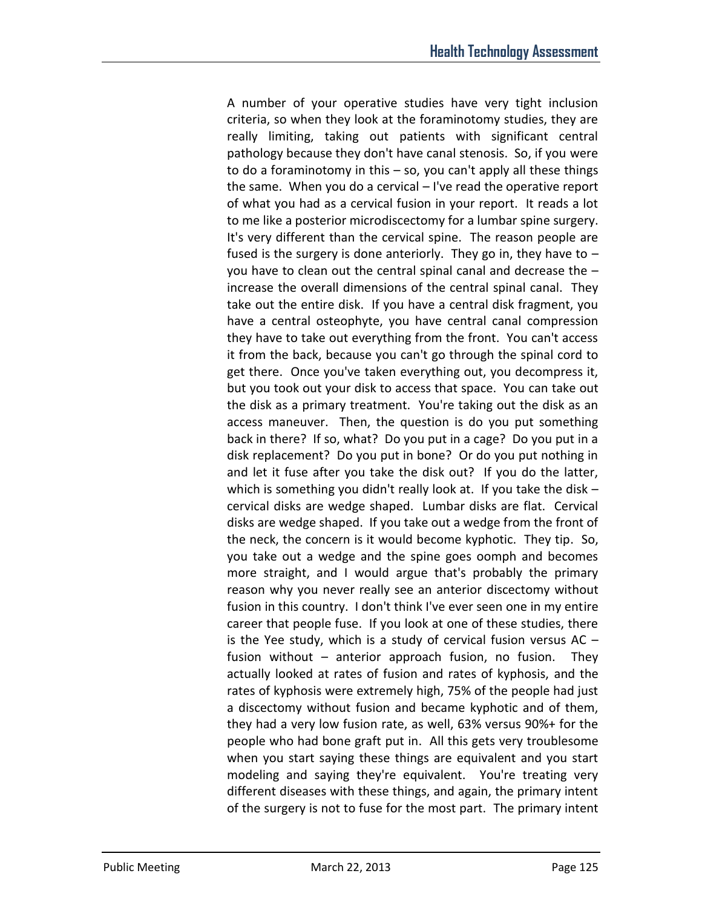A number of your operative studies have very tight inclusion criteria, so when they look at the foraminotomy studies, they are really limiting, taking out patients with significant central pathology because they don't have canal stenosis. So, if you were to do a foraminotomy in this – so, you can't apply all these things the same. When you do a cervical – I've read the operative report of what you had as a cervical fusion in your report. It reads a lot to me like a posterior microdiscectomy for a lumbar spine surgery. It's very different than the cervical spine. The reason people are fused is the surgery is done anteriorly. They go in, they have to – you have to clean out the central spinal canal and decrease the – increase the overall dimensions of the central spinal canal. They take out the entire disk. If you have a central disk fragment, you have a central osteophyte, you have central canal compression they have to take out everything from the front. You can't access it from the back, because you can't go through the spinal cord to get there. Once you've taken everything out, you decompress it, but you took out your disk to access that space. You can take out the disk as a primary treatment. You're taking out the disk as an access maneuver. Then, the question is do you put something back in there? If so, what? Do you put in a cage? Do you put in a disk replacement? Do you put in bone? Or do you put nothing in and let it fuse after you take the disk out? If you do the latter, which is something you didn't really look at. If you take the disk – cervical disks are wedge shaped. Lumbar disks are flat. Cervical disks are wedge shaped. If you take out a wedge from the front of the neck, the concern is it would become kyphotic. They tip. So, you take out a wedge and the spine goes oomph and becomes more straight, and I would argue that's probably the primary reason why you never really see an anterior discectomy without fusion in this country. I don't think I've ever seen one in my entire career that people fuse. If you look at one of these studies, there is the Yee study, which is a study of cervical fusion versus  $AC$ fusion without – anterior approach fusion, no fusion. They actually looked at rates of fusion and rates of kyphosis, and the rates of kyphosis were extremely high, 75% of the people had just a discectomy without fusion and became kyphotic and of them, they had a very low fusion rate, as well, 63% versus 90%+ for the people who had bone graft put in. All this gets very troublesome when you start saying these things are equivalent and you start modeling and saying they're equivalent. You're treating very different diseases with these things, and again, the primary intent of the surgery is not to fuse for the most part. The primary intent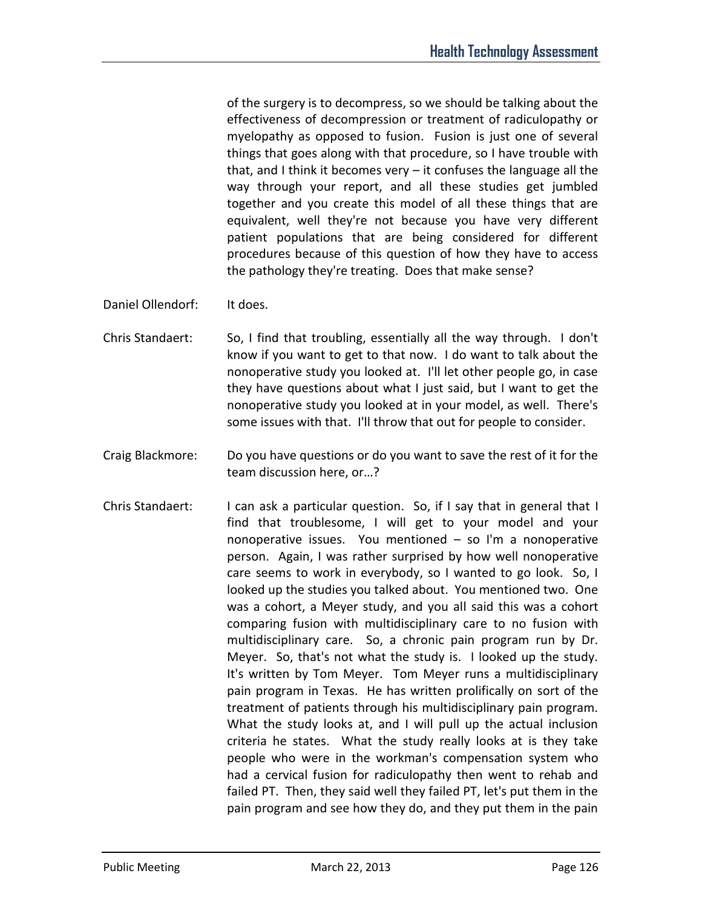of the surgery is to decompress, so we should be talking about the effectiveness of decompression or treatment of radiculopathy or myelopathy as opposed to fusion. Fusion is just one of several things that goes along with that procedure, so I have trouble with that, and I think it becomes very – it confuses the language all the way through your report, and all these studies get jumbled together and you create this model of all these things that are equivalent, well they're not because you have very different patient populations that are being considered for different procedures because of this question of how they have to access the pathology they're treating. Does that make sense?

- Daniel Ollendorf: It does.
- Chris Standaert: So, I find that troubling, essentially all the way through. I don't know if you want to get to that now. I do want to talk about the nonoperative study you looked at. I'll let other people go, in case they have questions about what I just said, but I want to get the nonoperative study you looked at in your model, as well. There's some issues with that. I'll throw that out for people to consider.
- Craig Blackmore: Do you have questions or do you want to save the rest of it for the team discussion here, or…?
- Chris Standaert: I can ask a particular question. So, if I say that in general that I find that troublesome, I will get to your model and your nonoperative issues. You mentioned – so I'm a nonoperative person. Again, I was rather surprised by how well nonoperative care seems to work in everybody, so I wanted to go look. So, I looked up the studies you talked about. You mentioned two. One was a cohort, a Meyer study, and you all said this was a cohort comparing fusion with multidisciplinary care to no fusion with multidisciplinary care. So, a chronic pain program run by Dr. Meyer. So, that's not what the study is. I looked up the study. It's written by Tom Meyer. Tom Meyer runs a multidisciplinary pain program in Texas. He has written prolifically on sort of the treatment of patients through his multidisciplinary pain program. What the study looks at, and I will pull up the actual inclusion criteria he states. What the study really looks at is they take people who were in the workman's compensation system who had a cervical fusion for radiculopathy then went to rehab and failed PT. Then, they said well they failed PT, let's put them in the pain program and see how they do, and they put them in the pain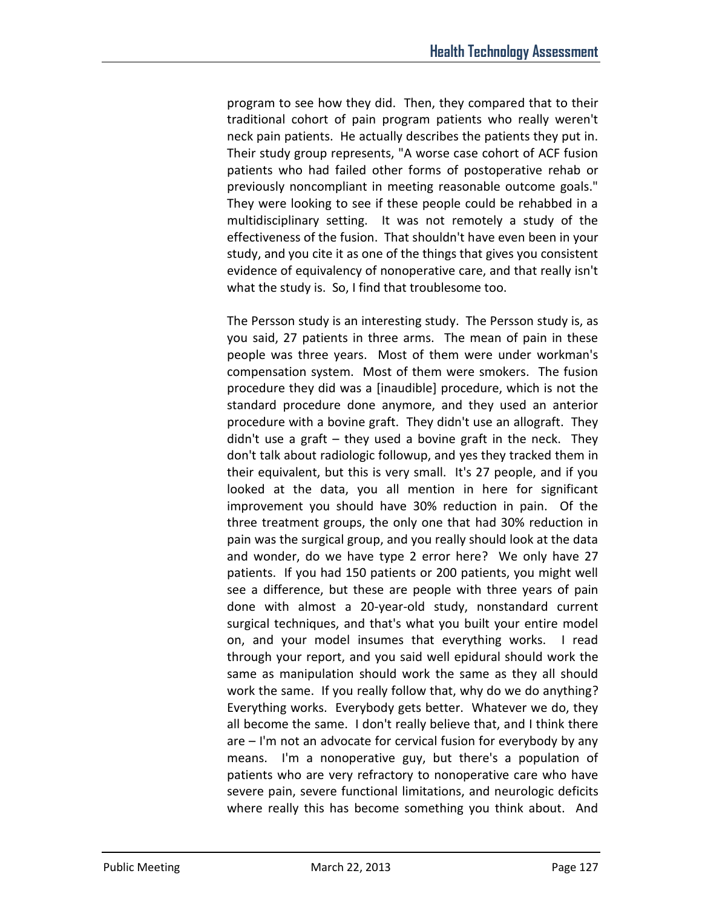program to see how they did. Then, they compared that to their traditional cohort of pain program patients who really weren't neck pain patients. He actually describes the patients they put in. Their study group represents, "A worse case cohort of ACF fusion patients who had failed other forms of postoperative rehab or previously noncompliant in meeting reasonable outcome goals." They were looking to see if these people could be rehabbed in a multidisciplinary setting. It was not remotely a study of the effectiveness of the fusion. That shouldn't have even been in your study, and you cite it as one of the things that gives you consistent evidence of equivalency of nonoperative care, and that really isn't what the study is. So, I find that troublesome too.

The Persson study is an interesting study. The Persson study is, as you said, 27 patients in three arms. The mean of pain in these people was three years. Most of them were under workman's compensation system. Most of them were smokers. The fusion procedure they did was a [inaudible] procedure, which is not the standard procedure done anymore, and they used an anterior procedure with a bovine graft. They didn't use an allograft. They didn't use a graft – they used a bovine graft in the neck. They don't talk about radiologic followup, and yes they tracked them in their equivalent, but this is very small. It's 27 people, and if you looked at the data, you all mention in here for significant improvement you should have 30% reduction in pain. Of the three treatment groups, the only one that had 30% reduction in pain was the surgical group, and you really should look at the data and wonder, do we have type 2 error here? We only have 27 patients. If you had 150 patients or 200 patients, you might well see a difference, but these are people with three years of pain done with almost a 20-year-old study, nonstandard current surgical techniques, and that's what you built your entire model on, and your model insumes that everything works. I read through your report, and you said well epidural should work the same as manipulation should work the same as they all should work the same. If you really follow that, why do we do anything? Everything works. Everybody gets better. Whatever we do, they all become the same. I don't really believe that, and I think there are – I'm not an advocate for cervical fusion for everybody by any means. I'm a nonoperative guy, but there's a population of patients who are very refractory to nonoperative care who have severe pain, severe functional limitations, and neurologic deficits where really this has become something you think about. And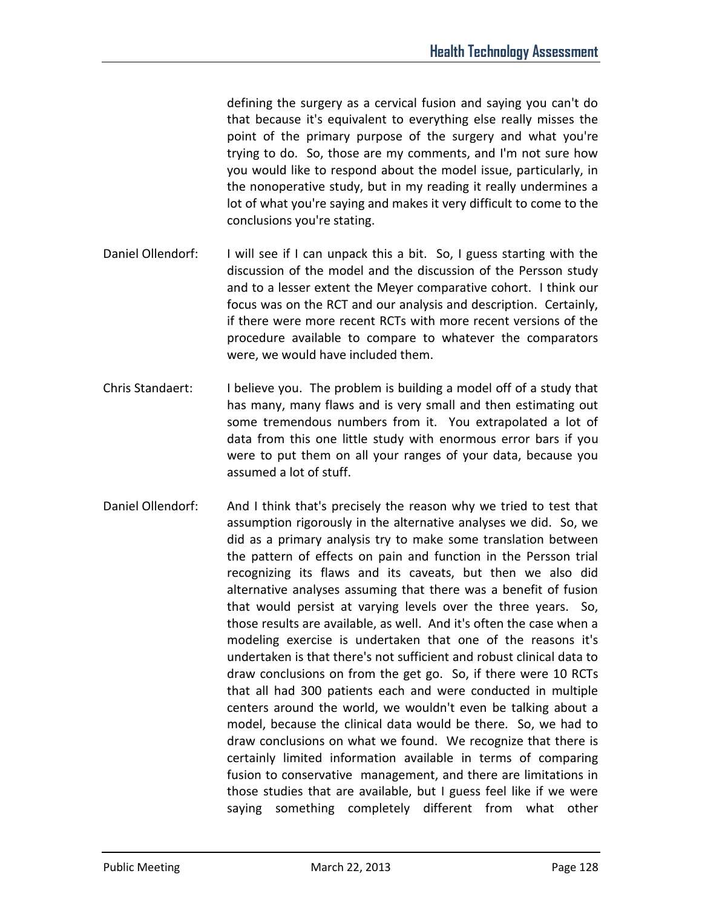defining the surgery as a cervical fusion and saying you can't do that because it's equivalent to everything else really misses the point of the primary purpose of the surgery and what you're trying to do. So, those are my comments, and I'm not sure how you would like to respond about the model issue, particularly, in the nonoperative study, but in my reading it really undermines a lot of what you're saying and makes it very difficult to come to the conclusions you're stating.

- Daniel Ollendorf: I will see if I can unpack this a bit. So, I guess starting with the discussion of the model and the discussion of the Persson study and to a lesser extent the Meyer comparative cohort. I think our focus was on the RCT and our analysis and description. Certainly, if there were more recent RCTs with more recent versions of the procedure available to compare to whatever the comparators were, we would have included them.
- Chris Standaert: I believe you. The problem is building a model off of a study that has many, many flaws and is very small and then estimating out some tremendous numbers from it. You extrapolated a lot of data from this one little study with enormous error bars if you were to put them on all your ranges of your data, because you assumed a lot of stuff.
- Daniel Ollendorf: And I think that's precisely the reason why we tried to test that assumption rigorously in the alternative analyses we did. So, we did as a primary analysis try to make some translation between the pattern of effects on pain and function in the Persson trial recognizing its flaws and its caveats, but then we also did alternative analyses assuming that there was a benefit of fusion that would persist at varying levels over the three years. So, those results are available, as well. And it's often the case when a modeling exercise is undertaken that one of the reasons it's undertaken is that there's not sufficient and robust clinical data to draw conclusions on from the get go. So, if there were 10 RCTs that all had 300 patients each and were conducted in multiple centers around the world, we wouldn't even be talking about a model, because the clinical data would be there. So, we had to draw conclusions on what we found. We recognize that there is certainly limited information available in terms of comparing fusion to conservative management, and there are limitations in those studies that are available, but I guess feel like if we were saying something completely different from what other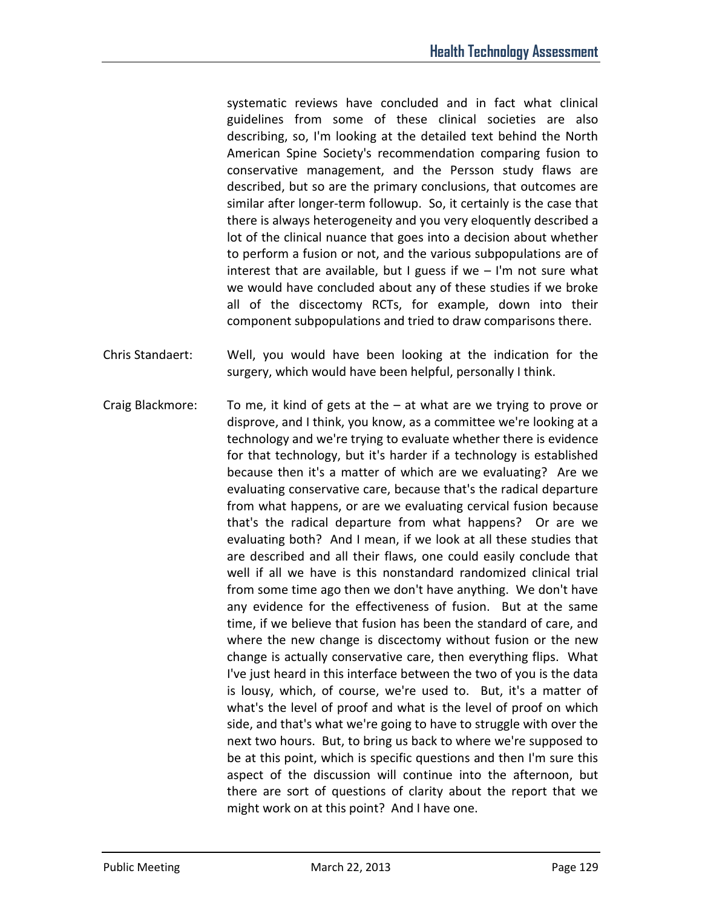systematic reviews have concluded and in fact what clinical guidelines from some of these clinical societies are also describing, so, I'm looking at the detailed text behind the North American Spine Society's recommendation comparing fusion to conservative management, and the Persson study flaws are described, but so are the primary conclusions, that outcomes are similar after longer-term followup. So, it certainly is the case that there is always heterogeneity and you very eloquently described a lot of the clinical nuance that goes into a decision about whether to perform a fusion or not, and the various subpopulations are of interest that are available, but I guess if we  $-$  I'm not sure what we would have concluded about any of these studies if we broke all of the discectomy RCTs, for example, down into their component subpopulations and tried to draw comparisons there.

- Chris Standaert: Well, you would have been looking at the indication for the surgery, which would have been helpful, personally I think.
- Craig Blackmore: To me, it kind of gets at the at what are we trying to prove or disprove, and I think, you know, as a committee we're looking at a technology and we're trying to evaluate whether there is evidence for that technology, but it's harder if a technology is established because then it's a matter of which are we evaluating? Are we evaluating conservative care, because that's the radical departure from what happens, or are we evaluating cervical fusion because that's the radical departure from what happens? Or are we evaluating both? And I mean, if we look at all these studies that are described and all their flaws, one could easily conclude that well if all we have is this nonstandard randomized clinical trial from some time ago then we don't have anything. We don't have any evidence for the effectiveness of fusion. But at the same time, if we believe that fusion has been the standard of care, and where the new change is discectomy without fusion or the new change is actually conservative care, then everything flips. What I've just heard in this interface between the two of you is the data is lousy, which, of course, we're used to. But, it's a matter of what's the level of proof and what is the level of proof on which side, and that's what we're going to have to struggle with over the next two hours. But, to bring us back to where we're supposed to be at this point, which is specific questions and then I'm sure this aspect of the discussion will continue into the afternoon, but there are sort of questions of clarity about the report that we might work on at this point? And I have one.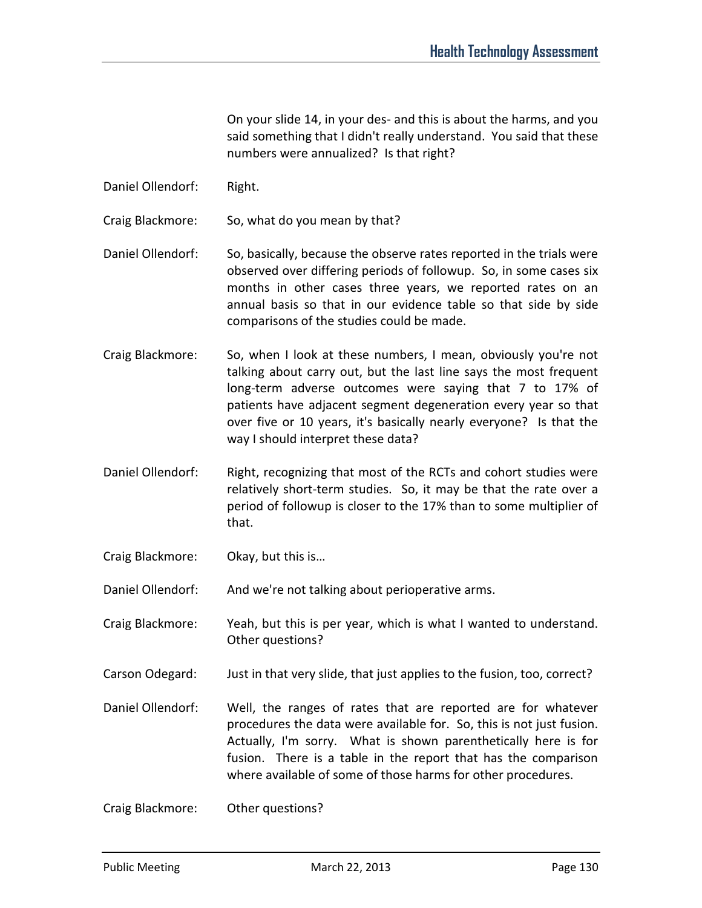On your slide 14, in your des- and this is about the harms, and you said something that I didn't really understand. You said that these numbers were annualized? Is that right?

- Daniel Ollendorf: Right.
- Craig Blackmore: So, what do you mean by that?
- Daniel Ollendorf: So, basically, because the observe rates reported in the trials were observed over differing periods of followup. So, in some cases six months in other cases three years, we reported rates on an annual basis so that in our evidence table so that side by side comparisons of the studies could be made.
- Craig Blackmore: So, when I look at these numbers, I mean, obviously you're not talking about carry out, but the last line says the most frequent long-term adverse outcomes were saying that 7 to 17% of patients have adjacent segment degeneration every year so that over five or 10 years, it's basically nearly everyone? Is that the way I should interpret these data?
- Daniel Ollendorf: Right, recognizing that most of the RCTs and cohort studies were relatively short-term studies. So, it may be that the rate over a period of followup is closer to the 17% than to some multiplier of that.
- Craig Blackmore: Okay, but this is…

Daniel Ollendorf: And we're not talking about perioperative arms.

- Craig Blackmore: Yeah, but this is per year, which is what I wanted to understand. Other questions?
- Carson Odegard: Just in that very slide, that just applies to the fusion, too, correct?
- Daniel Ollendorf: Well, the ranges of rates that are reported are for whatever procedures the data were available for. So, this is not just fusion. Actually, I'm sorry. What is shown parenthetically here is for fusion. There is a table in the report that has the comparison where available of some of those harms for other procedures.

Craig Blackmore: Other questions?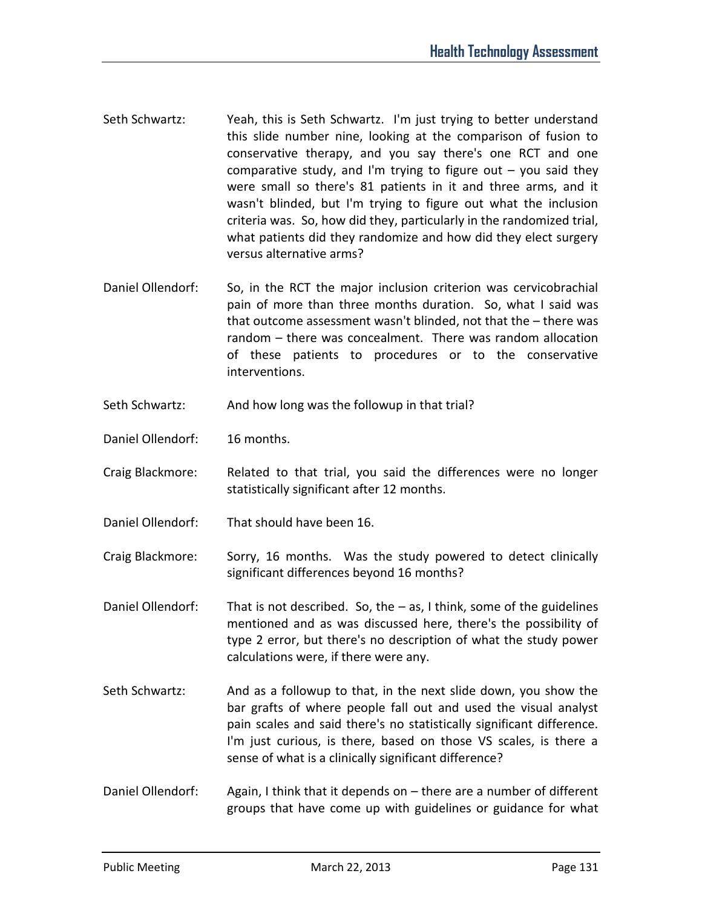- Seth Schwartz: Yeah, this is Seth Schwartz. I'm just trying to better understand this slide number nine, looking at the comparison of fusion to conservative therapy, and you say there's one RCT and one comparative study, and I'm trying to figure out  $-$  you said they were small so there's 81 patients in it and three arms, and it wasn't blinded, but I'm trying to figure out what the inclusion criteria was. So, how did they, particularly in the randomized trial, what patients did they randomize and how did they elect surgery versus alternative arms?
- Daniel Ollendorf: So, in the RCT the major inclusion criterion was cervicobrachial pain of more than three months duration. So, what I said was that outcome assessment wasn't blinded, not that the – there was random – there was concealment. There was random allocation of these patients to procedures or to the conservative interventions.
- Seth Schwartz: And how long was the followup in that trial?
- Daniel Ollendorf: 16 months.
- Craig Blackmore: Related to that trial, you said the differences were no longer statistically significant after 12 months.
- Daniel Ollendorf: That should have been 16.
- Craig Blackmore: Sorry, 16 months. Was the study powered to detect clinically significant differences beyond 16 months?
- Daniel Ollendorf: That is not described. So, the as, I think, some of the guidelines mentioned and as was discussed here, there's the possibility of type 2 error, but there's no description of what the study power calculations were, if there were any.
- Seth Schwartz: And as a followup to that, in the next slide down, you show the bar grafts of where people fall out and used the visual analyst pain scales and said there's no statistically significant difference. I'm just curious, is there, based on those VS scales, is there a sense of what is a clinically significant difference?
- Daniel Ollendorf: Again, I think that it depends on there are a number of different groups that have come up with guidelines or guidance for what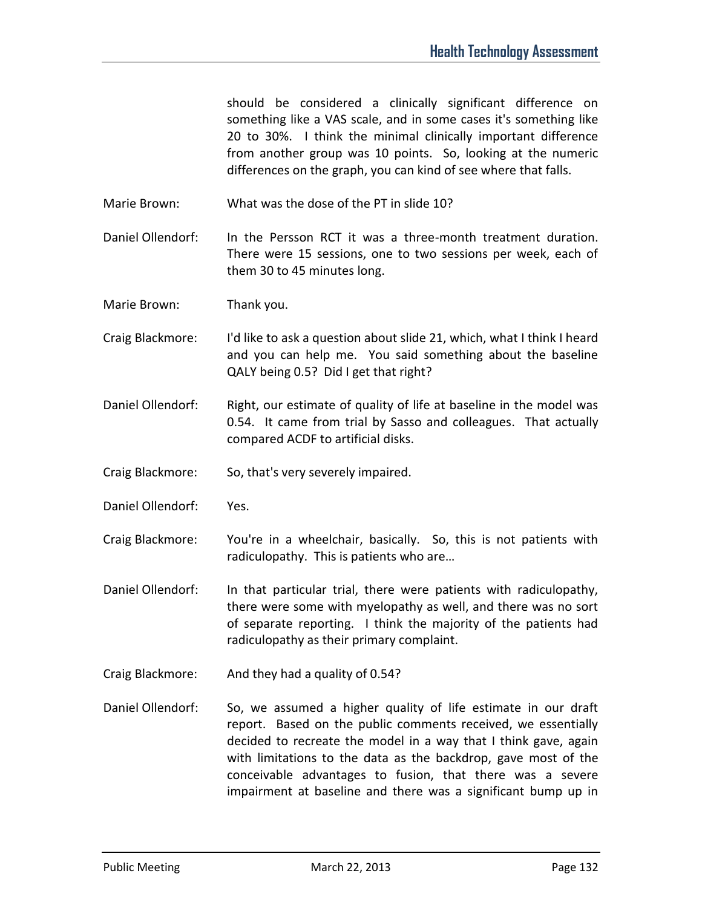should be considered a clinically significant difference on something like a VAS scale, and in some cases it's something like 20 to 30%. I think the minimal clinically important difference from another group was 10 points. So, looking at the numeric differences on the graph, you can kind of see where that falls.

Marie Brown: What was the dose of the PT in slide 10?

Daniel Ollendorf: In the Persson RCT it was a three-month treatment duration. There were 15 sessions, one to two sessions per week, each of them 30 to 45 minutes long.

Marie Brown: Thank you.

- Craig Blackmore: I'd like to ask a question about slide 21, which, what I think I heard and you can help me. You said something about the baseline QALY being 0.5? Did I get that right?
- Daniel Ollendorf: Right, our estimate of quality of life at baseline in the model was 0.54. It came from trial by Sasso and colleagues. That actually compared ACDF to artificial disks.
- Craig Blackmore: So, that's very severely impaired.
- Daniel Ollendorf: Yes.
- Craig Blackmore: You're in a wheelchair, basically. So, this is not patients with radiculopathy. This is patients who are…
- Daniel Ollendorf: In that particular trial, there were patients with radiculopathy, there were some with myelopathy as well, and there was no sort of separate reporting. I think the majority of the patients had radiculopathy as their primary complaint.
- Craig Blackmore: And they had a quality of 0.54?
- Daniel Ollendorf: So, we assumed a higher quality of life estimate in our draft report. Based on the public comments received, we essentially decided to recreate the model in a way that I think gave, again with limitations to the data as the backdrop, gave most of the conceivable advantages to fusion, that there was a severe impairment at baseline and there was a significant bump up in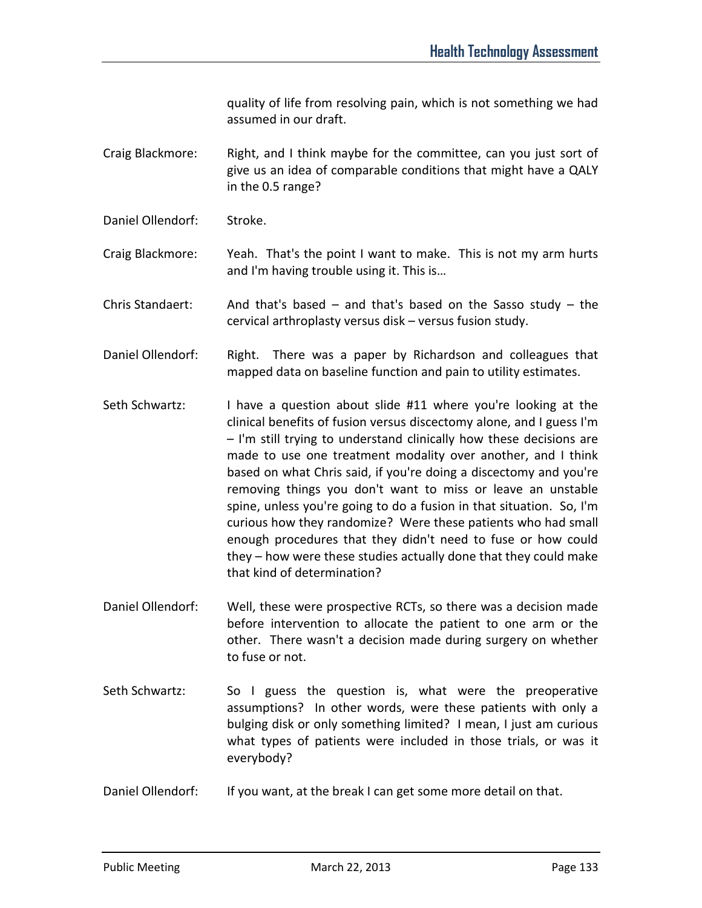quality of life from resolving pain, which is not something we had assumed in our draft.

Craig Blackmore: Right, and I think maybe for the committee, can you just sort of give us an idea of comparable conditions that might have a QALY in the 0.5 range?

Daniel Ollendorf: Stroke.

Craig Blackmore: Yeah. That's the point I want to make. This is not my arm hurts and I'm having trouble using it. This is…

Chris Standaert: And that's based – and that's based on the Sasso study – the cervical arthroplasty versus disk – versus fusion study.

- Daniel Ollendorf: Right. There was a paper by Richardson and colleagues that mapped data on baseline function and pain to utility estimates.
- Seth Schwartz: I have a question about slide #11 where you're looking at the clinical benefits of fusion versus discectomy alone, and I guess I'm – I'm still trying to understand clinically how these decisions are made to use one treatment modality over another, and I think based on what Chris said, if you're doing a discectomy and you're removing things you don't want to miss or leave an unstable spine, unless you're going to do a fusion in that situation. So, I'm curious how they randomize? Were these patients who had small enough procedures that they didn't need to fuse or how could they – how were these studies actually done that they could make that kind of determination?
- Daniel Ollendorf: Well, these were prospective RCTs, so there was a decision made before intervention to allocate the patient to one arm or the other. There wasn't a decision made during surgery on whether to fuse or not.
- Seth Schwartz: So I guess the question is, what were the preoperative assumptions? In other words, were these patients with only a bulging disk or only something limited? I mean, I just am curious what types of patients were included in those trials, or was it everybody?
- Daniel Ollendorf: If you want, at the break I can get some more detail on that.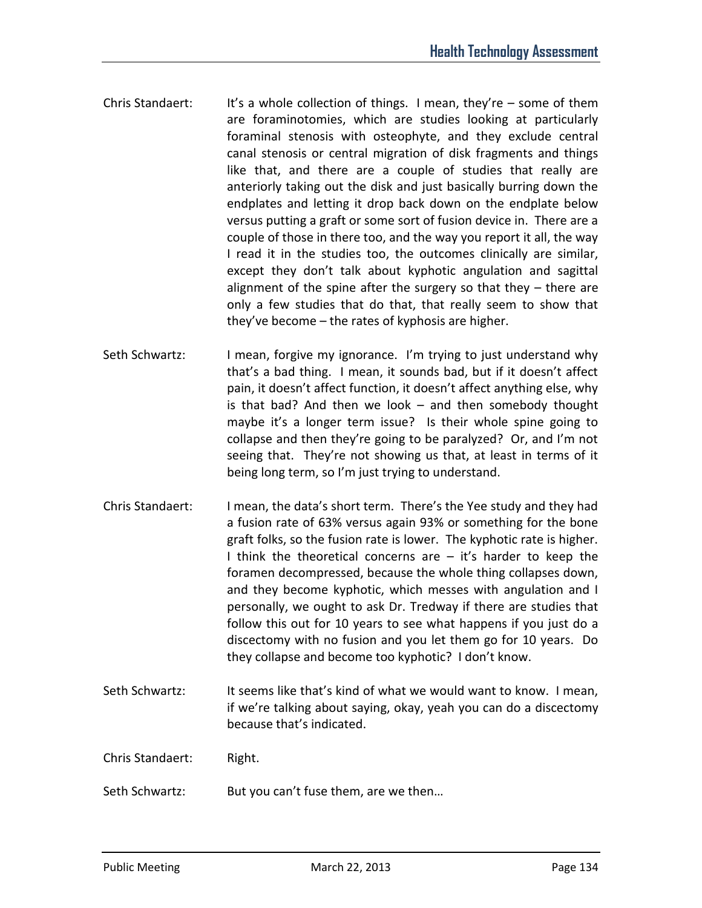- Chris Standaert: It's a whole collection of things. I mean, they're  $-$  some of them are foraminotomies, which are studies looking at particularly foraminal stenosis with osteophyte, and they exclude central canal stenosis or central migration of disk fragments and things like that, and there are a couple of studies that really are anteriorly taking out the disk and just basically burring down the endplates and letting it drop back down on the endplate below versus putting a graft or some sort of fusion device in. There are a couple of those in there too, and the way you report it all, the way I read it in the studies too, the outcomes clinically are similar, except they don't talk about kyphotic angulation and sagittal alignment of the spine after the surgery so that they – there are only a few studies that do that, that really seem to show that they've become – the rates of kyphosis are higher.
- Seth Schwartz: I mean, forgive my ignorance. I'm trying to just understand why that's a bad thing. I mean, it sounds bad, but if it doesn't affect pain, it doesn't affect function, it doesn't affect anything else, why is that bad? And then we look – and then somebody thought maybe it's a longer term issue? Is their whole spine going to collapse and then they're going to be paralyzed? Or, and I'm not seeing that. They're not showing us that, at least in terms of it being long term, so I'm just trying to understand.
- Chris Standaert: I mean, the data's short term. There's the Yee study and they had a fusion rate of 63% versus again 93% or something for the bone graft folks, so the fusion rate is lower. The kyphotic rate is higher. I think the theoretical concerns are - it's harder to keep the foramen decompressed, because the whole thing collapses down, and they become kyphotic, which messes with angulation and I personally, we ought to ask Dr. Tredway if there are studies that follow this out for 10 years to see what happens if you just do a discectomy with no fusion and you let them go for 10 years. Do they collapse and become too kyphotic? I don't know.
- Seth Schwartz: It seems like that's kind of what we would want to know. I mean, if we're talking about saying, okay, yeah you can do a discectomy because that's indicated.
- Chris Standaert: Right.
- Seth Schwartz: But you can't fuse them, are we then…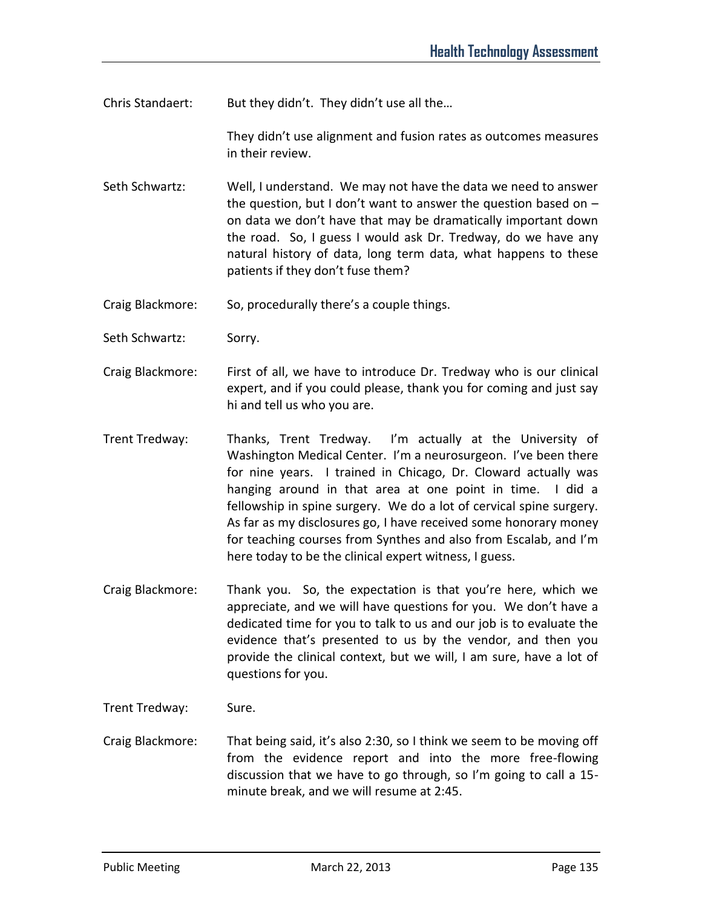Chris Standaert: But they didn't. They didn't use all the...

They didn't use alignment and fusion rates as outcomes measures in their review.

Seth Schwartz: Well, I understand. We may not have the data we need to answer the question, but I don't want to answer the question based on  $$ on data we don't have that may be dramatically important down the road. So, I guess I would ask Dr. Tredway, do we have any natural history of data, long term data, what happens to these patients if they don't fuse them?

Craig Blackmore: So, procedurally there's a couple things.

Seth Schwartz: Sorry.

- Craig Blackmore: First of all, we have to introduce Dr. Tredway who is our clinical expert, and if you could please, thank you for coming and just say hi and tell us who you are.
- Trent Tredway: Thanks, Trent Tredway. I'm actually at the University of Washington Medical Center. I'm a neurosurgeon. I've been there for nine years. I trained in Chicago, Dr. Cloward actually was hanging around in that area at one point in time. I did a fellowship in spine surgery. We do a lot of cervical spine surgery. As far as my disclosures go, I have received some honorary money for teaching courses from Synthes and also from Escalab, and I'm here today to be the clinical expert witness, I guess.
- Craig Blackmore: Thank you. So, the expectation is that you're here, which we appreciate, and we will have questions for you. We don't have a dedicated time for you to talk to us and our job is to evaluate the evidence that's presented to us by the vendor, and then you provide the clinical context, but we will, I am sure, have a lot of questions for you.

Trent Tredway: Sure.

Craig Blackmore: That being said, it's also 2:30, so I think we seem to be moving off from the evidence report and into the more free-flowing discussion that we have to go through, so I'm going to call a 15 minute break, and we will resume at 2:45.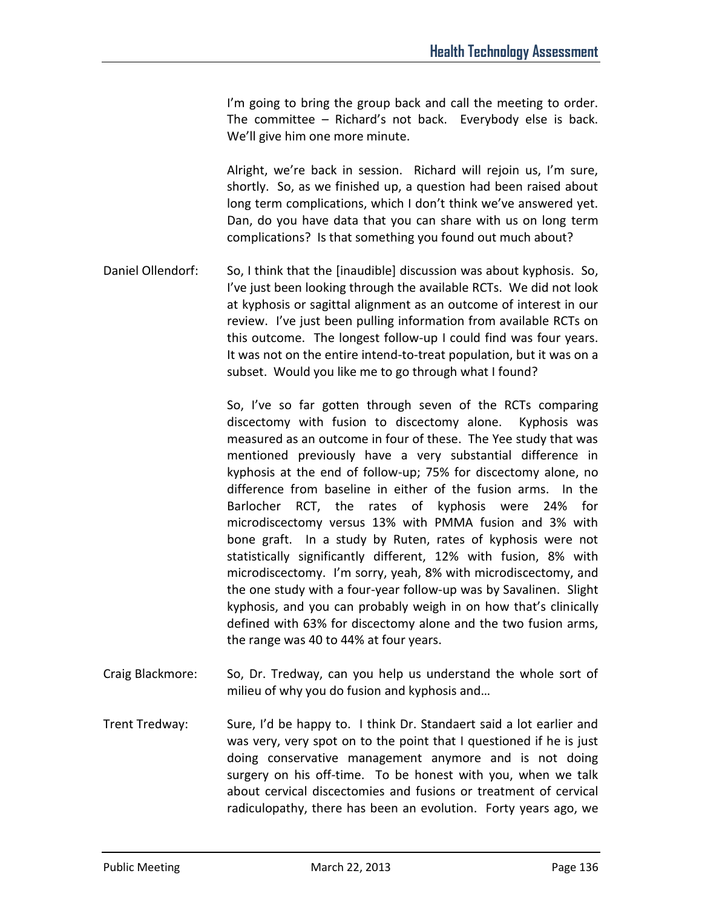I'm going to bring the group back and call the meeting to order. The committee – Richard's not back. Everybody else is back. We'll give him one more minute.

Alright, we're back in session. Richard will rejoin us, I'm sure, shortly. So, as we finished up, a question had been raised about long term complications, which I don't think we've answered yet. Dan, do you have data that you can share with us on long term complications? Is that something you found out much about?

Daniel Ollendorf: So, I think that the [inaudible] discussion was about kyphosis. So, I've just been looking through the available RCTs. We did not look at kyphosis or sagittal alignment as an outcome of interest in our review. I've just been pulling information from available RCTs on this outcome. The longest follow-up I could find was four years. It was not on the entire intend-to-treat population, but it was on a subset. Would you like me to go through what I found?

> So, I've so far gotten through seven of the RCTs comparing discectomy with fusion to discectomy alone. Kyphosis was measured as an outcome in four of these. The Yee study that was mentioned previously have a very substantial difference in kyphosis at the end of follow-up; 75% for discectomy alone, no difference from baseline in either of the fusion arms. In the Barlocher RCT, the rates of kyphosis were 24% for microdiscectomy versus 13% with PMMA fusion and 3% with bone graft. In a study by Ruten, rates of kyphosis were not statistically significantly different, 12% with fusion, 8% with microdiscectomy. I'm sorry, yeah, 8% with microdiscectomy, and the one study with a four-year follow-up was by Savalinen. Slight kyphosis, and you can probably weigh in on how that's clinically defined with 63% for discectomy alone and the two fusion arms, the range was 40 to 44% at four years.

- Craig Blackmore: So, Dr. Tredway, can you help us understand the whole sort of milieu of why you do fusion and kyphosis and…
- Trent Tredway: Sure, I'd be happy to. I think Dr. Standaert said a lot earlier and was very, very spot on to the point that I questioned if he is just doing conservative management anymore and is not doing surgery on his off-time. To be honest with you, when we talk about cervical discectomies and fusions or treatment of cervical radiculopathy, there has been an evolution. Forty years ago, we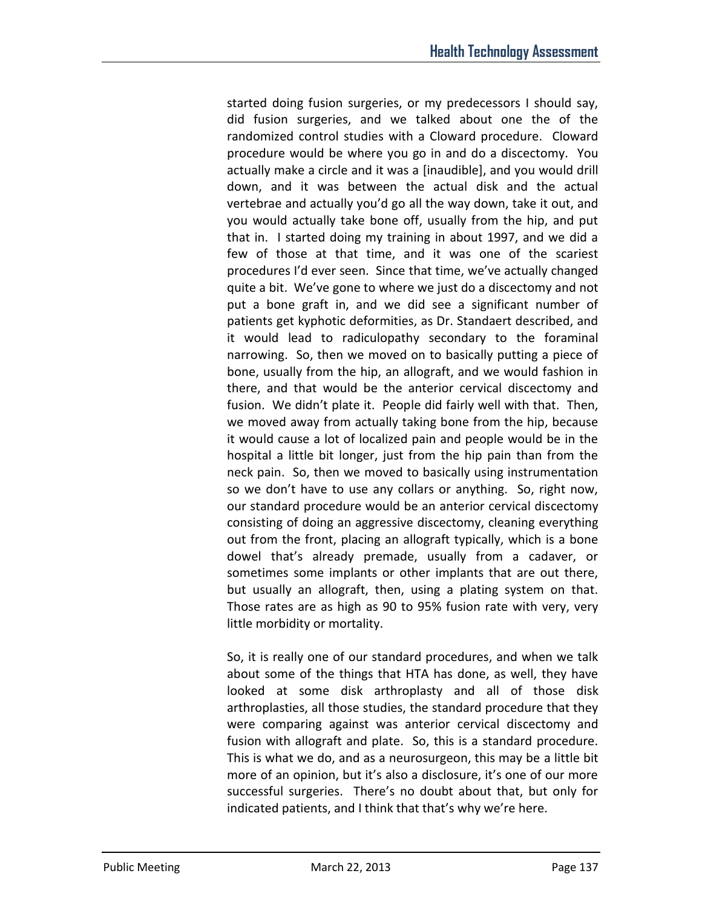started doing fusion surgeries, or my predecessors I should say, did fusion surgeries, and we talked about one the of the randomized control studies with a Cloward procedure. Cloward procedure would be where you go in and do a discectomy. You actually make a circle and it was a [inaudible], and you would drill down, and it was between the actual disk and the actual vertebrae and actually you'd go all the way down, take it out, and you would actually take bone off, usually from the hip, and put that in. I started doing my training in about 1997, and we did a few of those at that time, and it was one of the scariest procedures I'd ever seen. Since that time, we've actually changed quite a bit. We've gone to where we just do a discectomy and not put a bone graft in, and we did see a significant number of patients get kyphotic deformities, as Dr. Standaert described, and it would lead to radiculopathy secondary to the foraminal narrowing. So, then we moved on to basically putting a piece of bone, usually from the hip, an allograft, and we would fashion in there, and that would be the anterior cervical discectomy and fusion. We didn't plate it. People did fairly well with that. Then, we moved away from actually taking bone from the hip, because it would cause a lot of localized pain and people would be in the hospital a little bit longer, just from the hip pain than from the neck pain. So, then we moved to basically using instrumentation so we don't have to use any collars or anything. So, right now, our standard procedure would be an anterior cervical discectomy consisting of doing an aggressive discectomy, cleaning everything out from the front, placing an allograft typically, which is a bone dowel that's already premade, usually from a cadaver, or sometimes some implants or other implants that are out there, but usually an allograft, then, using a plating system on that. Those rates are as high as 90 to 95% fusion rate with very, very little morbidity or mortality.

So, it is really one of our standard procedures, and when we talk about some of the things that HTA has done, as well, they have looked at some disk arthroplasty and all of those disk arthroplasties, all those studies, the standard procedure that they were comparing against was anterior cervical discectomy and fusion with allograft and plate. So, this is a standard procedure. This is what we do, and as a neurosurgeon, this may be a little bit more of an opinion, but it's also a disclosure, it's one of our more successful surgeries. There's no doubt about that, but only for indicated patients, and I think that that's why we're here.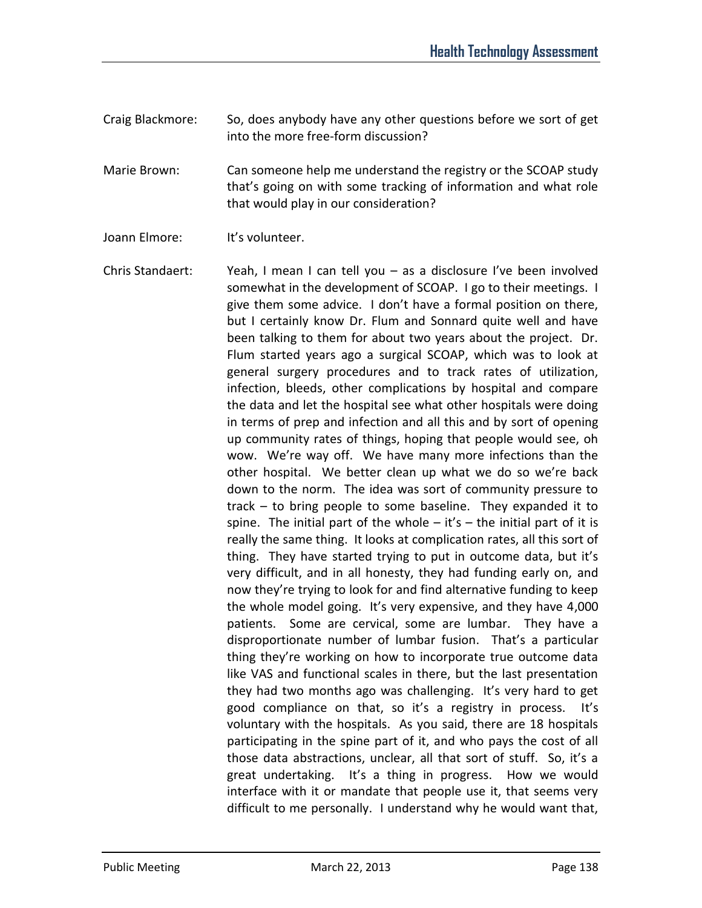Craig Blackmore: So, does anybody have any other questions before we sort of get into the more free-form discussion?

Marie Brown: Can someone help me understand the registry or the SCOAP study that's going on with some tracking of information and what role that would play in our consideration?

Joann Elmore: It's volunteer.

Chris Standaert: Yeah, I mean I can tell you – as a disclosure I've been involved somewhat in the development of SCOAP. I go to their meetings. I give them some advice. I don't have a formal position on there, but I certainly know Dr. Flum and Sonnard quite well and have been talking to them for about two years about the project. Dr. Flum started years ago a surgical SCOAP, which was to look at general surgery procedures and to track rates of utilization, infection, bleeds, other complications by hospital and compare the data and let the hospital see what other hospitals were doing in terms of prep and infection and all this and by sort of opening up community rates of things, hoping that people would see, oh wow. We're way off. We have many more infections than the other hospital. We better clean up what we do so we're back down to the norm. The idea was sort of community pressure to track – to bring people to some baseline. They expanded it to spine. The initial part of the whole  $-$  it's  $-$  the initial part of it is really the same thing. It looks at complication rates, all this sort of thing. They have started trying to put in outcome data, but it's very difficult, and in all honesty, they had funding early on, and now they're trying to look for and find alternative funding to keep the whole model going. It's very expensive, and they have 4,000 patients. Some are cervical, some are lumbar. They have a disproportionate number of lumbar fusion. That's a particular thing they're working on how to incorporate true outcome data like VAS and functional scales in there, but the last presentation they had two months ago was challenging. It's very hard to get good compliance on that, so it's a registry in process. It's voluntary with the hospitals. As you said, there are 18 hospitals participating in the spine part of it, and who pays the cost of all those data abstractions, unclear, all that sort of stuff. So, it's a great undertaking. It's a thing in progress. How we would interface with it or mandate that people use it, that seems very difficult to me personally. I understand why he would want that,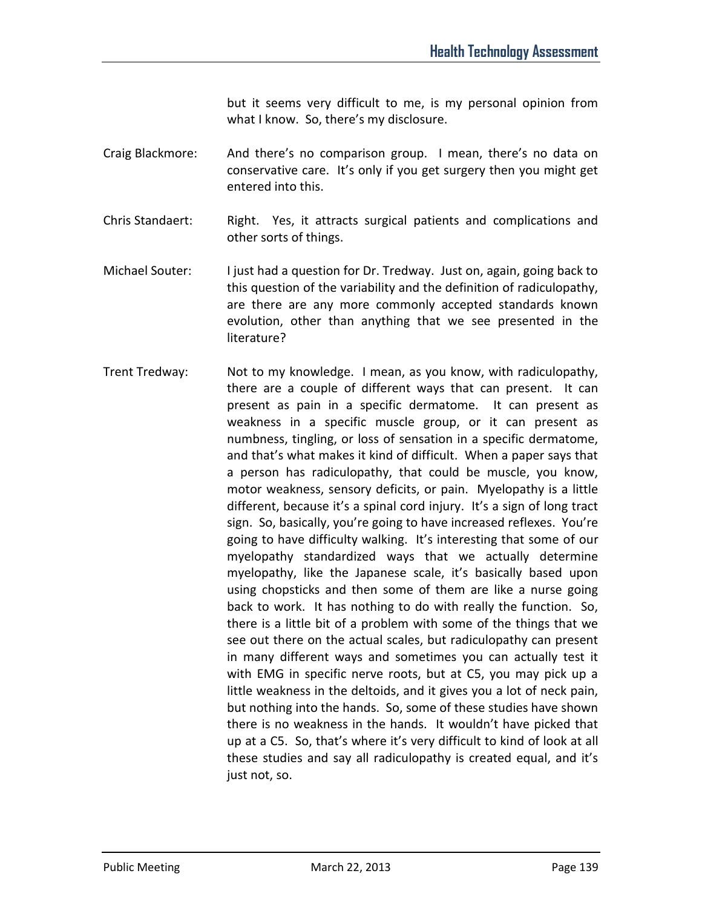but it seems very difficult to me, is my personal opinion from what I know. So, there's my disclosure.

- Craig Blackmore: And there's no comparison group. I mean, there's no data on conservative care. It's only if you get surgery then you might get entered into this.
- Chris Standaert: Right. Yes, it attracts surgical patients and complications and other sorts of things.
- Michael Souter: I just had a question for Dr. Tredway. Just on, again, going back to this question of the variability and the definition of radiculopathy, are there are any more commonly accepted standards known evolution, other than anything that we see presented in the literature?
- Trent Tredway: Not to my knowledge. I mean, as you know, with radiculopathy, there are a couple of different ways that can present. It can present as pain in a specific dermatome. It can present as weakness in a specific muscle group, or it can present as numbness, tingling, or loss of sensation in a specific dermatome, and that's what makes it kind of difficult. When a paper says that a person has radiculopathy, that could be muscle, you know, motor weakness, sensory deficits, or pain. Myelopathy is a little different, because it's a spinal cord injury. It's a sign of long tract sign. So, basically, you're going to have increased reflexes. You're going to have difficulty walking. It's interesting that some of our myelopathy standardized ways that we actually determine myelopathy, like the Japanese scale, it's basically based upon using chopsticks and then some of them are like a nurse going back to work. It has nothing to do with really the function. So, there is a little bit of a problem with some of the things that we see out there on the actual scales, but radiculopathy can present in many different ways and sometimes you can actually test it with EMG in specific nerve roots, but at C5, you may pick up a little weakness in the deltoids, and it gives you a lot of neck pain, but nothing into the hands. So, some of these studies have shown there is no weakness in the hands. It wouldn't have picked that up at a C5. So, that's where it's very difficult to kind of look at all these studies and say all radiculopathy is created equal, and it's just not, so.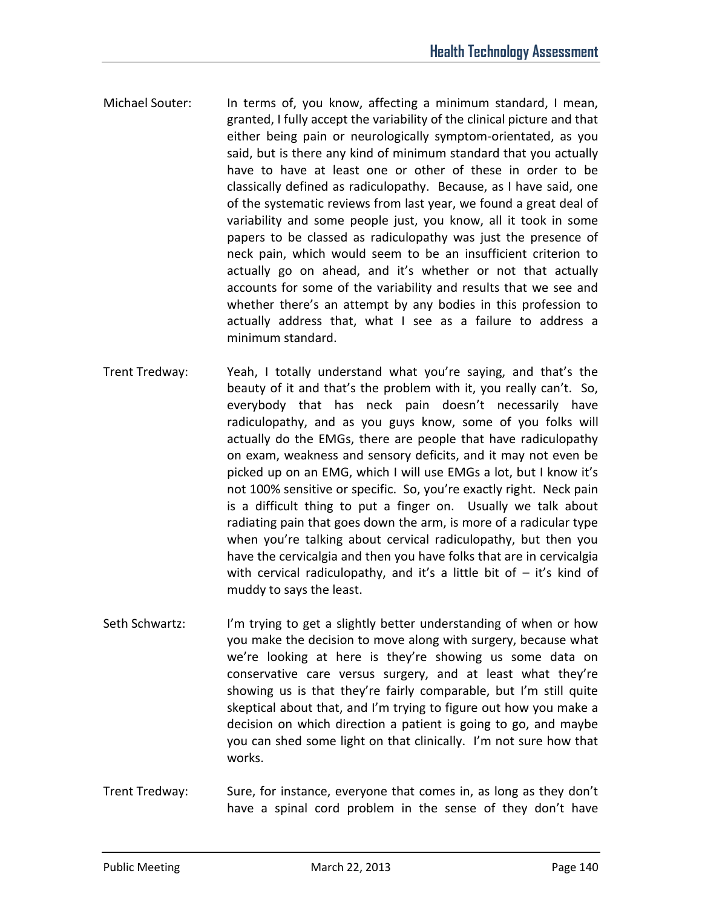- Michael Souter: In terms of, you know, affecting a minimum standard, I mean, granted, I fully accept the variability of the clinical picture and that either being pain or neurologically symptom-orientated, as you said, but is there any kind of minimum standard that you actually have to have at least one or other of these in order to be classically defined as radiculopathy. Because, as I have said, one of the systematic reviews from last year, we found a great deal of variability and some people just, you know, all it took in some papers to be classed as radiculopathy was just the presence of neck pain, which would seem to be an insufficient criterion to actually go on ahead, and it's whether or not that actually accounts for some of the variability and results that we see and whether there's an attempt by any bodies in this profession to actually address that, what I see as a failure to address a minimum standard.
- Trent Tredway: Yeah, I totally understand what you're saying, and that's the beauty of it and that's the problem with it, you really can't. So, everybody that has neck pain doesn't necessarily have radiculopathy, and as you guys know, some of you folks will actually do the EMGs, there are people that have radiculopathy on exam, weakness and sensory deficits, and it may not even be picked up on an EMG, which I will use EMGs a lot, but I know it's not 100% sensitive or specific. So, you're exactly right. Neck pain is a difficult thing to put a finger on. Usually we talk about radiating pain that goes down the arm, is more of a radicular type when you're talking about cervical radiculopathy, but then you have the cervicalgia and then you have folks that are in cervicalgia with cervical radiculopathy, and it's a little bit of  $-$  it's kind of muddy to says the least.
- Seth Schwartz: I'm trying to get a slightly better understanding of when or how you make the decision to move along with surgery, because what we're looking at here is they're showing us some data on conservative care versus surgery, and at least what they're showing us is that they're fairly comparable, but I'm still quite skeptical about that, and I'm trying to figure out how you make a decision on which direction a patient is going to go, and maybe you can shed some light on that clinically. I'm not sure how that works.
- Trent Tredway: Sure, for instance, everyone that comes in, as long as they don't have a spinal cord problem in the sense of they don't have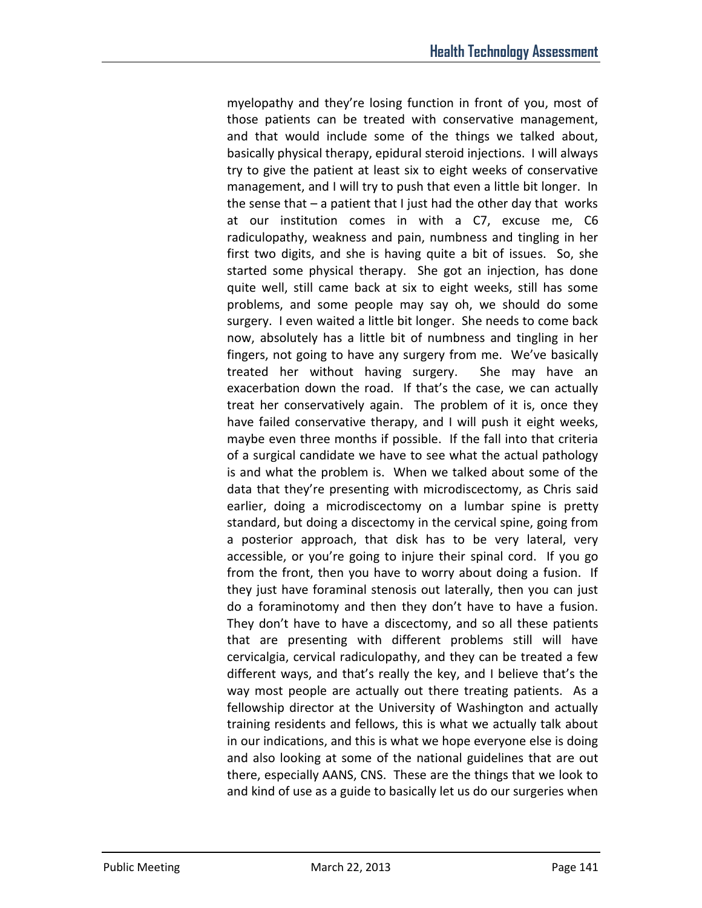myelopathy and they're losing function in front of you, most of those patients can be treated with conservative management, and that would include some of the things we talked about, basically physical therapy, epidural steroid injections. I will always try to give the patient at least six to eight weeks of conservative management, and I will try to push that even a little bit longer. In the sense that – a patient that I just had the other day that works at our institution comes in with a C7, excuse me, C6 radiculopathy, weakness and pain, numbness and tingling in her first two digits, and she is having quite a bit of issues. So, she started some physical therapy. She got an injection, has done quite well, still came back at six to eight weeks, still has some problems, and some people may say oh, we should do some surgery. I even waited a little bit longer. She needs to come back now, absolutely has a little bit of numbness and tingling in her fingers, not going to have any surgery from me. We've basically treated her without having surgery. She may have an exacerbation down the road. If that's the case, we can actually treat her conservatively again. The problem of it is, once they have failed conservative therapy, and I will push it eight weeks, maybe even three months if possible. If the fall into that criteria of a surgical candidate we have to see what the actual pathology is and what the problem is. When we talked about some of the data that they're presenting with microdiscectomy, as Chris said earlier, doing a microdiscectomy on a lumbar spine is pretty standard, but doing a discectomy in the cervical spine, going from a posterior approach, that disk has to be very lateral, very accessible, or you're going to injure their spinal cord. If you go from the front, then you have to worry about doing a fusion. If they just have foraminal stenosis out laterally, then you can just do a foraminotomy and then they don't have to have a fusion. They don't have to have a discectomy, and so all these patients that are presenting with different problems still will have cervicalgia, cervical radiculopathy, and they can be treated a few different ways, and that's really the key, and I believe that's the way most people are actually out there treating patients. As a fellowship director at the University of Washington and actually training residents and fellows, this is what we actually talk about in our indications, and this is what we hope everyone else is doing and also looking at some of the national guidelines that are out there, especially AANS, CNS. These are the things that we look to and kind of use as a guide to basically let us do our surgeries when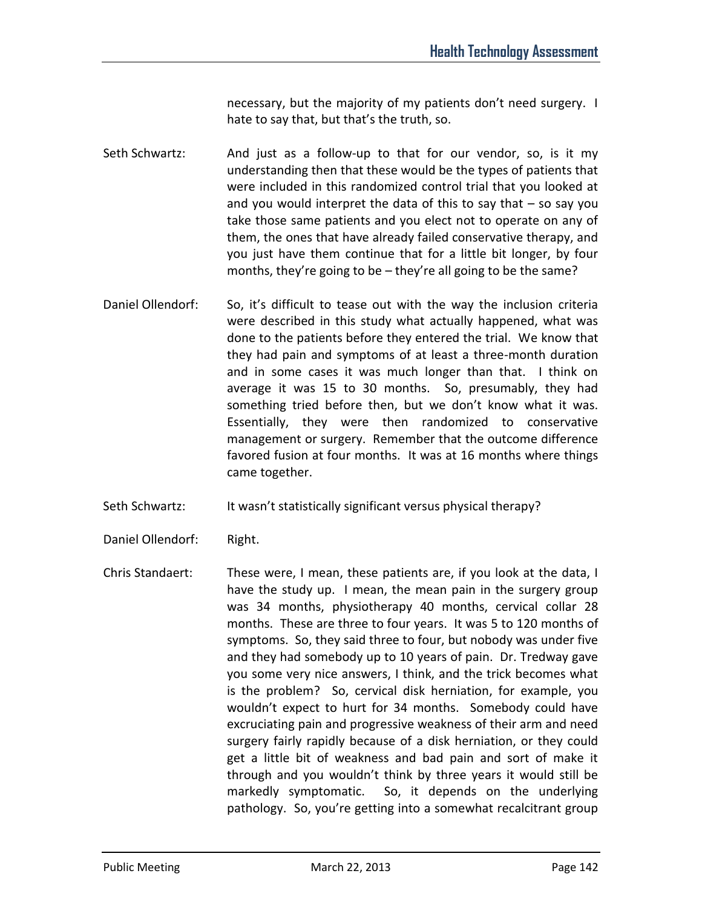necessary, but the majority of my patients don't need surgery. I hate to say that, but that's the truth, so.

- Seth Schwartz: And just as a follow-up to that for our vendor, so, is it my understanding then that these would be the types of patients that were included in this randomized control trial that you looked at and you would interpret the data of this to say that  $-$  so say you take those same patients and you elect not to operate on any of them, the ones that have already failed conservative therapy, and you just have them continue that for a little bit longer, by four months, they're going to be – they're all going to be the same?
- Daniel Ollendorf: So, it's difficult to tease out with the way the inclusion criteria were described in this study what actually happened, what was done to the patients before they entered the trial. We know that they had pain and symptoms of at least a three-month duration and in some cases it was much longer than that. I think on average it was 15 to 30 months. So, presumably, they had something tried before then, but we don't know what it was. Essentially, they were then randomized to conservative management or surgery. Remember that the outcome difference favored fusion at four months. It was at 16 months where things came together.
- Seth Schwartz: It wasn't statistically significant versus physical therapy?
- Daniel Ollendorf: Right.
- Chris Standaert: These were, I mean, these patients are, if you look at the data, I have the study up. I mean, the mean pain in the surgery group was 34 months, physiotherapy 40 months, cervical collar 28 months. These are three to four years. It was 5 to 120 months of symptoms. So, they said three to four, but nobody was under five and they had somebody up to 10 years of pain. Dr. Tredway gave you some very nice answers, I think, and the trick becomes what is the problem? So, cervical disk herniation, for example, you wouldn't expect to hurt for 34 months. Somebody could have excruciating pain and progressive weakness of their arm and need surgery fairly rapidly because of a disk herniation, or they could get a little bit of weakness and bad pain and sort of make it through and you wouldn't think by three years it would still be markedly symptomatic. So, it depends on the underlying pathology. So, you're getting into a somewhat recalcitrant group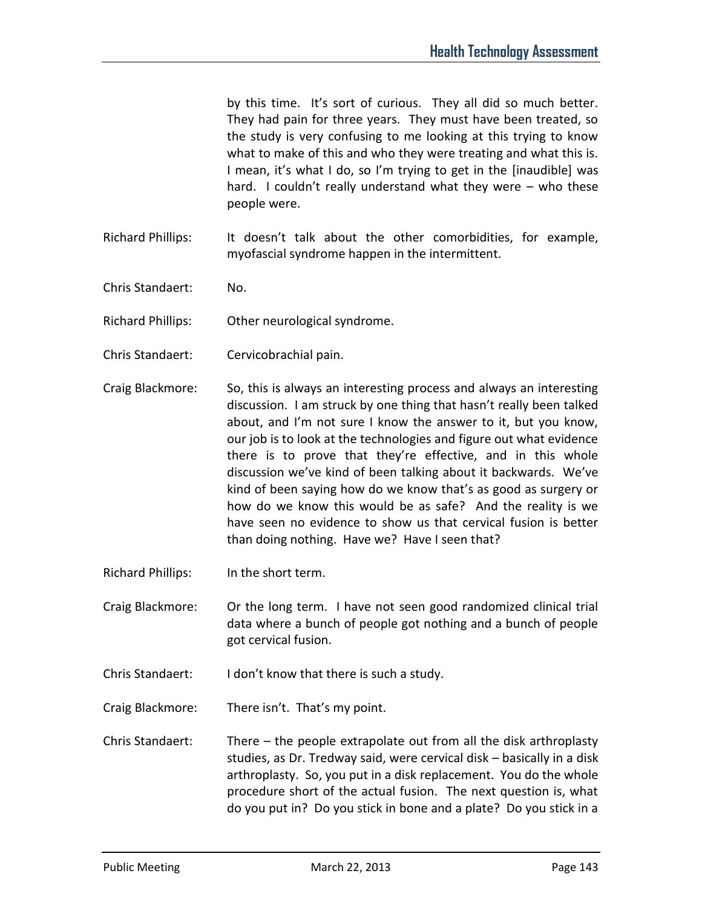by this time. It's sort of curious. They all did so much better. They had pain for three years. They must have been treated, so the study is very confusing to me looking at this trying to know what to make of this and who they were treating and what this is. I mean, it's what I do, so I'm trying to get in the [inaudible] was hard. I couldn't really understand what they were – who these people were.

- Richard Phillips: It doesn't talk about the other comorbidities, for example, myofascial syndrome happen in the intermittent.
- Chris Standaert: No.
- Richard Phillips: Other neurological syndrome.
- Chris Standaert: Cervicobrachial pain.
- Craig Blackmore: So, this is always an interesting process and always an interesting discussion. I am struck by one thing that hasn't really been talked about, and I'm not sure I know the answer to it, but you know, our job is to look at the technologies and figure out what evidence there is to prove that they're effective, and in this whole discussion we've kind of been talking about it backwards. We've kind of been saying how do we know that's as good as surgery or how do we know this would be as safe? And the reality is we have seen no evidence to show us that cervical fusion is better than doing nothing. Have we? Have I seen that?
- Richard Phillips: In the short term.
- Craig Blackmore: Or the long term. I have not seen good randomized clinical trial data where a bunch of people got nothing and a bunch of people got cervical fusion.
- Chris Standaert: I don't know that there is such a study.
- Craig Blackmore: There isn't. That's my point.
- Chris Standaert: There the people extrapolate out from all the disk arthroplasty studies, as Dr. Tredway said, were cervical disk – basically in a disk arthroplasty. So, you put in a disk replacement. You do the whole procedure short of the actual fusion. The next question is, what do you put in? Do you stick in bone and a plate? Do you stick in a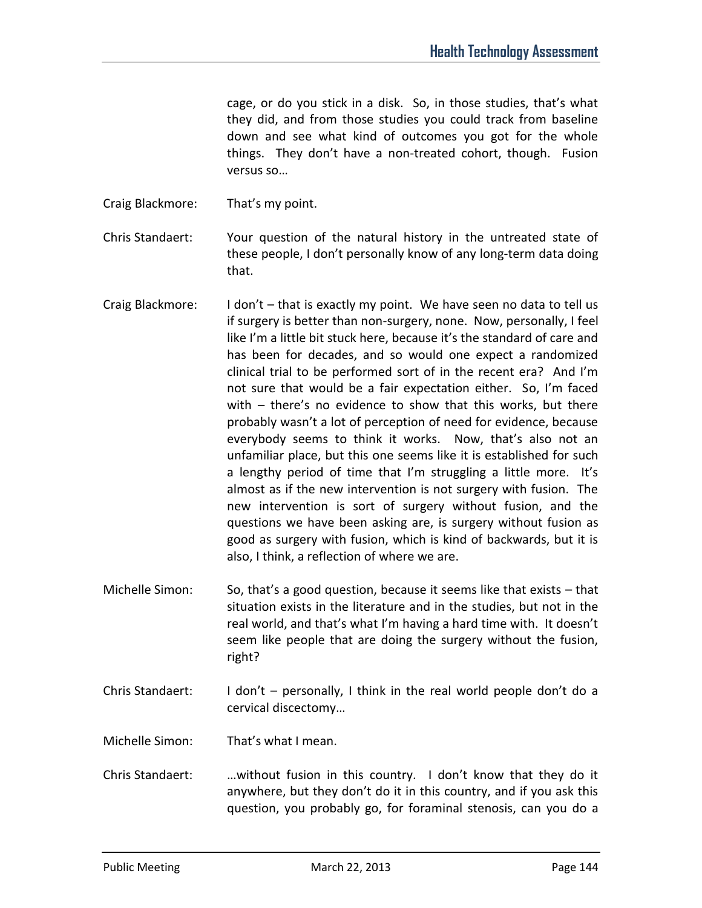cage, or do you stick in a disk. So, in those studies, that's what they did, and from those studies you could track from baseline down and see what kind of outcomes you got for the whole things. They don't have a non-treated cohort, though. Fusion versus so…

Craig Blackmore: That's my point.

Chris Standaert: Your question of the natural history in the untreated state of these people, I don't personally know of any long-term data doing that.

- Craig Blackmore: I don't that is exactly my point. We have seen no data to tell us if surgery is better than non-surgery, none. Now, personally, I feel like I'm a little bit stuck here, because it's the standard of care and has been for decades, and so would one expect a randomized clinical trial to be performed sort of in the recent era? And I'm not sure that would be a fair expectation either. So, I'm faced with – there's no evidence to show that this works, but there probably wasn't a lot of perception of need for evidence, because everybody seems to think it works. Now, that's also not an unfamiliar place, but this one seems like it is established for such a lengthy period of time that I'm struggling a little more. It's almost as if the new intervention is not surgery with fusion. The new intervention is sort of surgery without fusion, and the questions we have been asking are, is surgery without fusion as good as surgery with fusion, which is kind of backwards, but it is also, I think, a reflection of where we are.
- Michelle Simon: So, that's a good question, because it seems like that exists that situation exists in the literature and in the studies, but not in the real world, and that's what I'm having a hard time with. It doesn't seem like people that are doing the surgery without the fusion, right?
- Chris Standaert: I don't personally, I think in the real world people don't do a cervical discectomy…

Michelle Simon: That's what I mean.

Chris Standaert: …without fusion in this country. I don't know that they do it anywhere, but they don't do it in this country, and if you ask this question, you probably go, for foraminal stenosis, can you do a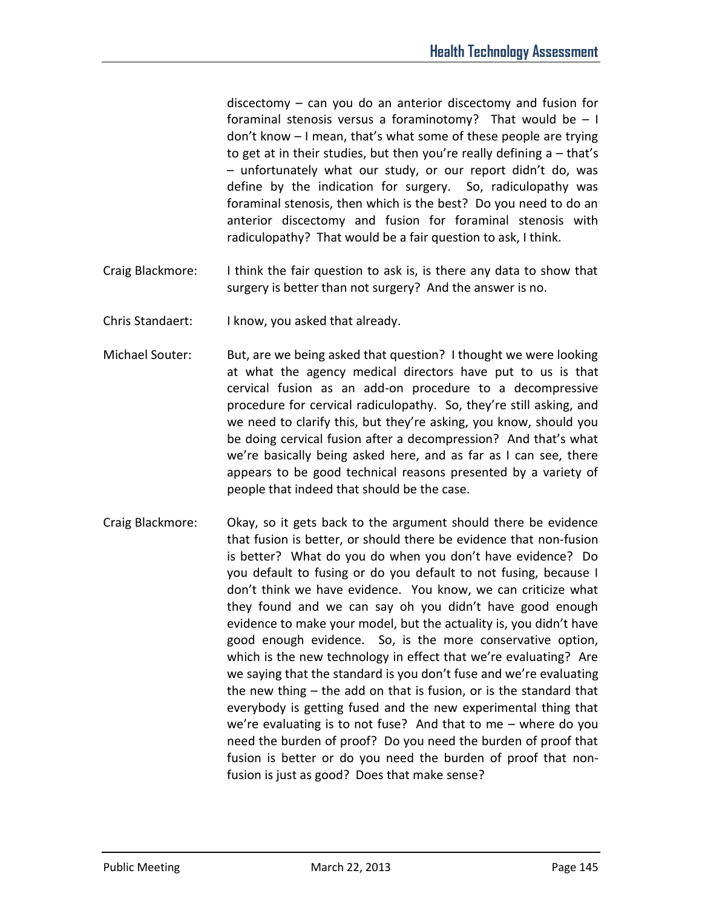discectomy – can you do an anterior discectomy and fusion for foraminal stenosis versus a foraminotomy? That would be  $-1$ don't know – I mean, that's what some of these people are trying to get at in their studies, but then you're really defining a – that's – unfortunately what our study, or our report didn't do, was define by the indication for surgery. So, radiculopathy was foraminal stenosis, then which is the best? Do you need to do an anterior discectomy and fusion for foraminal stenosis with radiculopathy? That would be a fair question to ask, I think.

- Craig Blackmore: I think the fair question to ask is, is there any data to show that surgery is better than not surgery? And the answer is no.
- Chris Standaert: I know, you asked that already.
- Michael Souter: But, are we being asked that question? I thought we were looking at what the agency medical directors have put to us is that cervical fusion as an add-on procedure to a decompressive procedure for cervical radiculopathy. So, they're still asking, and we need to clarify this, but they're asking, you know, should you be doing cervical fusion after a decompression? And that's what we're basically being asked here, and as far as I can see, there appears to be good technical reasons presented by a variety of people that indeed that should be the case.
- Craig Blackmore: Okay, so it gets back to the argument should there be evidence that fusion is better, or should there be evidence that non-fusion is better? What do you do when you don't have evidence? Do you default to fusing or do you default to not fusing, because I don't think we have evidence. You know, we can criticize what they found and we can say oh you didn't have good enough evidence to make your model, but the actuality is, you didn't have good enough evidence. So, is the more conservative option, which is the new technology in effect that we're evaluating? Are we saying that the standard is you don't fuse and we're evaluating the new thing – the add on that is fusion, or is the standard that everybody is getting fused and the new experimental thing that we're evaluating is to not fuse? And that to me – where do you need the burden of proof? Do you need the burden of proof that fusion is better or do you need the burden of proof that nonfusion is just as good? Does that make sense?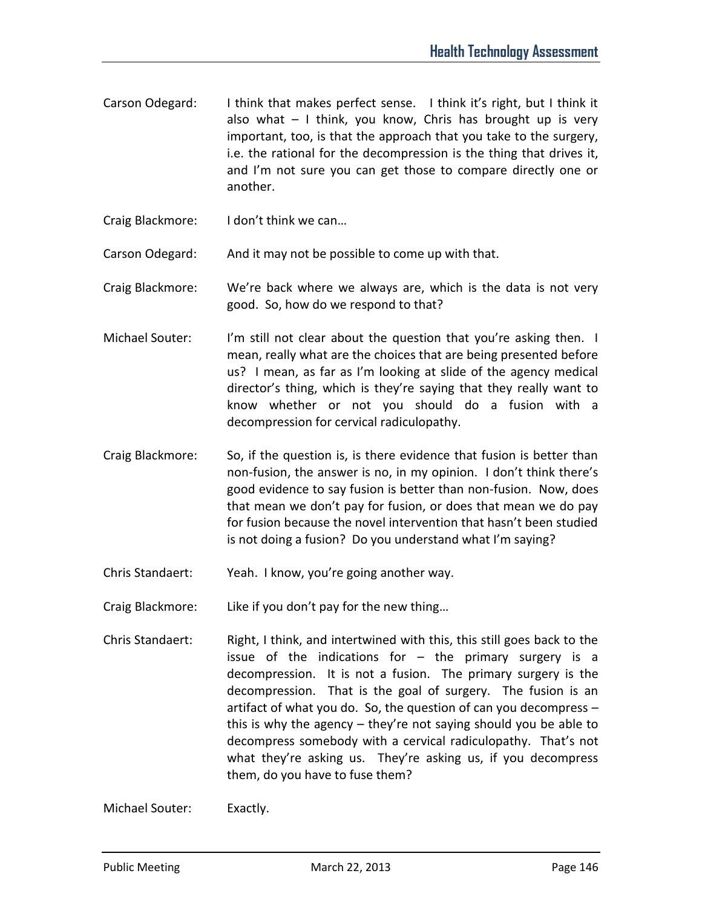- Carson Odegard: I think that makes perfect sense. I think it's right, but I think it also what  $-1$  think, you know, Chris has brought up is very important, too, is that the approach that you take to the surgery, i.e. the rational for the decompression is the thing that drives it, and I'm not sure you can get those to compare directly one or another.
- Craig Blackmore: I don't think we can…

Carson Odegard: And it may not be possible to come up with that.

Craig Blackmore: We're back where we always are, which is the data is not very good. So, how do we respond to that?

- Michael Souter: I'm still not clear about the question that you're asking then. I mean, really what are the choices that are being presented before us? I mean, as far as I'm looking at slide of the agency medical director's thing, which is they're saying that they really want to know whether or not you should do a fusion with a decompression for cervical radiculopathy.
- Craig Blackmore: So, if the question is, is there evidence that fusion is better than non-fusion, the answer is no, in my opinion. I don't think there's good evidence to say fusion is better than non-fusion. Now, does that mean we don't pay for fusion, or does that mean we do pay for fusion because the novel intervention that hasn't been studied is not doing a fusion? Do you understand what I'm saying?
- Chris Standaert: Yeah. I know, you're going another way.
- Craig Blackmore: Like if you don't pay for the new thing…
- Chris Standaert: Right, I think, and intertwined with this, this still goes back to the issue of the indications for  $-$  the primary surgery is a decompression. It is not a fusion. The primary surgery is the decompression. That is the goal of surgery. The fusion is an artifact of what you do. So, the question of can you decompress – this is why the agency – they're not saying should you be able to decompress somebody with a cervical radiculopathy. That's not what they're asking us. They're asking us, if you decompress them, do you have to fuse them?

Michael Souter: Exactly.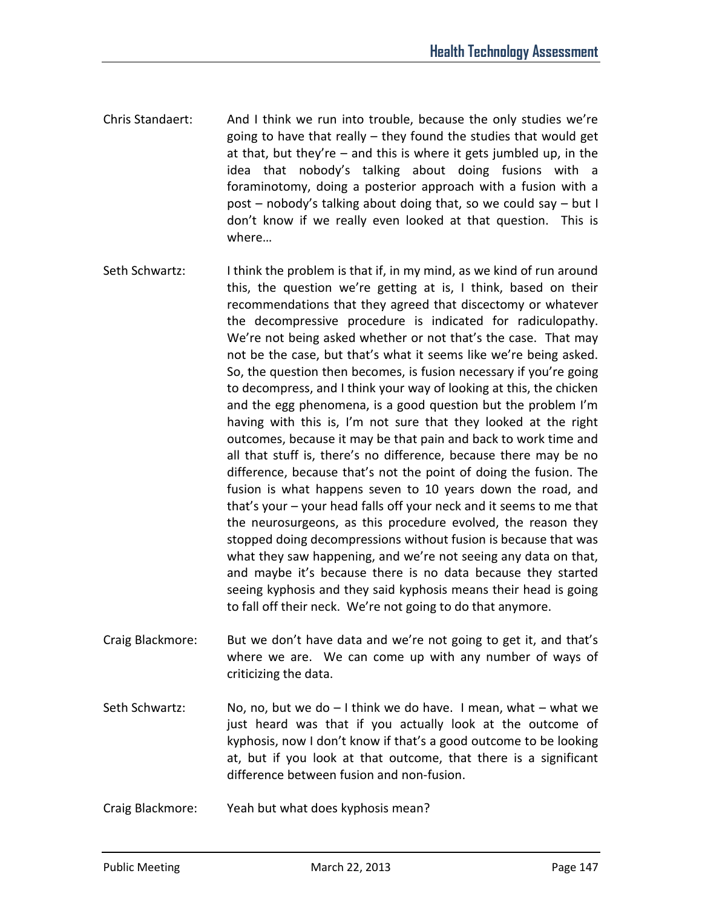- Chris Standaert: And I think we run into trouble, because the only studies we're going to have that really – they found the studies that would get at that, but they're – and this is where it gets jumbled up, in the idea that nobody's talking about doing fusions with a foraminotomy, doing a posterior approach with a fusion with a post – nobody's talking about doing that, so we could say – but I don't know if we really even looked at that question. This is where…
- Seth Schwartz: I think the problem is that if, in my mind, as we kind of run around this, the question we're getting at is, I think, based on their recommendations that they agreed that discectomy or whatever the decompressive procedure is indicated for radiculopathy. We're not being asked whether or not that's the case. That may not be the case, but that's what it seems like we're being asked. So, the question then becomes, is fusion necessary if you're going to decompress, and I think your way of looking at this, the chicken and the egg phenomena, is a good question but the problem I'm having with this is, I'm not sure that they looked at the right outcomes, because it may be that pain and back to work time and all that stuff is, there's no difference, because there may be no difference, because that's not the point of doing the fusion. The fusion is what happens seven to 10 years down the road, and that's your – your head falls off your neck and it seems to me that the neurosurgeons, as this procedure evolved, the reason they stopped doing decompressions without fusion is because that was what they saw happening, and we're not seeing any data on that, and maybe it's because there is no data because they started seeing kyphosis and they said kyphosis means their head is going to fall off their neck. We're not going to do that anymore.
- Craig Blackmore: But we don't have data and we're not going to get it, and that's where we are. We can come up with any number of ways of criticizing the data.
- Seth Schwartz: No, no, but we do  $-1$  think we do have. I mean, what  $-$  what we just heard was that if you actually look at the outcome of kyphosis, now I don't know if that's a good outcome to be looking at, but if you look at that outcome, that there is a significant difference between fusion and non-fusion.
- Craig Blackmore: Yeah but what does kyphosis mean?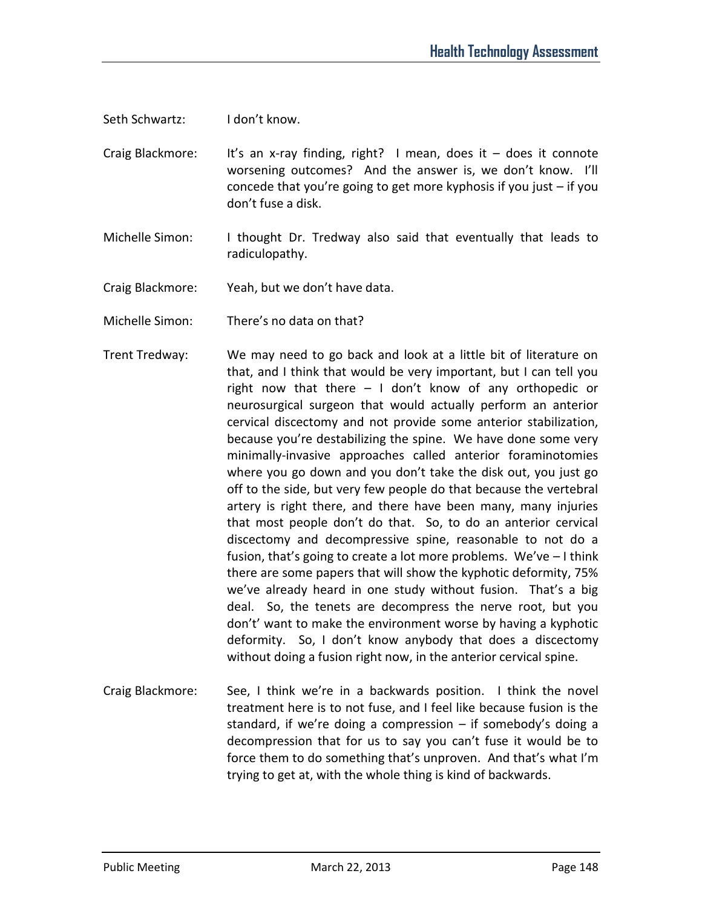Seth Schwartz: I don't know.

- Craig Blackmore: It's an x-ray finding, right? I mean, does it does it connote worsening outcomes? And the answer is, we don't know. I'll concede that you're going to get more kyphosis if you just – if you don't fuse a disk.
- Michelle Simon: I thought Dr. Tredway also said that eventually that leads to radiculopathy.
- Craig Blackmore: Yeah, but we don't have data.
- Michelle Simon: There's no data on that?
- Trent Tredway: We may need to go back and look at a little bit of literature on that, and I think that would be very important, but I can tell you right now that there – I don't know of any orthopedic or neurosurgical surgeon that would actually perform an anterior cervical discectomy and not provide some anterior stabilization, because you're destabilizing the spine. We have done some very minimally-invasive approaches called anterior foraminotomies where you go down and you don't take the disk out, you just go off to the side, but very few people do that because the vertebral artery is right there, and there have been many, many injuries that most people don't do that. So, to do an anterior cervical discectomy and decompressive spine, reasonable to not do a fusion, that's going to create a lot more problems. We've – I think there are some papers that will show the kyphotic deformity, 75% we've already heard in one study without fusion. That's a big deal. So, the tenets are decompress the nerve root, but you don't' want to make the environment worse by having a kyphotic deformity. So, I don't know anybody that does a discectomy without doing a fusion right now, in the anterior cervical spine.
- Craig Blackmore: See, I think we're in a backwards position. I think the novel treatment here is to not fuse, and I feel like because fusion is the standard, if we're doing a compression – if somebody's doing a decompression that for us to say you can't fuse it would be to force them to do something that's unproven. And that's what I'm trying to get at, with the whole thing is kind of backwards.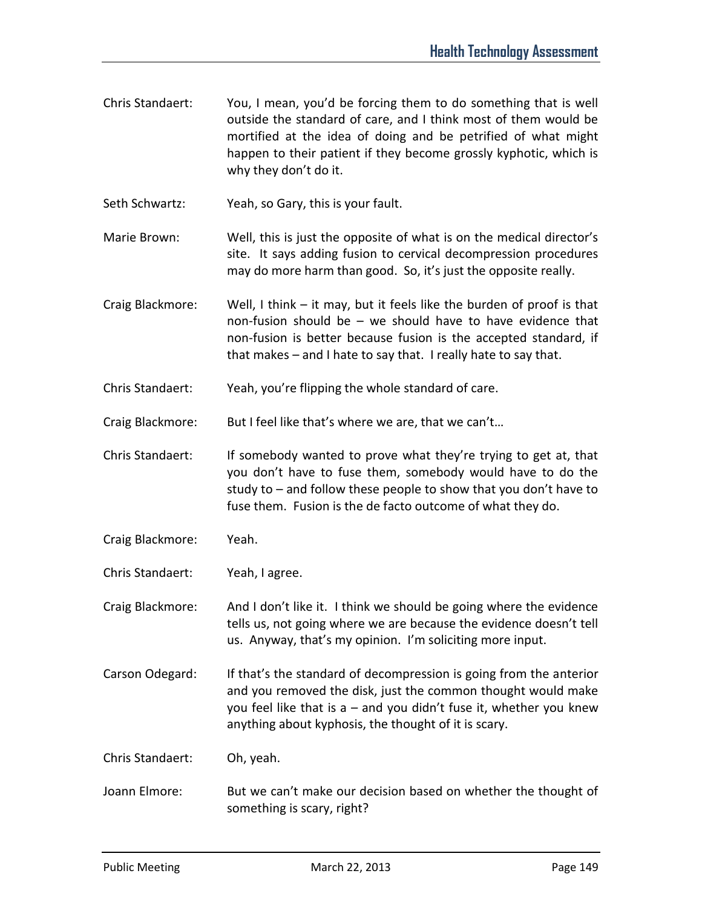Chris Standaert: You, I mean, you'd be forcing them to do something that is well outside the standard of care, and I think most of them would be mortified at the idea of doing and be petrified of what might happen to their patient if they become grossly kyphotic, which is why they don't do it.

Seth Schwartz: Yeah, so Gary, this is your fault.

- Marie Brown: Well, this is just the opposite of what is on the medical director's site. It says adding fusion to cervical decompression procedures may do more harm than good. So, it's just the opposite really.
- Craig Blackmore: Well, I think it may, but it feels like the burden of proof is that non-fusion should be – we should have to have evidence that non-fusion is better because fusion is the accepted standard, if that makes – and I hate to say that. I really hate to say that.
- Chris Standaert: Yeah, you're flipping the whole standard of care.

Craig Blackmore: But I feel like that's where we are, that we can't...

Chris Standaert: If somebody wanted to prove what they're trying to get at, that you don't have to fuse them, somebody would have to do the study to – and follow these people to show that you don't have to fuse them. Fusion is the de facto outcome of what they do.

- Craig Blackmore: Yeah.
- Chris Standaert: Yeah, I agree.

Craig Blackmore: And I don't like it. I think we should be going where the evidence tells us, not going where we are because the evidence doesn't tell us. Anyway, that's my opinion. I'm soliciting more input.

Carson Odegard: If that's the standard of decompression is going from the anterior and you removed the disk, just the common thought would make you feel like that is a – and you didn't fuse it, whether you knew anything about kyphosis, the thought of it is scary.

Chris Standaert: Oh, yeah.

Joann Elmore: But we can't make our decision based on whether the thought of something is scary, right?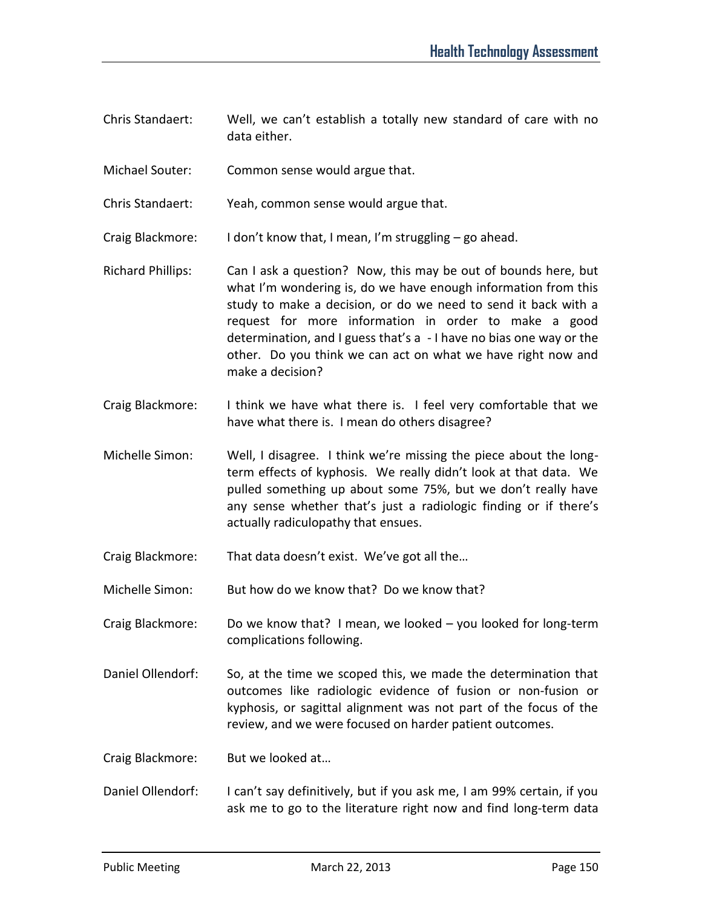- Chris Standaert: Well, we can't establish a totally new standard of care with no data either.
- Michael Souter: Common sense would argue that.
- Chris Standaert: Yeah, common sense would argue that.
- Craig Blackmore: I don't know that, I mean, I'm struggling go ahead.
- Richard Phillips: Can I ask a question? Now, this may be out of bounds here, but what I'm wondering is, do we have enough information from this study to make a decision, or do we need to send it back with a request for more information in order to make a good determination, and I guess that's a - I have no bias one way or the other. Do you think we can act on what we have right now and make a decision?
- Craig Blackmore: I think we have what there is. I feel very comfortable that we have what there is. I mean do others disagree?
- Michelle Simon: Well, I disagree. I think we're missing the piece about the longterm effects of kyphosis. We really didn't look at that data. We pulled something up about some 75%, but we don't really have any sense whether that's just a radiologic finding or if there's actually radiculopathy that ensues.
- Craig Blackmore: That data doesn't exist. We've got all the…
- Michelle Simon: But how do we know that? Do we know that?
- Craig Blackmore: Do we know that? I mean, we looked you looked for long-term complications following.
- Daniel Ollendorf: So, at the time we scoped this, we made the determination that outcomes like radiologic evidence of fusion or non-fusion or kyphosis, or sagittal alignment was not part of the focus of the review, and we were focused on harder patient outcomes.
- Craig Blackmore: But we looked at…
- Daniel Ollendorf: I can't say definitively, but if you ask me, I am 99% certain, if you ask me to go to the literature right now and find long-term data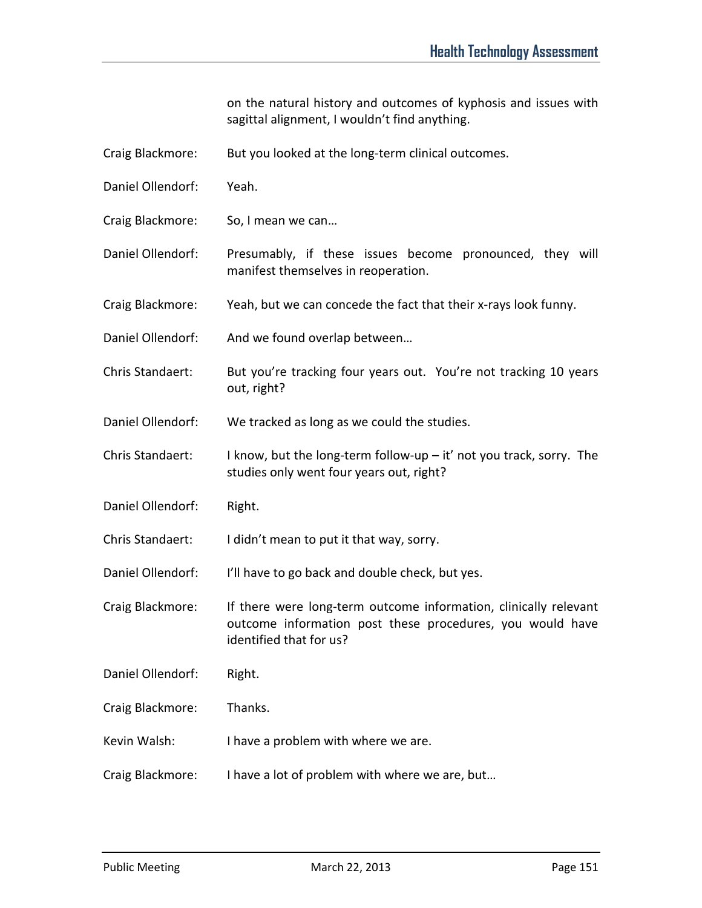on the natural history and outcomes of kyphosis and issues with sagittal alignment, I wouldn't find anything.

- Craig Blackmore: But you looked at the long-term clinical outcomes.
- Daniel Ollendorf: Yeah.
- Craig Blackmore: So, I mean we can…
- Daniel Ollendorf: Presumably, if these issues become pronounced, they will manifest themselves in reoperation.
- Craig Blackmore: Yeah, but we can concede the fact that their x-rays look funny.
- Daniel Ollendorf: And we found overlap between…
- Chris Standaert: But you're tracking four years out. You're not tracking 10 years out, right?
- Daniel Ollendorf: We tracked as long as we could the studies.
- Chris Standaert: I know, but the long-term follow-up  $-$  it' not you track, sorry. The studies only went four years out, right?
- Daniel Ollendorf: Right.
- Chris Standaert: I didn't mean to put it that way, sorry.
- Daniel Ollendorf: I'll have to go back and double check, but yes.
- Craig Blackmore: If there were long-term outcome information, clinically relevant outcome information post these procedures, you would have identified that for us?
- Daniel Ollendorf: Right.
- Craig Blackmore: Thanks.
- Kevin Walsh: I have a problem with where we are.
- Craig Blackmore: I have a lot of problem with where we are, but…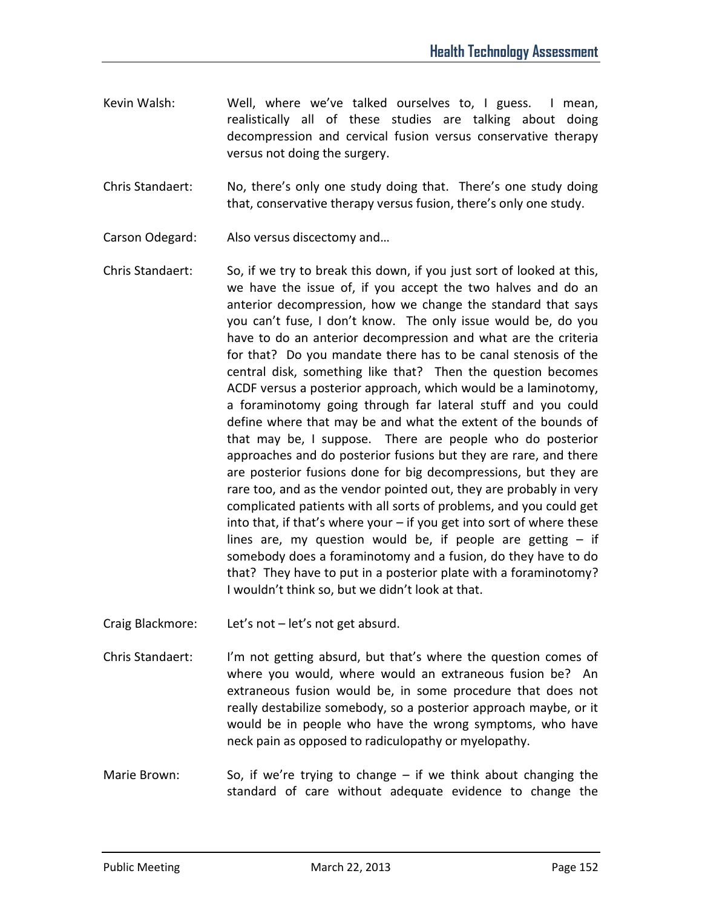- Kevin Walsh: Well, where we've talked ourselves to, I guess. I mean, realistically all of these studies are talking about doing decompression and cervical fusion versus conservative therapy versus not doing the surgery.
- Chris Standaert: No, there's only one study doing that. There's one study doing that, conservative therapy versus fusion, there's only one study.
- Carson Odegard: Also versus discectomy and…
- Chris Standaert: So, if we try to break this down, if you just sort of looked at this, we have the issue of, if you accept the two halves and do an anterior decompression, how we change the standard that says you can't fuse, I don't know. The only issue would be, do you have to do an anterior decompression and what are the criteria for that? Do you mandate there has to be canal stenosis of the central disk, something like that? Then the question becomes ACDF versus a posterior approach, which would be a laminotomy, a foraminotomy going through far lateral stuff and you could define where that may be and what the extent of the bounds of that may be, I suppose. There are people who do posterior approaches and do posterior fusions but they are rare, and there are posterior fusions done for big decompressions, but they are rare too, and as the vendor pointed out, they are probably in very complicated patients with all sorts of problems, and you could get into that, if that's where your – if you get into sort of where these lines are, my question would be, if people are getting  $-$  if somebody does a foraminotomy and a fusion, do they have to do that? They have to put in a posterior plate with a foraminotomy? I wouldn't think so, but we didn't look at that.
- Craig Blackmore: Let's not let's not get absurd.
- Chris Standaert: I'm not getting absurd, but that's where the question comes of where you would, where would an extraneous fusion be? An extraneous fusion would be, in some procedure that does not really destabilize somebody, so a posterior approach maybe, or it would be in people who have the wrong symptoms, who have neck pain as opposed to radiculopathy or myelopathy.
- Marie Brown: So, if we're trying to change if we think about changing the standard of care without adequate evidence to change the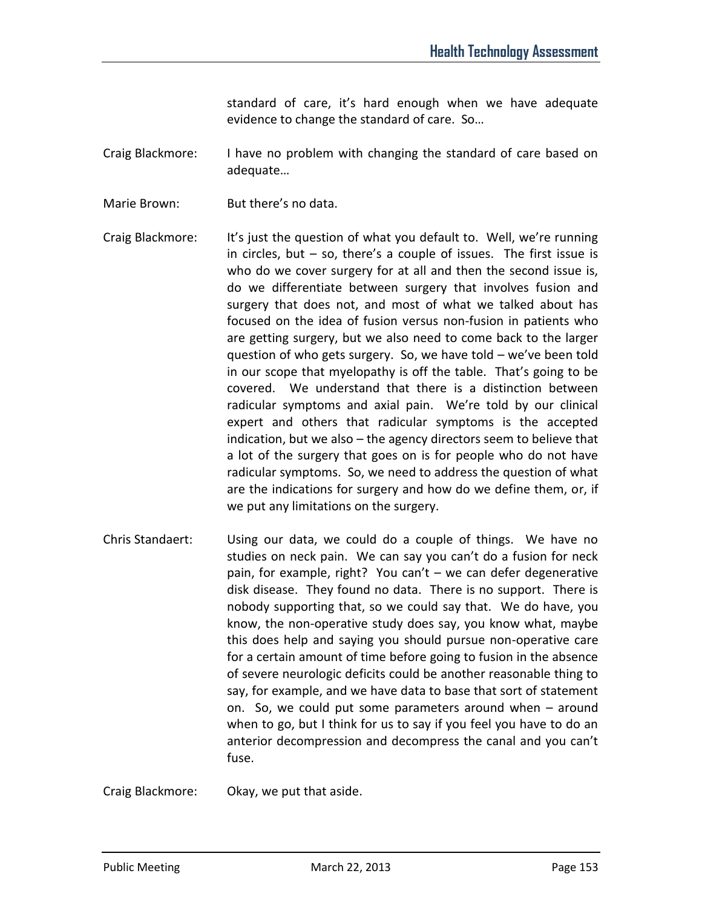standard of care, it's hard enough when we have adequate evidence to change the standard of care. So…

- Craig Blackmore: I have no problem with changing the standard of care based on adequate…
- Marie Brown: But there's no data.
- Craig Blackmore: It's just the question of what you default to. Well, we're running in circles, but – so, there's a couple of issues. The first issue is who do we cover surgery for at all and then the second issue is, do we differentiate between surgery that involves fusion and surgery that does not, and most of what we talked about has focused on the idea of fusion versus non-fusion in patients who are getting surgery, but we also need to come back to the larger question of who gets surgery. So, we have told – we've been told in our scope that myelopathy is off the table. That's going to be covered. We understand that there is a distinction between radicular symptoms and axial pain. We're told by our clinical expert and others that radicular symptoms is the accepted indication, but we also – the agency directors seem to believe that a lot of the surgery that goes on is for people who do not have radicular symptoms. So, we need to address the question of what are the indications for surgery and how do we define them, or, if we put any limitations on the surgery.
- Chris Standaert: Using our data, we could do a couple of things. We have no studies on neck pain. We can say you can't do a fusion for neck pain, for example, right? You can't – we can defer degenerative disk disease. They found no data. There is no support. There is nobody supporting that, so we could say that. We do have, you know, the non-operative study does say, you know what, maybe this does help and saying you should pursue non-operative care for a certain amount of time before going to fusion in the absence of severe neurologic deficits could be another reasonable thing to say, for example, and we have data to base that sort of statement on. So, we could put some parameters around when – around when to go, but I think for us to say if you feel you have to do an anterior decompression and decompress the canal and you can't fuse.

Craig Blackmore: Okay, we put that aside.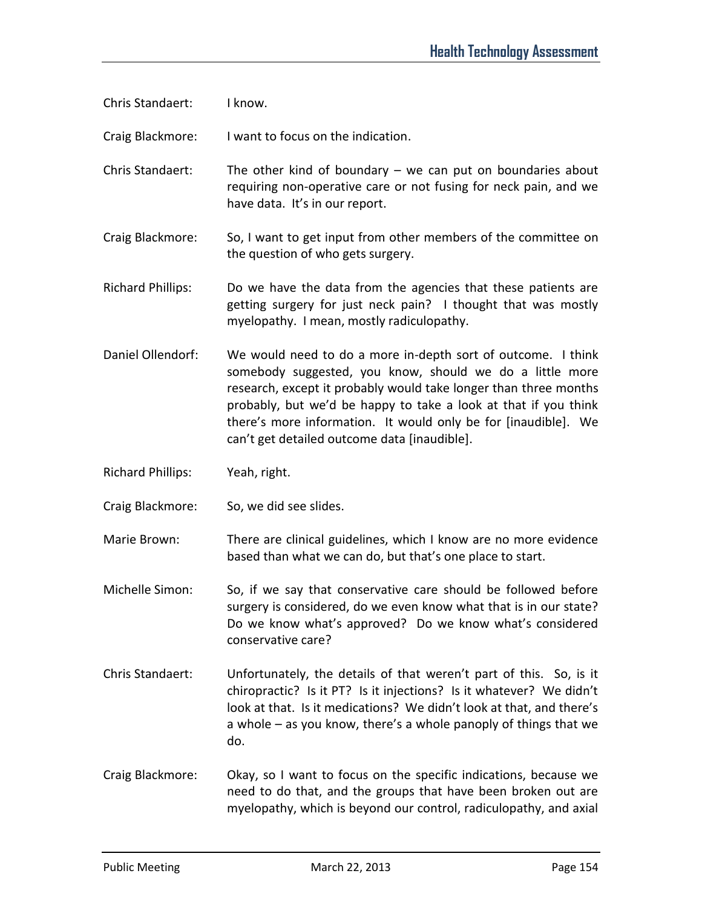Chris Standaert: I know.

Craig Blackmore: I want to focus on the indication.

Chris Standaert: The other kind of boundary  $-$  we can put on boundaries about requiring non-operative care or not fusing for neck pain, and we have data. It's in our report.

Craig Blackmore: So, I want to get input from other members of the committee on the question of who gets surgery.

Richard Phillips: Do we have the data from the agencies that these patients are getting surgery for just neck pain? I thought that was mostly myelopathy. I mean, mostly radiculopathy.

Daniel Ollendorf: We would need to do a more in-depth sort of outcome. I think somebody suggested, you know, should we do a little more research, except it probably would take longer than three months probably, but we'd be happy to take a look at that if you think there's more information. It would only be for [inaudible]. We can't get detailed outcome data [inaudible].

Richard Phillips: Yeah, right.

Craig Blackmore: So, we did see slides.

Marie Brown: There are clinical guidelines, which I know are no more evidence based than what we can do, but that's one place to start.

Michelle Simon: So, if we say that conservative care should be followed before surgery is considered, do we even know what that is in our state? Do we know what's approved? Do we know what's considered conservative care?

- Chris Standaert: Unfortunately, the details of that weren't part of this. So, is it chiropractic? Is it PT? Is it injections? Is it whatever? We didn't look at that. Is it medications? We didn't look at that, and there's a whole – as you know, there's a whole panoply of things that we do.
- Craig Blackmore: Okay, so I want to focus on the specific indications, because we need to do that, and the groups that have been broken out are myelopathy, which is beyond our control, radiculopathy, and axial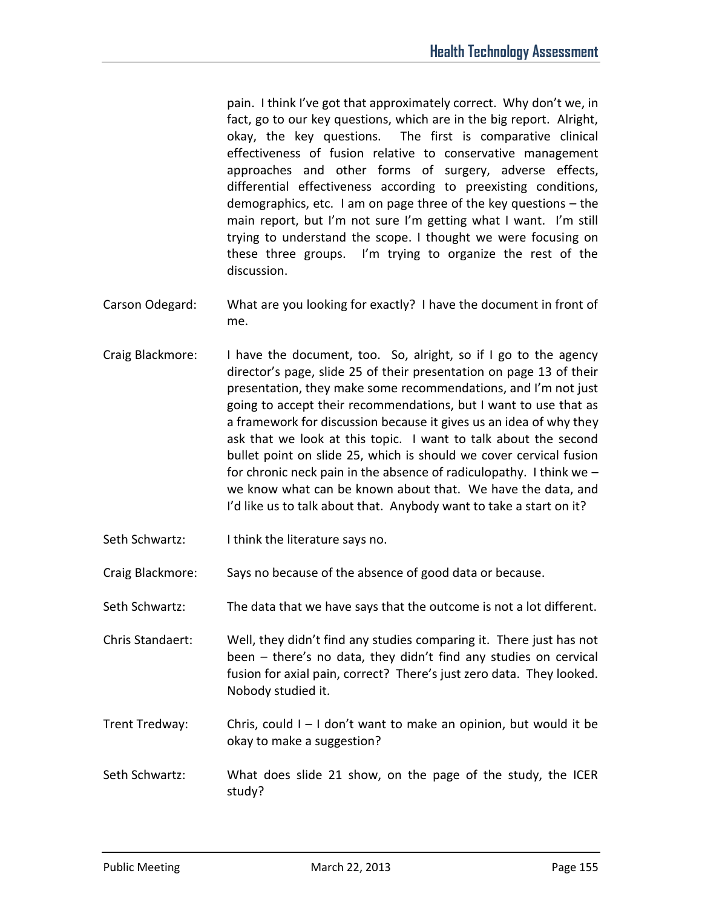pain. I think I've got that approximately correct. Why don't we, in fact, go to our key questions, which are in the big report. Alright, okay, the key questions. The first is comparative clinical effectiveness of fusion relative to conservative management approaches and other forms of surgery, adverse effects, differential effectiveness according to preexisting conditions, demographics, etc. I am on page three of the key questions – the main report, but I'm not sure I'm getting what I want. I'm still trying to understand the scope. I thought we were focusing on these three groups. I'm trying to organize the rest of the discussion.

- Carson Odegard: What are you looking for exactly? I have the document in front of me.
- Craig Blackmore: I have the document, too. So, alright, so if I go to the agency director's page, slide 25 of their presentation on page 13 of their presentation, they make some recommendations, and I'm not just going to accept their recommendations, but I want to use that as a framework for discussion because it gives us an idea of why they ask that we look at this topic. I want to talk about the second bullet point on slide 25, which is should we cover cervical fusion for chronic neck pain in the absence of radiculopathy. I think we – we know what can be known about that. We have the data, and I'd like us to talk about that. Anybody want to take a start on it?
- Seth Schwartz: I think the literature says no.
- Craig Blackmore: Says no because of the absence of good data or because.
- Seth Schwartz: The data that we have says that the outcome is not a lot different.

Chris Standaert: Well, they didn't find any studies comparing it. There just has not been – there's no data, they didn't find any studies on cervical fusion for axial pain, correct? There's just zero data. They looked. Nobody studied it.

- Trent Tredway: Chris, could  $I I$  don't want to make an opinion, but would it be okay to make a suggestion?
- Seth Schwartz: What does slide 21 show, on the page of the study, the ICER study?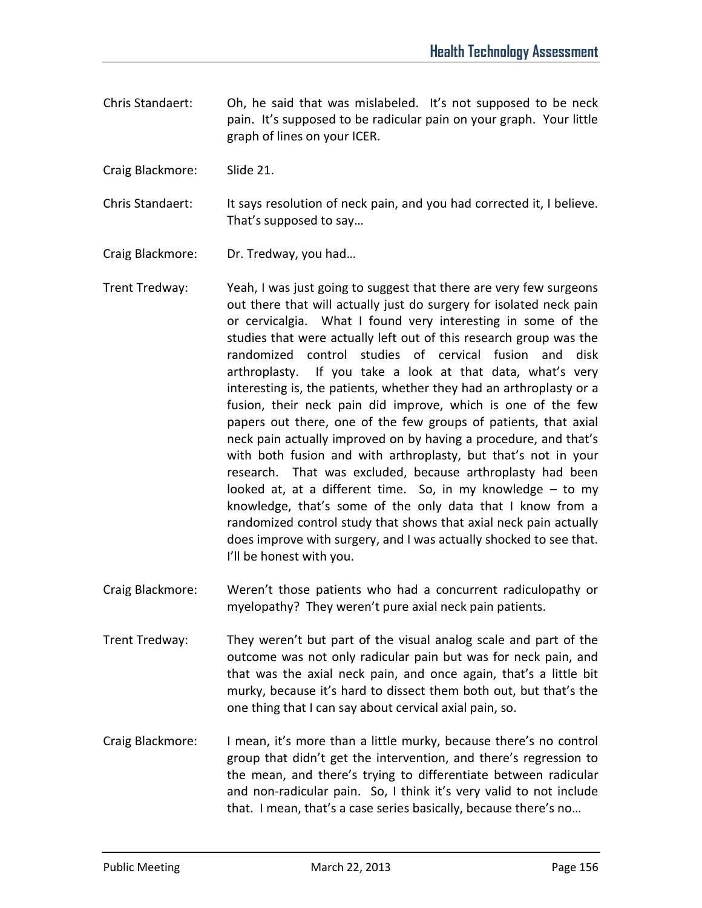- Chris Standaert: Oh, he said that was mislabeled. It's not supposed to be neck pain. It's supposed to be radicular pain on your graph. Your little graph of lines on your ICER.
- Craig Blackmore: Slide 21.
- Chris Standaert: It says resolution of neck pain, and you had corrected it, I believe. That's supposed to say…
- Craig Blackmore: Dr. Tredway, you had…
- Trent Tredway: Yeah, I was just going to suggest that there are very few surgeons out there that will actually just do surgery for isolated neck pain or cervicalgia. What I found very interesting in some of the studies that were actually left out of this research group was the randomized control studies of cervical fusion and disk arthroplasty. If you take a look at that data, what's very interesting is, the patients, whether they had an arthroplasty or a fusion, their neck pain did improve, which is one of the few papers out there, one of the few groups of patients, that axial neck pain actually improved on by having a procedure, and that's with both fusion and with arthroplasty, but that's not in your research. That was excluded, because arthroplasty had been looked at, at a different time. So, in my knowledge – to my knowledge, that's some of the only data that I know from a randomized control study that shows that axial neck pain actually does improve with surgery, and I was actually shocked to see that. I'll be honest with you.
- Craig Blackmore: Weren't those patients who had a concurrent radiculopathy or myelopathy? They weren't pure axial neck pain patients.
- Trent Tredway: They weren't but part of the visual analog scale and part of the outcome was not only radicular pain but was for neck pain, and that was the axial neck pain, and once again, that's a little bit murky, because it's hard to dissect them both out, but that's the one thing that I can say about cervical axial pain, so.
- Craig Blackmore: I mean, it's more than a little murky, because there's no control group that didn't get the intervention, and there's regression to the mean, and there's trying to differentiate between radicular and non-radicular pain. So, I think it's very valid to not include that. I mean, that's a case series basically, because there's no…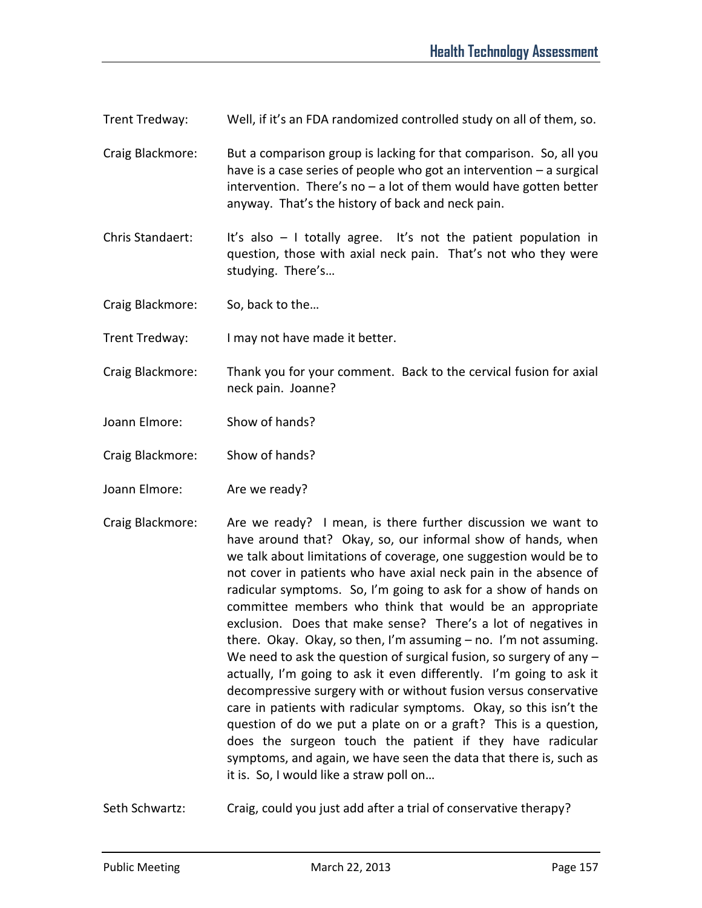Trent Tredway: Well, if it's an FDA randomized controlled study on all of them, so.

Craig Blackmore: But a comparison group is lacking for that comparison. So, all you have is a case series of people who got an intervention – a surgical intervention. There's no  $-$  a lot of them would have gotten better anyway. That's the history of back and neck pain.

Chris Standaert: It's also  $-1$  totally agree. It's not the patient population in question, those with axial neck pain. That's not who they were studying. There's…

Craig Blackmore: So, back to the…

Trent Tredway: I may not have made it better.

Craig Blackmore: Thank you for your comment. Back to the cervical fusion for axial neck pain. Joanne?

Joann Elmore: Show of hands?

Craig Blackmore: Show of hands?

Joann Elmore: Are we ready?

Craig Blackmore: Are we ready? I mean, is there further discussion we want to have around that? Okay, so, our informal show of hands, when we talk about limitations of coverage, one suggestion would be to not cover in patients who have axial neck pain in the absence of radicular symptoms. So, I'm going to ask for a show of hands on committee members who think that would be an appropriate exclusion. Does that make sense? There's a lot of negatives in there. Okay. Okay, so then, I'm assuming – no. I'm not assuming. We need to ask the question of surgical fusion, so surgery of any actually, I'm going to ask it even differently. I'm going to ask it decompressive surgery with or without fusion versus conservative care in patients with radicular symptoms. Okay, so this isn't the question of do we put a plate on or a graft? This is a question, does the surgeon touch the patient if they have radicular symptoms, and again, we have seen the data that there is, such as it is. So, I would like a straw poll on…

Seth Schwartz: Craig, could you just add after a trial of conservative therapy?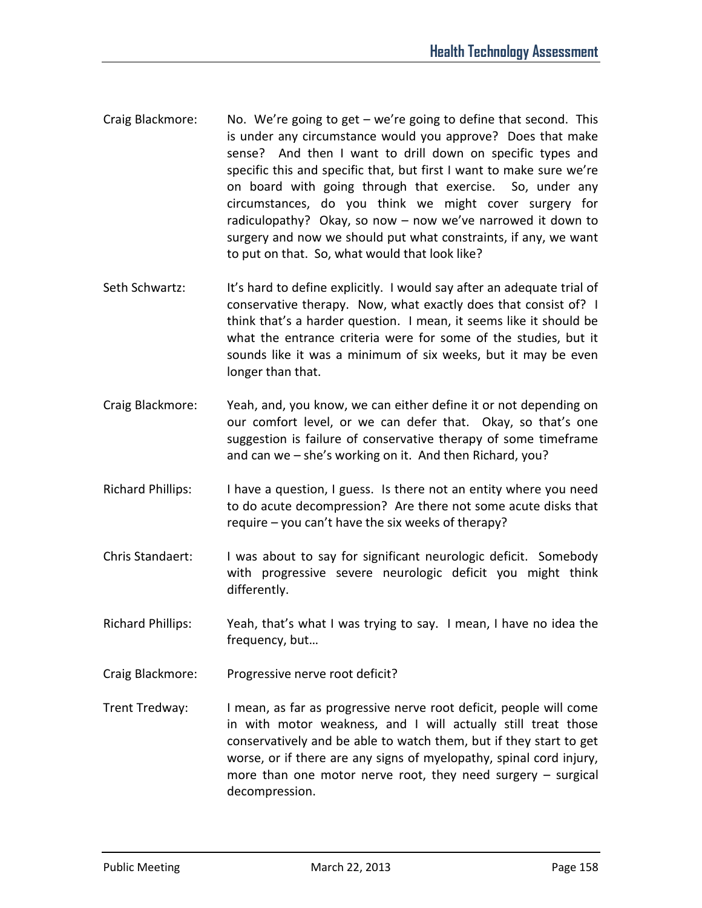- Craig Blackmore: No. We're going to get we're going to define that second. This is under any circumstance would you approve? Does that make sense? And then I want to drill down on specific types and specific this and specific that, but first I want to make sure we're on board with going through that exercise. So, under any circumstances, do you think we might cover surgery for radiculopathy? Okay, so now – now we've narrowed it down to surgery and now we should put what constraints, if any, we want to put on that. So, what would that look like?
- Seth Schwartz: It's hard to define explicitly. I would say after an adequate trial of conservative therapy. Now, what exactly does that consist of? I think that's a harder question. I mean, it seems like it should be what the entrance criteria were for some of the studies, but it sounds like it was a minimum of six weeks, but it may be even longer than that.
- Craig Blackmore: Yeah, and, you know, we can either define it or not depending on our comfort level, or we can defer that. Okay, so that's one suggestion is failure of conservative therapy of some timeframe and can we – she's working on it. And then Richard, you?
- Richard Phillips: I have a question, I guess. Is there not an entity where you need to do acute decompression? Are there not some acute disks that require – you can't have the six weeks of therapy?
- Chris Standaert: I was about to say for significant neurologic deficit. Somebody with progressive severe neurologic deficit you might think differently.
- Richard Phillips: Yeah, that's what I was trying to say. I mean, I have no idea the frequency, but…
- Craig Blackmore: Progressive nerve root deficit?
- Trent Tredway: I mean, as far as progressive nerve root deficit, people will come in with motor weakness, and I will actually still treat those conservatively and be able to watch them, but if they start to get worse, or if there are any signs of myelopathy, spinal cord injury, more than one motor nerve root, they need surgery – surgical decompression.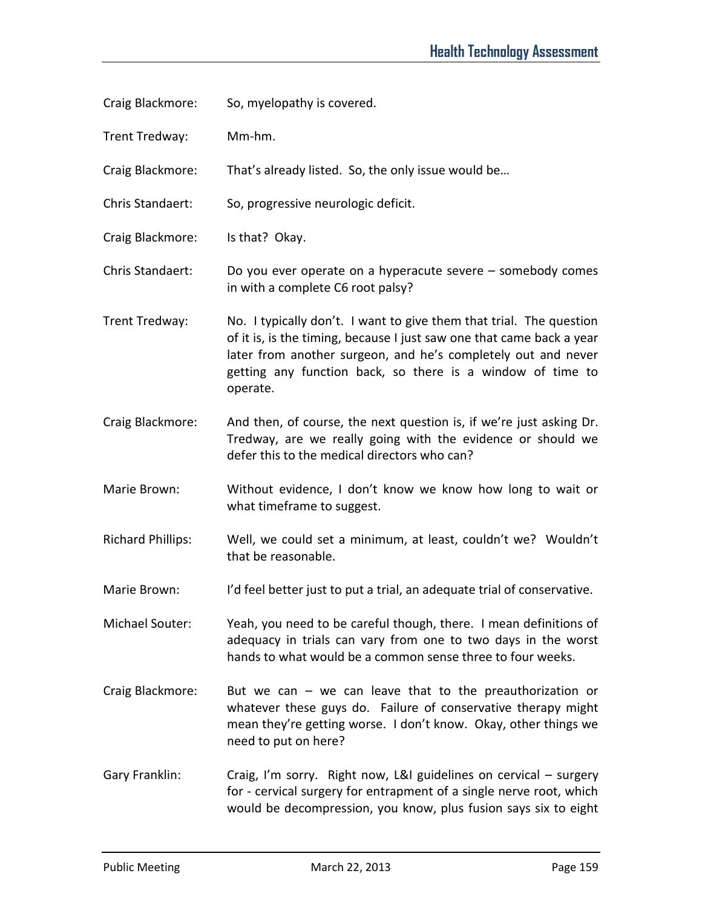- Craig Blackmore: So, myelopathy is covered.
- Trent Tredway: Mm-hm.
- Craig Blackmore: That's already listed. So, the only issue would be…
- Chris Standaert: So, progressive neurologic deficit.
- Craig Blackmore: Is that? Okay.
- Chris Standaert: Do you ever operate on a hyperacute severe somebody comes in with a complete C6 root palsy?
- Trent Tredway: No. I typically don't. I want to give them that trial. The question of it is, is the timing, because I just saw one that came back a year later from another surgeon, and he's completely out and never getting any function back, so there is a window of time to operate.
- Craig Blackmore: And then, of course, the next question is, if we're just asking Dr. Tredway, are we really going with the evidence or should we defer this to the medical directors who can?
- Marie Brown: Without evidence, I don't know we know how long to wait or what timeframe to suggest.
- Richard Phillips: Well, we could set a minimum, at least, couldn't we? Wouldn't that be reasonable.
- Marie Brown: I'd feel better just to put a trial, an adequate trial of conservative.
- Michael Souter: Yeah, you need to be careful though, there. I mean definitions of adequacy in trials can vary from one to two days in the worst hands to what would be a common sense three to four weeks.
- Craig Blackmore: But we can we can leave that to the preauthorization or whatever these guys do. Failure of conservative therapy might mean they're getting worse. I don't know. Okay, other things we need to put on here?
- Gary Franklin: Craig, I'm sorry. Right now, L&I guidelines on cervical surgery for - cervical surgery for entrapment of a single nerve root, which would be decompression, you know, plus fusion says six to eight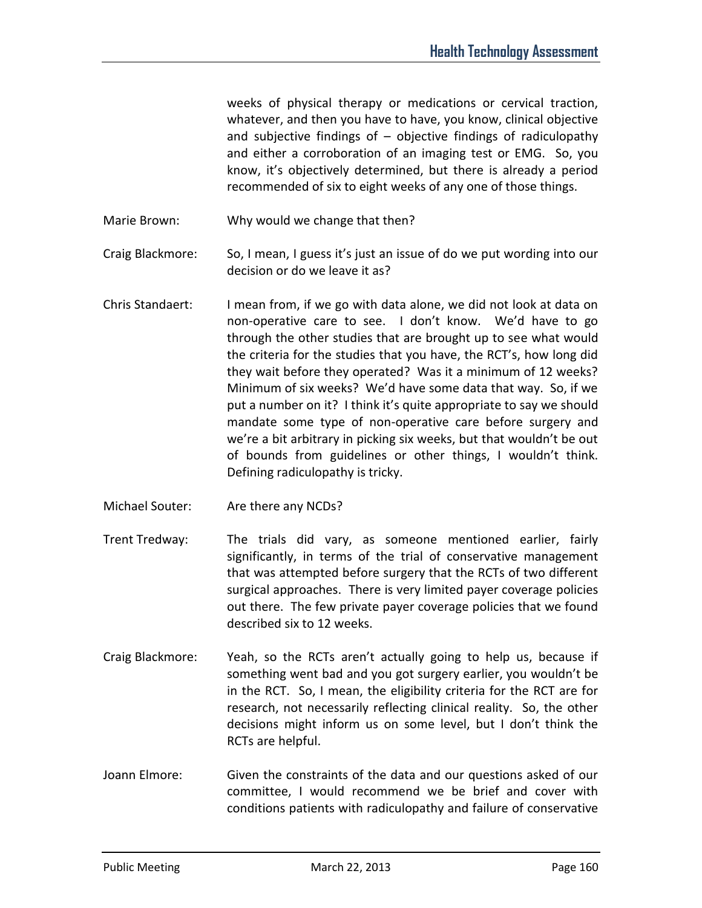weeks of physical therapy or medications or cervical traction, whatever, and then you have to have, you know, clinical objective and subjective findings of  $-$  objective findings of radiculopathy and either a corroboration of an imaging test or EMG. So, you know, it's objectively determined, but there is already a period recommended of six to eight weeks of any one of those things.

- Marie Brown: Why would we change that then?
- Craig Blackmore: So, I mean, I guess it's just an issue of do we put wording into our decision or do we leave it as?
- Chris Standaert: I mean from, if we go with data alone, we did not look at data on non-operative care to see. I don't know. We'd have to go through the other studies that are brought up to see what would the criteria for the studies that you have, the RCT's, how long did they wait before they operated? Was it a minimum of 12 weeks? Minimum of six weeks? We'd have some data that way. So, if we put a number on it? I think it's quite appropriate to say we should mandate some type of non-operative care before surgery and we're a bit arbitrary in picking six weeks, but that wouldn't be out of bounds from guidelines or other things, I wouldn't think. Defining radiculopathy is tricky.
- Michael Souter: Are there any NCDs?
- Trent Tredway: The trials did vary, as someone mentioned earlier, fairly significantly, in terms of the trial of conservative management that was attempted before surgery that the RCTs of two different surgical approaches. There is very limited payer coverage policies out there. The few private payer coverage policies that we found described six to 12 weeks.
- Craig Blackmore: Yeah, so the RCTs aren't actually going to help us, because if something went bad and you got surgery earlier, you wouldn't be in the RCT. So, I mean, the eligibility criteria for the RCT are for research, not necessarily reflecting clinical reality. So, the other decisions might inform us on some level, but I don't think the RCTs are helpful.
- Joann Elmore: Given the constraints of the data and our questions asked of our committee, I would recommend we be brief and cover with conditions patients with radiculopathy and failure of conservative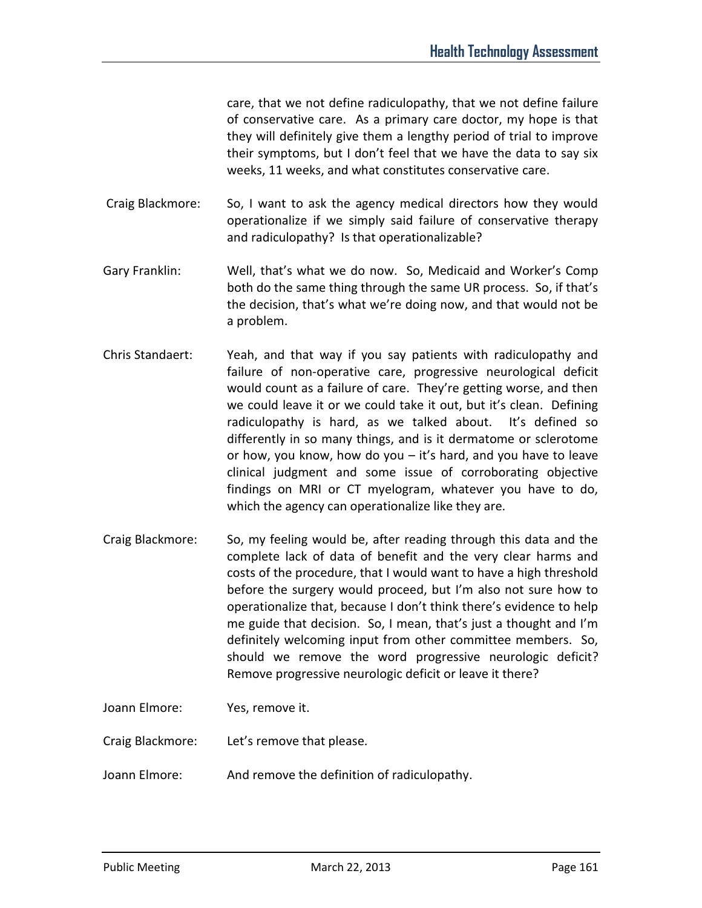care, that we not define radiculopathy, that we not define failure of conservative care. As a primary care doctor, my hope is that they will definitely give them a lengthy period of trial to improve their symptoms, but I don't feel that we have the data to say six weeks, 11 weeks, and what constitutes conservative care.

 Craig Blackmore: So, I want to ask the agency medical directors how they would operationalize if we simply said failure of conservative therapy and radiculopathy? Is that operationalizable?

- Gary Franklin: Well, that's what we do now. So, Medicaid and Worker's Comp both do the same thing through the same UR process. So, if that's the decision, that's what we're doing now, and that would not be a problem.
- Chris Standaert: Yeah, and that way if you say patients with radiculopathy and failure of non-operative care, progressive neurological deficit would count as a failure of care. They're getting worse, and then we could leave it or we could take it out, but it's clean. Defining radiculopathy is hard, as we talked about. It's defined so differently in so many things, and is it dermatome or sclerotome or how, you know, how do you – it's hard, and you have to leave clinical judgment and some issue of corroborating objective findings on MRI or CT myelogram, whatever you have to do, which the agency can operationalize like they are.
- Craig Blackmore: So, my feeling would be, after reading through this data and the complete lack of data of benefit and the very clear harms and costs of the procedure, that I would want to have a high threshold before the surgery would proceed, but I'm also not sure how to operationalize that, because I don't think there's evidence to help me guide that decision. So, I mean, that's just a thought and I'm definitely welcoming input from other committee members. So, should we remove the word progressive neurologic deficit? Remove progressive neurologic deficit or leave it there?
- Joann Elmore: Yes, remove it.

Craig Blackmore: Let's remove that please.

Joann Elmore: And remove the definition of radiculopathy.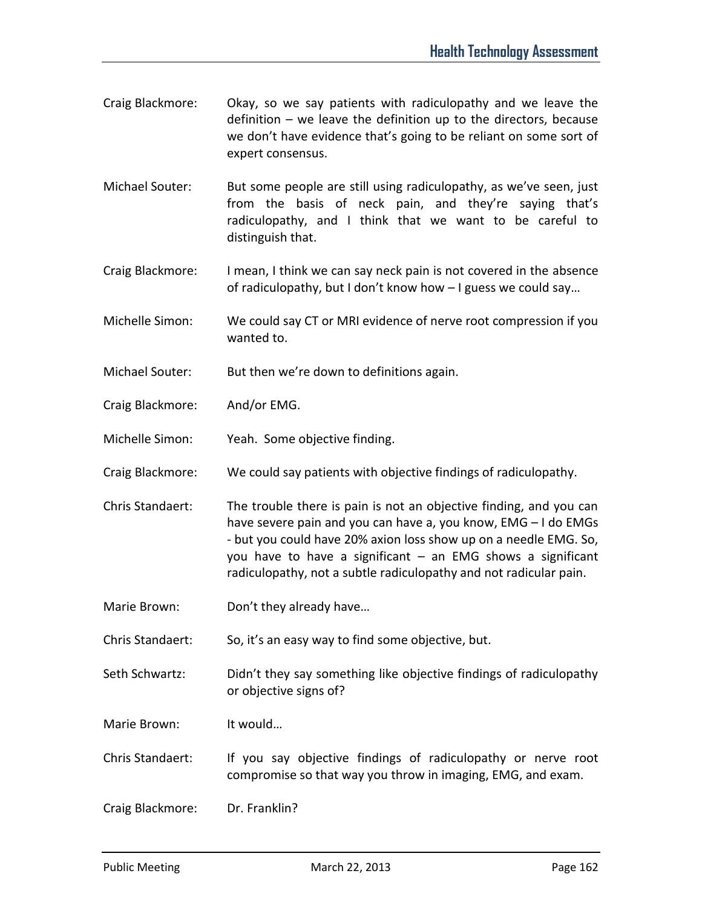- Craig Blackmore: Okay, so we say patients with radiculopathy and we leave the definition – we leave the definition up to the directors, because we don't have evidence that's going to be reliant on some sort of expert consensus.
- Michael Souter: But some people are still using radiculopathy, as we've seen, just from the basis of neck pain, and they're saying that's radiculopathy, and I think that we want to be careful to distinguish that.
- Craig Blackmore: I mean, I think we can say neck pain is not covered in the absence of radiculopathy, but I don't know how – I guess we could say…
- Michelle Simon: We could say CT or MRI evidence of nerve root compression if you wanted to.
- Michael Souter: But then we're down to definitions again.
- Craig Blackmore: And/or EMG.
- Michelle Simon: Yeah. Some objective finding.
- Craig Blackmore: We could say patients with objective findings of radiculopathy.
- Chris Standaert: The trouble there is pain is not an objective finding, and you can have severe pain and you can have a, you know, EMG – I do EMGs - but you could have 20% axion loss show up on a needle EMG. So, you have to have a significant – an EMG shows a significant radiculopathy, not a subtle radiculopathy and not radicular pain.
- Marie Brown: Don't they already have...

Chris Standaert: So, it's an easy way to find some objective, but.

- Seth Schwartz: Didn't they say something like objective findings of radiculopathy or objective signs of?
- Marie Brown: It would…

Chris Standaert: If you say objective findings of radiculopathy or nerve root compromise so that way you throw in imaging, EMG, and exam.

Craig Blackmore: Dr. Franklin?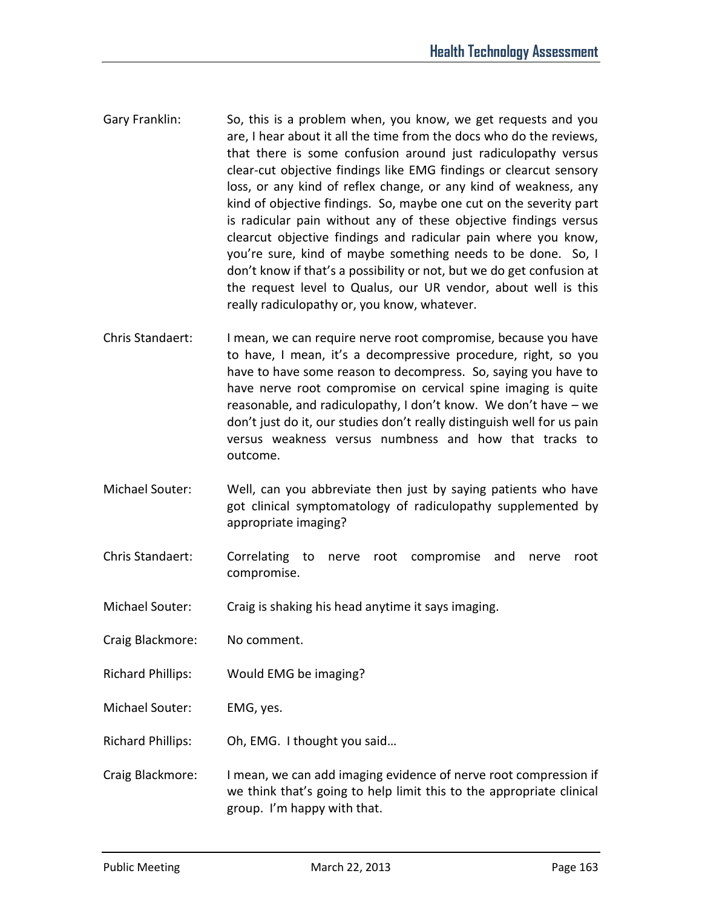- Gary Franklin: So, this is a problem when, you know, we get requests and you are, I hear about it all the time from the docs who do the reviews, that there is some confusion around just radiculopathy versus clear-cut objective findings like EMG findings or clearcut sensory loss, or any kind of reflex change, or any kind of weakness, any kind of objective findings. So, maybe one cut on the severity part is radicular pain without any of these objective findings versus clearcut objective findings and radicular pain where you know, you're sure, kind of maybe something needs to be done. So, I don't know if that's a possibility or not, but we do get confusion at the request level to Qualus, our UR vendor, about well is this really radiculopathy or, you know, whatever.
- Chris Standaert: I mean, we can require nerve root compromise, because you have to have, I mean, it's a decompressive procedure, right, so you have to have some reason to decompress. So, saying you have to have nerve root compromise on cervical spine imaging is quite reasonable, and radiculopathy, I don't know. We don't have – we don't just do it, our studies don't really distinguish well for us pain versus weakness versus numbness and how that tracks to outcome.
- Michael Souter: Well, can you abbreviate then just by saying patients who have got clinical symptomatology of radiculopathy supplemented by appropriate imaging?
- Chris Standaert: Correlating to nerve root compromise and nerve root compromise.
- Michael Souter: Craig is shaking his head anytime it says imaging.
- Craig Blackmore: No comment.
- Richard Phillips: Would EMG be imaging?
- Michael Souter: EMG, yes.
- Richard Phillips: Oh, EMG. I thought you said…
- Craig Blackmore: I mean, we can add imaging evidence of nerve root compression if we think that's going to help limit this to the appropriate clinical group. I'm happy with that.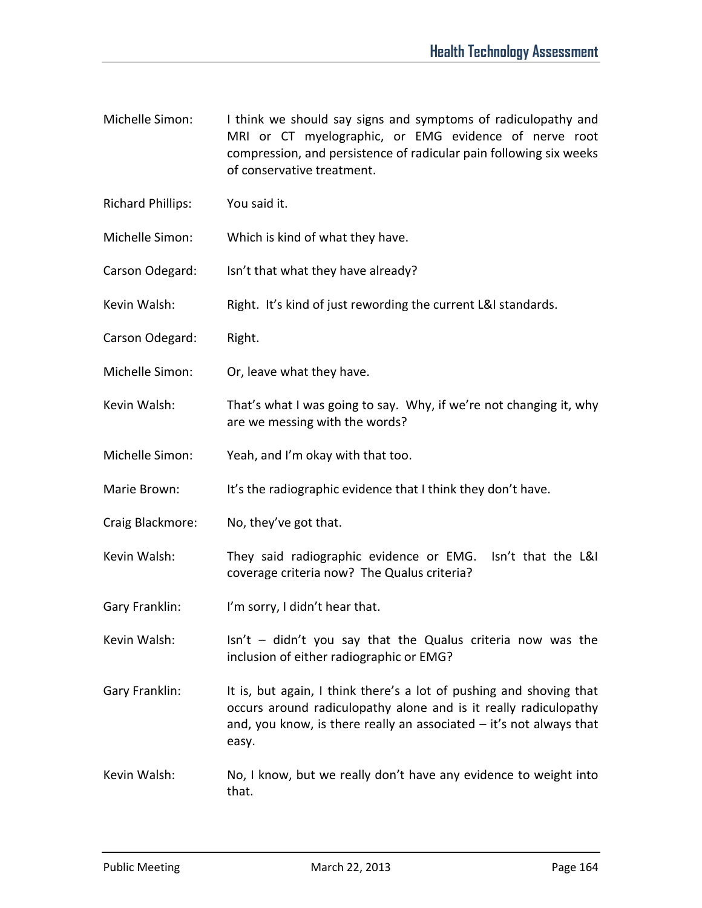- Michelle Simon: I think we should say signs and symptoms of radiculopathy and MRI or CT myelographic, or EMG evidence of nerve root compression, and persistence of radicular pain following six weeks of conservative treatment.
- Richard Phillips: You said it.
- Michelle Simon: Which is kind of what they have.
- Carson Odegard: Isn't that what they have already?
- Kevin Walsh: Right. It's kind of just rewording the current L&I standards.
- Carson Odegard: Right.
- Michelle Simon: Or, leave what they have.
- Kevin Walsh: That's what I was going to say. Why, if we're not changing it, why are we messing with the words?
- Michelle Simon: Yeah, and I'm okay with that too.
- Marie Brown: It's the radiographic evidence that I think they don't have.
- Craig Blackmore: No, they've got that.
- Kevin Walsh: They said radiographic evidence or EMG. Isn't that the L&I coverage criteria now? The Qualus criteria?
- Gary Franklin: I'm sorry, I didn't hear that.
- Kevin Walsh: Isn't didn't you say that the Qualus criteria now was the inclusion of either radiographic or EMG?
- Gary Franklin: It is, but again, I think there's a lot of pushing and shoving that occurs around radiculopathy alone and is it really radiculopathy and, you know, is there really an associated  $-$  it's not always that easy.
- Kevin Walsh: No, I know, but we really don't have any evidence to weight into that.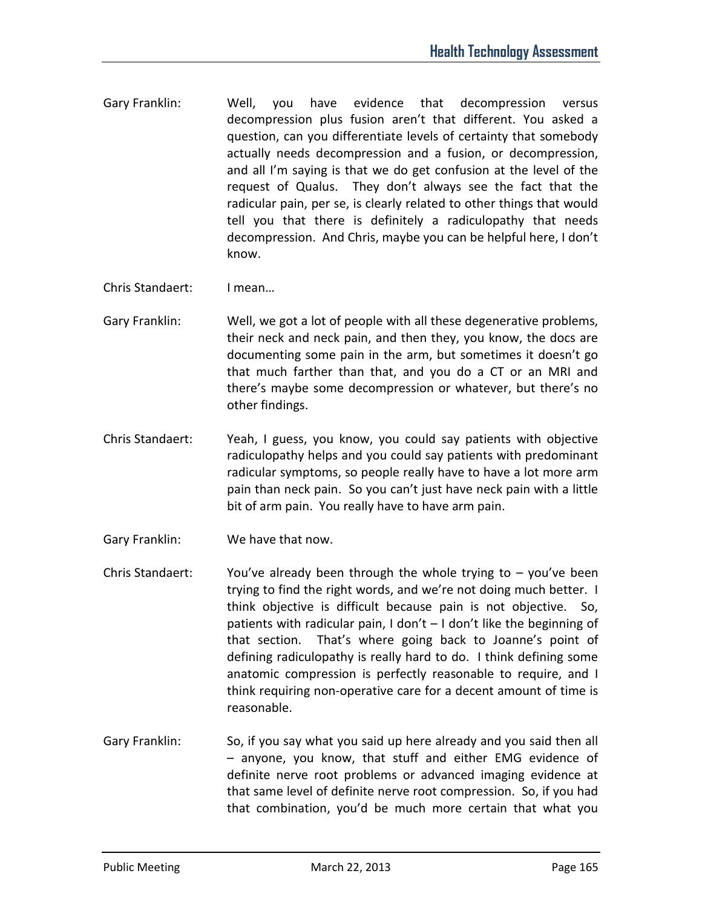- Gary Franklin: Well, you have evidence that decompression versus decompression plus fusion aren't that different. You asked a question, can you differentiate levels of certainty that somebody actually needs decompression and a fusion, or decompression, and all I'm saying is that we do get confusion at the level of the request of Qualus. They don't always see the fact that the radicular pain, per se, is clearly related to other things that would tell you that there is definitely a radiculopathy that needs decompression. And Chris, maybe you can be helpful here, I don't know.
- Chris Standaert: I mean…
- Gary Franklin: Well, we got a lot of people with all these degenerative problems, their neck and neck pain, and then they, you know, the docs are documenting some pain in the arm, but sometimes it doesn't go that much farther than that, and you do a CT or an MRI and there's maybe some decompression or whatever, but there's no other findings.
- Chris Standaert: Yeah, I guess, you know, you could say patients with objective radiculopathy helps and you could say patients with predominant radicular symptoms, so people really have to have a lot more arm pain than neck pain. So you can't just have neck pain with a little bit of arm pain. You really have to have arm pain.
- Gary Franklin: We have that now.
- Chris Standaert: You've already been through the whole trying to  $-$  you've been trying to find the right words, and we're not doing much better. I think objective is difficult because pain is not objective. So, patients with radicular pain, I don't – I don't like the beginning of that section. That's where going back to Joanne's point of defining radiculopathy is really hard to do. I think defining some anatomic compression is perfectly reasonable to require, and I think requiring non-operative care for a decent amount of time is reasonable.
- Gary Franklin: So, if you say what you said up here already and you said then all – anyone, you know, that stuff and either EMG evidence of definite nerve root problems or advanced imaging evidence at that same level of definite nerve root compression. So, if you had that combination, you'd be much more certain that what you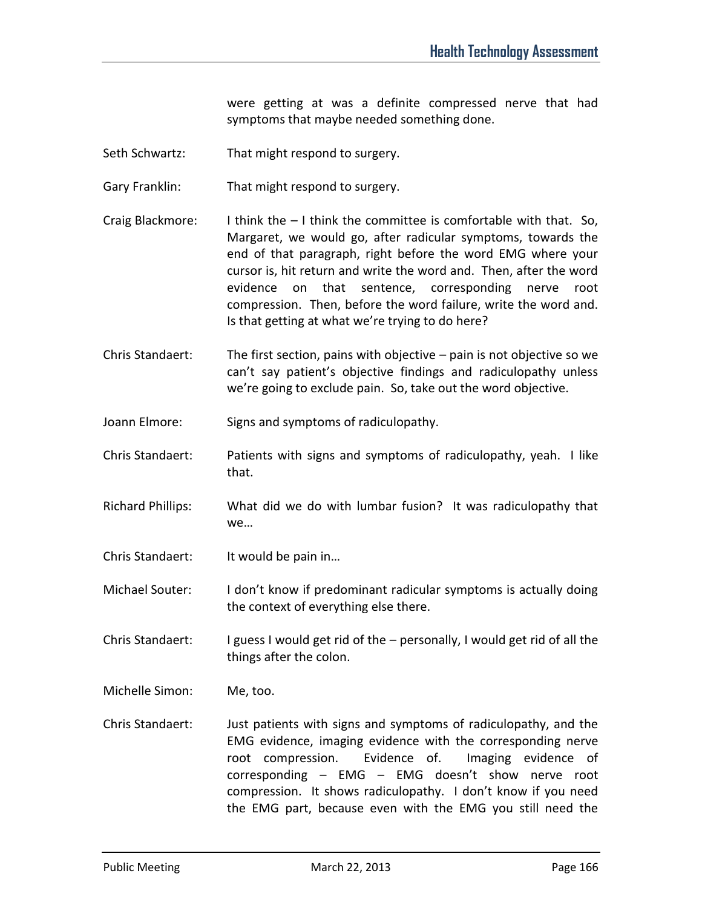were getting at was a definite compressed nerve that had symptoms that maybe needed something done.

- Seth Schwartz: That might respond to surgery.
- Gary Franklin: That might respond to surgery.
- Craig Blackmore: I think the  $-1$  think the committee is comfortable with that. So, Margaret, we would go, after radicular symptoms, towards the end of that paragraph, right before the word EMG where your cursor is, hit return and write the word and. Then, after the word evidence on that sentence, corresponding nerve root compression. Then, before the word failure, write the word and. Is that getting at what we're trying to do here?
- Chris Standaert: The first section, pains with objective pain is not objective so we can't say patient's objective findings and radiculopathy unless we're going to exclude pain. So, take out the word objective.
- Joann Elmore: Signs and symptoms of radiculopathy.
- Chris Standaert: Patients with signs and symptoms of radiculopathy, yeah. I like that.
- Richard Phillips: What did we do with lumbar fusion? It was radiculopathy that we…
- Chris Standaert: It would be pain in...
- Michael Souter: I don't know if predominant radicular symptoms is actually doing the context of everything else there.
- Chris Standaert: I guess I would get rid of the personally, I would get rid of all the things after the colon.
- Michelle Simon: Me, too.
- Chris Standaert: Just patients with signs and symptoms of radiculopathy, and the EMG evidence, imaging evidence with the corresponding nerve root compression. Evidence of. Imaging evidence of corresponding – EMG – EMG doesn't show nerve root compression. It shows radiculopathy. I don't know if you need the EMG part, because even with the EMG you still need the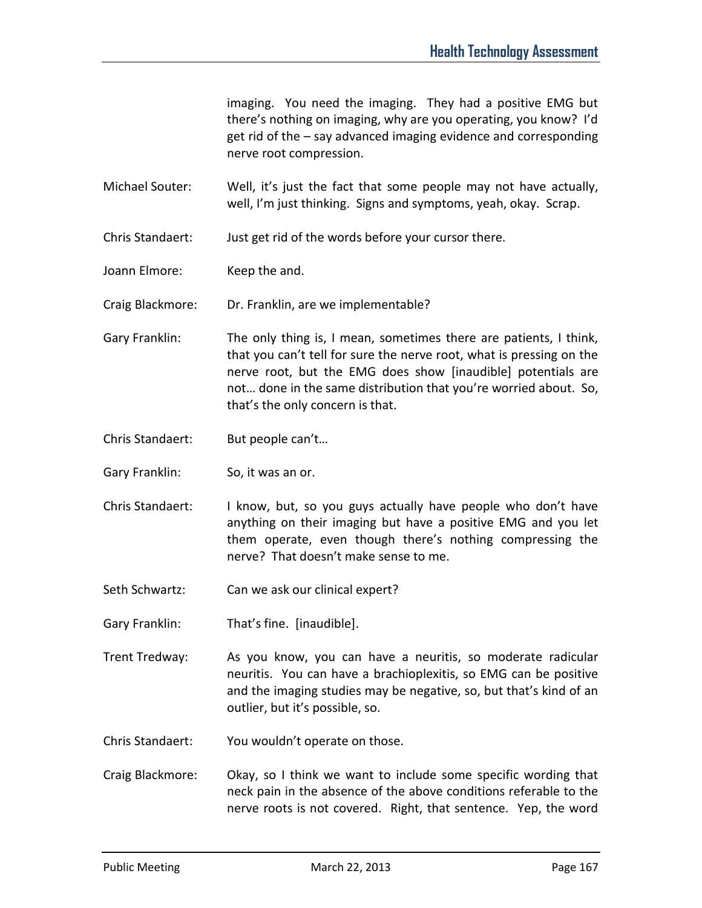imaging. You need the imaging. They had a positive EMG but there's nothing on imaging, why are you operating, you know? I'd get rid of the – say advanced imaging evidence and corresponding nerve root compression.

Michael Souter: Well, it's just the fact that some people may not have actually, well, I'm just thinking. Signs and symptoms, yeah, okay. Scrap.

Chris Standaert: Just get rid of the words before your cursor there.

Joann Elmore: Keep the and.

Craig Blackmore: Dr. Franklin, are we implementable?

- Gary Franklin: The only thing is, I mean, sometimes there are patients, I think, that you can't tell for sure the nerve root, what is pressing on the nerve root, but the EMG does show [inaudible] potentials are not… done in the same distribution that you're worried about. So, that's the only concern is that.
- Chris Standaert: But people can't…
- Gary Franklin: So, it was an or.
- Chris Standaert: I know, but, so you guys actually have people who don't have anything on their imaging but have a positive EMG and you let them operate, even though there's nothing compressing the nerve? That doesn't make sense to me.
- Seth Schwartz: Can we ask our clinical expert?
- Gary Franklin: That's fine. [inaudible].
- Trent Tredway: As you know, you can have a neuritis, so moderate radicular neuritis. You can have a brachioplexitis, so EMG can be positive and the imaging studies may be negative, so, but that's kind of an outlier, but it's possible, so.
- Chris Standaert: You wouldn't operate on those.
- Craig Blackmore: Okay, so I think we want to include some specific wording that neck pain in the absence of the above conditions referable to the nerve roots is not covered. Right, that sentence. Yep, the word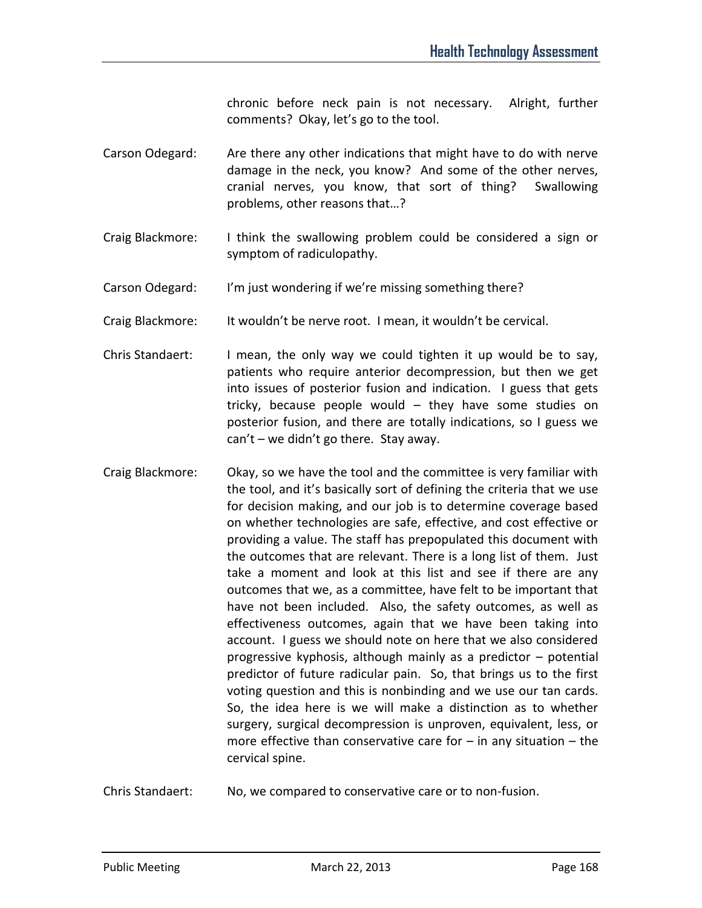chronic before neck pain is not necessary. Alright, further comments? Okay, let's go to the tool.

- Carson Odegard: Are there any other indications that might have to do with nerve damage in the neck, you know? And some of the other nerves, cranial nerves, you know, that sort of thing? Swallowing problems, other reasons that…?
- Craig Blackmore: I think the swallowing problem could be considered a sign or symptom of radiculopathy.
- Carson Odegard: I'm just wondering if we're missing something there?
- Craig Blackmore: It wouldn't be nerve root. I mean, it wouldn't be cervical.
- Chris Standaert: I mean, the only way we could tighten it up would be to say, patients who require anterior decompression, but then we get into issues of posterior fusion and indication. I guess that gets tricky, because people would – they have some studies on posterior fusion, and there are totally indications, so I guess we can't – we didn't go there. Stay away.
- Craig Blackmore: Okay, so we have the tool and the committee is very familiar with the tool, and it's basically sort of defining the criteria that we use for decision making, and our job is to determine coverage based on whether technologies are safe, effective, and cost effective or providing a value. The staff has prepopulated this document with the outcomes that are relevant. There is a long list of them. Just take a moment and look at this list and see if there are any outcomes that we, as a committee, have felt to be important that have not been included. Also, the safety outcomes, as well as effectiveness outcomes, again that we have been taking into account. I guess we should note on here that we also considered progressive kyphosis, although mainly as a predictor – potential predictor of future radicular pain. So, that brings us to the first voting question and this is nonbinding and we use our tan cards. So, the idea here is we will make a distinction as to whether surgery, surgical decompression is unproven, equivalent, less, or more effective than conservative care for  $-$  in any situation  $-$  the cervical spine.
- Chris Standaert: No, we compared to conservative care or to non-fusion.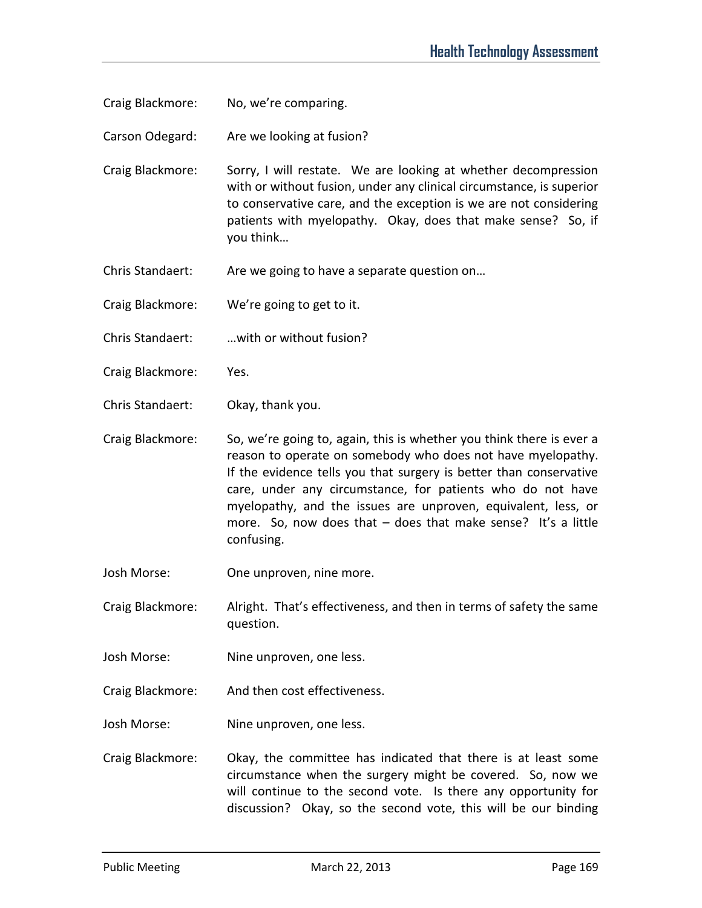Craig Blackmore: No, we're comparing.

Carson Odegard: Are we looking at fusion?

Craig Blackmore: Sorry, I will restate. We are looking at whether decompression with or without fusion, under any clinical circumstance, is superior to conservative care, and the exception is we are not considering patients with myelopathy. Okay, does that make sense? So, if you think…

Chris Standaert: Are we going to have a separate question on...

Craig Blackmore: We're going to get to it.

Chris Standaert: …with or without fusion?

Craig Blackmore: Yes.

Chris Standaert: Okay, thank you.

Craig Blackmore: So, we're going to, again, this is whether you think there is ever a reason to operate on somebody who does not have myelopathy. If the evidence tells you that surgery is better than conservative care, under any circumstance, for patients who do not have myelopathy, and the issues are unproven, equivalent, less, or more. So, now does that – does that make sense? It's a little confusing.

Josh Morse: One unproven, nine more.

Craig Blackmore: Alright. That's effectiveness, and then in terms of safety the same question.

Josh Morse: Nine unproven, one less.

Craig Blackmore: And then cost effectiveness.

Josh Morse: Nine unproven, one less.

Craig Blackmore: Okay, the committee has indicated that there is at least some circumstance when the surgery might be covered. So, now we will continue to the second vote. Is there any opportunity for discussion? Okay, so the second vote, this will be our binding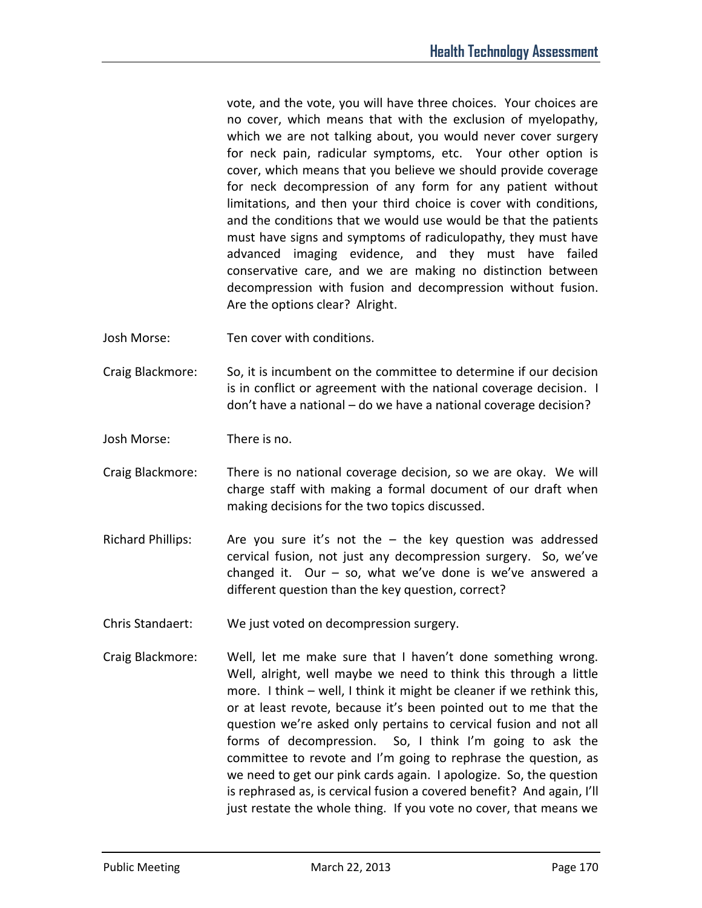vote, and the vote, you will have three choices. Your choices are no cover, which means that with the exclusion of myelopathy, which we are not talking about, you would never cover surgery for neck pain, radicular symptoms, etc. Your other option is cover, which means that you believe we should provide coverage for neck decompression of any form for any patient without limitations, and then your third choice is cover with conditions, and the conditions that we would use would be that the patients must have signs and symptoms of radiculopathy, they must have advanced imaging evidence, and they must have failed conservative care, and we are making no distinction between decompression with fusion and decompression without fusion. Are the options clear? Alright.

- Josh Morse: Ten cover with conditions.
- Craig Blackmore: So, it is incumbent on the committee to determine if our decision is in conflict or agreement with the national coverage decision. I don't have a national – do we have a national coverage decision?
- Josh Morse: There is no.
- Craig Blackmore: There is no national coverage decision, so we are okay. We will charge staff with making a formal document of our draft when making decisions for the two topics discussed.
- Richard Phillips: Are you sure it's not the the key question was addressed cervical fusion, not just any decompression surgery. So, we've changed it. Our  $-$  so, what we've done is we've answered a different question than the key question, correct?
- Chris Standaert: We just voted on decompression surgery.
- Craig Blackmore: Well, let me make sure that I haven't done something wrong. Well, alright, well maybe we need to think this through a little more. I think – well, I think it might be cleaner if we rethink this, or at least revote, because it's been pointed out to me that the question we're asked only pertains to cervical fusion and not all forms of decompression. So, I think I'm going to ask the committee to revote and I'm going to rephrase the question, as we need to get our pink cards again. I apologize. So, the question is rephrased as, is cervical fusion a covered benefit? And again, I'll just restate the whole thing. If you vote no cover, that means we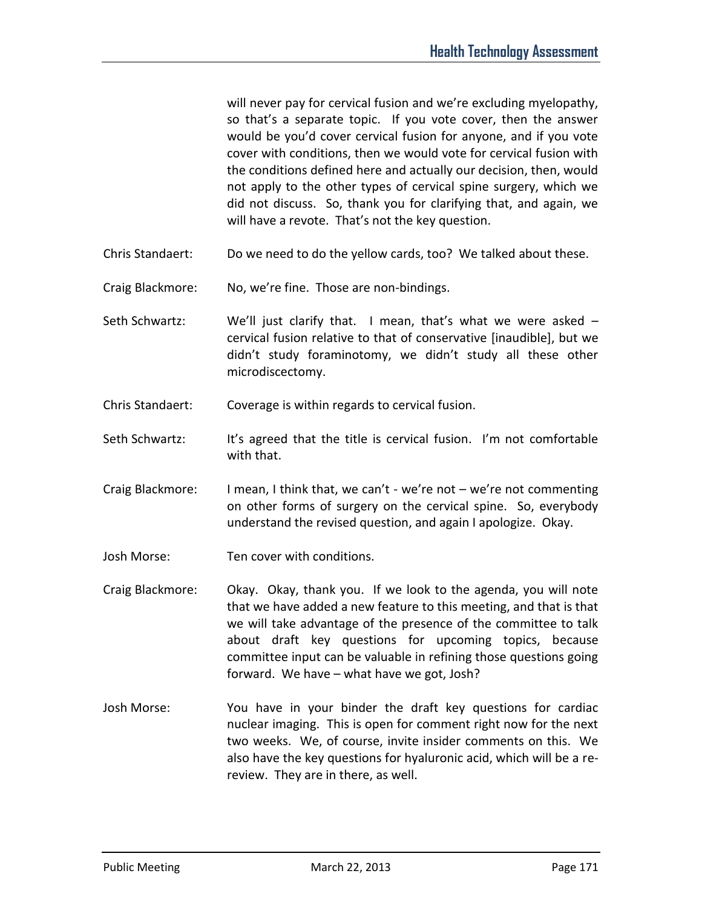will never pay for cervical fusion and we're excluding myelopathy, so that's a separate topic. If you vote cover, then the answer would be you'd cover cervical fusion for anyone, and if you vote cover with conditions, then we would vote for cervical fusion with the conditions defined here and actually our decision, then, would not apply to the other types of cervical spine surgery, which we did not discuss. So, thank you for clarifying that, and again, we will have a revote. That's not the key question.

- Chris Standaert: Do we need to do the yellow cards, too? We talked about these.
- Craig Blackmore: No, we're fine. Those are non-bindings.
- Seth Schwartz: We'll just clarify that. I mean, that's what we were asked cervical fusion relative to that of conservative [inaudible], but we didn't study foraminotomy, we didn't study all these other microdiscectomy.
- Chris Standaert: Coverage is within regards to cervical fusion.
- Seth Schwartz: It's agreed that the title is cervical fusion. I'm not comfortable with that.
- Craig Blackmore: I mean, I think that, we can't we're not we're not commenting on other forms of surgery on the cervical spine. So, everybody understand the revised question, and again I apologize. Okay.
- Josh Morse: Ten cover with conditions.
- Craig Blackmore: Okay. Okay, thank you. If we look to the agenda, you will note that we have added a new feature to this meeting, and that is that we will take advantage of the presence of the committee to talk about draft key questions for upcoming topics, because committee input can be valuable in refining those questions going forward. We have – what have we got, Josh?
- Josh Morse: You have in your binder the draft key questions for cardiac nuclear imaging. This is open for comment right now for the next two weeks. We, of course, invite insider comments on this. We also have the key questions for hyaluronic acid, which will be a rereview. They are in there, as well.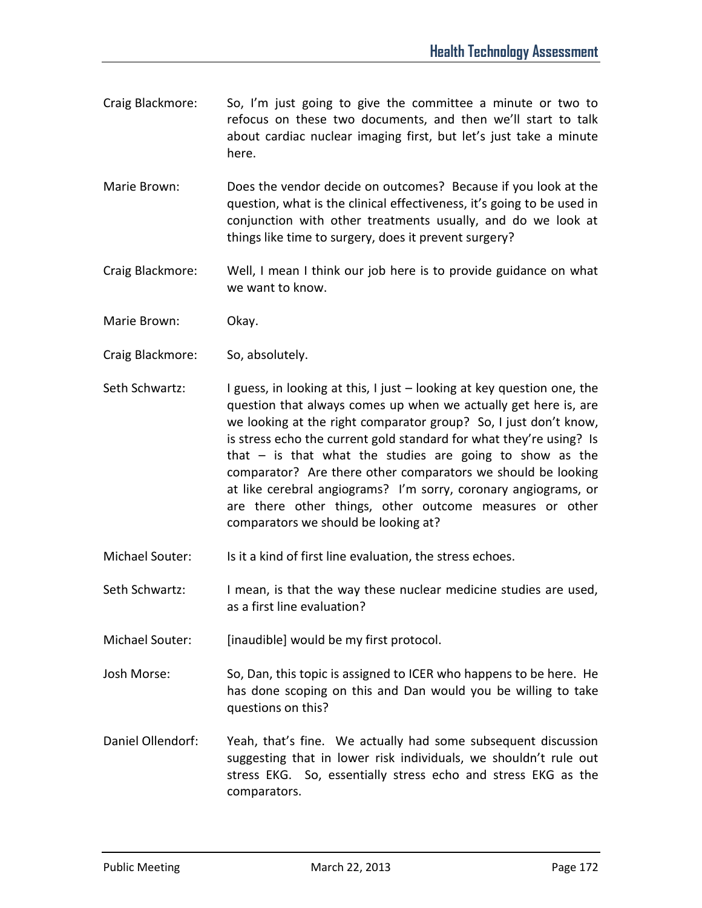- Craig Blackmore: So, I'm just going to give the committee a minute or two to refocus on these two documents, and then we'll start to talk about cardiac nuclear imaging first, but let's just take a minute here.
- Marie Brown: Does the vendor decide on outcomes? Because if you look at the question, what is the clinical effectiveness, it's going to be used in conjunction with other treatments usually, and do we look at things like time to surgery, does it prevent surgery?
- Craig Blackmore: Well, I mean I think our job here is to provide guidance on what we want to know.
- Marie Brown: Okay.
- Craig Blackmore: So, absolutely.
- Seth Schwartz: I guess, in looking at this, I just looking at key question one, the question that always comes up when we actually get here is, are we looking at the right comparator group? So, I just don't know, is stress echo the current gold standard for what they're using? Is that – is that what the studies are going to show as the comparator? Are there other comparators we should be looking at like cerebral angiograms? I'm sorry, coronary angiograms, or are there other things, other outcome measures or other comparators we should be looking at?
- Michael Souter: Is it a kind of first line evaluation, the stress echoes.
- Seth Schwartz: I mean, is that the way these nuclear medicine studies are used, as a first line evaluation?
- Michael Souter: [inaudible] would be my first protocol.
- Josh Morse: So, Dan, this topic is assigned to ICER who happens to be here. He has done scoping on this and Dan would you be willing to take questions on this?
- Daniel Ollendorf: Yeah, that's fine. We actually had some subsequent discussion suggesting that in lower risk individuals, we shouldn't rule out stress EKG. So, essentially stress echo and stress EKG as the comparators.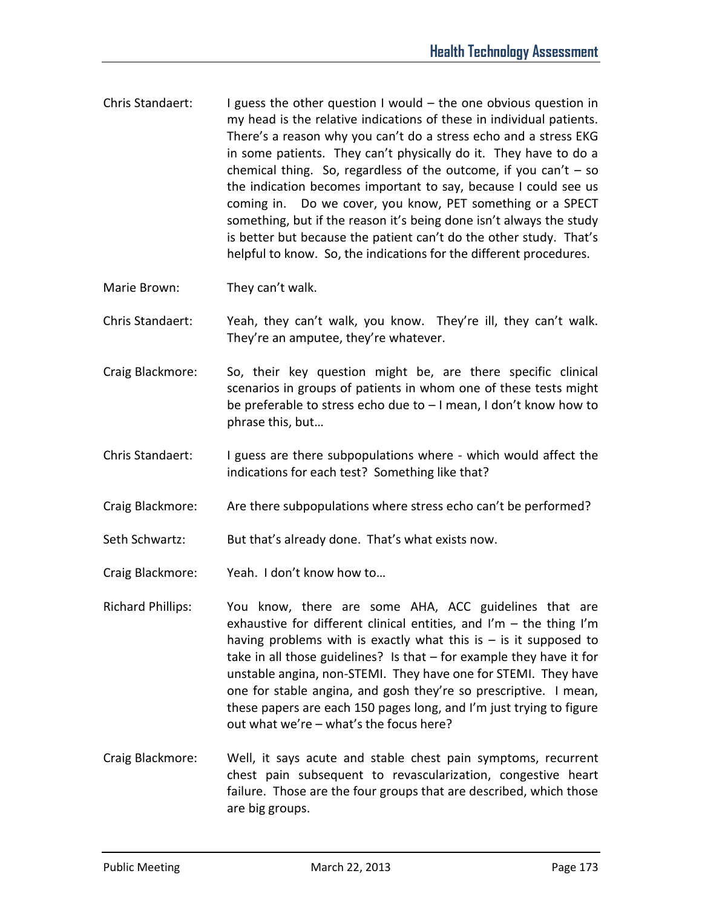- Chris Standaert: I guess the other question I would the one obvious question in my head is the relative indications of these in individual patients. There's a reason why you can't do a stress echo and a stress EKG in some patients. They can't physically do it. They have to do a chemical thing. So, regardless of the outcome, if you can't  $-$  so the indication becomes important to say, because I could see us coming in. Do we cover, you know, PET something or a SPECT something, but if the reason it's being done isn't always the study is better but because the patient can't do the other study. That's helpful to know. So, the indications for the different procedures.
- Marie Brown: They can't walk.
- Chris Standaert: Yeah, they can't walk, you know. They're ill, they can't walk. They're an amputee, they're whatever.
- Craig Blackmore: So, their key question might be, are there specific clinical scenarios in groups of patients in whom one of these tests might be preferable to stress echo due to – I mean, I don't know how to phrase this, but…
- Chris Standaert: I guess are there subpopulations where which would affect the indications for each test? Something like that?
- Craig Blackmore: Are there subpopulations where stress echo can't be performed?
- Seth Schwartz: But that's already done. That's what exists now.
- Craig Blackmore: Yeah. I don't know how to…
- Richard Phillips: You know, there are some AHA, ACC guidelines that are exhaustive for different clinical entities, and I'm  $-$  the thing I'm having problems with is exactly what this  $i = i$  is it supposed to take in all those guidelines? Is that – for example they have it for unstable angina, non-STEMI. They have one for STEMI. They have one for stable angina, and gosh they're so prescriptive. I mean, these papers are each 150 pages long, and I'm just trying to figure out what we're – what's the focus here?
- Craig Blackmore: Well, it says acute and stable chest pain symptoms, recurrent chest pain subsequent to revascularization, congestive heart failure. Those are the four groups that are described, which those are big groups.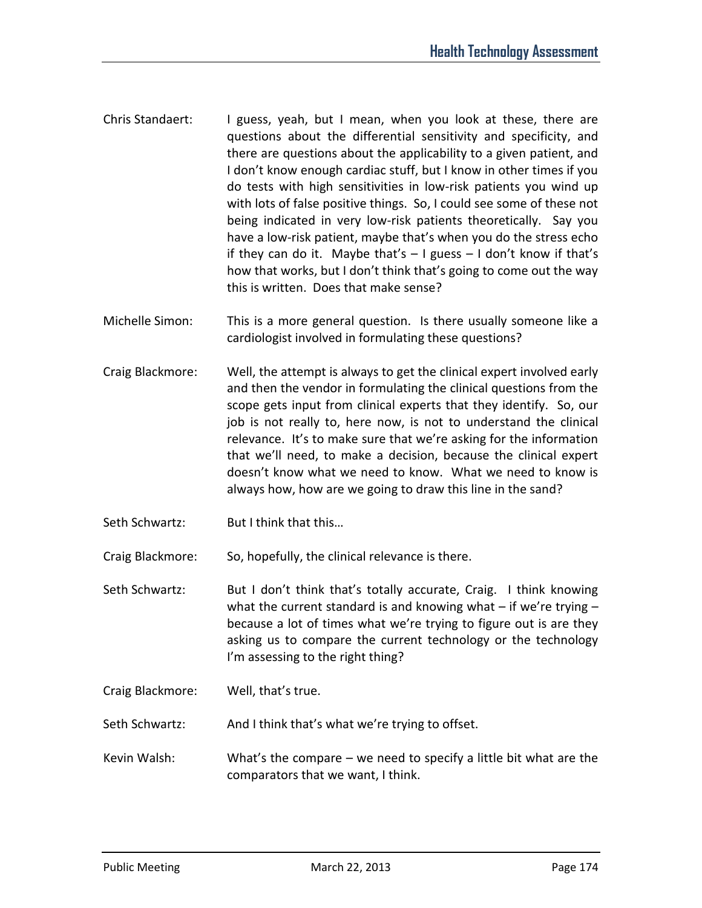- Chris Standaert: I guess, yeah, but I mean, when you look at these, there are questions about the differential sensitivity and specificity, and there are questions about the applicability to a given patient, and I don't know enough cardiac stuff, but I know in other times if you do tests with high sensitivities in low-risk patients you wind up with lots of false positive things. So, I could see some of these not being indicated in very low-risk patients theoretically. Say you have a low-risk patient, maybe that's when you do the stress echo if they can do it. Maybe that's  $-1$  guess  $-1$  don't know if that's how that works, but I don't think that's going to come out the way this is written. Does that make sense?
- Michelle Simon: This is a more general question. Is there usually someone like a cardiologist involved in formulating these questions?
- Craig Blackmore: Well, the attempt is always to get the clinical expert involved early and then the vendor in formulating the clinical questions from the scope gets input from clinical experts that they identify. So, our job is not really to, here now, is not to understand the clinical relevance. It's to make sure that we're asking for the information that we'll need, to make a decision, because the clinical expert doesn't know what we need to know. What we need to know is always how, how are we going to draw this line in the sand?
- Seth Schwartz: But I think that this...

Craig Blackmore: So, hopefully, the clinical relevance is there.

Seth Schwartz: But I don't think that's totally accurate, Craig. I think knowing what the current standard is and knowing what  $-$  if we're trying  $$ because a lot of times what we're trying to figure out is are they asking us to compare the current technology or the technology I'm assessing to the right thing?

Craig Blackmore: Well, that's true.

Seth Schwartz: And I think that's what we're trying to offset.

Kevin Walsh: What's the compare – we need to specify a little bit what are the comparators that we want, I think.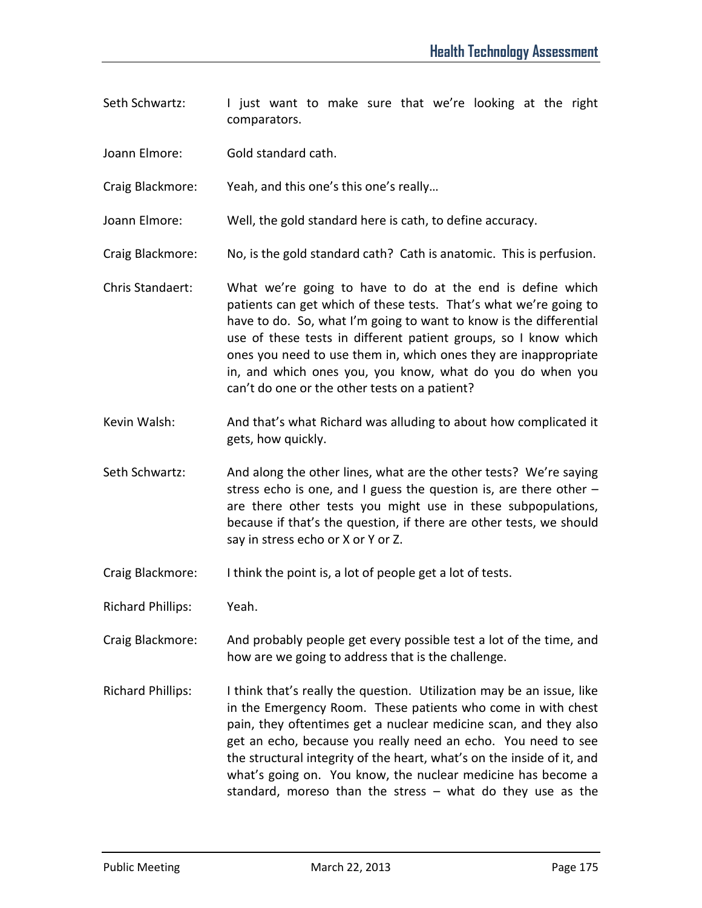- Seth Schwartz: I just want to make sure that we're looking at the right comparators.
- Joann Elmore: Gold standard cath.
- Craig Blackmore: Yeah, and this one's this one's really…
- Joann Elmore: Well, the gold standard here is cath, to define accuracy.
- Craig Blackmore: No, is the gold standard cath? Cath is anatomic. This is perfusion.
- Chris Standaert: What we're going to have to do at the end is define which patients can get which of these tests. That's what we're going to have to do. So, what I'm going to want to know is the differential use of these tests in different patient groups, so I know which ones you need to use them in, which ones they are inappropriate in, and which ones you, you know, what do you do when you can't do one or the other tests on a patient?
- Kevin Walsh: And that's what Richard was alluding to about how complicated it gets, how quickly.
- Seth Schwartz: And along the other lines, what are the other tests? We're saying stress echo is one, and I guess the question is, are there other – are there other tests you might use in these subpopulations, because if that's the question, if there are other tests, we should say in stress echo or X or Y or Z.
- Craig Blackmore: I think the point is, a lot of people get a lot of tests.
- Richard Phillips: Yeah.
- Craig Blackmore: And probably people get every possible test a lot of the time, and how are we going to address that is the challenge.
- Richard Phillips: I think that's really the question. Utilization may be an issue, like in the Emergency Room. These patients who come in with chest pain, they oftentimes get a nuclear medicine scan, and they also get an echo, because you really need an echo. You need to see the structural integrity of the heart, what's on the inside of it, and what's going on. You know, the nuclear medicine has become a standard, moreso than the stress – what do they use as the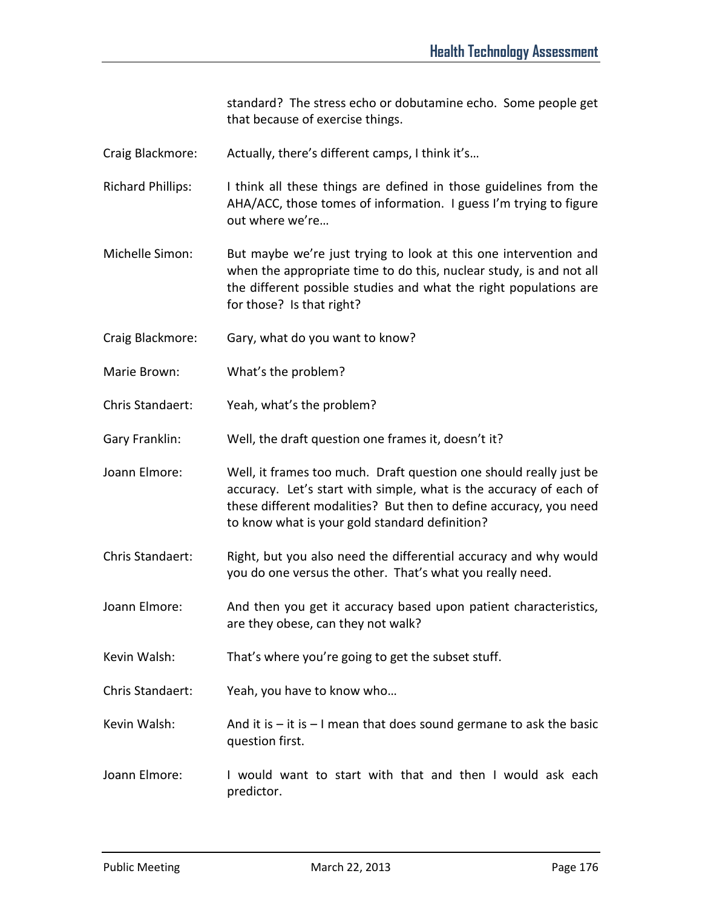standard? The stress echo or dobutamine echo. Some people get that because of exercise things.

- Craig Blackmore: Actually, there's different camps, I think it's…
- Richard Phillips: I think all these things are defined in those guidelines from the AHA/ACC, those tomes of information. I guess I'm trying to figure out where we're…
- Michelle Simon: But maybe we're just trying to look at this one intervention and when the appropriate time to do this, nuclear study, is and not all the different possible studies and what the right populations are for those? Is that right?
- Craig Blackmore: Gary, what do you want to know?
- Marie Brown: What's the problem?
- Chris Standaert: Yeah, what's the problem?
- Gary Franklin: Well, the draft question one frames it, doesn't it?
- Joann Elmore: Well, it frames too much. Draft question one should really just be accuracy. Let's start with simple, what is the accuracy of each of these different modalities? But then to define accuracy, you need to know what is your gold standard definition?
- Chris Standaert: Right, but you also need the differential accuracy and why would you do one versus the other. That's what you really need.
- Joann Elmore: And then you get it accuracy based upon patient characteristics, are they obese, can they not walk?
- Kevin Walsh: That's where you're going to get the subset stuff.
- Chris Standaert: Yeah, you have to know who…
- Kevin Walsh: And it is  $-$  it is  $-$  I mean that does sound germane to ask the basic question first.
- Joann Elmore: I would want to start with that and then I would ask each predictor.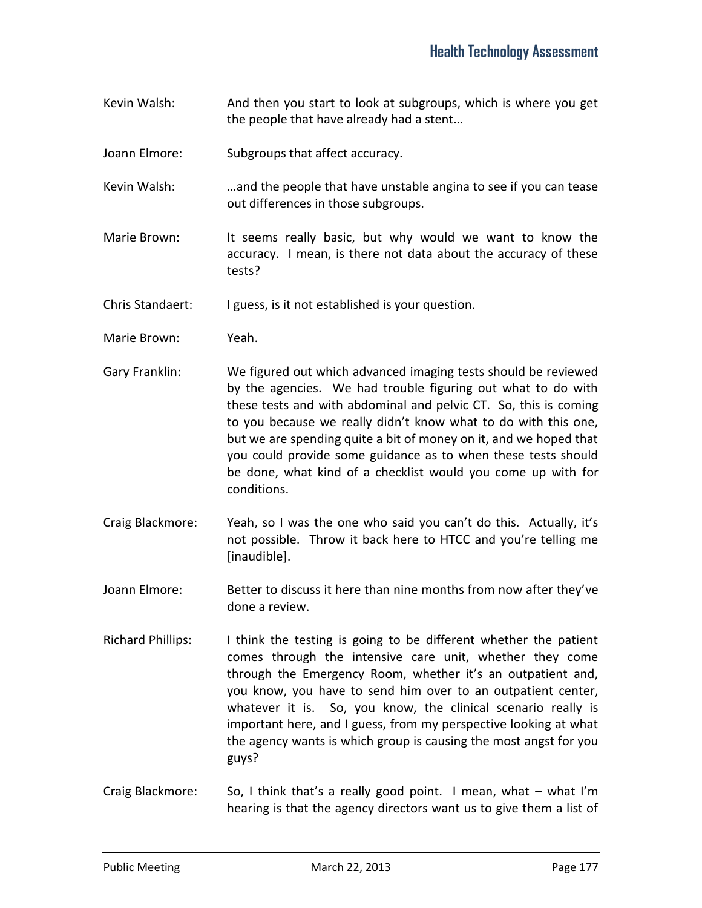- Kevin Walsh: And then you start to look at subgroups, which is where you get the people that have already had a stent…
- Joann Elmore: Subgroups that affect accuracy.
- Kevin Walsh: …and the people that have unstable angina to see if you can tease out differences in those subgroups.
- Marie Brown: It seems really basic, but why would we want to know the accuracy. I mean, is there not data about the accuracy of these tests?
- Chris Standaert: I guess, is it not established is your question.
- Marie Brown: Yeah.
- Gary Franklin: We figured out which advanced imaging tests should be reviewed by the agencies. We had trouble figuring out what to do with these tests and with abdominal and pelvic CT. So, this is coming to you because we really didn't know what to do with this one, but we are spending quite a bit of money on it, and we hoped that you could provide some guidance as to when these tests should be done, what kind of a checklist would you come up with for conditions.
- Craig Blackmore: Yeah, so I was the one who said you can't do this. Actually, it's not possible. Throw it back here to HTCC and you're telling me [inaudible].
- Joann Elmore: Better to discuss it here than nine months from now after they've done a review.
- Richard Phillips: I think the testing is going to be different whether the patient comes through the intensive care unit, whether they come through the Emergency Room, whether it's an outpatient and, you know, you have to send him over to an outpatient center, whatever it is. So, you know, the clinical scenario really is important here, and I guess, from my perspective looking at what the agency wants is which group is causing the most angst for you guys?
- Craig Blackmore: So, I think that's a really good point. I mean, what what I'm hearing is that the agency directors want us to give them a list of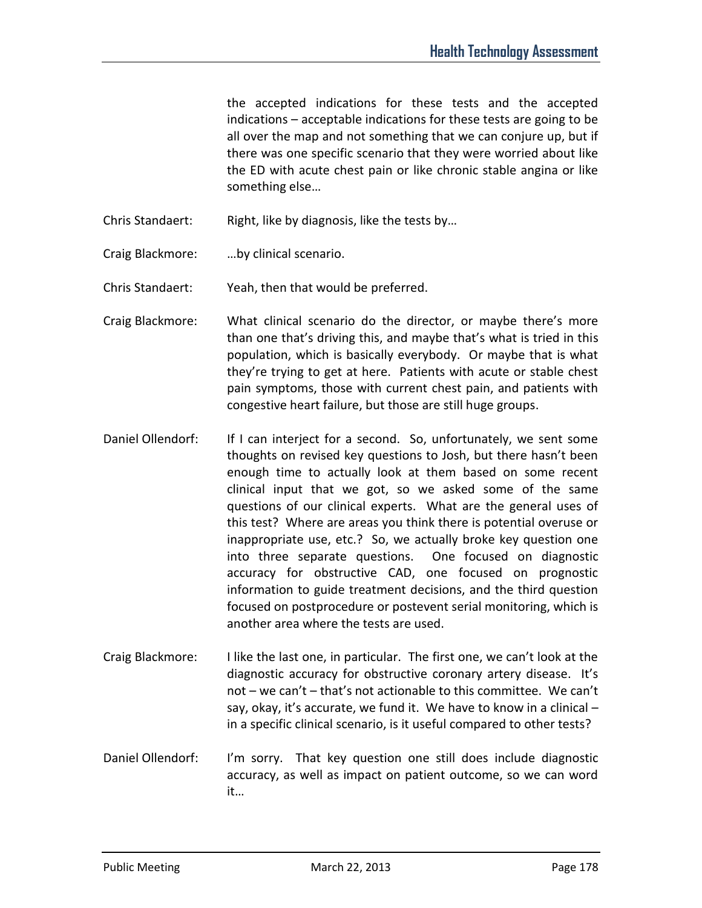the accepted indications for these tests and the accepted indications – acceptable indications for these tests are going to be all over the map and not something that we can conjure up, but if there was one specific scenario that they were worried about like the ED with acute chest pain or like chronic stable angina or like something else…

Chris Standaert: Right, like by diagnosis, like the tests by…

Craig Blackmore: …by clinical scenario.

Chris Standaert: Yeah, then that would be preferred.

- Craig Blackmore: What clinical scenario do the director, or maybe there's more than one that's driving this, and maybe that's what is tried in this population, which is basically everybody. Or maybe that is what they're trying to get at here. Patients with acute or stable chest pain symptoms, those with current chest pain, and patients with congestive heart failure, but those are still huge groups.
- Daniel Ollendorf: If I can interject for a second. So, unfortunately, we sent some thoughts on revised key questions to Josh, but there hasn't been enough time to actually look at them based on some recent clinical input that we got, so we asked some of the same questions of our clinical experts. What are the general uses of this test? Where are areas you think there is potential overuse or inappropriate use, etc.? So, we actually broke key question one into three separate questions. One focused on diagnostic accuracy for obstructive CAD, one focused on prognostic information to guide treatment decisions, and the third question focused on postprocedure or postevent serial monitoring, which is another area where the tests are used.
- Craig Blackmore: I like the last one, in particular. The first one, we can't look at the diagnostic accuracy for obstructive coronary artery disease. It's not – we can't – that's not actionable to this committee. We can't say, okay, it's accurate, we fund it. We have to know in a clinical – in a specific clinical scenario, is it useful compared to other tests?
- Daniel Ollendorf: I'm sorry. That key question one still does include diagnostic accuracy, as well as impact on patient outcome, so we can word it…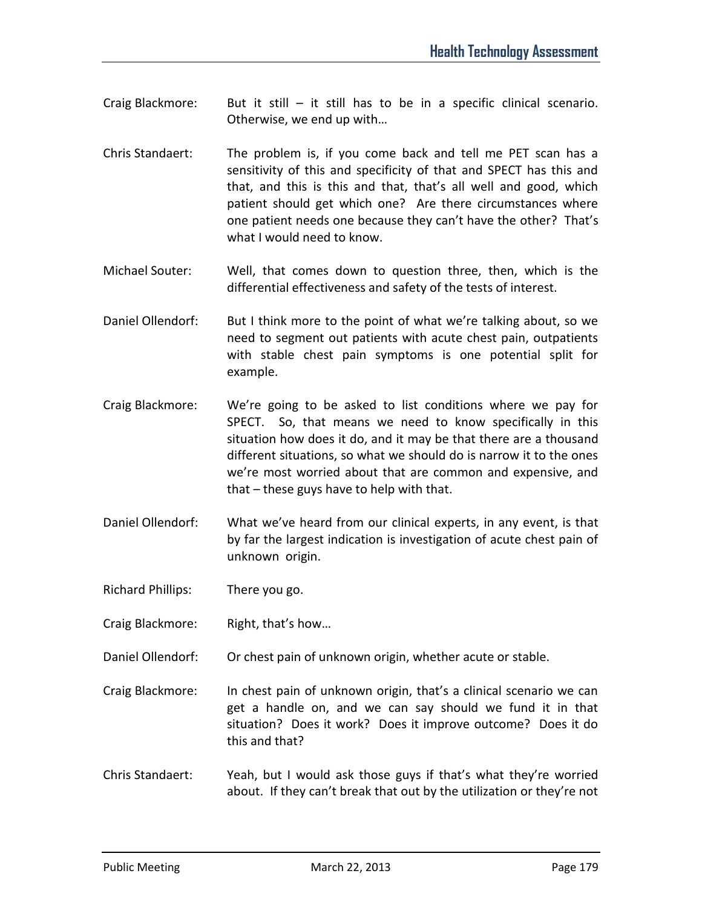- Craig Blackmore: But it still  $-$  it still has to be in a specific clinical scenario. Otherwise, we end up with…
- Chris Standaert: The problem is, if you come back and tell me PET scan has a sensitivity of this and specificity of that and SPECT has this and that, and this is this and that, that's all well and good, which patient should get which one? Are there circumstances where one patient needs one because they can't have the other? That's what I would need to know.
- Michael Souter: Well, that comes down to question three, then, which is the differential effectiveness and safety of the tests of interest.
- Daniel Ollendorf: But I think more to the point of what we're talking about, so we need to segment out patients with acute chest pain, outpatients with stable chest pain symptoms is one potential split for example.
- Craig Blackmore: We're going to be asked to list conditions where we pay for SPECT. So, that means we need to know specifically in this situation how does it do, and it may be that there are a thousand different situations, so what we should do is narrow it to the ones we're most worried about that are common and expensive, and that – these guys have to help with that.
- Daniel Ollendorf: What we've heard from our clinical experts, in any event, is that by far the largest indication is investigation of acute chest pain of unknown origin.
- Richard Phillips: There you go.
- Craig Blackmore: Right, that's how…
- Daniel Ollendorf: Or chest pain of unknown origin, whether acute or stable.
- Craig Blackmore: In chest pain of unknown origin, that's a clinical scenario we can get a handle on, and we can say should we fund it in that situation? Does it work? Does it improve outcome? Does it do this and that?
- Chris Standaert: Yeah, but I would ask those guys if that's what they're worried about. If they can't break that out by the utilization or they're not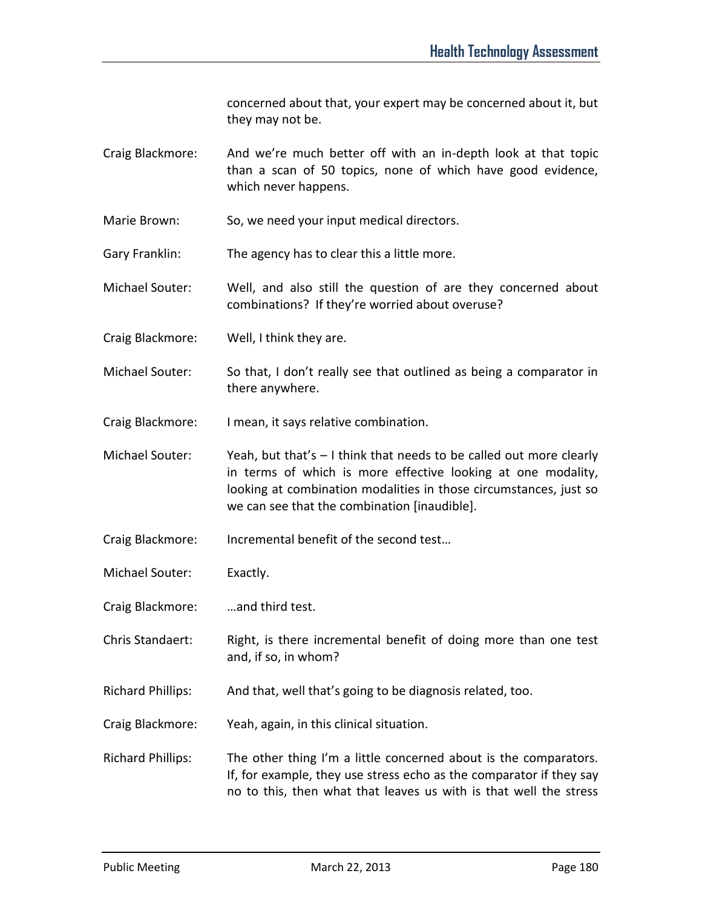concerned about that, your expert may be concerned about it, but they may not be.

- Craig Blackmore: And we're much better off with an in-depth look at that topic than a scan of 50 topics, none of which have good evidence, which never happens.
- Marie Brown: So, we need your input medical directors.
- Gary Franklin: The agency has to clear this a little more.
- Michael Souter: Well, and also still the question of are they concerned about combinations? If they're worried about overuse?
- Craig Blackmore: Well, I think they are.
- Michael Souter: So that, I don't really see that outlined as being a comparator in there anywhere.
- Craig Blackmore: I mean, it says relative combination.
- Michael Souter: Yeah, but that's I think that needs to be called out more clearly in terms of which is more effective looking at one modality, looking at combination modalities in those circumstances, just so we can see that the combination [inaudible].
- Craig Blackmore: Incremental benefit of the second test…
- Michael Souter: Exactly.
- Craig Blackmore: …and third test.
- Chris Standaert: Right, is there incremental benefit of doing more than one test and, if so, in whom?
- Richard Phillips: And that, well that's going to be diagnosis related, too.
- Craig Blackmore: Yeah, again, in this clinical situation.
- Richard Phillips: The other thing I'm a little concerned about is the comparators. If, for example, they use stress echo as the comparator if they say no to this, then what that leaves us with is that well the stress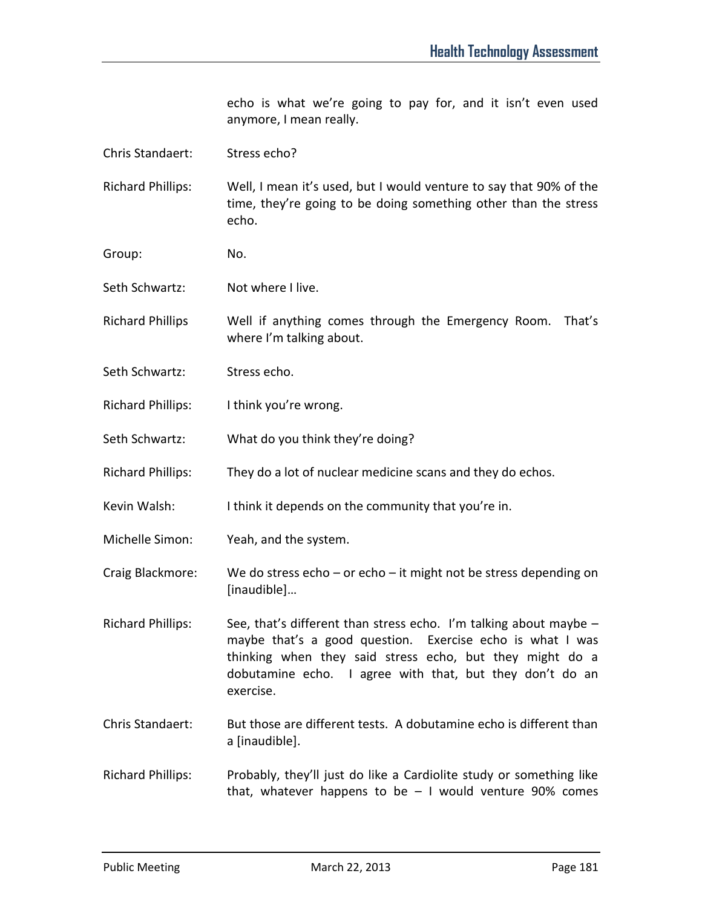echo is what we're going to pay for, and it isn't even used anymore, I mean really.

| Chris Standaert: | Stress echo? |
|------------------|--------------|
|                  |              |

Richard Phillips: Well, I mean it's used, but I would venture to say that 90% of the time, they're going to be doing something other than the stress echo.

- Group: No.
- Seth Schwartz: Not where I live.
- Richard Phillips Well if anything comes through the Emergency Room. That's where I'm talking about.
- Seth Schwartz: Stress echo.
- Richard Phillips: I think you're wrong.
- Seth Schwartz: What do you think they're doing?
- Richard Phillips: They do a lot of nuclear medicine scans and they do echos.
- Kevin Walsh: I think it depends on the community that you're in.
- Michelle Simon: Yeah, and the system.

Craig Blackmore: We do stress echo – or echo – it might not be stress depending on [inaudible]…

Richard Phillips: See, that's different than stress echo. I'm talking about maybe maybe that's a good question. Exercise echo is what I was thinking when they said stress echo, but they might do a dobutamine echo. I agree with that, but they don't do an exercise.

Chris Standaert: But those are different tests. A dobutamine echo is different than a [inaudible].

Richard Phillips: Probably, they'll just do like a Cardiolite study or something like that, whatever happens to be  $-1$  would venture 90% comes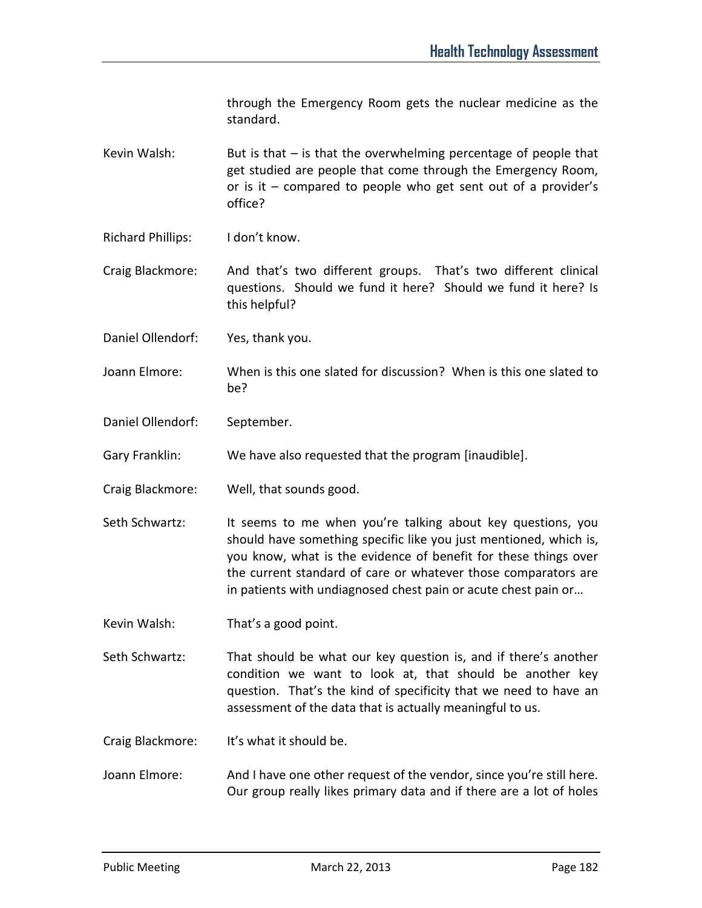through the Emergency Room gets the nuclear medicine as the standard.

Kevin Walsh: But is that  $-$  is that the overwhelming percentage of people that get studied are people that come through the Emergency Room, or is it – compared to people who get sent out of a provider's office?

Richard Phillips: I don't know.

Craig Blackmore: And that's two different groups. That's two different clinical questions. Should we fund it here? Should we fund it here? Is this helpful?

Daniel Ollendorf: Yes, thank you.

Joann Elmore: When is this one slated for discussion? When is this one slated to be?

Daniel Ollendorf: September.

Gary Franklin: We have also requested that the program [inaudible].

Craig Blackmore: Well, that sounds good.

Seth Schwartz: It seems to me when you're talking about key questions, you should have something specific like you just mentioned, which is, you know, what is the evidence of benefit for these things over the current standard of care or whatever those comparators are in patients with undiagnosed chest pain or acute chest pain or…

Kevin Walsh: That's a good point.

Seth Schwartz: That should be what our key question is, and if there's another condition we want to look at, that should be another key question. That's the kind of specificity that we need to have an assessment of the data that is actually meaningful to us.

Craig Blackmore: It's what it should be.

Joann Elmore: And I have one other request of the vendor, since you're still here. Our group really likes primary data and if there are a lot of holes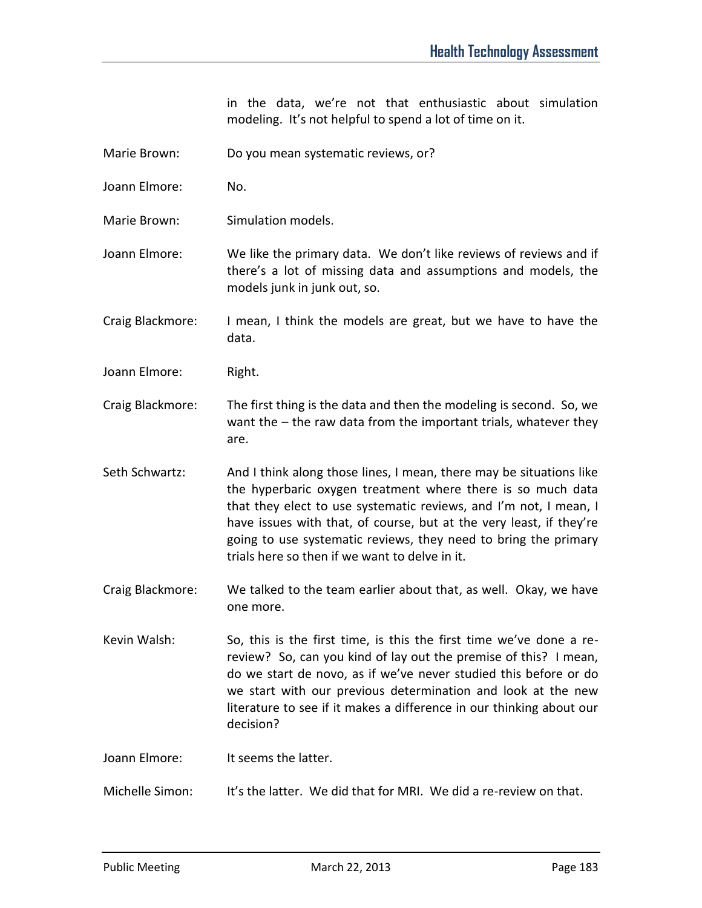in the data, we're not that enthusiastic about simulation modeling. It's not helpful to spend a lot of time on it.

- Marie Brown: Do you mean systematic reviews, or?
- Joann Elmore: No.
- Marie Brown: Simulation models.
- Joann Elmore: We like the primary data. We don't like reviews of reviews and if there's a lot of missing data and assumptions and models, the models junk in junk out, so.

Craig Blackmore: I mean, I think the models are great, but we have to have the data.

Joann Elmore: Right.

- Craig Blackmore: The first thing is the data and then the modeling is second. So, we want the – the raw data from the important trials, whatever they are.
- Seth Schwartz: And I think along those lines, I mean, there may be situations like the hyperbaric oxygen treatment where there is so much data that they elect to use systematic reviews, and I'm not, I mean, I have issues with that, of course, but at the very least, if they're going to use systematic reviews, they need to bring the primary trials here so then if we want to delve in it.
- Craig Blackmore: We talked to the team earlier about that, as well. Okay, we have one more.
- Kevin Walsh: So, this is the first time, is this the first time we've done a rereview? So, can you kind of lay out the premise of this? I mean, do we start de novo, as if we've never studied this before or do we start with our previous determination and look at the new literature to see if it makes a difference in our thinking about our decision?

Joann Elmore: It seems the latter.

Michelle Simon: It's the latter. We did that for MRI. We did a re-review on that.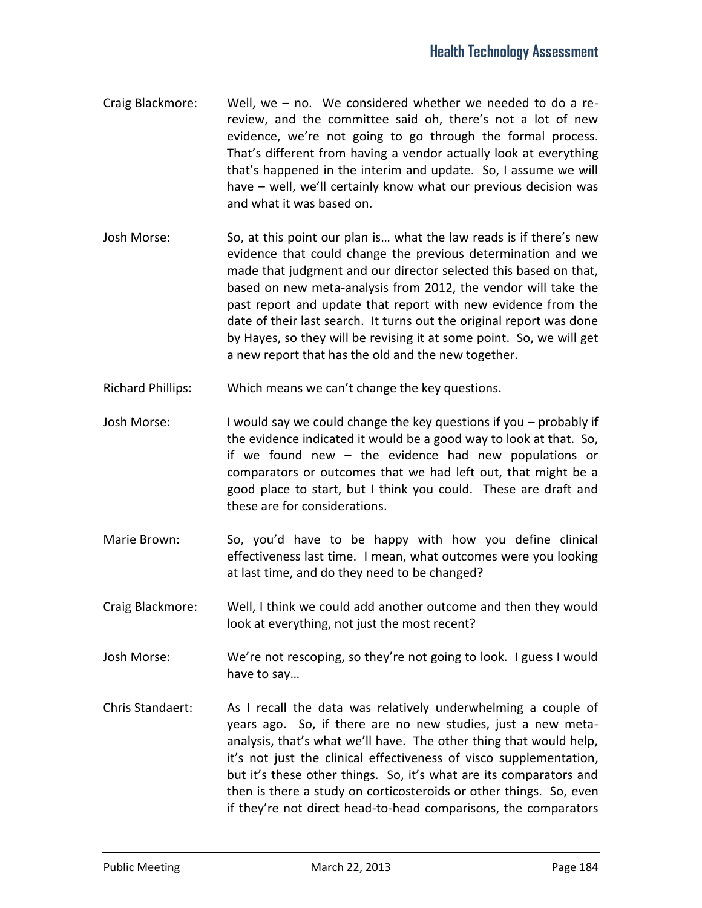- Craig Blackmore: Well, we no. We considered whether we needed to do a rereview, and the committee said oh, there's not a lot of new evidence, we're not going to go through the formal process. That's different from having a vendor actually look at everything that's happened in the interim and update. So, I assume we will have – well, we'll certainly know what our previous decision was and what it was based on.
- Josh Morse: So, at this point our plan is… what the law reads is if there's new evidence that could change the previous determination and we made that judgment and our director selected this based on that, based on new meta-analysis from 2012, the vendor will take the past report and update that report with new evidence from the date of their last search. It turns out the original report was done by Hayes, so they will be revising it at some point. So, we will get a new report that has the old and the new together.
- Richard Phillips: Which means we can't change the key questions.
- Josh Morse: I would say we could change the key questions if you probably if the evidence indicated it would be a good way to look at that. So, if we found new – the evidence had new populations or comparators or outcomes that we had left out, that might be a good place to start, but I think you could. These are draft and these are for considerations.
- Marie Brown: So, you'd have to be happy with how you define clinical effectiveness last time. I mean, what outcomes were you looking at last time, and do they need to be changed?
- Craig Blackmore: Well, I think we could add another outcome and then they would look at everything, not just the most recent?
- Josh Morse: We're not rescoping, so they're not going to look. I guess I would have to say…
- Chris Standaert: As I recall the data was relatively underwhelming a couple of years ago. So, if there are no new studies, just a new metaanalysis, that's what we'll have. The other thing that would help, it's not just the clinical effectiveness of visco supplementation, but it's these other things. So, it's what are its comparators and then is there a study on corticosteroids or other things. So, even if they're not direct head-to-head comparisons, the comparators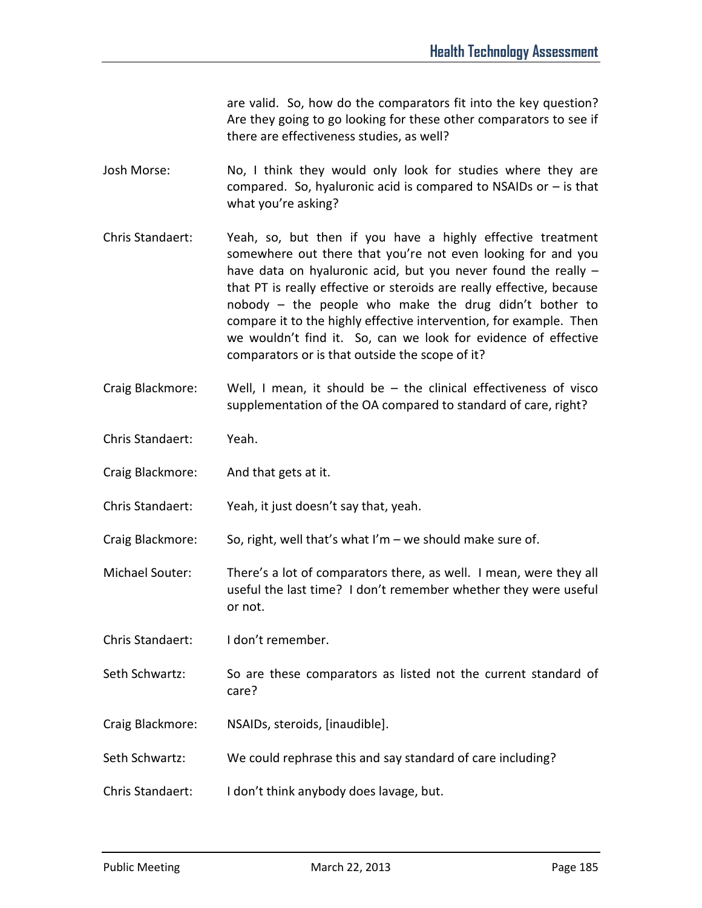are valid. So, how do the comparators fit into the key question? Are they going to go looking for these other comparators to see if there are effectiveness studies, as well?

- Josh Morse: No, I think they would only look for studies where they are compared. So, hyaluronic acid is compared to NSAIDs or  $-$  is that what you're asking?
- Chris Standaert: Yeah, so, but then if you have a highly effective treatment somewhere out there that you're not even looking for and you have data on hyaluronic acid, but you never found the really – that PT is really effective or steroids are really effective, because nobody – the people who make the drug didn't bother to compare it to the highly effective intervention, for example. Then we wouldn't find it. So, can we look for evidence of effective comparators or is that outside the scope of it?
- Craig Blackmore: Well, I mean, it should be the clinical effectiveness of visco supplementation of the OA compared to standard of care, right?
- Chris Standaert: Yeah.
- Craig Blackmore: And that gets at it.
- Chris Standaert: Yeah, it just doesn't say that, yeah.
- Craig Blackmore: So, right, well that's what I'm we should make sure of.
- Michael Souter: There's a lot of comparators there, as well. I mean, were they all useful the last time? I don't remember whether they were useful or not.
- Chris Standaert: I don't remember.
- Seth Schwartz: So are these comparators as listed not the current standard of care?
- Craig Blackmore: NSAIDs, steroids, [inaudible].
- Seth Schwartz: We could rephrase this and say standard of care including?
- Chris Standaert: I don't think anybody does lavage, but.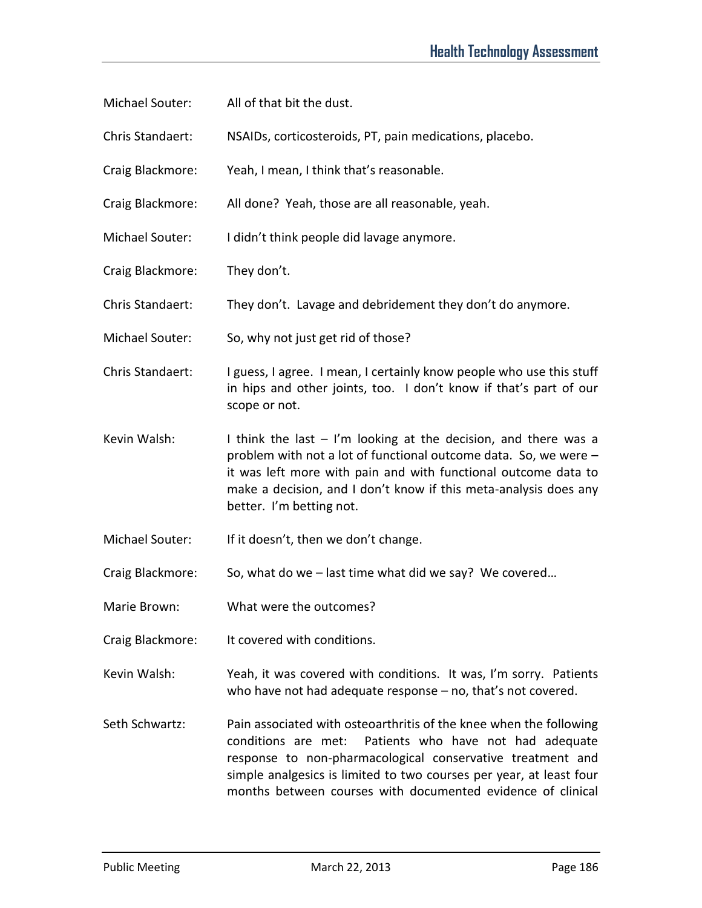- Michael Souter: All of that bit the dust.
- Chris Standaert: NSAIDs, corticosteroids, PT, pain medications, placebo.
- Craig Blackmore: Yeah, I mean, I think that's reasonable.
- Craig Blackmore: All done? Yeah, those are all reasonable, yeah.
- Michael Souter: I didn't think people did lavage anymore.
- Craig Blackmore: They don't.
- Chris Standaert: They don't. Lavage and debridement they don't do anymore.
- Michael Souter: So, why not just get rid of those?
- Chris Standaert: I guess, I agree. I mean, I certainly know people who use this stuff in hips and other joints, too. I don't know if that's part of our scope or not.
- Kevin Walsh: I think the last  $-1$ 'm looking at the decision, and there was a problem with not a lot of functional outcome data. So, we were – it was left more with pain and with functional outcome data to make a decision, and I don't know if this meta-analysis does any better. I'm betting not.
- Michael Souter: If it doesn't, then we don't change.
- Craig Blackmore: So, what do we last time what did we say? We covered…
- Marie Brown: What were the outcomes?
- Craig Blackmore: It covered with conditions.
- Kevin Walsh: Yeah, it was covered with conditions. It was, I'm sorry. Patients who have not had adequate response – no, that's not covered.
- Seth Schwartz: Pain associated with osteoarthritis of the knee when the following conditions are met: Patients who have not had adequate response to non-pharmacological conservative treatment and simple analgesics is limited to two courses per year, at least four months between courses with documented evidence of clinical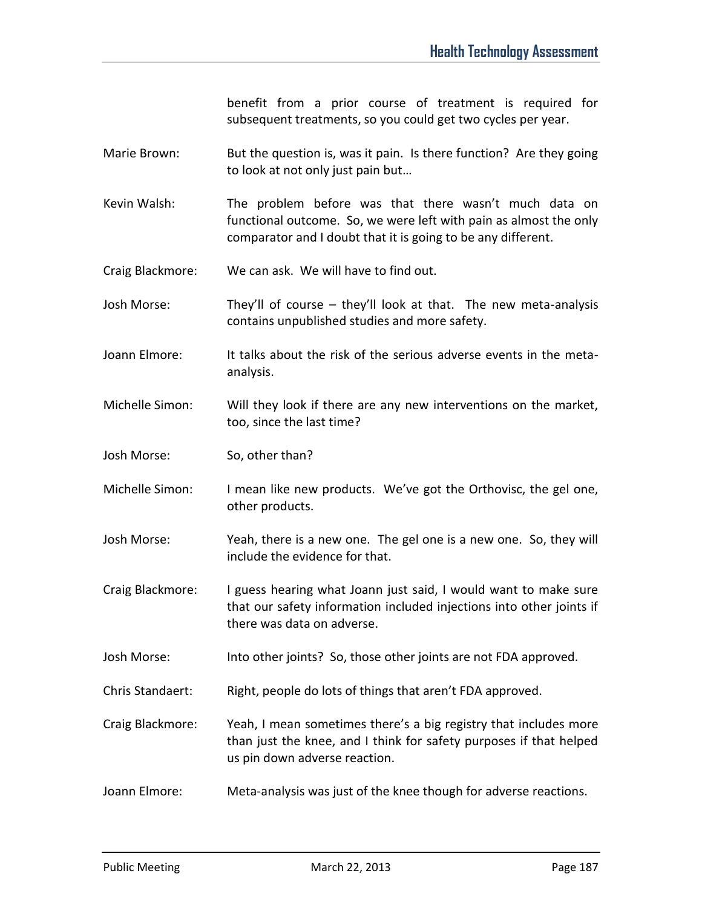benefit from a prior course of treatment is required for subsequent treatments, so you could get two cycles per year.

- Marie Brown: But the question is, was it pain. Is there function? Are they going to look at not only just pain but…
- Kevin Walsh: The problem before was that there wasn't much data on functional outcome. So, we were left with pain as almost the only comparator and I doubt that it is going to be any different.

Craig Blackmore: We can ask. We will have to find out.

Josh Morse: They'll of course – they'll look at that. The new meta-analysis contains unpublished studies and more safety.

- Joann Elmore: It talks about the risk of the serious adverse events in the metaanalysis.
- Michelle Simon: Will they look if there are any new interventions on the market, too, since the last time?
- Josh Morse: So, other than?
- Michelle Simon: I mean like new products. We've got the Orthovisc, the gel one, other products.
- Josh Morse: Yeah, there is a new one. The gel one is a new one. So, they will include the evidence for that.
- Craig Blackmore: I guess hearing what Joann just said, I would want to make sure that our safety information included injections into other joints if there was data on adverse.
- Josh Morse: Into other joints? So, those other joints are not FDA approved.
- Chris Standaert: Right, people do lots of things that aren't FDA approved.
- Craig Blackmore: Yeah, I mean sometimes there's a big registry that includes more than just the knee, and I think for safety purposes if that helped us pin down adverse reaction.
- Joann Elmore: Meta-analysis was just of the knee though for adverse reactions.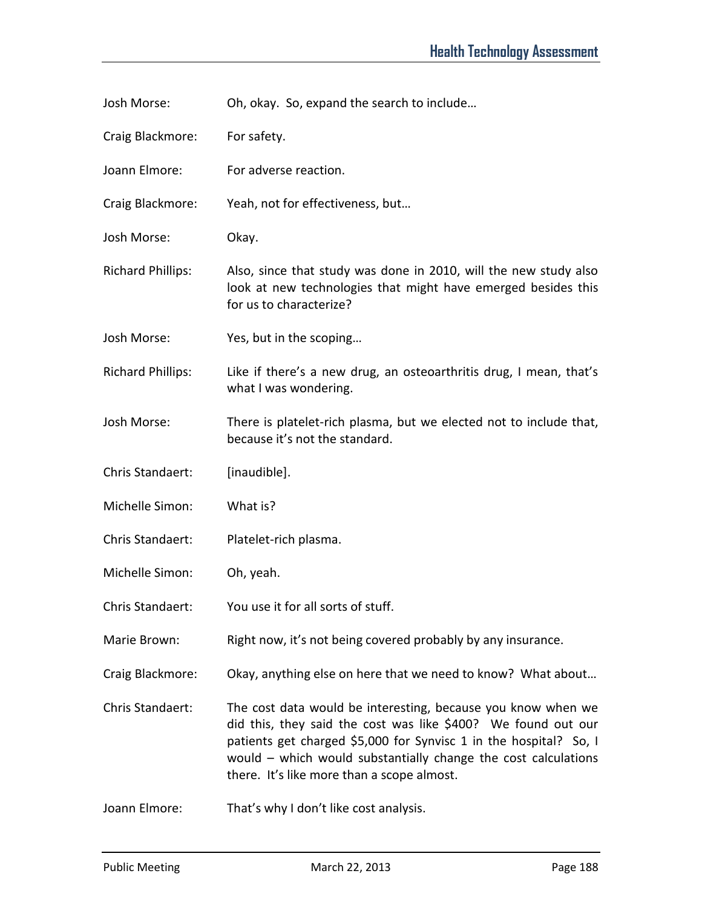Josh Morse: Oh, okay. So, expand the search to include…

Craig Blackmore: For safety.

Joann Elmore: For adverse reaction.

Craig Blackmore: Yeah, not for effectiveness, but…

Josh Morse: Okay.

Richard Phillips: Also, since that study was done in 2010, will the new study also look at new technologies that might have emerged besides this for us to characterize?

Josh Morse: Yes, but in the scoping…

Richard Phillips: Like if there's a new drug, an osteoarthritis drug, I mean, that's what I was wondering.

Josh Morse: There is platelet-rich plasma, but we elected not to include that, because it's not the standard.

Chris Standaert: [inaudible].

Michelle Simon: What is?

- Chris Standaert: Platelet-rich plasma.
- Michelle Simon: Oh, yeah.
- Chris Standaert: You use it for all sorts of stuff.
- Marie Brown: Right now, it's not being covered probably by any insurance.
- Craig Blackmore: Okay, anything else on here that we need to know? What about…

Chris Standaert: The cost data would be interesting, because you know when we did this, they said the cost was like \$400? We found out our patients get charged \$5,000 for Synvisc 1 in the hospital? So, I would – which would substantially change the cost calculations there. It's like more than a scope almost.

Joann Elmore: That's why I don't like cost analysis.